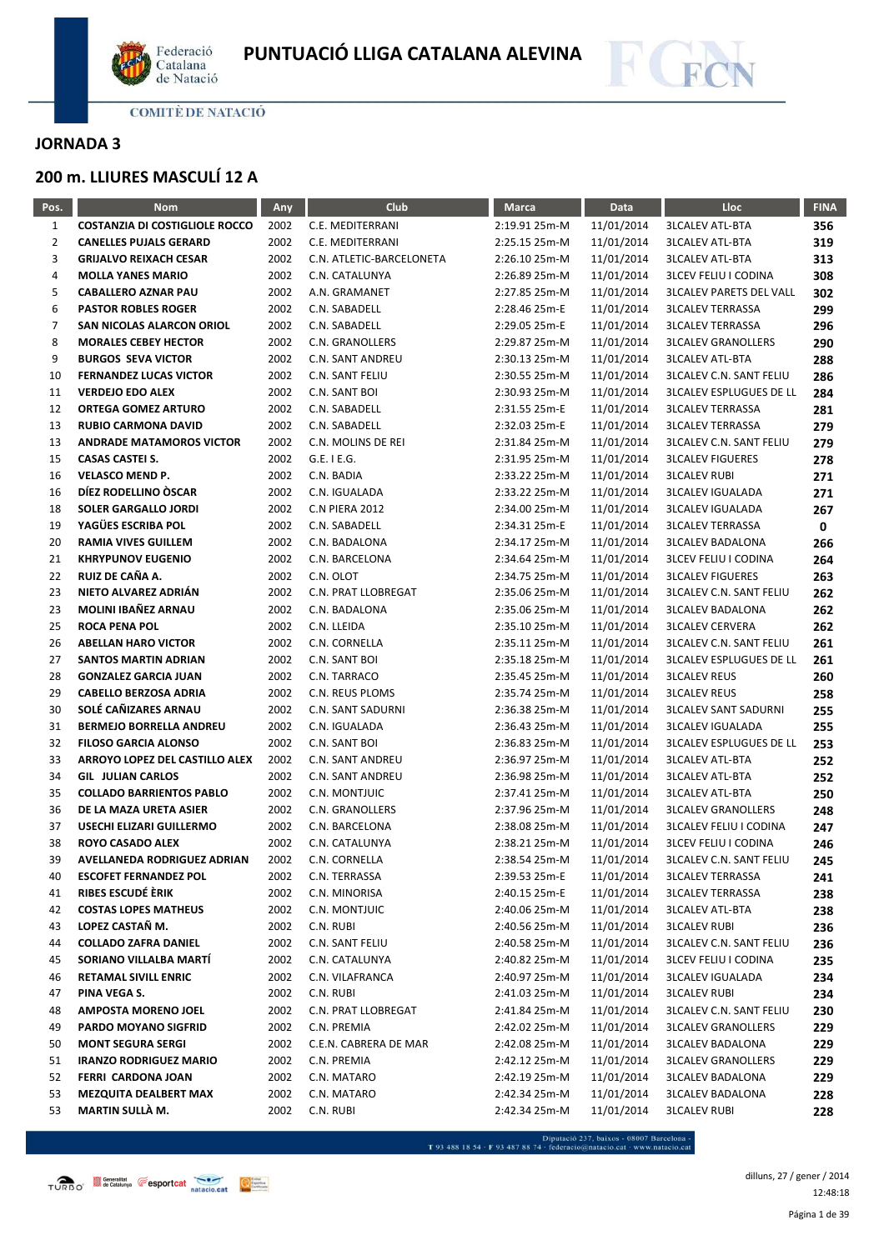



# **JORNADA 3**

# **200 m. LLIURES MASCULÍ 12 A**

| $\mathbf{1}$<br><b>COSTANZIA DI COSTIGLIOLE ROCCO</b><br>2002<br>C.E. MEDITERRANI<br>2:19.91 25m-M<br>11/01/2014<br><b>3LCALEV ATL-BTA</b><br>356<br>$\mathbf{2}$<br>2002<br>11/01/2014<br><b>CANELLES PUJALS GERARD</b><br>C.E. MEDITERRANI<br>2:25.15 25m-M<br><b>3LCALEV ATL-BTA</b><br>319<br>3<br>2002<br>11/01/2014<br><b>GRIJALVO REIXACH CESAR</b><br>C.N. ATLETIC-BARCELONETA<br>2:26.10 25m-M<br><b>3LCALEV ATL-BTA</b><br>313<br>4<br><b>MOLLA YANES MARIO</b><br>2002<br>C.N. CATALUNYA<br>2:26.89 25m-M<br>11/01/2014<br><b>3LCEV FELIU I CODINA</b><br>308<br>5<br><b>CABALLERO AZNAR PAU</b><br>2002<br>A.N. GRAMANET<br>11/01/2014<br><b>3LCALEV PARETS DEL VALL</b><br>2:27.85 25m-M<br>302<br>6<br>2002<br>11/01/2014<br><b>PASTOR ROBLES ROGER</b><br>C.N. SABADELL<br>2:28.46 25m-E<br><b>3LCALEV TERRASSA</b><br>299<br>7<br>SAN NICOLAS ALARCON ORIOL<br>2002<br>C.N. SABADELL<br>11/01/2014<br><b>3LCALEV TERRASSA</b><br>2:29.05 25m-E<br>296<br>8<br><b>MORALES CEBEY HECTOR</b><br>2002<br>C.N. GRANOLLERS<br>2:29.87 25m-M<br>11/01/2014<br><b>3LCALEV GRANOLLERS</b><br>290<br>9<br><b>BURGOS SEVA VICTOR</b><br>2002<br>C.N. SANT ANDREU<br>2:30.13 25m-M<br>11/01/2014<br><b>3LCALEV ATL-BTA</b><br>288<br>10<br>2002<br><b>FERNANDEZ LUCAS VICTOR</b><br>C.N. SANT FELIU<br>2:30.55 25m-M<br>11/01/2014<br><b>3LCALEV C.N. SANT FELIU</b><br>286<br>11<br>2002<br><b>VERDEJO EDO ALEX</b><br>C.N. SANT BOI<br>2:30.93 25m-M<br>11/01/2014<br><b>3LCALEV ESPLUGUES DE LL</b><br>284<br>12<br><b>ORTEGA GOMEZ ARTURO</b><br>2002<br>C.N. SABADELL<br>2:31.55 25m-E<br>11/01/2014<br><b>3LCALEV TERRASSA</b><br>281<br>13<br>2002<br>11/01/2014<br><b>3LCALEV TERRASSA</b><br><b>RUBIO CARMONA DAVID</b><br>C.N. SABADELL<br>2:32.03 25m-E<br>279<br>13<br><b>ANDRADE MATAMOROS VICTOR</b><br>2002<br>C.N. MOLINS DE REI<br>2:31.84 25m-M<br>11/01/2014<br><b>3LCALEV C.N. SANT FELIU</b><br>279<br>15<br><b>CASAS CASTEI S.</b><br>2002<br>$G.E.$ I $E.G.$<br>11/01/2014<br><b>3LCALEV FIGUERES</b><br>2:31.95 25m-M<br>278<br>16<br><b>VELASCO MEND P.</b><br>2002<br>C.N. BADIA<br>2:33.22 25m-M<br>11/01/2014<br><b>3LCALEV RUBI</b><br>271<br>DÍEZ RODELLINO ÒSCAR<br>16<br>2002<br>11/01/2014<br>C.N. IGUALADA<br>2:33.22 25m-M<br><b>3LCALEV IGUALADA</b><br>271<br>18<br><b>SOLER GARGALLO JORDI</b><br>2002<br>11/01/2014<br><b>C.N PIERA 2012</b><br>2:34.00 25m-M<br><b>3LCALEV IGUALADA</b><br>267<br>YAGÜES ESCRIBA POL<br>19<br>2002<br>C.N. SABADELL<br>2:34.31 25m-E<br>11/01/2014<br><b>3LCALEV TERRASSA</b><br>0<br>20<br><b>RAMIA VIVES GUILLEM</b><br>2002<br>C.N. BADALONA<br>2:34.17 25m-M<br>11/01/2014<br><b>3LCALEV BADALONA</b><br>266<br>21<br><b>KHRYPUNOV EUGENIO</b><br>2002<br>C.N. BARCELONA<br>11/01/2014<br><b>3LCEV FELIU I CODINA</b><br>2:34.64 25m-M<br>264<br>RUIZ DE CAÑA A.<br>22<br>2002<br>C.N. OLOT<br>11/01/2014<br><b>3LCALEV FIGUERES</b><br>2:34.75 25m-M<br>263<br>23<br>NIETO ALVAREZ ADRIÁN<br>2002<br>C.N. PRAT LLOBREGAT<br>2:35.06 25m-M<br>11/01/2014<br><b>3LCALEV C.N. SANT FELIU</b><br>262<br>MOLINI IBAÑEZ ARNAU<br>23<br>2002<br>C.N. BADALONA<br>2:35.06 25m-M<br>11/01/2014<br><b>3LCALEV BADALONA</b><br>262<br>25<br><b>ROCA PENA POL</b><br>2002<br>C.N. LLEIDA<br><b>3LCALEV CERVERA</b><br>2:35.10 25m-M<br>11/01/2014<br>262<br>26<br>2002<br><b>ABELLAN HARO VICTOR</b><br>C.N. CORNELLA<br>2:35.11 25m-M<br>11/01/2014<br><b>3LCALEV C.N. SANT FELIU</b><br>261<br>27<br>2002<br><b>SANTOS MARTIN ADRIAN</b><br>C.N. SANT BOI<br>2:35.18 25m-M<br>11/01/2014<br><b>3LCALEV ESPLUGUES DE LL</b><br>261<br>28<br><b>GONZALEZ GARCIA JUAN</b><br>2002<br>C.N. TARRACO<br>2:35.45 25m-M<br>11/01/2014<br><b>3LCALEV REUS</b><br>260<br>29<br><b>CABELLO BERZOSA ADRIA</b><br>2002<br>11/01/2014<br>C.N. REUS PLOMS<br>2:35.74 25m-M<br><b>3LCALEV REUS</b><br>258<br>30<br>SOLÉ CAÑIZARES ARNAU<br>2002<br>C.N. SANT SADURNI<br>2:36.38 25m-M<br>11/01/2014<br><b>3LCALEV SANT SADURNI</b><br>255<br>31<br><b>BERMEJO BORRELLA ANDREU</b><br>2002<br>C.N. IGUALADA<br>2:36.43 25m-M<br>11/01/2014<br><b>3LCALEV IGUALADA</b><br>255<br>32<br><b>FILOSO GARCIA ALONSO</b><br>2002<br>C.N. SANT BOI<br>2:36.83 25m-M<br>11/01/2014<br><b>3LCALEV ESPLUGUES DE LL</b><br>253<br>33<br>ARROYO LOPEZ DEL CASTILLO ALEX<br>2002<br>11/01/2014<br>C.N. SANT ANDREU<br>2:36.97 25m-M<br><b>3LCALEV ATL-BTA</b><br>252<br>34<br>2002<br><b>GIL JULIAN CARLOS</b><br>C.N. SANT ANDREU<br>2:36.98 25m-M<br>11/01/2014<br><b>3LCALEV ATL-BTA</b><br>252<br>35<br>2002<br><b>COLLADO BARRIENTOS PABLO</b><br>C.N. MONTJUIC<br>2:37.41 25m-M<br>11/01/2014<br><b>3LCALEV ATL-BTA</b><br>250<br>36<br>DE LA MAZA URETA ASIER<br>2002<br>C.N. GRANOLLERS<br>2:37.96 25m-M<br>11/01/2014<br><b>3LCALEV GRANOLLERS</b><br>248<br>37<br>USECHI ELIZARI GUILLERMO<br>2002<br>11/01/2014<br><b>3LCALEV FELIU I CODINA</b><br>C.N. BARCELONA<br>2:38.08 25m-M<br>247<br>38<br><b>ROYO CASADO ALEX</b><br>2002<br>C.N. CATALUNYA<br>2:38.21 25m-M<br>11/01/2014<br><b>3LCEV FELIU I CODINA</b><br>246<br>39<br>2002<br>11/01/2014<br>AVELLANEDA RODRIGUEZ ADRIAN<br>C.N. CORNELLA<br>2:38.54 25m-M<br><b>3LCALEV C.N. SANT FELIU</b><br>245<br>40<br><b>ESCOFET FERNANDEZ POL</b><br>2002<br>C.N. TERRASSA<br>2:39.53 25m-E<br>11/01/2014<br><b>3LCALEV TERRASSA</b><br>241<br>RIBES ESCUDÉ ÈRIK<br>11/01/2014<br>41<br>2002<br>C.N. MINORISA<br>2:40.15 25m-E<br><b>3LCALEV TERRASSA</b><br>238<br><b>COSTAS LOPES MATHEUS</b><br>11/01/2014<br>42<br>2002<br>C.N. MONTJUIC<br>2:40.06 25m-M<br><b>3LCALEV ATL-BTA</b><br>238<br>LOPEZ CASTAÑ M.<br>43<br>2002<br>C.N. RUBI<br>2:40.56 25m-M<br>11/01/2014<br><b>3LCALEV RUBI</b><br>236<br><b>COLLADO ZAFRA DANIEL</b><br>44<br>2002<br>C.N. SANT FELIU<br>2:40.58 25m-M<br>11/01/2014<br><b>3LCALEV C.N. SANT FELIU</b><br>236<br>SORIANO VILLALBA MARTÍ<br>45<br>2002<br>C.N. CATALUNYA<br>2:40.82 25m-M<br>11/01/2014<br><b>3LCEV FELIU I CODINA</b><br>235<br>46<br><b>RETAMAL SIVILL ENRIC</b><br>2002<br>C.N. VILAFRANCA<br>2:40.97 25m-M<br>11/01/2014<br><b>3LCALEV IGUALADA</b><br>234<br>47<br>PINA VEGA S.<br>2002<br>C.N. RUBI<br>2:41.03 25m-M<br>11/01/2014<br><b>3LCALEV RUBI</b><br>234<br>48<br><b>AMPOSTA MORENO JOEL</b><br>2002<br>C.N. PRAT LLOBREGAT<br>2:41.84 25m-M<br>11/01/2014<br><b>3LCALEV C.N. SANT FELIU</b><br>230<br>49<br><b>PARDO MOYANO SIGFRID</b><br>2002<br>C.N. PREMIA<br>11/01/2014<br><b>3LCALEV GRANOLLERS</b><br>2:42.02 25m-M<br>229<br>50<br><b>MONT SEGURA SERGI</b><br>2002<br>C.E.N. CABRERA DE MAR<br>2:42.08 25m-M<br>11/01/2014<br><b>3LCALEV BADALONA</b><br>229<br>51<br><b>IRANZO RODRIGUEZ MARIO</b><br>2002<br>11/01/2014<br><b>3LCALEV GRANOLLERS</b><br>C.N. PREMIA<br>2:42.12 25m-M<br>229<br>52<br>FERRI CARDONA JOAN<br>2002<br>2:42.19 25m-M<br>11/01/2014<br>C.N. MATARO<br><b>3LCALEV BADALONA</b><br>229<br>53<br><b>MEZQUITA DEALBERT MAX</b><br>2002<br>C.N. MATARO<br>2:42.34 25m-M<br>11/01/2014<br><b>3LCALEV BADALONA</b><br>228<br>MARTIN SULLÀ M.<br>53<br>2002<br>C.N. RUBI<br>2:42.34 25m-M<br>11/01/2014<br><b>3LCALEV RUBI</b><br>228 | Pos. | <b>Nom</b> | Any | Club | <b>Marca</b> | Data | Lloc | <b>FINA</b> |
|-----------------------------------------------------------------------------------------------------------------------------------------------------------------------------------------------------------------------------------------------------------------------------------------------------------------------------------------------------------------------------------------------------------------------------------------------------------------------------------------------------------------------------------------------------------------------------------------------------------------------------------------------------------------------------------------------------------------------------------------------------------------------------------------------------------------------------------------------------------------------------------------------------------------------------------------------------------------------------------------------------------------------------------------------------------------------------------------------------------------------------------------------------------------------------------------------------------------------------------------------------------------------------------------------------------------------------------------------------------------------------------------------------------------------------------------------------------------------------------------------------------------------------------------------------------------------------------------------------------------------------------------------------------------------------------------------------------------------------------------------------------------------------------------------------------------------------------------------------------------------------------------------------------------------------------------------------------------------------------------------------------------------------------------------------------------------------------------------------------------------------------------------------------------------------------------------------------------------------------------------------------------------------------------------------------------------------------------------------------------------------------------------------------------------------------------------------------------------------------------------------------------------------------------------------------------------------------------------------------------------------------------------------------------------------------------------------------------------------------------------------------------------------------------------------------------------------------------------------------------------------------------------------------------------------------------------------------------------------------------------------------------------------------------------------------------------------------------------------------------------------------------------------------------------------------------------------------------------------------------------------------------------------------------------------------------------------------------------------------------------------------------------------------------------------------------------------------------------------------------------------------------------------------------------------------------------------------------------------------------------------------------------------------------------------------------------------------------------------------------------------------------------------------------------------------------------------------------------------------------------------------------------------------------------------------------------------------------------------------------------------------------------------------------------------------------------------------------------------------------------------------------------------------------------------------------------------------------------------------------------------------------------------------------------------------------------------------------------------------------------------------------------------------------------------------------------------------------------------------------------------------------------------------------------------------------------------------------------------------------------------------------------------------------------------------------------------------------------------------------------------------------------------------------------------------------------------------------------------------------------------------------------------------------------------------------------------------------------------------------------------------------------------------------------------------------------------------------------------------------------------------------------------------------------------------------------------------------------------------------------------------------------------------------------------------------------------------------------------------------------------------------------------------------------------------------------------------------------------------------------------------------------------------------------------------------------------------------------------------------------------------------------------------------------------------------------------------------------------------------------------------------------------------------------------------------------------------------------------------------------------------------------------------------------------------------------------------------------------------------------------------------------------------------------------------------------------------------------------------------------------------------------------------------------------------------------------------------------------------------------------------------------------------------------------------------------------------------------------------------------------------------------------------------------------------------------------------------------------------------------------------------------------------------------------------------------------------------------------------------------------------------------------------------------------------------------------------------------------------------------------------------------------------------------------------------------------------------------------------------------------------------------------------------------------------------------------------------------------------------------------------------------------------------------------------------------------------------------------------------------------------------------|------|------------|-----|------|--------------|------|------|-------------|
|                                                                                                                                                                                                                                                                                                                                                                                                                                                                                                                                                                                                                                                                                                                                                                                                                                                                                                                                                                                                                                                                                                                                                                                                                                                                                                                                                                                                                                                                                                                                                                                                                                                                                                                                                                                                                                                                                                                                                                                                                                                                                                                                                                                                                                                                                                                                                                                                                                                                                                                                                                                                                                                                                                                                                                                                                                                                                                                                                                                                                                                                                                                                                                                                                                                                                                                                                                                                                                                                                                                                                                                                                                                                                                                                                                                                                                                                                                                                                                                                                                                                                                                                                                                                                                                                                                                                                                                                                                                                                                                                                                                                                                                                                                                                                                                                                                                                                                                                                                                                                                                                                                                                                                                                                                                                                                                                                                                                                                                                                                                                                                                                                                                                                                                                                                                                                                                                                                                                                                                                                                                                                                                                                                                                                                                                                                                                                                                                                                                                                                                                                                                                                                                                                                                                                                                                                                                                                                                                                                                                                                                                                                                                               |      |            |     |      |              |      |      |             |
|                                                                                                                                                                                                                                                                                                                                                                                                                                                                                                                                                                                                                                                                                                                                                                                                                                                                                                                                                                                                                                                                                                                                                                                                                                                                                                                                                                                                                                                                                                                                                                                                                                                                                                                                                                                                                                                                                                                                                                                                                                                                                                                                                                                                                                                                                                                                                                                                                                                                                                                                                                                                                                                                                                                                                                                                                                                                                                                                                                                                                                                                                                                                                                                                                                                                                                                                                                                                                                                                                                                                                                                                                                                                                                                                                                                                                                                                                                                                                                                                                                                                                                                                                                                                                                                                                                                                                                                                                                                                                                                                                                                                                                                                                                                                                                                                                                                                                                                                                                                                                                                                                                                                                                                                                                                                                                                                                                                                                                                                                                                                                                                                                                                                                                                                                                                                                                                                                                                                                                                                                                                                                                                                                                                                                                                                                                                                                                                                                                                                                                                                                                                                                                                                                                                                                                                                                                                                                                                                                                                                                                                                                                                                               |      |            |     |      |              |      |      |             |
|                                                                                                                                                                                                                                                                                                                                                                                                                                                                                                                                                                                                                                                                                                                                                                                                                                                                                                                                                                                                                                                                                                                                                                                                                                                                                                                                                                                                                                                                                                                                                                                                                                                                                                                                                                                                                                                                                                                                                                                                                                                                                                                                                                                                                                                                                                                                                                                                                                                                                                                                                                                                                                                                                                                                                                                                                                                                                                                                                                                                                                                                                                                                                                                                                                                                                                                                                                                                                                                                                                                                                                                                                                                                                                                                                                                                                                                                                                                                                                                                                                                                                                                                                                                                                                                                                                                                                                                                                                                                                                                                                                                                                                                                                                                                                                                                                                                                                                                                                                                                                                                                                                                                                                                                                                                                                                                                                                                                                                                                                                                                                                                                                                                                                                                                                                                                                                                                                                                                                                                                                                                                                                                                                                                                                                                                                                                                                                                                                                                                                                                                                                                                                                                                                                                                                                                                                                                                                                                                                                                                                                                                                                                                               |      |            |     |      |              |      |      |             |
|                                                                                                                                                                                                                                                                                                                                                                                                                                                                                                                                                                                                                                                                                                                                                                                                                                                                                                                                                                                                                                                                                                                                                                                                                                                                                                                                                                                                                                                                                                                                                                                                                                                                                                                                                                                                                                                                                                                                                                                                                                                                                                                                                                                                                                                                                                                                                                                                                                                                                                                                                                                                                                                                                                                                                                                                                                                                                                                                                                                                                                                                                                                                                                                                                                                                                                                                                                                                                                                                                                                                                                                                                                                                                                                                                                                                                                                                                                                                                                                                                                                                                                                                                                                                                                                                                                                                                                                                                                                                                                                                                                                                                                                                                                                                                                                                                                                                                                                                                                                                                                                                                                                                                                                                                                                                                                                                                                                                                                                                                                                                                                                                                                                                                                                                                                                                                                                                                                                                                                                                                                                                                                                                                                                                                                                                                                                                                                                                                                                                                                                                                                                                                                                                                                                                                                                                                                                                                                                                                                                                                                                                                                                                               |      |            |     |      |              |      |      |             |
|                                                                                                                                                                                                                                                                                                                                                                                                                                                                                                                                                                                                                                                                                                                                                                                                                                                                                                                                                                                                                                                                                                                                                                                                                                                                                                                                                                                                                                                                                                                                                                                                                                                                                                                                                                                                                                                                                                                                                                                                                                                                                                                                                                                                                                                                                                                                                                                                                                                                                                                                                                                                                                                                                                                                                                                                                                                                                                                                                                                                                                                                                                                                                                                                                                                                                                                                                                                                                                                                                                                                                                                                                                                                                                                                                                                                                                                                                                                                                                                                                                                                                                                                                                                                                                                                                                                                                                                                                                                                                                                                                                                                                                                                                                                                                                                                                                                                                                                                                                                                                                                                                                                                                                                                                                                                                                                                                                                                                                                                                                                                                                                                                                                                                                                                                                                                                                                                                                                                                                                                                                                                                                                                                                                                                                                                                                                                                                                                                                                                                                                                                                                                                                                                                                                                                                                                                                                                                                                                                                                                                                                                                                                                               |      |            |     |      |              |      |      |             |
|                                                                                                                                                                                                                                                                                                                                                                                                                                                                                                                                                                                                                                                                                                                                                                                                                                                                                                                                                                                                                                                                                                                                                                                                                                                                                                                                                                                                                                                                                                                                                                                                                                                                                                                                                                                                                                                                                                                                                                                                                                                                                                                                                                                                                                                                                                                                                                                                                                                                                                                                                                                                                                                                                                                                                                                                                                                                                                                                                                                                                                                                                                                                                                                                                                                                                                                                                                                                                                                                                                                                                                                                                                                                                                                                                                                                                                                                                                                                                                                                                                                                                                                                                                                                                                                                                                                                                                                                                                                                                                                                                                                                                                                                                                                                                                                                                                                                                                                                                                                                                                                                                                                                                                                                                                                                                                                                                                                                                                                                                                                                                                                                                                                                                                                                                                                                                                                                                                                                                                                                                                                                                                                                                                                                                                                                                                                                                                                                                                                                                                                                                                                                                                                                                                                                                                                                                                                                                                                                                                                                                                                                                                                                               |      |            |     |      |              |      |      |             |
|                                                                                                                                                                                                                                                                                                                                                                                                                                                                                                                                                                                                                                                                                                                                                                                                                                                                                                                                                                                                                                                                                                                                                                                                                                                                                                                                                                                                                                                                                                                                                                                                                                                                                                                                                                                                                                                                                                                                                                                                                                                                                                                                                                                                                                                                                                                                                                                                                                                                                                                                                                                                                                                                                                                                                                                                                                                                                                                                                                                                                                                                                                                                                                                                                                                                                                                                                                                                                                                                                                                                                                                                                                                                                                                                                                                                                                                                                                                                                                                                                                                                                                                                                                                                                                                                                                                                                                                                                                                                                                                                                                                                                                                                                                                                                                                                                                                                                                                                                                                                                                                                                                                                                                                                                                                                                                                                                                                                                                                                                                                                                                                                                                                                                                                                                                                                                                                                                                                                                                                                                                                                                                                                                                                                                                                                                                                                                                                                                                                                                                                                                                                                                                                                                                                                                                                                                                                                                                                                                                                                                                                                                                                                               |      |            |     |      |              |      |      |             |
|                                                                                                                                                                                                                                                                                                                                                                                                                                                                                                                                                                                                                                                                                                                                                                                                                                                                                                                                                                                                                                                                                                                                                                                                                                                                                                                                                                                                                                                                                                                                                                                                                                                                                                                                                                                                                                                                                                                                                                                                                                                                                                                                                                                                                                                                                                                                                                                                                                                                                                                                                                                                                                                                                                                                                                                                                                                                                                                                                                                                                                                                                                                                                                                                                                                                                                                                                                                                                                                                                                                                                                                                                                                                                                                                                                                                                                                                                                                                                                                                                                                                                                                                                                                                                                                                                                                                                                                                                                                                                                                                                                                                                                                                                                                                                                                                                                                                                                                                                                                                                                                                                                                                                                                                                                                                                                                                                                                                                                                                                                                                                                                                                                                                                                                                                                                                                                                                                                                                                                                                                                                                                                                                                                                                                                                                                                                                                                                                                                                                                                                                                                                                                                                                                                                                                                                                                                                                                                                                                                                                                                                                                                                                               |      |            |     |      |              |      |      |             |
|                                                                                                                                                                                                                                                                                                                                                                                                                                                                                                                                                                                                                                                                                                                                                                                                                                                                                                                                                                                                                                                                                                                                                                                                                                                                                                                                                                                                                                                                                                                                                                                                                                                                                                                                                                                                                                                                                                                                                                                                                                                                                                                                                                                                                                                                                                                                                                                                                                                                                                                                                                                                                                                                                                                                                                                                                                                                                                                                                                                                                                                                                                                                                                                                                                                                                                                                                                                                                                                                                                                                                                                                                                                                                                                                                                                                                                                                                                                                                                                                                                                                                                                                                                                                                                                                                                                                                                                                                                                                                                                                                                                                                                                                                                                                                                                                                                                                                                                                                                                                                                                                                                                                                                                                                                                                                                                                                                                                                                                                                                                                                                                                                                                                                                                                                                                                                                                                                                                                                                                                                                                                                                                                                                                                                                                                                                                                                                                                                                                                                                                                                                                                                                                                                                                                                                                                                                                                                                                                                                                                                                                                                                                                               |      |            |     |      |              |      |      |             |
|                                                                                                                                                                                                                                                                                                                                                                                                                                                                                                                                                                                                                                                                                                                                                                                                                                                                                                                                                                                                                                                                                                                                                                                                                                                                                                                                                                                                                                                                                                                                                                                                                                                                                                                                                                                                                                                                                                                                                                                                                                                                                                                                                                                                                                                                                                                                                                                                                                                                                                                                                                                                                                                                                                                                                                                                                                                                                                                                                                                                                                                                                                                                                                                                                                                                                                                                                                                                                                                                                                                                                                                                                                                                                                                                                                                                                                                                                                                                                                                                                                                                                                                                                                                                                                                                                                                                                                                                                                                                                                                                                                                                                                                                                                                                                                                                                                                                                                                                                                                                                                                                                                                                                                                                                                                                                                                                                                                                                                                                                                                                                                                                                                                                                                                                                                                                                                                                                                                                                                                                                                                                                                                                                                                                                                                                                                                                                                                                                                                                                                                                                                                                                                                                                                                                                                                                                                                                                                                                                                                                                                                                                                                                               |      |            |     |      |              |      |      |             |
|                                                                                                                                                                                                                                                                                                                                                                                                                                                                                                                                                                                                                                                                                                                                                                                                                                                                                                                                                                                                                                                                                                                                                                                                                                                                                                                                                                                                                                                                                                                                                                                                                                                                                                                                                                                                                                                                                                                                                                                                                                                                                                                                                                                                                                                                                                                                                                                                                                                                                                                                                                                                                                                                                                                                                                                                                                                                                                                                                                                                                                                                                                                                                                                                                                                                                                                                                                                                                                                                                                                                                                                                                                                                                                                                                                                                                                                                                                                                                                                                                                                                                                                                                                                                                                                                                                                                                                                                                                                                                                                                                                                                                                                                                                                                                                                                                                                                                                                                                                                                                                                                                                                                                                                                                                                                                                                                                                                                                                                                                                                                                                                                                                                                                                                                                                                                                                                                                                                                                                                                                                                                                                                                                                                                                                                                                                                                                                                                                                                                                                                                                                                                                                                                                                                                                                                                                                                                                                                                                                                                                                                                                                                                               |      |            |     |      |              |      |      |             |
|                                                                                                                                                                                                                                                                                                                                                                                                                                                                                                                                                                                                                                                                                                                                                                                                                                                                                                                                                                                                                                                                                                                                                                                                                                                                                                                                                                                                                                                                                                                                                                                                                                                                                                                                                                                                                                                                                                                                                                                                                                                                                                                                                                                                                                                                                                                                                                                                                                                                                                                                                                                                                                                                                                                                                                                                                                                                                                                                                                                                                                                                                                                                                                                                                                                                                                                                                                                                                                                                                                                                                                                                                                                                                                                                                                                                                                                                                                                                                                                                                                                                                                                                                                                                                                                                                                                                                                                                                                                                                                                                                                                                                                                                                                                                                                                                                                                                                                                                                                                                                                                                                                                                                                                                                                                                                                                                                                                                                                                                                                                                                                                                                                                                                                                                                                                                                                                                                                                                                                                                                                                                                                                                                                                                                                                                                                                                                                                                                                                                                                                                                                                                                                                                                                                                                                                                                                                                                                                                                                                                                                                                                                                                               |      |            |     |      |              |      |      |             |
|                                                                                                                                                                                                                                                                                                                                                                                                                                                                                                                                                                                                                                                                                                                                                                                                                                                                                                                                                                                                                                                                                                                                                                                                                                                                                                                                                                                                                                                                                                                                                                                                                                                                                                                                                                                                                                                                                                                                                                                                                                                                                                                                                                                                                                                                                                                                                                                                                                                                                                                                                                                                                                                                                                                                                                                                                                                                                                                                                                                                                                                                                                                                                                                                                                                                                                                                                                                                                                                                                                                                                                                                                                                                                                                                                                                                                                                                                                                                                                                                                                                                                                                                                                                                                                                                                                                                                                                                                                                                                                                                                                                                                                                                                                                                                                                                                                                                                                                                                                                                                                                                                                                                                                                                                                                                                                                                                                                                                                                                                                                                                                                                                                                                                                                                                                                                                                                                                                                                                                                                                                                                                                                                                                                                                                                                                                                                                                                                                                                                                                                                                                                                                                                                                                                                                                                                                                                                                                                                                                                                                                                                                                                                               |      |            |     |      |              |      |      |             |
|                                                                                                                                                                                                                                                                                                                                                                                                                                                                                                                                                                                                                                                                                                                                                                                                                                                                                                                                                                                                                                                                                                                                                                                                                                                                                                                                                                                                                                                                                                                                                                                                                                                                                                                                                                                                                                                                                                                                                                                                                                                                                                                                                                                                                                                                                                                                                                                                                                                                                                                                                                                                                                                                                                                                                                                                                                                                                                                                                                                                                                                                                                                                                                                                                                                                                                                                                                                                                                                                                                                                                                                                                                                                                                                                                                                                                                                                                                                                                                                                                                                                                                                                                                                                                                                                                                                                                                                                                                                                                                                                                                                                                                                                                                                                                                                                                                                                                                                                                                                                                                                                                                                                                                                                                                                                                                                                                                                                                                                                                                                                                                                                                                                                                                                                                                                                                                                                                                                                                                                                                                                                                                                                                                                                                                                                                                                                                                                                                                                                                                                                                                                                                                                                                                                                                                                                                                                                                                                                                                                                                                                                                                                                               |      |            |     |      |              |      |      |             |
|                                                                                                                                                                                                                                                                                                                                                                                                                                                                                                                                                                                                                                                                                                                                                                                                                                                                                                                                                                                                                                                                                                                                                                                                                                                                                                                                                                                                                                                                                                                                                                                                                                                                                                                                                                                                                                                                                                                                                                                                                                                                                                                                                                                                                                                                                                                                                                                                                                                                                                                                                                                                                                                                                                                                                                                                                                                                                                                                                                                                                                                                                                                                                                                                                                                                                                                                                                                                                                                                                                                                                                                                                                                                                                                                                                                                                                                                                                                                                                                                                                                                                                                                                                                                                                                                                                                                                                                                                                                                                                                                                                                                                                                                                                                                                                                                                                                                                                                                                                                                                                                                                                                                                                                                                                                                                                                                                                                                                                                                                                                                                                                                                                                                                                                                                                                                                                                                                                                                                                                                                                                                                                                                                                                                                                                                                                                                                                                                                                                                                                                                                                                                                                                                                                                                                                                                                                                                                                                                                                                                                                                                                                                                               |      |            |     |      |              |      |      |             |
|                                                                                                                                                                                                                                                                                                                                                                                                                                                                                                                                                                                                                                                                                                                                                                                                                                                                                                                                                                                                                                                                                                                                                                                                                                                                                                                                                                                                                                                                                                                                                                                                                                                                                                                                                                                                                                                                                                                                                                                                                                                                                                                                                                                                                                                                                                                                                                                                                                                                                                                                                                                                                                                                                                                                                                                                                                                                                                                                                                                                                                                                                                                                                                                                                                                                                                                                                                                                                                                                                                                                                                                                                                                                                                                                                                                                                                                                                                                                                                                                                                                                                                                                                                                                                                                                                                                                                                                                                                                                                                                                                                                                                                                                                                                                                                                                                                                                                                                                                                                                                                                                                                                                                                                                                                                                                                                                                                                                                                                                                                                                                                                                                                                                                                                                                                                                                                                                                                                                                                                                                                                                                                                                                                                                                                                                                                                                                                                                                                                                                                                                                                                                                                                                                                                                                                                                                                                                                                                                                                                                                                                                                                                                               |      |            |     |      |              |      |      |             |
|                                                                                                                                                                                                                                                                                                                                                                                                                                                                                                                                                                                                                                                                                                                                                                                                                                                                                                                                                                                                                                                                                                                                                                                                                                                                                                                                                                                                                                                                                                                                                                                                                                                                                                                                                                                                                                                                                                                                                                                                                                                                                                                                                                                                                                                                                                                                                                                                                                                                                                                                                                                                                                                                                                                                                                                                                                                                                                                                                                                                                                                                                                                                                                                                                                                                                                                                                                                                                                                                                                                                                                                                                                                                                                                                                                                                                                                                                                                                                                                                                                                                                                                                                                                                                                                                                                                                                                                                                                                                                                                                                                                                                                                                                                                                                                                                                                                                                                                                                                                                                                                                                                                                                                                                                                                                                                                                                                                                                                                                                                                                                                                                                                                                                                                                                                                                                                                                                                                                                                                                                                                                                                                                                                                                                                                                                                                                                                                                                                                                                                                                                                                                                                                                                                                                                                                                                                                                                                                                                                                                                                                                                                                                               |      |            |     |      |              |      |      |             |
|                                                                                                                                                                                                                                                                                                                                                                                                                                                                                                                                                                                                                                                                                                                                                                                                                                                                                                                                                                                                                                                                                                                                                                                                                                                                                                                                                                                                                                                                                                                                                                                                                                                                                                                                                                                                                                                                                                                                                                                                                                                                                                                                                                                                                                                                                                                                                                                                                                                                                                                                                                                                                                                                                                                                                                                                                                                                                                                                                                                                                                                                                                                                                                                                                                                                                                                                                                                                                                                                                                                                                                                                                                                                                                                                                                                                                                                                                                                                                                                                                                                                                                                                                                                                                                                                                                                                                                                                                                                                                                                                                                                                                                                                                                                                                                                                                                                                                                                                                                                                                                                                                                                                                                                                                                                                                                                                                                                                                                                                                                                                                                                                                                                                                                                                                                                                                                                                                                                                                                                                                                                                                                                                                                                                                                                                                                                                                                                                                                                                                                                                                                                                                                                                                                                                                                                                                                                                                                                                                                                                                                                                                                                                               |      |            |     |      |              |      |      |             |
|                                                                                                                                                                                                                                                                                                                                                                                                                                                                                                                                                                                                                                                                                                                                                                                                                                                                                                                                                                                                                                                                                                                                                                                                                                                                                                                                                                                                                                                                                                                                                                                                                                                                                                                                                                                                                                                                                                                                                                                                                                                                                                                                                                                                                                                                                                                                                                                                                                                                                                                                                                                                                                                                                                                                                                                                                                                                                                                                                                                                                                                                                                                                                                                                                                                                                                                                                                                                                                                                                                                                                                                                                                                                                                                                                                                                                                                                                                                                                                                                                                                                                                                                                                                                                                                                                                                                                                                                                                                                                                                                                                                                                                                                                                                                                                                                                                                                                                                                                                                                                                                                                                                                                                                                                                                                                                                                                                                                                                                                                                                                                                                                                                                                                                                                                                                                                                                                                                                                                                                                                                                                                                                                                                                                                                                                                                                                                                                                                                                                                                                                                                                                                                                                                                                                                                                                                                                                                                                                                                                                                                                                                                                                               |      |            |     |      |              |      |      |             |
|                                                                                                                                                                                                                                                                                                                                                                                                                                                                                                                                                                                                                                                                                                                                                                                                                                                                                                                                                                                                                                                                                                                                                                                                                                                                                                                                                                                                                                                                                                                                                                                                                                                                                                                                                                                                                                                                                                                                                                                                                                                                                                                                                                                                                                                                                                                                                                                                                                                                                                                                                                                                                                                                                                                                                                                                                                                                                                                                                                                                                                                                                                                                                                                                                                                                                                                                                                                                                                                                                                                                                                                                                                                                                                                                                                                                                                                                                                                                                                                                                                                                                                                                                                                                                                                                                                                                                                                                                                                                                                                                                                                                                                                                                                                                                                                                                                                                                                                                                                                                                                                                                                                                                                                                                                                                                                                                                                                                                                                                                                                                                                                                                                                                                                                                                                                                                                                                                                                                                                                                                                                                                                                                                                                                                                                                                                                                                                                                                                                                                                                                                                                                                                                                                                                                                                                                                                                                                                                                                                                                                                                                                                                                               |      |            |     |      |              |      |      |             |
|                                                                                                                                                                                                                                                                                                                                                                                                                                                                                                                                                                                                                                                                                                                                                                                                                                                                                                                                                                                                                                                                                                                                                                                                                                                                                                                                                                                                                                                                                                                                                                                                                                                                                                                                                                                                                                                                                                                                                                                                                                                                                                                                                                                                                                                                                                                                                                                                                                                                                                                                                                                                                                                                                                                                                                                                                                                                                                                                                                                                                                                                                                                                                                                                                                                                                                                                                                                                                                                                                                                                                                                                                                                                                                                                                                                                                                                                                                                                                                                                                                                                                                                                                                                                                                                                                                                                                                                                                                                                                                                                                                                                                                                                                                                                                                                                                                                                                                                                                                                                                                                                                                                                                                                                                                                                                                                                                                                                                                                                                                                                                                                                                                                                                                                                                                                                                                                                                                                                                                                                                                                                                                                                                                                                                                                                                                                                                                                                                                                                                                                                                                                                                                                                                                                                                                                                                                                                                                                                                                                                                                                                                                                                               |      |            |     |      |              |      |      |             |
|                                                                                                                                                                                                                                                                                                                                                                                                                                                                                                                                                                                                                                                                                                                                                                                                                                                                                                                                                                                                                                                                                                                                                                                                                                                                                                                                                                                                                                                                                                                                                                                                                                                                                                                                                                                                                                                                                                                                                                                                                                                                                                                                                                                                                                                                                                                                                                                                                                                                                                                                                                                                                                                                                                                                                                                                                                                                                                                                                                                                                                                                                                                                                                                                                                                                                                                                                                                                                                                                                                                                                                                                                                                                                                                                                                                                                                                                                                                                                                                                                                                                                                                                                                                                                                                                                                                                                                                                                                                                                                                                                                                                                                                                                                                                                                                                                                                                                                                                                                                                                                                                                                                                                                                                                                                                                                                                                                                                                                                                                                                                                                                                                                                                                                                                                                                                                                                                                                                                                                                                                                                                                                                                                                                                                                                                                                                                                                                                                                                                                                                                                                                                                                                                                                                                                                                                                                                                                                                                                                                                                                                                                                                                               |      |            |     |      |              |      |      |             |
|                                                                                                                                                                                                                                                                                                                                                                                                                                                                                                                                                                                                                                                                                                                                                                                                                                                                                                                                                                                                                                                                                                                                                                                                                                                                                                                                                                                                                                                                                                                                                                                                                                                                                                                                                                                                                                                                                                                                                                                                                                                                                                                                                                                                                                                                                                                                                                                                                                                                                                                                                                                                                                                                                                                                                                                                                                                                                                                                                                                                                                                                                                                                                                                                                                                                                                                                                                                                                                                                                                                                                                                                                                                                                                                                                                                                                                                                                                                                                                                                                                                                                                                                                                                                                                                                                                                                                                                                                                                                                                                                                                                                                                                                                                                                                                                                                                                                                                                                                                                                                                                                                                                                                                                                                                                                                                                                                                                                                                                                                                                                                                                                                                                                                                                                                                                                                                                                                                                                                                                                                                                                                                                                                                                                                                                                                                                                                                                                                                                                                                                                                                                                                                                                                                                                                                                                                                                                                                                                                                                                                                                                                                                                               |      |            |     |      |              |      |      |             |
|                                                                                                                                                                                                                                                                                                                                                                                                                                                                                                                                                                                                                                                                                                                                                                                                                                                                                                                                                                                                                                                                                                                                                                                                                                                                                                                                                                                                                                                                                                                                                                                                                                                                                                                                                                                                                                                                                                                                                                                                                                                                                                                                                                                                                                                                                                                                                                                                                                                                                                                                                                                                                                                                                                                                                                                                                                                                                                                                                                                                                                                                                                                                                                                                                                                                                                                                                                                                                                                                                                                                                                                                                                                                                                                                                                                                                                                                                                                                                                                                                                                                                                                                                                                                                                                                                                                                                                                                                                                                                                                                                                                                                                                                                                                                                                                                                                                                                                                                                                                                                                                                                                                                                                                                                                                                                                                                                                                                                                                                                                                                                                                                                                                                                                                                                                                                                                                                                                                                                                                                                                                                                                                                                                                                                                                                                                                                                                                                                                                                                                                                                                                                                                                                                                                                                                                                                                                                                                                                                                                                                                                                                                                                               |      |            |     |      |              |      |      |             |
|                                                                                                                                                                                                                                                                                                                                                                                                                                                                                                                                                                                                                                                                                                                                                                                                                                                                                                                                                                                                                                                                                                                                                                                                                                                                                                                                                                                                                                                                                                                                                                                                                                                                                                                                                                                                                                                                                                                                                                                                                                                                                                                                                                                                                                                                                                                                                                                                                                                                                                                                                                                                                                                                                                                                                                                                                                                                                                                                                                                                                                                                                                                                                                                                                                                                                                                                                                                                                                                                                                                                                                                                                                                                                                                                                                                                                                                                                                                                                                                                                                                                                                                                                                                                                                                                                                                                                                                                                                                                                                                                                                                                                                                                                                                                                                                                                                                                                                                                                                                                                                                                                                                                                                                                                                                                                                                                                                                                                                                                                                                                                                                                                                                                                                                                                                                                                                                                                                                                                                                                                                                                                                                                                                                                                                                                                                                                                                                                                                                                                                                                                                                                                                                                                                                                                                                                                                                                                                                                                                                                                                                                                                                                               |      |            |     |      |              |      |      |             |
|                                                                                                                                                                                                                                                                                                                                                                                                                                                                                                                                                                                                                                                                                                                                                                                                                                                                                                                                                                                                                                                                                                                                                                                                                                                                                                                                                                                                                                                                                                                                                                                                                                                                                                                                                                                                                                                                                                                                                                                                                                                                                                                                                                                                                                                                                                                                                                                                                                                                                                                                                                                                                                                                                                                                                                                                                                                                                                                                                                                                                                                                                                                                                                                                                                                                                                                                                                                                                                                                                                                                                                                                                                                                                                                                                                                                                                                                                                                                                                                                                                                                                                                                                                                                                                                                                                                                                                                                                                                                                                                                                                                                                                                                                                                                                                                                                                                                                                                                                                                                                                                                                                                                                                                                                                                                                                                                                                                                                                                                                                                                                                                                                                                                                                                                                                                                                                                                                                                                                                                                                                                                                                                                                                                                                                                                                                                                                                                                                                                                                                                                                                                                                                                                                                                                                                                                                                                                                                                                                                                                                                                                                                                                               |      |            |     |      |              |      |      |             |
|                                                                                                                                                                                                                                                                                                                                                                                                                                                                                                                                                                                                                                                                                                                                                                                                                                                                                                                                                                                                                                                                                                                                                                                                                                                                                                                                                                                                                                                                                                                                                                                                                                                                                                                                                                                                                                                                                                                                                                                                                                                                                                                                                                                                                                                                                                                                                                                                                                                                                                                                                                                                                                                                                                                                                                                                                                                                                                                                                                                                                                                                                                                                                                                                                                                                                                                                                                                                                                                                                                                                                                                                                                                                                                                                                                                                                                                                                                                                                                                                                                                                                                                                                                                                                                                                                                                                                                                                                                                                                                                                                                                                                                                                                                                                                                                                                                                                                                                                                                                                                                                                                                                                                                                                                                                                                                                                                                                                                                                                                                                                                                                                                                                                                                                                                                                                                                                                                                                                                                                                                                                                                                                                                                                                                                                                                                                                                                                                                                                                                                                                                                                                                                                                                                                                                                                                                                                                                                                                                                                                                                                                                                                                               |      |            |     |      |              |      |      |             |
|                                                                                                                                                                                                                                                                                                                                                                                                                                                                                                                                                                                                                                                                                                                                                                                                                                                                                                                                                                                                                                                                                                                                                                                                                                                                                                                                                                                                                                                                                                                                                                                                                                                                                                                                                                                                                                                                                                                                                                                                                                                                                                                                                                                                                                                                                                                                                                                                                                                                                                                                                                                                                                                                                                                                                                                                                                                                                                                                                                                                                                                                                                                                                                                                                                                                                                                                                                                                                                                                                                                                                                                                                                                                                                                                                                                                                                                                                                                                                                                                                                                                                                                                                                                                                                                                                                                                                                                                                                                                                                                                                                                                                                                                                                                                                                                                                                                                                                                                                                                                                                                                                                                                                                                                                                                                                                                                                                                                                                                                                                                                                                                                                                                                                                                                                                                                                                                                                                                                                                                                                                                                                                                                                                                                                                                                                                                                                                                                                                                                                                                                                                                                                                                                                                                                                                                                                                                                                                                                                                                                                                                                                                                                               |      |            |     |      |              |      |      |             |
|                                                                                                                                                                                                                                                                                                                                                                                                                                                                                                                                                                                                                                                                                                                                                                                                                                                                                                                                                                                                                                                                                                                                                                                                                                                                                                                                                                                                                                                                                                                                                                                                                                                                                                                                                                                                                                                                                                                                                                                                                                                                                                                                                                                                                                                                                                                                                                                                                                                                                                                                                                                                                                                                                                                                                                                                                                                                                                                                                                                                                                                                                                                                                                                                                                                                                                                                                                                                                                                                                                                                                                                                                                                                                                                                                                                                                                                                                                                                                                                                                                                                                                                                                                                                                                                                                                                                                                                                                                                                                                                                                                                                                                                                                                                                                                                                                                                                                                                                                                                                                                                                                                                                                                                                                                                                                                                                                                                                                                                                                                                                                                                                                                                                                                                                                                                                                                                                                                                                                                                                                                                                                                                                                                                                                                                                                                                                                                                                                                                                                                                                                                                                                                                                                                                                                                                                                                                                                                                                                                                                                                                                                                                                               |      |            |     |      |              |      |      |             |
|                                                                                                                                                                                                                                                                                                                                                                                                                                                                                                                                                                                                                                                                                                                                                                                                                                                                                                                                                                                                                                                                                                                                                                                                                                                                                                                                                                                                                                                                                                                                                                                                                                                                                                                                                                                                                                                                                                                                                                                                                                                                                                                                                                                                                                                                                                                                                                                                                                                                                                                                                                                                                                                                                                                                                                                                                                                                                                                                                                                                                                                                                                                                                                                                                                                                                                                                                                                                                                                                                                                                                                                                                                                                                                                                                                                                                                                                                                                                                                                                                                                                                                                                                                                                                                                                                                                                                                                                                                                                                                                                                                                                                                                                                                                                                                                                                                                                                                                                                                                                                                                                                                                                                                                                                                                                                                                                                                                                                                                                                                                                                                                                                                                                                                                                                                                                                                                                                                                                                                                                                                                                                                                                                                                                                                                                                                                                                                                                                                                                                                                                                                                                                                                                                                                                                                                                                                                                                                                                                                                                                                                                                                                                               |      |            |     |      |              |      |      |             |
|                                                                                                                                                                                                                                                                                                                                                                                                                                                                                                                                                                                                                                                                                                                                                                                                                                                                                                                                                                                                                                                                                                                                                                                                                                                                                                                                                                                                                                                                                                                                                                                                                                                                                                                                                                                                                                                                                                                                                                                                                                                                                                                                                                                                                                                                                                                                                                                                                                                                                                                                                                                                                                                                                                                                                                                                                                                                                                                                                                                                                                                                                                                                                                                                                                                                                                                                                                                                                                                                                                                                                                                                                                                                                                                                                                                                                                                                                                                                                                                                                                                                                                                                                                                                                                                                                                                                                                                                                                                                                                                                                                                                                                                                                                                                                                                                                                                                                                                                                                                                                                                                                                                                                                                                                                                                                                                                                                                                                                                                                                                                                                                                                                                                                                                                                                                                                                                                                                                                                                                                                                                                                                                                                                                                                                                                                                                                                                                                                                                                                                                                                                                                                                                                                                                                                                                                                                                                                                                                                                                                                                                                                                                                               |      |            |     |      |              |      |      |             |
|                                                                                                                                                                                                                                                                                                                                                                                                                                                                                                                                                                                                                                                                                                                                                                                                                                                                                                                                                                                                                                                                                                                                                                                                                                                                                                                                                                                                                                                                                                                                                                                                                                                                                                                                                                                                                                                                                                                                                                                                                                                                                                                                                                                                                                                                                                                                                                                                                                                                                                                                                                                                                                                                                                                                                                                                                                                                                                                                                                                                                                                                                                                                                                                                                                                                                                                                                                                                                                                                                                                                                                                                                                                                                                                                                                                                                                                                                                                                                                                                                                                                                                                                                                                                                                                                                                                                                                                                                                                                                                                                                                                                                                                                                                                                                                                                                                                                                                                                                                                                                                                                                                                                                                                                                                                                                                                                                                                                                                                                                                                                                                                                                                                                                                                                                                                                                                                                                                                                                                                                                                                                                                                                                                                                                                                                                                                                                                                                                                                                                                                                                                                                                                                                                                                                                                                                                                                                                                                                                                                                                                                                                                                                               |      |            |     |      |              |      |      |             |
|                                                                                                                                                                                                                                                                                                                                                                                                                                                                                                                                                                                                                                                                                                                                                                                                                                                                                                                                                                                                                                                                                                                                                                                                                                                                                                                                                                                                                                                                                                                                                                                                                                                                                                                                                                                                                                                                                                                                                                                                                                                                                                                                                                                                                                                                                                                                                                                                                                                                                                                                                                                                                                                                                                                                                                                                                                                                                                                                                                                                                                                                                                                                                                                                                                                                                                                                                                                                                                                                                                                                                                                                                                                                                                                                                                                                                                                                                                                                                                                                                                                                                                                                                                                                                                                                                                                                                                                                                                                                                                                                                                                                                                                                                                                                                                                                                                                                                                                                                                                                                                                                                                                                                                                                                                                                                                                                                                                                                                                                                                                                                                                                                                                                                                                                                                                                                                                                                                                                                                                                                                                                                                                                                                                                                                                                                                                                                                                                                                                                                                                                                                                                                                                                                                                                                                                                                                                                                                                                                                                                                                                                                                                                               |      |            |     |      |              |      |      |             |
|                                                                                                                                                                                                                                                                                                                                                                                                                                                                                                                                                                                                                                                                                                                                                                                                                                                                                                                                                                                                                                                                                                                                                                                                                                                                                                                                                                                                                                                                                                                                                                                                                                                                                                                                                                                                                                                                                                                                                                                                                                                                                                                                                                                                                                                                                                                                                                                                                                                                                                                                                                                                                                                                                                                                                                                                                                                                                                                                                                                                                                                                                                                                                                                                                                                                                                                                                                                                                                                                                                                                                                                                                                                                                                                                                                                                                                                                                                                                                                                                                                                                                                                                                                                                                                                                                                                                                                                                                                                                                                                                                                                                                                                                                                                                                                                                                                                                                                                                                                                                                                                                                                                                                                                                                                                                                                                                                                                                                                                                                                                                                                                                                                                                                                                                                                                                                                                                                                                                                                                                                                                                                                                                                                                                                                                                                                                                                                                                                                                                                                                                                                                                                                                                                                                                                                                                                                                                                                                                                                                                                                                                                                                                               |      |            |     |      |              |      |      |             |
|                                                                                                                                                                                                                                                                                                                                                                                                                                                                                                                                                                                                                                                                                                                                                                                                                                                                                                                                                                                                                                                                                                                                                                                                                                                                                                                                                                                                                                                                                                                                                                                                                                                                                                                                                                                                                                                                                                                                                                                                                                                                                                                                                                                                                                                                                                                                                                                                                                                                                                                                                                                                                                                                                                                                                                                                                                                                                                                                                                                                                                                                                                                                                                                                                                                                                                                                                                                                                                                                                                                                                                                                                                                                                                                                                                                                                                                                                                                                                                                                                                                                                                                                                                                                                                                                                                                                                                                                                                                                                                                                                                                                                                                                                                                                                                                                                                                                                                                                                                                                                                                                                                                                                                                                                                                                                                                                                                                                                                                                                                                                                                                                                                                                                                                                                                                                                                                                                                                                                                                                                                                                                                                                                                                                                                                                                                                                                                                                                                                                                                                                                                                                                                                                                                                                                                                                                                                                                                                                                                                                                                                                                                                                               |      |            |     |      |              |      |      |             |
|                                                                                                                                                                                                                                                                                                                                                                                                                                                                                                                                                                                                                                                                                                                                                                                                                                                                                                                                                                                                                                                                                                                                                                                                                                                                                                                                                                                                                                                                                                                                                                                                                                                                                                                                                                                                                                                                                                                                                                                                                                                                                                                                                                                                                                                                                                                                                                                                                                                                                                                                                                                                                                                                                                                                                                                                                                                                                                                                                                                                                                                                                                                                                                                                                                                                                                                                                                                                                                                                                                                                                                                                                                                                                                                                                                                                                                                                                                                                                                                                                                                                                                                                                                                                                                                                                                                                                                                                                                                                                                                                                                                                                                                                                                                                                                                                                                                                                                                                                                                                                                                                                                                                                                                                                                                                                                                                                                                                                                                                                                                                                                                                                                                                                                                                                                                                                                                                                                                                                                                                                                                                                                                                                                                                                                                                                                                                                                                                                                                                                                                                                                                                                                                                                                                                                                                                                                                                                                                                                                                                                                                                                                                                               |      |            |     |      |              |      |      |             |
|                                                                                                                                                                                                                                                                                                                                                                                                                                                                                                                                                                                                                                                                                                                                                                                                                                                                                                                                                                                                                                                                                                                                                                                                                                                                                                                                                                                                                                                                                                                                                                                                                                                                                                                                                                                                                                                                                                                                                                                                                                                                                                                                                                                                                                                                                                                                                                                                                                                                                                                                                                                                                                                                                                                                                                                                                                                                                                                                                                                                                                                                                                                                                                                                                                                                                                                                                                                                                                                                                                                                                                                                                                                                                                                                                                                                                                                                                                                                                                                                                                                                                                                                                                                                                                                                                                                                                                                                                                                                                                                                                                                                                                                                                                                                                                                                                                                                                                                                                                                                                                                                                                                                                                                                                                                                                                                                                                                                                                                                                                                                                                                                                                                                                                                                                                                                                                                                                                                                                                                                                                                                                                                                                                                                                                                                                                                                                                                                                                                                                                                                                                                                                                                                                                                                                                                                                                                                                                                                                                                                                                                                                                                                               |      |            |     |      |              |      |      |             |
|                                                                                                                                                                                                                                                                                                                                                                                                                                                                                                                                                                                                                                                                                                                                                                                                                                                                                                                                                                                                                                                                                                                                                                                                                                                                                                                                                                                                                                                                                                                                                                                                                                                                                                                                                                                                                                                                                                                                                                                                                                                                                                                                                                                                                                                                                                                                                                                                                                                                                                                                                                                                                                                                                                                                                                                                                                                                                                                                                                                                                                                                                                                                                                                                                                                                                                                                                                                                                                                                                                                                                                                                                                                                                                                                                                                                                                                                                                                                                                                                                                                                                                                                                                                                                                                                                                                                                                                                                                                                                                                                                                                                                                                                                                                                                                                                                                                                                                                                                                                                                                                                                                                                                                                                                                                                                                                                                                                                                                                                                                                                                                                                                                                                                                                                                                                                                                                                                                                                                                                                                                                                                                                                                                                                                                                                                                                                                                                                                                                                                                                                                                                                                                                                                                                                                                                                                                                                                                                                                                                                                                                                                                                                               |      |            |     |      |              |      |      |             |
|                                                                                                                                                                                                                                                                                                                                                                                                                                                                                                                                                                                                                                                                                                                                                                                                                                                                                                                                                                                                                                                                                                                                                                                                                                                                                                                                                                                                                                                                                                                                                                                                                                                                                                                                                                                                                                                                                                                                                                                                                                                                                                                                                                                                                                                                                                                                                                                                                                                                                                                                                                                                                                                                                                                                                                                                                                                                                                                                                                                                                                                                                                                                                                                                                                                                                                                                                                                                                                                                                                                                                                                                                                                                                                                                                                                                                                                                                                                                                                                                                                                                                                                                                                                                                                                                                                                                                                                                                                                                                                                                                                                                                                                                                                                                                                                                                                                                                                                                                                                                                                                                                                                                                                                                                                                                                                                                                                                                                                                                                                                                                                                                                                                                                                                                                                                                                                                                                                                                                                                                                                                                                                                                                                                                                                                                                                                                                                                                                                                                                                                                                                                                                                                                                                                                                                                                                                                                                                                                                                                                                                                                                                                                               |      |            |     |      |              |      |      |             |
|                                                                                                                                                                                                                                                                                                                                                                                                                                                                                                                                                                                                                                                                                                                                                                                                                                                                                                                                                                                                                                                                                                                                                                                                                                                                                                                                                                                                                                                                                                                                                                                                                                                                                                                                                                                                                                                                                                                                                                                                                                                                                                                                                                                                                                                                                                                                                                                                                                                                                                                                                                                                                                                                                                                                                                                                                                                                                                                                                                                                                                                                                                                                                                                                                                                                                                                                                                                                                                                                                                                                                                                                                                                                                                                                                                                                                                                                                                                                                                                                                                                                                                                                                                                                                                                                                                                                                                                                                                                                                                                                                                                                                                                                                                                                                                                                                                                                                                                                                                                                                                                                                                                                                                                                                                                                                                                                                                                                                                                                                                                                                                                                                                                                                                                                                                                                                                                                                                                                                                                                                                                                                                                                                                                                                                                                                                                                                                                                                                                                                                                                                                                                                                                                                                                                                                                                                                                                                                                                                                                                                                                                                                                                               |      |            |     |      |              |      |      |             |
|                                                                                                                                                                                                                                                                                                                                                                                                                                                                                                                                                                                                                                                                                                                                                                                                                                                                                                                                                                                                                                                                                                                                                                                                                                                                                                                                                                                                                                                                                                                                                                                                                                                                                                                                                                                                                                                                                                                                                                                                                                                                                                                                                                                                                                                                                                                                                                                                                                                                                                                                                                                                                                                                                                                                                                                                                                                                                                                                                                                                                                                                                                                                                                                                                                                                                                                                                                                                                                                                                                                                                                                                                                                                                                                                                                                                                                                                                                                                                                                                                                                                                                                                                                                                                                                                                                                                                                                                                                                                                                                                                                                                                                                                                                                                                                                                                                                                                                                                                                                                                                                                                                                                                                                                                                                                                                                                                                                                                                                                                                                                                                                                                                                                                                                                                                                                                                                                                                                                                                                                                                                                                                                                                                                                                                                                                                                                                                                                                                                                                                                                                                                                                                                                                                                                                                                                                                                                                                                                                                                                                                                                                                                                               |      |            |     |      |              |      |      |             |
|                                                                                                                                                                                                                                                                                                                                                                                                                                                                                                                                                                                                                                                                                                                                                                                                                                                                                                                                                                                                                                                                                                                                                                                                                                                                                                                                                                                                                                                                                                                                                                                                                                                                                                                                                                                                                                                                                                                                                                                                                                                                                                                                                                                                                                                                                                                                                                                                                                                                                                                                                                                                                                                                                                                                                                                                                                                                                                                                                                                                                                                                                                                                                                                                                                                                                                                                                                                                                                                                                                                                                                                                                                                                                                                                                                                                                                                                                                                                                                                                                                                                                                                                                                                                                                                                                                                                                                                                                                                                                                                                                                                                                                                                                                                                                                                                                                                                                                                                                                                                                                                                                                                                                                                                                                                                                                                                                                                                                                                                                                                                                                                                                                                                                                                                                                                                                                                                                                                                                                                                                                                                                                                                                                                                                                                                                                                                                                                                                                                                                                                                                                                                                                                                                                                                                                                                                                                                                                                                                                                                                                                                                                                                               |      |            |     |      |              |      |      |             |
|                                                                                                                                                                                                                                                                                                                                                                                                                                                                                                                                                                                                                                                                                                                                                                                                                                                                                                                                                                                                                                                                                                                                                                                                                                                                                                                                                                                                                                                                                                                                                                                                                                                                                                                                                                                                                                                                                                                                                                                                                                                                                                                                                                                                                                                                                                                                                                                                                                                                                                                                                                                                                                                                                                                                                                                                                                                                                                                                                                                                                                                                                                                                                                                                                                                                                                                                                                                                                                                                                                                                                                                                                                                                                                                                                                                                                                                                                                                                                                                                                                                                                                                                                                                                                                                                                                                                                                                                                                                                                                                                                                                                                                                                                                                                                                                                                                                                                                                                                                                                                                                                                                                                                                                                                                                                                                                                                                                                                                                                                                                                                                                                                                                                                                                                                                                                                                                                                                                                                                                                                                                                                                                                                                                                                                                                                                                                                                                                                                                                                                                                                                                                                                                                                                                                                                                                                                                                                                                                                                                                                                                                                                                                               |      |            |     |      |              |      |      |             |
|                                                                                                                                                                                                                                                                                                                                                                                                                                                                                                                                                                                                                                                                                                                                                                                                                                                                                                                                                                                                                                                                                                                                                                                                                                                                                                                                                                                                                                                                                                                                                                                                                                                                                                                                                                                                                                                                                                                                                                                                                                                                                                                                                                                                                                                                                                                                                                                                                                                                                                                                                                                                                                                                                                                                                                                                                                                                                                                                                                                                                                                                                                                                                                                                                                                                                                                                                                                                                                                                                                                                                                                                                                                                                                                                                                                                                                                                                                                                                                                                                                                                                                                                                                                                                                                                                                                                                                                                                                                                                                                                                                                                                                                                                                                                                                                                                                                                                                                                                                                                                                                                                                                                                                                                                                                                                                                                                                                                                                                                                                                                                                                                                                                                                                                                                                                                                                                                                                                                                                                                                                                                                                                                                                                                                                                                                                                                                                                                                                                                                                                                                                                                                                                                                                                                                                                                                                                                                                                                                                                                                                                                                                                                               |      |            |     |      |              |      |      |             |
|                                                                                                                                                                                                                                                                                                                                                                                                                                                                                                                                                                                                                                                                                                                                                                                                                                                                                                                                                                                                                                                                                                                                                                                                                                                                                                                                                                                                                                                                                                                                                                                                                                                                                                                                                                                                                                                                                                                                                                                                                                                                                                                                                                                                                                                                                                                                                                                                                                                                                                                                                                                                                                                                                                                                                                                                                                                                                                                                                                                                                                                                                                                                                                                                                                                                                                                                                                                                                                                                                                                                                                                                                                                                                                                                                                                                                                                                                                                                                                                                                                                                                                                                                                                                                                                                                                                                                                                                                                                                                                                                                                                                                                                                                                                                                                                                                                                                                                                                                                                                                                                                                                                                                                                                                                                                                                                                                                                                                                                                                                                                                                                                                                                                                                                                                                                                                                                                                                                                                                                                                                                                                                                                                                                                                                                                                                                                                                                                                                                                                                                                                                                                                                                                                                                                                                                                                                                                                                                                                                                                                                                                                                                                               |      |            |     |      |              |      |      |             |
|                                                                                                                                                                                                                                                                                                                                                                                                                                                                                                                                                                                                                                                                                                                                                                                                                                                                                                                                                                                                                                                                                                                                                                                                                                                                                                                                                                                                                                                                                                                                                                                                                                                                                                                                                                                                                                                                                                                                                                                                                                                                                                                                                                                                                                                                                                                                                                                                                                                                                                                                                                                                                                                                                                                                                                                                                                                                                                                                                                                                                                                                                                                                                                                                                                                                                                                                                                                                                                                                                                                                                                                                                                                                                                                                                                                                                                                                                                                                                                                                                                                                                                                                                                                                                                                                                                                                                                                                                                                                                                                                                                                                                                                                                                                                                                                                                                                                                                                                                                                                                                                                                                                                                                                                                                                                                                                                                                                                                                                                                                                                                                                                                                                                                                                                                                                                                                                                                                                                                                                                                                                                                                                                                                                                                                                                                                                                                                                                                                                                                                                                                                                                                                                                                                                                                                                                                                                                                                                                                                                                                                                                                                                                               |      |            |     |      |              |      |      |             |
|                                                                                                                                                                                                                                                                                                                                                                                                                                                                                                                                                                                                                                                                                                                                                                                                                                                                                                                                                                                                                                                                                                                                                                                                                                                                                                                                                                                                                                                                                                                                                                                                                                                                                                                                                                                                                                                                                                                                                                                                                                                                                                                                                                                                                                                                                                                                                                                                                                                                                                                                                                                                                                                                                                                                                                                                                                                                                                                                                                                                                                                                                                                                                                                                                                                                                                                                                                                                                                                                                                                                                                                                                                                                                                                                                                                                                                                                                                                                                                                                                                                                                                                                                                                                                                                                                                                                                                                                                                                                                                                                                                                                                                                                                                                                                                                                                                                                                                                                                                                                                                                                                                                                                                                                                                                                                                                                                                                                                                                                                                                                                                                                                                                                                                                                                                                                                                                                                                                                                                                                                                                                                                                                                                                                                                                                                                                                                                                                                                                                                                                                                                                                                                                                                                                                                                                                                                                                                                                                                                                                                                                                                                                                               |      |            |     |      |              |      |      |             |
|                                                                                                                                                                                                                                                                                                                                                                                                                                                                                                                                                                                                                                                                                                                                                                                                                                                                                                                                                                                                                                                                                                                                                                                                                                                                                                                                                                                                                                                                                                                                                                                                                                                                                                                                                                                                                                                                                                                                                                                                                                                                                                                                                                                                                                                                                                                                                                                                                                                                                                                                                                                                                                                                                                                                                                                                                                                                                                                                                                                                                                                                                                                                                                                                                                                                                                                                                                                                                                                                                                                                                                                                                                                                                                                                                                                                                                                                                                                                                                                                                                                                                                                                                                                                                                                                                                                                                                                                                                                                                                                                                                                                                                                                                                                                                                                                                                                                                                                                                                                                                                                                                                                                                                                                                                                                                                                                                                                                                                                                                                                                                                                                                                                                                                                                                                                                                                                                                                                                                                                                                                                                                                                                                                                                                                                                                                                                                                                                                                                                                                                                                                                                                                                                                                                                                                                                                                                                                                                                                                                                                                                                                                                                               |      |            |     |      |              |      |      |             |
|                                                                                                                                                                                                                                                                                                                                                                                                                                                                                                                                                                                                                                                                                                                                                                                                                                                                                                                                                                                                                                                                                                                                                                                                                                                                                                                                                                                                                                                                                                                                                                                                                                                                                                                                                                                                                                                                                                                                                                                                                                                                                                                                                                                                                                                                                                                                                                                                                                                                                                                                                                                                                                                                                                                                                                                                                                                                                                                                                                                                                                                                                                                                                                                                                                                                                                                                                                                                                                                                                                                                                                                                                                                                                                                                                                                                                                                                                                                                                                                                                                                                                                                                                                                                                                                                                                                                                                                                                                                                                                                                                                                                                                                                                                                                                                                                                                                                                                                                                                                                                                                                                                                                                                                                                                                                                                                                                                                                                                                                                                                                                                                                                                                                                                                                                                                                                                                                                                                                                                                                                                                                                                                                                                                                                                                                                                                                                                                                                                                                                                                                                                                                                                                                                                                                                                                                                                                                                                                                                                                                                                                                                                                                               |      |            |     |      |              |      |      |             |
|                                                                                                                                                                                                                                                                                                                                                                                                                                                                                                                                                                                                                                                                                                                                                                                                                                                                                                                                                                                                                                                                                                                                                                                                                                                                                                                                                                                                                                                                                                                                                                                                                                                                                                                                                                                                                                                                                                                                                                                                                                                                                                                                                                                                                                                                                                                                                                                                                                                                                                                                                                                                                                                                                                                                                                                                                                                                                                                                                                                                                                                                                                                                                                                                                                                                                                                                                                                                                                                                                                                                                                                                                                                                                                                                                                                                                                                                                                                                                                                                                                                                                                                                                                                                                                                                                                                                                                                                                                                                                                                                                                                                                                                                                                                                                                                                                                                                                                                                                                                                                                                                                                                                                                                                                                                                                                                                                                                                                                                                                                                                                                                                                                                                                                                                                                                                                                                                                                                                                                                                                                                                                                                                                                                                                                                                                                                                                                                                                                                                                                                                                                                                                                                                                                                                                                                                                                                                                                                                                                                                                                                                                                                                               |      |            |     |      |              |      |      |             |
|                                                                                                                                                                                                                                                                                                                                                                                                                                                                                                                                                                                                                                                                                                                                                                                                                                                                                                                                                                                                                                                                                                                                                                                                                                                                                                                                                                                                                                                                                                                                                                                                                                                                                                                                                                                                                                                                                                                                                                                                                                                                                                                                                                                                                                                                                                                                                                                                                                                                                                                                                                                                                                                                                                                                                                                                                                                                                                                                                                                                                                                                                                                                                                                                                                                                                                                                                                                                                                                                                                                                                                                                                                                                                                                                                                                                                                                                                                                                                                                                                                                                                                                                                                                                                                                                                                                                                                                                                                                                                                                                                                                                                                                                                                                                                                                                                                                                                                                                                                                                                                                                                                                                                                                                                                                                                                                                                                                                                                                                                                                                                                                                                                                                                                                                                                                                                                                                                                                                                                                                                                                                                                                                                                                                                                                                                                                                                                                                                                                                                                                                                                                                                                                                                                                                                                                                                                                                                                                                                                                                                                                                                                                                               |      |            |     |      |              |      |      |             |
|                                                                                                                                                                                                                                                                                                                                                                                                                                                                                                                                                                                                                                                                                                                                                                                                                                                                                                                                                                                                                                                                                                                                                                                                                                                                                                                                                                                                                                                                                                                                                                                                                                                                                                                                                                                                                                                                                                                                                                                                                                                                                                                                                                                                                                                                                                                                                                                                                                                                                                                                                                                                                                                                                                                                                                                                                                                                                                                                                                                                                                                                                                                                                                                                                                                                                                                                                                                                                                                                                                                                                                                                                                                                                                                                                                                                                                                                                                                                                                                                                                                                                                                                                                                                                                                                                                                                                                                                                                                                                                                                                                                                                                                                                                                                                                                                                                                                                                                                                                                                                                                                                                                                                                                                                                                                                                                                                                                                                                                                                                                                                                                                                                                                                                                                                                                                                                                                                                                                                                                                                                                                                                                                                                                                                                                                                                                                                                                                                                                                                                                                                                                                                                                                                                                                                                                                                                                                                                                                                                                                                                                                                                                                               |      |            |     |      |              |      |      |             |
|                                                                                                                                                                                                                                                                                                                                                                                                                                                                                                                                                                                                                                                                                                                                                                                                                                                                                                                                                                                                                                                                                                                                                                                                                                                                                                                                                                                                                                                                                                                                                                                                                                                                                                                                                                                                                                                                                                                                                                                                                                                                                                                                                                                                                                                                                                                                                                                                                                                                                                                                                                                                                                                                                                                                                                                                                                                                                                                                                                                                                                                                                                                                                                                                                                                                                                                                                                                                                                                                                                                                                                                                                                                                                                                                                                                                                                                                                                                                                                                                                                                                                                                                                                                                                                                                                                                                                                                                                                                                                                                                                                                                                                                                                                                                                                                                                                                                                                                                                                                                                                                                                                                                                                                                                                                                                                                                                                                                                                                                                                                                                                                                                                                                                                                                                                                                                                                                                                                                                                                                                                                                                                                                                                                                                                                                                                                                                                                                                                                                                                                                                                                                                                                                                                                                                                                                                                                                                                                                                                                                                                                                                                                                               |      |            |     |      |              |      |      |             |

- Diputació 237, baixos - 08007 Barcelona<br>T 93 488 18 54 · F 93 487 88 74 · federacio@natacio.cat · www.natacio.cat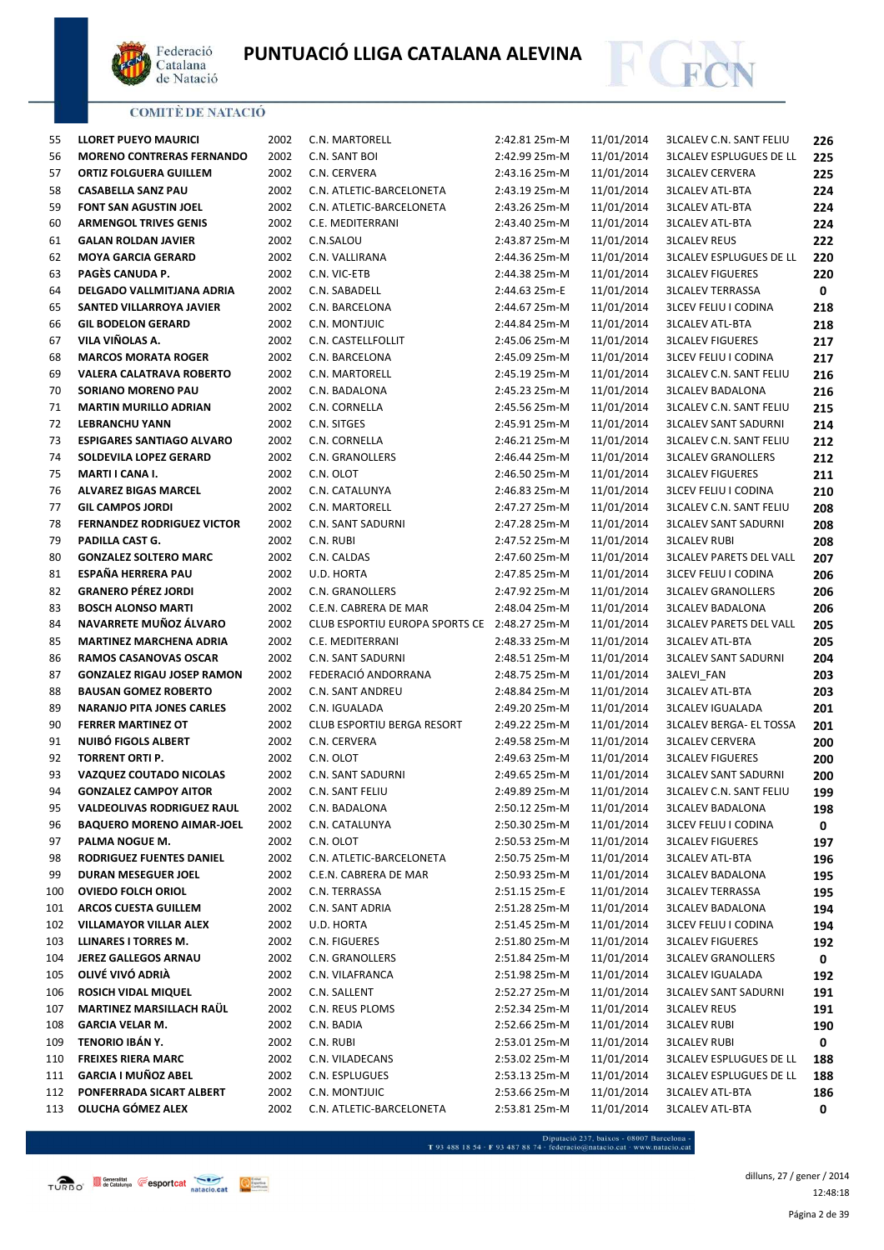



| 55  | <b>LLORET PUEYO MAURICI</b>       | 2002 | C.N. MARTORELL                               | 2:42.81 25m-M | 11/01/2014 | <b>3LCALEV C.N. SANT FELIU</b> | 226         |
|-----|-----------------------------------|------|----------------------------------------------|---------------|------------|--------------------------------|-------------|
| 56  | <b>MORENO CONTRERAS FERNANDO</b>  | 2002 | C.N. SANT BOI                                | 2:42.99 25m-M | 11/01/2014 | <b>3LCALEV ESPLUGUES DE LL</b> | 225         |
| 57  | <b>ORTIZ FOLGUERA GUILLEM</b>     | 2002 | C.N. CERVERA                                 | 2:43.16 25m-M | 11/01/2014 | <b>3LCALEV CERVERA</b>         | 225         |
| 58  | <b>CASABELLA SANZ PAU</b>         | 2002 | C.N. ATLETIC-BARCELONETA                     | 2:43.19 25m-M | 11/01/2014 | <b>3LCALEV ATL-BTA</b>         | 224         |
| 59  | FONT SAN AGUSTIN JOEL             | 2002 | C.N. ATLETIC-BARCELONETA                     | 2:43.26 25m-M | 11/01/2014 | <b>3LCALEV ATL-BTA</b>         | 224         |
| 60  | <b>ARMENGOL TRIVES GENIS</b>      | 2002 | C.E. MEDITERRANI                             | 2:43.40 25m-M | 11/01/2014 | <b>3LCALEV ATL-BTA</b>         | 224         |
| 61  | <b>GALAN ROLDAN JAVIER</b>        | 2002 | C.N.SALOU                                    | 2:43.87 25m-M | 11/01/2014 | <b>3LCALEV REUS</b>            | 222         |
| 62  | <b>MOYA GARCIA GERARD</b>         | 2002 | C.N. VALLIRANA                               | 2:44.36 25m-M | 11/01/2014 | <b>3LCALEV ESPLUGUES DE LL</b> | 220         |
| 63  | PAGÈS CANUDA P.                   | 2002 | C.N. VIC-ETB                                 | 2:44.38 25m-M | 11/01/2014 | <b>3LCALEV FIGUERES</b>        | 220         |
| 64  | DELGADO VALLMITJANA ADRIA         | 2002 | C.N. SABADELL                                | 2:44.63 25m-E | 11/01/2014 | <b>3LCALEV TERRASSA</b>        | $\mathbf 0$ |
| 65  | SANTED VILLARROYA JAVIER          | 2002 | C.N. BARCELONA                               | 2:44.67 25m-M | 11/01/2014 | <b>3LCEV FELIU I CODINA</b>    | 218         |
| 66  | <b>GIL BODELON GERARD</b>         | 2002 | C.N. MONTJUIC                                | 2:44.84 25m-M | 11/01/2014 | <b>3LCALEV ATL-BTA</b>         | 218         |
| 67  | VILA VIÑOLAS A.                   | 2002 | C.N. CASTELLFOLLIT                           | 2:45.06 25m-M | 11/01/2014 | <b>3LCALEV FIGUERES</b>        | 217         |
| 68  | <b>MARCOS MORATA ROGER</b>        | 2002 | C.N. BARCELONA                               | 2:45.09 25m-M | 11/01/2014 | <b>3LCEV FELIU I CODINA</b>    | 217         |
| 69  | <b>VALERA CALATRAVA ROBERTO</b>   | 2002 | C.N. MARTORELL                               | 2:45.19 25m-M | 11/01/2014 | <b>3LCALEV C.N. SANT FELIU</b> | 216         |
| 70  | SORIANO MORENO PAU                | 2002 | C.N. BADALONA                                | 2:45.23 25m-M | 11/01/2014 | <b>3LCALEV BADALONA</b>        | 216         |
| 71  | <b>MARTIN MURILLO ADRIAN</b>      | 2002 | C.N. CORNELLA                                | 2:45.56 25m-M | 11/01/2014 | <b>3LCALEV C.N. SANT FELIU</b> | 215         |
| 72  | <b>LEBRANCHU YANN</b>             | 2002 | C.N. SITGES                                  | 2:45.91 25m-M | 11/01/2014 | <b>3LCALEV SANT SADURNI</b>    | 214         |
| 73  | <b>ESPIGARES SANTIAGO ALVARO</b>  | 2002 | C.N. CORNELLA                                | 2:46.21 25m-M | 11/01/2014 | <b>3LCALEV C.N. SANT FELIU</b> | 212         |
| 74  | SOLDEVILA LOPEZ GERARD            | 2002 | C.N. GRANOLLERS                              | 2:46.44 25m-M | 11/01/2014 | <b>3LCALEV GRANOLLERS</b>      | 212         |
| 75  | MARTI I CANA I.                   | 2002 | C.N. OLOT                                    | 2:46.50 25m-M | 11/01/2014 | <b>3LCALEV FIGUERES</b>        | 211         |
| 76  | <b>ALVAREZ BIGAS MARCEL</b>       | 2002 | C.N. CATALUNYA                               | 2:46.83 25m-M | 11/01/2014 | <b>3LCEV FELIU I CODINA</b>    | 210         |
| 77  | <b>GIL CAMPOS JORDI</b>           | 2002 | C.N. MARTORELL                               | 2:47.27 25m-M | 11/01/2014 | <b>3LCALEV C.N. SANT FELIU</b> | 208         |
| 78  | <b>FERNANDEZ RODRIGUEZ VICTOR</b> | 2002 | C.N. SANT SADURNI                            | 2:47.28 25m-M | 11/01/2014 | <b>3LCALEV SANT SADURNI</b>    | 208         |
| 79  | PADILLA CAST G.                   | 2002 | C.N. RUBI                                    | 2:47.52 25m-M | 11/01/2014 | <b>3LCALEV RUBI</b>            | 208         |
| 80  | <b>GONZALEZ SOLTERO MARC</b>      | 2002 | C.N. CALDAS                                  | 2:47.60 25m-M | 11/01/2014 | <b>3LCALEV PARETS DEL VALL</b> | 207         |
| 81  | ESPAÑA HERRERA PAU                | 2002 | U.D. HORTA                                   | 2:47.85 25m-M | 11/01/2014 | <b>3LCEV FELIU I CODINA</b>    | 206         |
| 82  | <b>GRANERO PÉREZ JORDI</b>        | 2002 | C.N. GRANOLLERS                              | 2:47.92 25m-M | 11/01/2014 | <b>3LCALEV GRANOLLERS</b>      | 206         |
| 83  | <b>BOSCH ALONSO MARTI</b>         | 2002 | C.E.N. CABRERA DE MAR                        | 2:48.04 25m-M | 11/01/2014 | <b>3LCALEV BADALONA</b>        | 206         |
| 84  | NAVARRETE MUÑOZ ÁLVARO            | 2002 | CLUB ESPORTIU EUROPA SPORTS CE 2:48.27 25m-M |               | 11/01/2014 | <b>3LCALEV PARETS DEL VALL</b> | 205         |
| 85  | <b>MARTINEZ MARCHENA ADRIA</b>    | 2002 | C.E. MEDITERRANI                             | 2:48.33 25m-M | 11/01/2014 | <b>3LCALEV ATL-BTA</b>         | 205         |
| 86  | RAMOS CASANOVAS OSCAR             | 2002 | C.N. SANT SADURNI                            | 2:48.51 25m-M | 11/01/2014 | <b>3LCALEV SANT SADURNI</b>    | 204         |
| 87  | <b>GONZALEZ RIGAU JOSEP RAMON</b> | 2002 | FEDERACIÓ ANDORRANA                          | 2:48.75 25m-M | 11/01/2014 | 3ALEVI_FAN                     | 203         |
| 88  | <b>BAUSAN GOMEZ ROBERTO</b>       | 2002 | C.N. SANT ANDREU                             | 2:48.84 25m-M | 11/01/2014 | <b>3LCALEV ATL-BTA</b>         | 203         |
| 89  | <b>NARANJO PITA JONES CARLES</b>  | 2002 | C.N. IGUALADA                                | 2:49.20 25m-M | 11/01/2014 | <b>3LCALEV IGUALADA</b>        | 201         |
| 90  | <b>FERRER MARTINEZ OT</b>         | 2002 | CLUB ESPORTIU BERGA RESORT                   | 2:49.22 25m-M | 11/01/2014 | <b>3LCALEV BERGA- EL TOSSA</b> | 201         |
| 91  | NUIBÓ FIGOLS ALBERT               | 2002 | C.N. CERVERA                                 | 2:49.58 25m-M | 11/01/2014 | <b>3LCALEV CERVERA</b>         | 200         |
| 92  | <b>TORRENT ORTI P.</b>            | 2002 | C.N. OLOT                                    | 2:49.63 25m-M | 11/01/2014 | <b>3LCALEV FIGUERES</b>        | 200         |
| 93  | <b>VAZQUEZ COUTADO NICOLAS</b>    | 2002 | C.N. SANT SADURNI                            | 2:49.65 25m-M | 11/01/2014 | <b>3LCALEV SANT SADURNI</b>    | 200         |
| 94  | <b>GONZALEZ CAMPOY AITOR</b>      | 2002 | C.N. SANT FELIU                              | 2:49.89 25m-M | 11/01/2014 | <b>3LCALEV C.N. SANT FELIU</b> | 199         |
| 95  | <b>VALDEOLIVAS RODRIGUEZ RAUL</b> | 2002 | C.N. BADALONA                                | 2:50.12 25m-M | 11/01/2014 | <b>3LCALEV BADALONA</b>        | 198         |
| 96  | <b>BAQUERO MORENO AIMAR-JOEL</b>  | 2002 | C.N. CATALUNYA                               | 2:50.30 25m-M | 11/01/2014 | <b>3LCEV FELIU I CODINA</b>    | 0           |
| 97  | PALMA NOGUE M.                    | 2002 | C.N. OLOT                                    | 2:50.53 25m-M | 11/01/2014 | <b>3LCALEV FIGUERES</b>        | 197         |
| 98  | RODRIGUEZ FUENTES DANIEL          | 2002 | C.N. ATLETIC-BARCELONETA                     | 2:50.75 25m-M | 11/01/2014 | <b>3LCALEV ATL-BTA</b>         | 196         |
| 99  | DURAN MESEGUER JOEL               | 2002 | C.E.N. CABRERA DE MAR                        | 2:50.93 25m-M | 11/01/2014 | <b>3LCALEV BADALONA</b>        | 195         |
| 100 | <b>OVIEDO FOLCH ORIOL</b>         | 2002 | C.N. TERRASSA                                | 2:51.15 25m-E | 11/01/2014 | <b>3LCALEV TERRASSA</b>        | 195         |
| 101 | <b>ARCOS CUESTA GUILLEM</b>       | 2002 | C.N. SANT ADRIA                              | 2:51.28 25m-M | 11/01/2014 | <b>3LCALEV BADALONA</b>        | 194         |
| 102 | <b>VILLAMAYOR VILLAR ALEX</b>     | 2002 | U.D. HORTA                                   | 2:51.45 25m-M | 11/01/2014 | <b>3LCEV FELIU I CODINA</b>    | 194         |
| 103 | <b>LLINARES I TORRES M.</b>       | 2002 | C.N. FIGUERES                                | 2:51.80 25m-M | 11/01/2014 | <b>3LCALEV FIGUERES</b>        | 192         |
| 104 | <b>JEREZ GALLEGOS ARNAU</b>       | 2002 | C.N. GRANOLLERS                              | 2:51.84 25m-M | 11/01/2014 | <b>3LCALEV GRANOLLERS</b>      | 0           |
| 105 | OLIVÉ VIVÓ ADRIÀ                  | 2002 | C.N. VILAFRANCA                              | 2:51.98 25m-M | 11/01/2014 | <b>3LCALEV IGUALADA</b>        | 192         |
| 106 | <b>ROSICH VIDAL MIQUEL</b>        | 2002 | C.N. SALLENT                                 | 2:52.27 25m-M | 11/01/2014 | <b>3LCALEV SANT SADURNI</b>    | 191         |
| 107 | MARTINEZ MARSILLACH RAÜL          | 2002 | C.N. REUS PLOMS                              | 2:52.34 25m-M | 11/01/2014 | <b>3LCALEV REUS</b>            | 191         |
| 108 | <b>GARCIA VELAR M.</b>            | 2002 | C.N. BADIA                                   | 2:52.66 25m-M | 11/01/2014 | <b>3LCALEV RUBI</b>            | 190         |
| 109 | TENORIO IBÁN Y.                   | 2002 | C.N. RUBI                                    | 2:53.01 25m-M | 11/01/2014 | <b>3LCALEV RUBI</b>            | 0           |
| 110 | <b>FREIXES RIERA MARC</b>         | 2002 | C.N. VILADECANS                              | 2:53.02 25m-M | 11/01/2014 | <b>3LCALEV ESPLUGUES DE LL</b> | 188         |
| 111 | <b>GARCIA I MUÑOZ ABEL</b>        | 2002 | C.N. ESPLUGUES                               | 2:53.13 25m-M | 11/01/2014 | <b>3LCALEV ESPLUGUES DE LL</b> | 188         |
| 112 | PONFERRADA SICART ALBERT          | 2002 | C.N. MONTJUIC                                | 2:53.66 25m-M | 11/01/2014 | <b>3LCALEV ATL-BTA</b>         | 186         |
| 113 | OLUCHA GÓMEZ ALEX                 | 2002 | C.N. ATLETIC-BARCELONETA                     | 2:53.81 25m-M | 11/01/2014 | <b>3LCALEV ATL-BTA</b>         | 0           |

 $\begin{minipage}{.45\textwidth} \begin{minipage}{.45\textwidth} \begin{tabular}{l} \bf{7.93.488.18.54\cdot F93.487.88.74\cdot{} \textbf{f} & \textbf{f} & \textbf{f} & \textbf{f} & \textbf{f} & \textbf{f} & \textbf{f} & \textbf{f} & \textbf{f} & \textbf{f} & \textbf{f} & \textbf{f} & \textbf{f} & \textbf{f} & \textbf{f} \\ \end{tabular} \end{minipage} \begin{minipage}{.45\textwidth} \begin{minipage}{.45\textwidth} \begin{$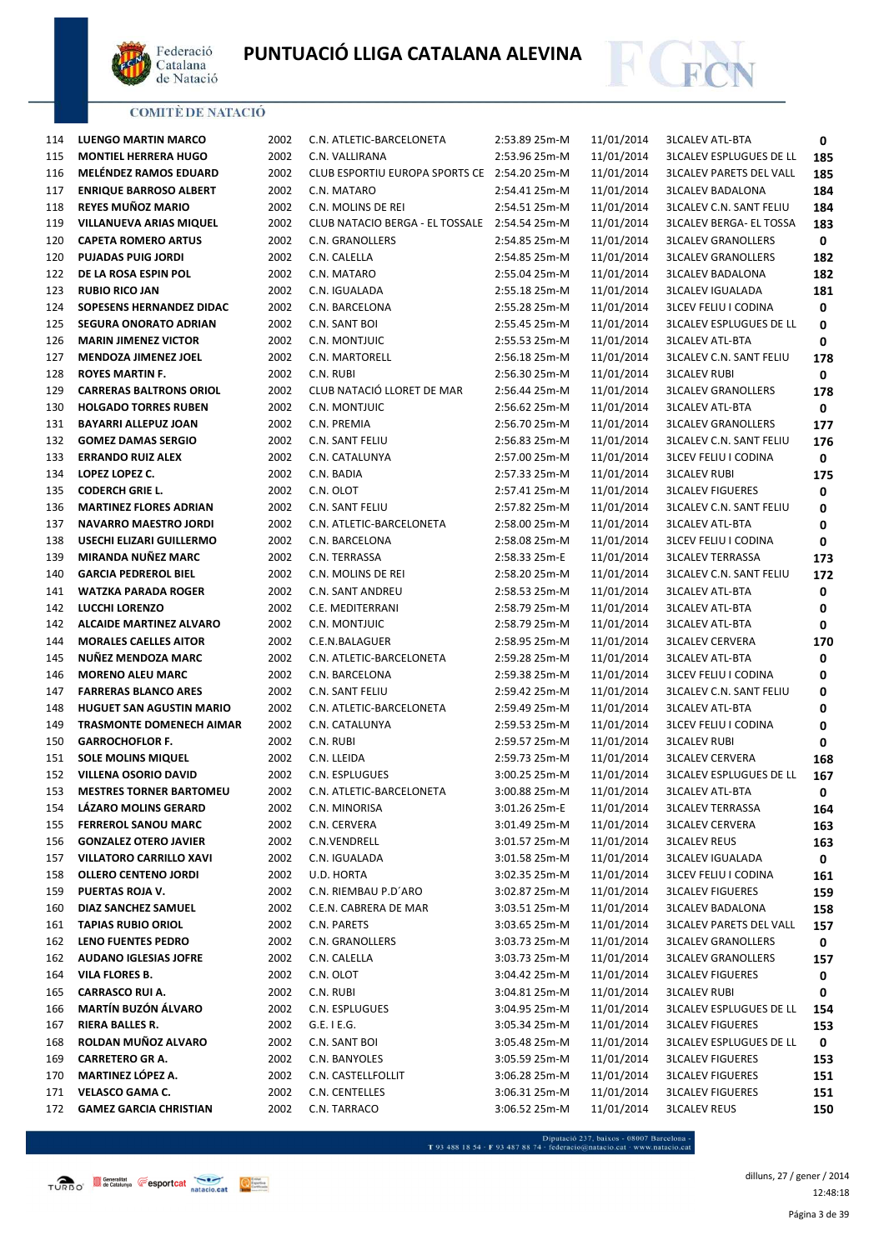



| 114 | LUENGO MARTIN MARCO             | 2002 | C.N. ATLETIC-BARCELONETA                      | 2:53.89 25m-M | 11/01/2014 | <b>3LCALEV ATL-BTA</b>         | 0   |
|-----|---------------------------------|------|-----------------------------------------------|---------------|------------|--------------------------------|-----|
| 115 | <b>MONTIEL HERRERA HUGO</b>     | 2002 | C.N. VALLIRANA                                | 2:53.96 25m-M | 11/01/2014 | <b>3LCALEV ESPLUGUES DE LL</b> | 185 |
| 116 | <b>MELÉNDEZ RAMOS EDUARD</b>    | 2002 | CLUB ESPORTIU EUROPA SPORTS CE 2:54.20 25m-M  |               | 11/01/2014 | <b>3LCALEV PARETS DEL VALL</b> | 185 |
| 117 | <b>ENRIQUE BARROSO ALBERT</b>   | 2002 | C.N. MATARO                                   | 2:54.41 25m-M | 11/01/2014 | <b>3LCALEV BADALONA</b>        | 184 |
| 118 | <b>REYES MUÑOZ MARIO</b>        | 2002 | C.N. MOLINS DE REI                            | 2:54.51 25m-M | 11/01/2014 | <b>3LCALEV C.N. SANT FELIU</b> | 184 |
| 119 | VILLANUEVA ARIAS MIQUEL         | 2002 | CLUB NATACIO BERGA - EL TOSSALE 2:54.54 25m-M |               | 11/01/2014 | <b>3LCALEV BERGA- EL TOSSA</b> | 183 |
| 120 | <b>CAPETA ROMERO ARTUS</b>      | 2002 | C.N. GRANOLLERS                               | 2:54.85 25m-M | 11/01/2014 | <b>3LCALEV GRANOLLERS</b>      | 0   |
| 120 | <b>PUJADAS PUIG JORDI</b>       | 2002 | C.N. CALELLA                                  | 2:54.85 25m-M | 11/01/2014 | <b>3LCALEV GRANOLLERS</b>      | 182 |
| 122 | DE LA ROSA ESPIN POL            | 2002 | C.N. MATARO                                   | 2:55.04 25m-M | 11/01/2014 | <b>3LCALEV BADALONA</b>        | 182 |
| 123 | <b>RUBIO RICO JAN</b>           | 2002 | C.N. IGUALADA                                 | 2:55.18 25m-M | 11/01/2014 | <b>3LCALEV IGUALADA</b>        | 181 |
| 124 | SOPESENS HERNANDEZ DIDAC        | 2002 | C.N. BARCELONA                                | 2:55.28 25m-M | 11/01/2014 | <b>3LCEV FELIU I CODINA</b>    | 0   |
| 125 | <b>SEGURA ONORATO ADRIAN</b>    | 2002 | C.N. SANT BOI                                 | 2:55.45 25m-M | 11/01/2014 | <b>3LCALEV ESPLUGUES DE LL</b> | 0   |
| 126 | <b>MARIN JIMENEZ VICTOR</b>     | 2002 | C.N. MONTJUIC                                 | 2:55.53 25m-M | 11/01/2014 | <b>3LCALEV ATL-BTA</b>         | 0   |
| 127 | <b>MENDOZA JIMENEZ JOEL</b>     | 2002 | C.N. MARTORELL                                | 2:56.18 25m-M | 11/01/2014 | <b>3LCALEV C.N. SANT FELIU</b> | 178 |
| 128 | <b>ROYES MARTIN F.</b>          | 2002 | C.N. RUBI                                     | 2:56.30 25m-M | 11/01/2014 | <b>3LCALEV RUBI</b>            | 0   |
| 129 | <b>CARRERAS BALTRONS ORIOL</b>  | 2002 | CLUB NATACIÓ LLORET DE MAR                    | 2:56.44 25m-M | 11/01/2014 | <b>3LCALEV GRANOLLERS</b>      | 178 |
| 130 | <b>HOLGADO TORRES RUBEN</b>     | 2002 | C.N. MONTJUIC                                 | 2:56.62 25m-M | 11/01/2014 | <b>3LCALEV ATL-BTA</b>         | 0   |
| 131 | <b>BAYARRI ALLEPUZ JOAN</b>     | 2002 | C.N. PREMIA                                   | 2:56.70 25m-M | 11/01/2014 | <b>3LCALEV GRANOLLERS</b>      | 177 |
| 132 | <b>GOMEZ DAMAS SERGIO</b>       | 2002 | C.N. SANT FELIU                               | 2:56.83 25m-M | 11/01/2014 | <b>3LCALEV C.N. SANT FELIU</b> | 176 |
| 133 | <b>ERRANDO RUIZ ALEX</b>        | 2002 | C.N. CATALUNYA                                | 2:57.00 25m-M | 11/01/2014 | <b>3LCEV FELIU I CODINA</b>    | 0   |
| 134 | LOPEZ LOPEZ C.                  | 2002 | C.N. BADIA                                    | 2:57.33 25m-M | 11/01/2014 | <b>3LCALEV RUBI</b>            | 175 |
| 135 | <b>CODERCH GRIE L.</b>          | 2002 | C.N. OLOT                                     | 2:57.41 25m-M | 11/01/2014 | <b>3LCALEV FIGUERES</b>        | 0   |
| 136 | <b>MARTINEZ FLORES ADRIAN</b>   | 2002 | C.N. SANT FELIU                               | 2:57.82 25m-M | 11/01/2014 | <b>3LCALEV C.N. SANT FELIU</b> | 0   |
| 137 | <b>NAVARRO MAESTRO JORDI</b>    | 2002 | C.N. ATLETIC-BARCELONETA                      | 2:58.00 25m-M | 11/01/2014 | <b>3LCALEV ATL-BTA</b>         |     |
| 138 | USECHI ELIZARI GUILLERMO        | 2002 | C.N. BARCELONA                                | 2:58.08 25m-M | 11/01/2014 | <b>3LCEV FELIU I CODINA</b>    | 0   |
| 139 | MIRANDA NUÑEZ MARC              | 2002 | C.N. TERRASSA                                 | 2:58.33 25m-E | 11/01/2014 | <b>3LCALEV TERRASSA</b>        | 0   |
| 140 | <b>GARCIA PEDREROL BIEL</b>     | 2002 |                                               |               |            |                                | 173 |
|     |                                 |      | C.N. MOLINS DE REI                            | 2:58.20 25m-M | 11/01/2014 | <b>3LCALEV C.N. SANT FELIU</b> | 172 |
| 141 | <b>WATZKA PARADA ROGER</b>      | 2002 | C.N. SANT ANDREU                              | 2:58.53 25m-M | 11/01/2014 | <b>3LCALEV ATL-BTA</b>         | 0   |
| 142 | LUCCHI LORENZO                  | 2002 | C.E. MEDITERRANI                              | 2:58.79 25m-M | 11/01/2014 | <b>3LCALEV ATL-BTA</b>         | 0   |
| 142 | <b>ALCAIDE MARTINEZ ALVARO</b>  | 2002 | C.N. MONTJUIC                                 | 2:58.79 25m-M | 11/01/2014 | <b>3LCALEV ATL-BTA</b>         | 0   |
| 144 | <b>MORALES CAELLES AITOR</b>    | 2002 | C.E.N.BALAGUER                                | 2:58.95 25m-M | 11/01/2014 | <b>3LCALEV CERVERA</b>         | 170 |
| 145 | NUÑEZ MENDOZA MARC              | 2002 | C.N. ATLETIC-BARCELONETA                      | 2:59.28 25m-M | 11/01/2014 | <b>3LCALEV ATL-BTA</b>         | 0   |
| 146 | <b>MORENO ALEU MARC</b>         | 2002 | C.N. BARCELONA                                | 2:59.38 25m-M | 11/01/2014 | <b>3LCEV FELIU I CODINA</b>    | 0   |
| 147 | <b>FARRERAS BLANCO ARES</b>     | 2002 | C.N. SANT FELIU                               | 2:59.42 25m-M | 11/01/2014 | <b>3LCALEV C.N. SANT FELIU</b> | 0   |
| 148 | <b>HUGUET SAN AGUSTIN MARIO</b> | 2002 | C.N. ATLETIC-BARCELONETA                      | 2:59.49 25m-M | 11/01/2014 | <b>3LCALEV ATL-BTA</b>         | 0   |
| 149 | <b>TRASMONTE DOMENECH AIMAR</b> | 2002 | C.N. CATALUNYA                                | 2:59.53 25m-M | 11/01/2014 | <b>3LCEV FELIU I CODINA</b>    | 0   |
| 150 | <b>GARROCHOFLOR F.</b>          | 2002 | C.N. RUBI                                     | 2:59.57 25m-M | 11/01/2014 | <b>3LCALEV RUBI</b>            | 0   |
| 151 | <b>SOLE MOLINS MIQUEL</b>       | 2002 | C.N. LLEIDA                                   | 2:59.73 25m-M | 11/01/2014 | <b>3LCALEV CERVERA</b>         | 168 |
| 152 | <b>VILLENA OSORIO DAVID</b>     | 2002 | C.N. ESPLUGUES                                | 3:00.25 25m-M | 11/01/2014 | <b>3LCALEV ESPLUGUES DE LL</b> | 167 |
| 153 | <b>MESTRES TORNER BARTOMEU</b>  | 2002 | C.N. ATLETIC-BARCELONETA                      | 3:00.88 25m-M | 11/01/2014 | <b>3LCALEV ATL-BTA</b>         | 0   |
| 154 | <b>LAZARO MOLINS GERARD</b>     | 2002 | C.N. MINORISA                                 | 3:01.26 25m-E | 11/01/2014 | <b>3LCALEV TERRASSA</b>        | 164 |
| 155 | <b>FERREROL SANOU MARC</b>      | 2002 | C.N. CERVERA                                  | 3:01.49 25m-M | 11/01/2014 | <b>3LCALEV CERVERA</b>         | 163 |
| 156 | <b>GONZALEZ OTERO JAVIER</b>    | 2002 | C.N.VENDRELL                                  | 3:01.57 25m-M | 11/01/2014 | <b>3LCALEV REUS</b>            | 163 |
| 157 | <b>VILLATORO CARRILLO XAVI</b>  | 2002 | C.N. IGUALADA                                 | 3:01.58 25m-M | 11/01/2014 | <b>3LCALEV IGUALADA</b>        | 0   |
| 158 | <b>OLLERO CENTENO JORDI</b>     | 2002 | U.D. HORTA                                    | 3:02.35 25m-M | 11/01/2014 | <b>3LCEV FELIU I CODINA</b>    | 161 |
| 159 | PUERTAS ROJA V.                 | 2002 | C.N. RIEMBAU P.D'ARO                          | 3:02.87 25m-M | 11/01/2014 | <b>3LCALEV FIGUERES</b>        | 159 |
| 160 | DIAZ SANCHEZ SAMUEL             | 2002 | C.E.N. CABRERA DE MAR                         | 3:03.51 25m-M | 11/01/2014 | <b>3LCALEV BADALONA</b>        | 158 |
| 161 | <b>TAPIAS RUBIO ORIOL</b>       | 2002 | C.N. PARETS                                   | 3:03.65 25m-M | 11/01/2014 | <b>3LCALEV PARETS DEL VALL</b> | 157 |
| 162 | <b>LENO FUENTES PEDRO</b>       | 2002 | C.N. GRANOLLERS                               | 3:03.73 25m-M | 11/01/2014 | <b>3LCALEV GRANOLLERS</b>      | 0   |
| 162 | <b>AUDANO IGLESIAS JOFRE</b>    | 2002 | C.N. CALELLA                                  | 3:03.73 25m-M | 11/01/2014 | <b>3LCALEV GRANOLLERS</b>      | 157 |
| 164 | VILA FLORES B.                  | 2002 | C.N. OLOT                                     | 3:04.42 25m-M | 11/01/2014 | <b>3LCALEV FIGUERES</b>        | 0   |
| 165 | <b>CARRASCO RUI A.</b>          | 2002 | C.N. RUBI                                     | 3:04.81 25m-M | 11/01/2014 | <b>3LCALEV RUBI</b>            | 0   |
| 166 | <b>MARTÍN BUZÓN ÁLVARO</b>      | 2002 | C.N. ESPLUGUES                                | 3:04.95 25m-M | 11/01/2014 | <b>3LCALEV ESPLUGUES DE LL</b> | 154 |
| 167 | <b>RIERA BALLES R.</b>          | 2002 | $G.E.$ I E.G.                                 | 3:05.34 25m-M | 11/01/2014 | <b>3LCALEV FIGUERES</b>        | 153 |
| 168 | ROLDAN MUÑOZ ALVARO             | 2002 | C.N. SANT BOI                                 | 3:05.48 25m-M | 11/01/2014 | <b>3LCALEV ESPLUGUES DE LL</b> | 0   |
| 169 | <b>CARRETERO GR A.</b>          | 2002 | C.N. BANYOLES                                 | 3:05.59 25m-M | 11/01/2014 | <b>3LCALEV FIGUERES</b>        | 153 |
| 170 | <b>MARTINEZ LÓPEZ A.</b>        | 2002 | C.N. CASTELLFOLLIT                            | 3:06.28 25m-M | 11/01/2014 | <b>3LCALEV FIGUERES</b>        | 151 |
| 171 | VELASCO GAMA C.                 | 2002 | C.N. CENTELLES                                | 3:06.31 25m-M | 11/01/2014 | <b>3LCALEV FIGUERES</b>        | 151 |
| 172 | <b>GAMEZ GARCIA CHRISTIAN</b>   | 2002 | C.N. TARRACO                                  | 3:06.52 25m-M | 11/01/2014 | <b>3LCALEV REUS</b>            | 150 |
|     |                                 |      |                                               |               |            |                                |     |

- Diputació 237, baixos - 08007 Barcelona<br>T 93 488 18 54 · F 93 487 88 74 · federacio@natacio.cat · www.natacio.cat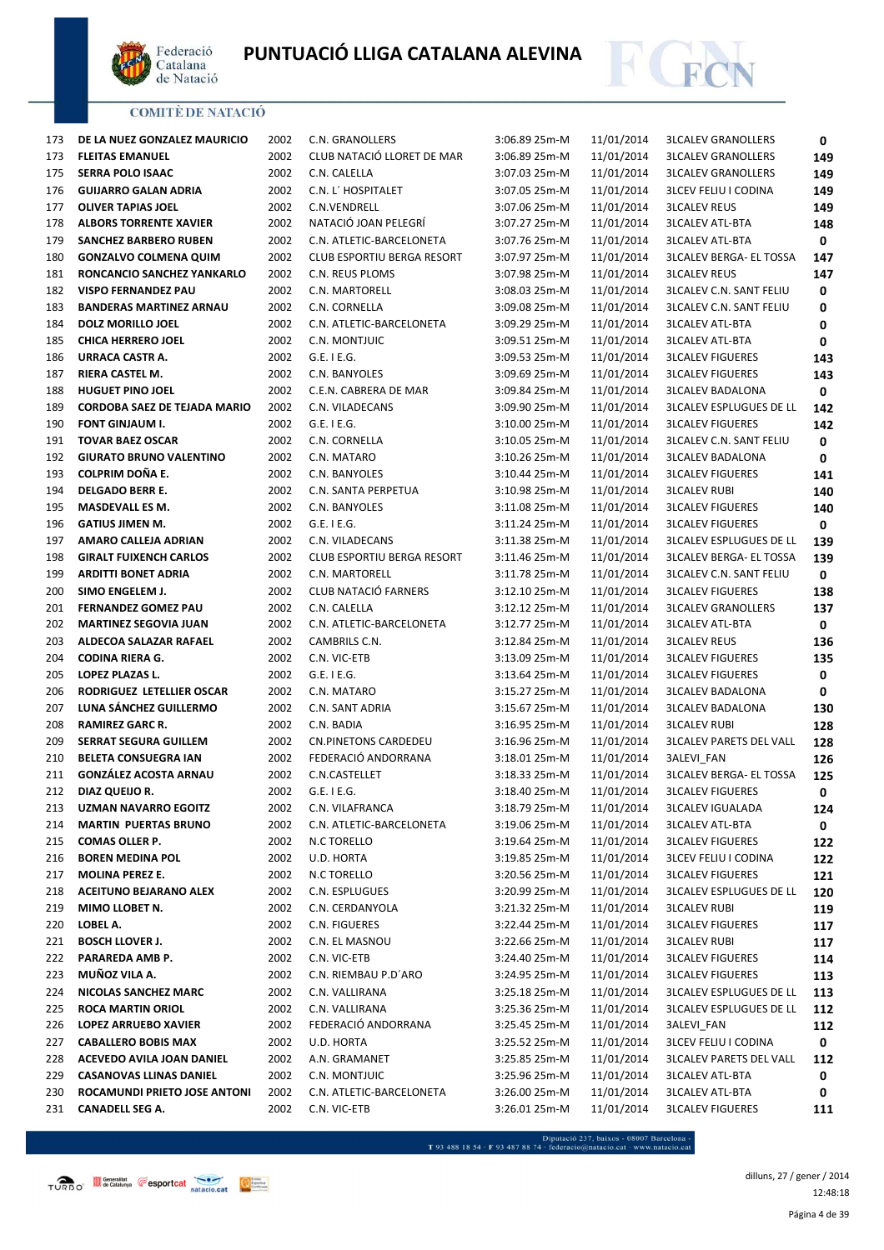



| 173 | DE LA NUEZ GONZALEZ MAURICIO        | 2002 | C.N. GRANOLLERS             | 3:06.89 25m-M   | 11/01/2014 | <b>3LCALEV GRANOLLERS</b>      | 0           |
|-----|-------------------------------------|------|-----------------------------|-----------------|------------|--------------------------------|-------------|
| 173 | <b>FLEITAS EMANUEL</b>              | 2002 | CLUB NATACIÓ LLORET DE MAR  | 3:06.89 25m-M   | 11/01/2014 | <b>3LCALEV GRANOLLERS</b>      | 149         |
| 175 | <b>SERRA POLO ISAAC</b>             | 2002 | C.N. CALELLA                | 3:07.03 25m-M   | 11/01/2014 | <b>3LCALEV GRANOLLERS</b>      | 149         |
| 176 | <b>GUIJARRO GALAN ADRIA</b>         | 2002 | C.N. L' HOSPITALET          | 3:07.05 25m-M   | 11/01/2014 | <b>3LCEV FELIU I CODINA</b>    | 149         |
| 177 | <b>OLIVER TAPIAS JOEL</b>           | 2002 | C.N.VENDRELL                | 3:07.06 25m-M   | 11/01/2014 | <b>3LCALEV REUS</b>            | 149         |
| 178 | <b>ALBORS TORRENTE XAVIER</b>       | 2002 | NATACIÓ JOAN PELEGRÍ        | 3:07.27 25m-M   | 11/01/2014 | <b>3LCALEV ATL-BTA</b>         | 148         |
| 179 | <b>SANCHEZ BARBERO RUBEN</b>        | 2002 | C.N. ATLETIC-BARCELONETA    | 3:07.76 25m-M   | 11/01/2014 | <b>3LCALEV ATL-BTA</b>         | 0           |
| 180 | <b>GONZALVO COLMENA QUIM</b>        | 2002 | CLUB ESPORTIU BERGA RESORT  | 3:07.97 25m-M   | 11/01/2014 | <b>3LCALEV BERGA- EL TOSSA</b> | 147         |
| 181 | RONCANCIO SANCHEZ YANKARLO          | 2002 | C.N. REUS PLOMS             | 3:07.98 25m-M   | 11/01/2014 | <b>3LCALEV REUS</b>            | 147         |
| 182 | <b>VISPO FERNANDEZ PAU</b>          | 2002 | C.N. MARTORELL              | 3:08.03 25m-M   | 11/01/2014 | <b>3LCALEV C.N. SANT FELIU</b> | 0           |
| 183 | <b>BANDERAS MARTINEZ ARNAU</b>      | 2002 | C.N. CORNELLA               | 3:09.08 25m-M   | 11/01/2014 | <b>3LCALEV C.N. SANT FELIU</b> | 0           |
| 184 | <b>DOLZ MORILLO JOEL</b>            | 2002 | C.N. ATLETIC-BARCELONETA    | 3:09.29 25m-M   | 11/01/2014 | <b>3LCALEV ATL-BTA</b>         | 0           |
| 185 | <b>CHICA HERRERO JOEL</b>           | 2002 | C.N. MONTJUIC               | 3:09.51 25m-M   | 11/01/2014 | <b>3LCALEV ATL-BTA</b>         | 0           |
| 186 | URRACA CASTR A.                     | 2002 | $G.E.$ I $E.G.$             | 3:09.53 25m-M   | 11/01/2014 | <b>3LCALEV FIGUERES</b>        | 143         |
| 187 | RIERA CASTEL M.                     | 2002 | C.N. BANYOLES               | 3:09.69 25m-M   | 11/01/2014 | <b>3LCALEV FIGUERES</b>        | 143         |
| 188 | <b>HUGUET PINO JOEL</b>             | 2002 | C.E.N. CABRERA DE MAR       | 3:09.84 25m-M   | 11/01/2014 | <b>3LCALEV BADALONA</b>        | 0           |
| 189 | <b>CORDOBA SAEZ DE TEJADA MARIO</b> | 2002 | C.N. VILADECANS             | 3:09.90 25m-M   | 11/01/2014 | <b>3LCALEV ESPLUGUES DE LL</b> | 142         |
| 190 | <b>FONT GINJAUM I.</b>              | 2002 | $G.E.$ I $E.G.$             | 3:10.00 25m-M   | 11/01/2014 | <b>3LCALEV FIGUERES</b>        | 142         |
| 191 | <b>TOVAR BAEZ OSCAR</b>             | 2002 | C.N. CORNELLA               | 3:10.05 25m-M   | 11/01/2014 | <b>3LCALEV C.N. SANT FELIU</b> | 0           |
| 192 | <b>GIURATO BRUNO VALENTINO</b>      | 2002 | C.N. MATARO                 | $3:10.26$ 25m-M | 11/01/2014 | <b>3LCALEV BADALONA</b>        | 0           |
| 193 | COLPRIM DOÑA E.                     | 2002 | C.N. BANYOLES               | 3:10.44 25m-M   | 11/01/2014 | <b>3LCALEV FIGUERES</b>        | 141         |
| 194 | <b>DELGADO BERR E.</b>              | 2002 | C.N. SANTA PERPETUA         | 3:10.98 25m-M   | 11/01/2014 | <b>3LCALEV RUBI</b>            | 140         |
| 195 | MASDEVALL ES M.                     | 2002 | C.N. BANYOLES               | 3:11.08 25m-M   | 11/01/2014 | <b>3LCALEV FIGUERES</b>        | 140         |
| 196 | <b>GATIUS JIMEN M.</b>              | 2002 | $G.E.$ I $E.G.$             | 3:11.24 25m-M   | 11/01/2014 | <b>3LCALEV FIGUERES</b>        | 0           |
| 197 | AMARO CALLEJA ADRIAN                | 2002 | C.N. VILADECANS             | 3:11.38 25m-M   | 11/01/2014 | <b>3LCALEV ESPLUGUES DE LL</b> | 139         |
| 198 | <b>GIRALT FUIXENCH CARLOS</b>       | 2002 | CLUB ESPORTIU BERGA RESORT  | 3:11.46 25m-M   | 11/01/2014 | <b>3LCALEV BERGA- EL TOSSA</b> | 139         |
| 199 | <b>ARDITTI BONET ADRIA</b>          | 2002 | C.N. MARTORELL              | 3:11.78 25m-M   | 11/01/2014 | <b>3LCALEV C.N. SANT FELIU</b> | 0           |
| 200 | SIMO ENGELEM J.                     | 2002 | CLUB NATACIÓ FARNERS        | 3:12.10 25m-M   | 11/01/2014 | <b>3LCALEV FIGUERES</b>        | 138         |
| 201 | <b>FERNANDEZ GOMEZ PAU</b>          | 2002 | C.N. CALELLA                | 3:12.12 25m-M   | 11/01/2014 | <b>3LCALEV GRANOLLERS</b>      | 137         |
| 202 | <b>MARTINEZ SEGOVIA JUAN</b>        | 2002 | C.N. ATLETIC-BARCELONETA    | 3:12.77 25m-M   | 11/01/2014 | <b>3LCALEV ATL-BTA</b>         | 0           |
| 203 | ALDECOA SALAZAR RAFAEL              | 2002 | CAMBRILS C.N.               | 3:12.84 25m-M   | 11/01/2014 | <b>3LCALEV REUS</b>            | 136         |
| 204 | <b>CODINA RIERA G.</b>              | 2002 | C.N. VIC-ETB                | 3:13.09 25m-M   | 11/01/2014 | <b>3LCALEV FIGUERES</b>        | 135         |
| 205 | LOPEZ PLAZAS L.                     | 2002 | $G.E.$ I E.G.               | 3:13.64 25m-M   | 11/01/2014 | <b>3LCALEV FIGUERES</b>        | $\mathbf 0$ |
| 206 | RODRIGUEZ LETELLIER OSCAR           | 2002 | C.N. MATARO                 | 3:15.27 25m-M   | 11/01/2014 | <b>3LCALEV BADALONA</b>        | 0           |
| 207 | LUNA SÁNCHEZ GUILLERMO              | 2002 | C.N. SANT ADRIA             | 3:15.67 25m-M   | 11/01/2014 | <b>3LCALEV BADALONA</b>        | 130         |
| 208 | <b>RAMIREZ GARC R.</b>              | 2002 | C.N. BADIA                  | $3:16.95$ 25m-M | 11/01/2014 | <b>3LCALEV RUBI</b>            | 128         |
| 209 | <b>SERRAT SEGURA GUILLEM</b>        | 2002 | <b>CN.PINETONS CARDEDEU</b> | 3:16.96 25m-M   | 11/01/2014 | <b>3LCALEV PARETS DEL VALL</b> | 128         |
| 210 | <b>BELETA CONSUEGRA IAN</b>         | 2002 | FEDERACIÓ ANDORRANA         | 3:18.01 25m-M   | 11/01/2014 | <b>3ALEVI FAN</b>              | 126         |
| 211 | <b>GONZÁLEZ ACOSTA ARNAU</b>        | 2002 | C.N.CASTELLET               | 3:18.33 25m-M   | 11/01/2014 | <b>3LCALEV BERGA- EL TOSSA</b> | 125         |
| 212 | DIAZ QUEIJO R.                      | 2002 | G.E. I E.G.                 | 3:18.40 25m-M   | 11/01/2014 | <b>3LCALEV FIGUERES</b>        | 0           |
| 213 | UZMAN NAVARRO EGOITZ                | 2002 | C.N. VILAFRANCA             | 3:18.79 25m-M   | 11/01/2014 | <b>3LCALEV IGUALADA</b>        | 124         |
| 214 | <b>MARTIN PUERTAS BRUNO</b>         | 2002 | C.N. ATLETIC-BARCELONETA    | 3:19.06 25m-M   | 11/01/2014 | <b>3LCALEV ATL-BTA</b>         | 0           |
| 215 | <b>COMAS OLLER P.</b>               | 2002 | N.C TORELLO                 | 3:19.64 25m-M   | 11/01/2014 | <b>3LCALEV FIGUERES</b>        | 122         |
| 216 | <b>BOREN MEDINA POL</b>             | 2002 | U.D. HORTA                  | 3:19.85 25m-M   | 11/01/2014 | <b>3LCEV FELIU I CODINA</b>    | 122         |
| 217 | MOLINA PEREZ E.                     | 2002 | N.C TORELLO                 | 3:20.56 25m-M   | 11/01/2014 | <b>3LCALEV FIGUERES</b>        | 121         |
| 218 | <b>ACEITUNO BEJARANO ALEX</b>       | 2002 | C.N. ESPLUGUES              | 3:20.99 25m-M   | 11/01/2014 | <b>3LCALEV ESPLUGUES DE LL</b> | 120         |
| 219 | MIMO LLOBET N.                      | 2002 | C.N. CERDANYOLA             | 3:21.32 25m-M   | 11/01/2014 | <b>3LCALEV RUBI</b>            | 119         |
| 220 | LOBEL A.                            | 2002 | C.N. FIGUERES               | 3:22.44 25m-M   | 11/01/2014 | <b>3LCALEV FIGUERES</b>        | 117         |
| 221 | <b>BOSCH LLOVER J.</b>              | 2002 | C.N. EL MASNOU              | 3:22.66 25m-M   | 11/01/2014 | <b>3LCALEV RUBI</b>            | 117         |
| 222 | PARAREDA AMB P.                     | 2002 | C.N. VIC-ETB                | 3:24.40 25m-M   | 11/01/2014 | <b>3LCALEV FIGUERES</b>        | 114         |
| 223 | MUÑOZ VILA A.                       | 2002 | C.N. RIEMBAU P.D'ARO        | 3:24.95 25m-M   | 11/01/2014 | <b>3LCALEV FIGUERES</b>        | 113         |
| 224 | NICOLAS SANCHEZ MARC                | 2002 | C.N. VALLIRANA              | 3:25.18 25m-M   | 11/01/2014 | <b>3LCALEV ESPLUGUES DE LL</b> | 113         |
| 225 | <b>ROCA MARTIN ORIOL</b>            | 2002 | C.N. VALLIRANA              | 3:25.36 25m-M   | 11/01/2014 | <b>3LCALEV ESPLUGUES DE LL</b> | 112         |
| 226 | <b>LOPEZ ARRUEBO XAVIER</b>         | 2002 | FEDERACIÓ ANDORRANA         | 3:25.45 25m-M   | 11/01/2014 | 3ALEVI_FAN                     | 112         |
| 227 | <b>CABALLERO BOBIS MAX</b>          | 2002 | U.D. HORTA                  | 3:25.52 25m-M   | 11/01/2014 | <b>3LCEV FELIU I CODINA</b>    | 0           |
| 228 | ACEVEDO AVILA JOAN DANIEL           | 2002 | A.N. GRAMANET               | 3:25.85 25m-M   | 11/01/2014 | <b>3LCALEV PARETS DEL VALL</b> | 112         |
| 229 | <b>CASANOVAS LLINAS DANIEL</b>      | 2002 | C.N. MONTJUIC               | 3:25.96 25m-M   | 11/01/2014 | <b>3LCALEV ATL-BTA</b>         | 0           |
| 230 | ROCAMUNDI PRIETO JOSE ANTONI        | 2002 | C.N. ATLETIC-BARCELONETA    | 3:26.00 25m-M   | 11/01/2014 | <b>3LCALEV ATL-BTA</b>         | 0           |
| 231 | <b>CANADELL SEG A.</b>              | 2002 | C.N. VIC-ETB                | 3:26.01 25m-M   | 11/01/2014 | <b>3LCALEV FIGUERES</b>        | 111         |

Página 4 de 39 dilluns, 27 / gener / 2014 12:48:18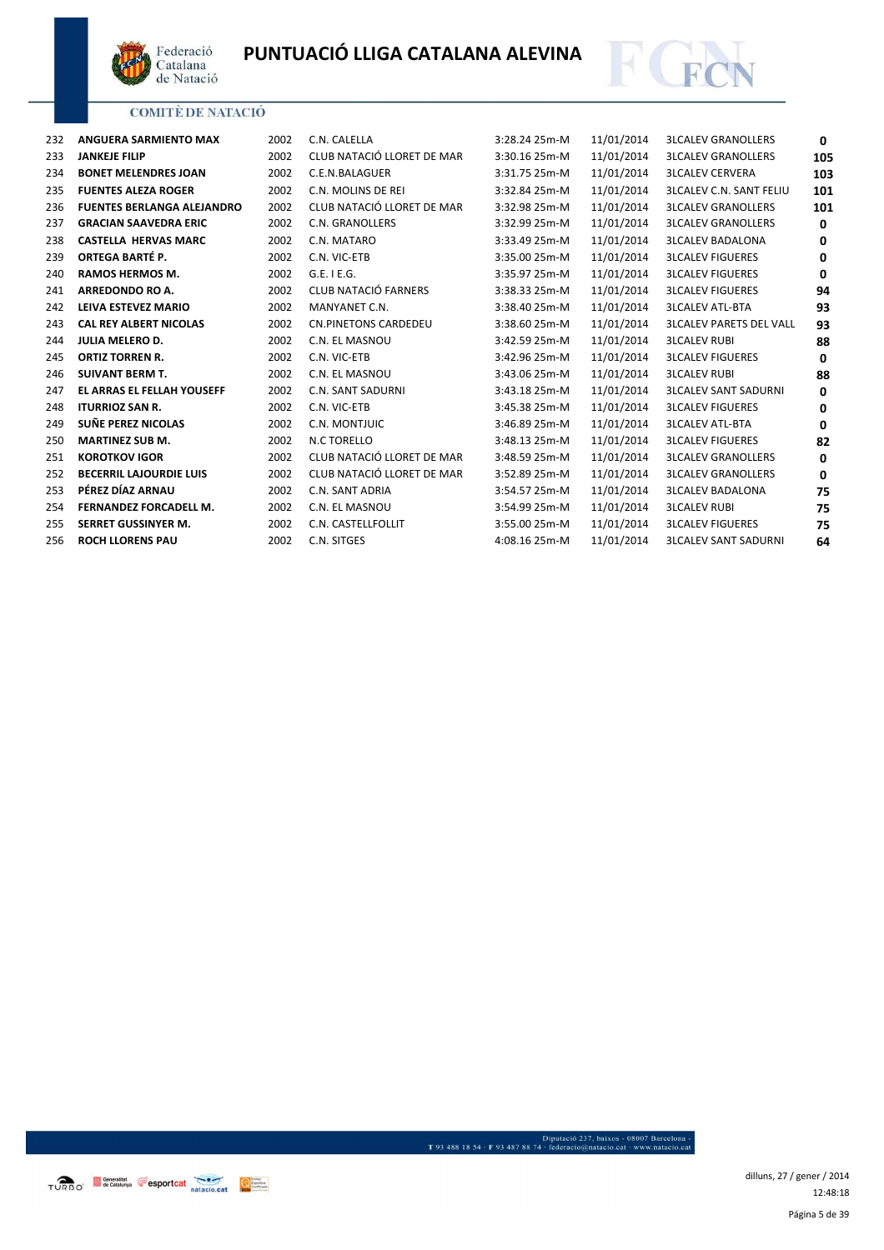



| 232 | ANGUERA SARMIENTO MAX             | 2002 | C.N. CALELLA                | 3:28.24 25m-M | 11/01/2014 | <b>3LCALEV GRANOLLERS</b>      | 0        |
|-----|-----------------------------------|------|-----------------------------|---------------|------------|--------------------------------|----------|
| 233 | <b>JANKEJE FILIP</b>              | 2002 | CLUB NATACIÓ LLORET DE MAR  | 3:30.16 25m-M | 11/01/2014 | <b>3LCALEV GRANOLLERS</b>      | 105      |
| 234 | <b>BONET MELENDRES JOAN</b>       | 2002 | C.E.N.BALAGUER              | 3:31.75 25m-M | 11/01/2014 | <b>3LCALEV CERVERA</b>         | 103      |
| 235 | <b>FUENTES ALEZA ROGER</b>        | 2002 | C.N. MOLINS DE REI          | 3:32.84 25m-M | 11/01/2014 | <b>3LCALEV C.N. SANT FELIU</b> | 101      |
| 236 | <b>FUENTES BERLANGA ALEJANDRO</b> | 2002 | CLUB NATACIÓ LLORET DE MAR  | 3:32.98 25m-M | 11/01/2014 | <b>3LCALEV GRANOLLERS</b>      | 101      |
| 237 | <b>GRACIAN SAAVEDRA ERIC</b>      | 2002 | C.N. GRANOLLERS             | 3:32.99 25m-M | 11/01/2014 | <b>3LCALEV GRANOLLERS</b>      | 0        |
| 238 | <b>CASTELLA HERVAS MARC</b>       | 2002 | C.N. MATARO                 | 3:33.49 25m-M | 11/01/2014 | <b>3LCALEV BADALONA</b>        | $\Omega$ |
| 239 | ORTEGA BARTÉ P.                   | 2002 | C.N. VIC-ETB                | 3:35.00 25m-M | 11/01/2014 | <b>3LCALEV FIGUERES</b>        | $\Omega$ |
| 240 | <b>RAMOS HERMOS M.</b>            | 2002 | G.E. I E.G.                 | 3:35.97 25m-M | 11/01/2014 | <b>3LCALEV FIGUERES</b>        | $\Omega$ |
| 241 | <b>ARREDONDO RO A.</b>            | 2002 | CLUB NATACIÓ FARNERS        | 3:38.33 25m-M | 11/01/2014 | <b>3LCALEV FIGUERES</b>        | 94       |
| 242 | LEIVA ESTEVEZ MARIO               | 2002 | MANYANET C.N.               | 3:38.40 25m-M | 11/01/2014 | <b>3LCALEV ATL-BTA</b>         | 93       |
| 243 | <b>CAL REY ALBERT NICOLAS</b>     | 2002 | <b>CN.PINETONS CARDEDEU</b> | 3:38.60 25m-M | 11/01/2014 | <b>3LCALEV PARETS DEL VALL</b> | 93       |
| 244 | <b>JULIA MELERO D.</b>            | 2002 | C.N. EL MASNOU              | 3:42.59 25m-M | 11/01/2014 | <b>3LCALEV RUBI</b>            | 88       |
| 245 | <b>ORTIZ TORREN R.</b>            | 2002 | C.N. VIC-ETB                | 3:42.96 25m-M | 11/01/2014 | <b>3LCALEV FIGUERES</b>        | $\Omega$ |
| 246 | <b>SUIVANT BERM T.</b>            | 2002 | C.N. EL MASNOU              | 3:43.06 25m-M | 11/01/2014 | <b>3LCALEV RUBI</b>            | 88       |
| 247 | <b>EL ARRAS EL FELLAH YOUSEFF</b> | 2002 | <b>C.N. SANT SADURNI</b>    | 3:43.18 25m-M | 11/01/2014 | <b>3LCALEV SANT SADURNI</b>    | 0        |
| 248 | <b>ITURRIOZ SAN R.</b>            | 2002 | C.N. VIC-ETB                | 3:45.38 25m-M | 11/01/2014 | <b>3LCALEV FIGUERES</b>        | 0        |
| 249 | SUÑE PEREZ NICOLAS                | 2002 | C.N. MONTJUIC               | 3:46.89 25m-M | 11/01/2014 | <b>3LCALEV ATL-BTA</b>         | $\Omega$ |
| 250 | <b>MARTINEZ SUB M.</b>            | 2002 | N.C TORELLO                 | 3:48.13 25m-M | 11/01/2014 | <b>3LCALEV FIGUERES</b>        | 82       |
| 251 | <b>KOROTKOV IGOR</b>              | 2002 | CLUB NATACIÓ LLORET DE MAR  | 3:48.59 25m-M | 11/01/2014 | <b>3LCALEV GRANOLLERS</b>      | 0        |
| 252 | <b>BECERRIL LAJOURDIE LUIS</b>    | 2002 | CLUB NATACIÓ LLORET DE MAR  | 3:52.89 25m-M | 11/01/2014 | <b>3LCALEV GRANOLLERS</b>      | 0        |
| 253 | PÉREZ DÍAZ ARNAU                  | 2002 | C.N. SANT ADRIA             | 3:54.57 25m-M | 11/01/2014 | <b>3LCALEV BADALONA</b>        | 75       |
| 254 | <b>FERNANDEZ FORCADELL M.</b>     | 2002 | C.N. EL MASNOU              | 3:54.99 25m-M | 11/01/2014 | <b>3LCALEV RUBI</b>            | 75       |
| 255 | <b>SERRET GUSSINYER M.</b>        | 2002 | C.N. CASTELLFOLLIT          | 3:55.00 25m-M | 11/01/2014 | <b>3LCALEV FIGUERES</b>        | 75       |
| 256 | <b>ROCH LLORENS PAU</b>           | 2002 | C.N. SITGES                 | 4:08.16 25m-M | 11/01/2014 | <b>3LCALEV SANT SADURNI</b>    | 64       |
|     |                                   |      |                             |               |            |                                |          |

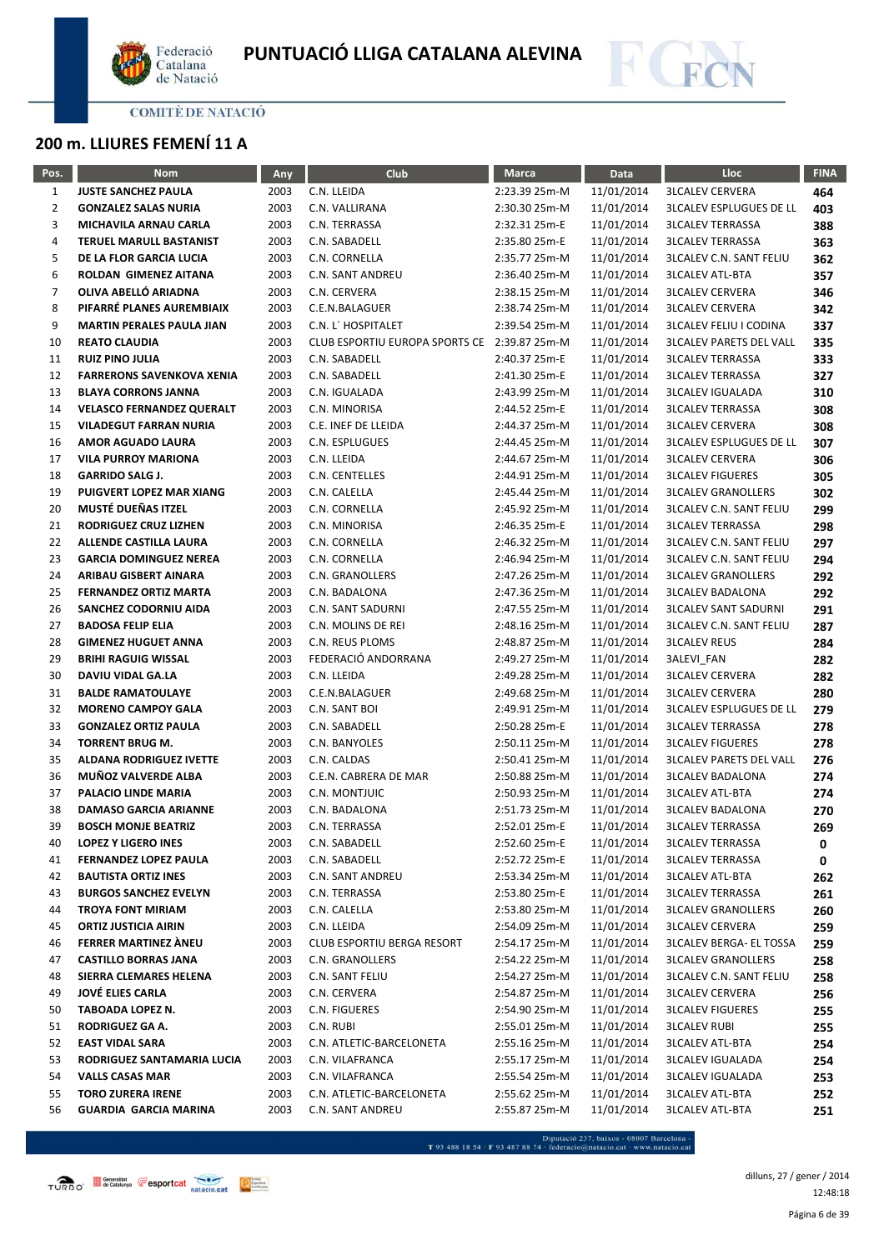



# **200 m. LLIURES FEMENÍ 11 A**

| Pos.           | <b>Nom</b>                       | Any  | Club                                         | <b>Marca</b>  | Data       | Lloc                           | <b>FINA</b> |
|----------------|----------------------------------|------|----------------------------------------------|---------------|------------|--------------------------------|-------------|
| $\mathbf{1}$   | <b>JUSTE SANCHEZ PAULA</b>       | 2003 | C.N. LLEIDA                                  | 2:23.39 25m-M | 11/01/2014 | <b>3LCALEV CERVERA</b>         | 464         |
| $\overline{2}$ | <b>GONZALEZ SALAS NURIA</b>      | 2003 | C.N. VALLIRANA                               | 2:30.30 25m-M | 11/01/2014 | <b>3LCALEV ESPLUGUES DE LL</b> | 403         |
| 3              | MICHAVILA ARNAU CARLA            | 2003 | C.N. TERRASSA                                | 2:32.31 25m-E | 11/01/2014 | <b>3LCALEV TERRASSA</b>        | 388         |
| 4              | TERUEL MARULL BASTANIST          | 2003 | C.N. SABADELL                                | 2:35.80 25m-E | 11/01/2014 | <b>3LCALEV TERRASSA</b>        | 363         |
| 5              | DE LA FLOR GARCIA LUCIA          | 2003 | C.N. CORNELLA                                | 2:35.77 25m-M | 11/01/2014 | <b>3LCALEV C.N. SANT FELIU</b> | 362         |
| 6              | ROLDAN GIMENEZ AITANA            | 2003 | <b>C.N. SANT ANDREU</b>                      | 2:36.40 25m-M | 11/01/2014 | <b>3LCALEV ATL-BTA</b>         | 357         |
| 7              | OLIVA ABELLÓ ARIADNA             | 2003 | C.N. CERVERA                                 | 2:38.15 25m-M | 11/01/2014 | <b>3LCALEV CERVERA</b>         | 346         |
| 8              | PIFARRÉ PLANES AUREMBIAIX        | 2003 | C.E.N.BALAGUER                               | 2:38.74 25m-M | 11/01/2014 | <b>3LCALEV CERVERA</b>         | 342         |
| 9              | <b>MARTIN PERALES PAULA JIAN</b> | 2003 | C.N. L' HOSPITALET                           | 2:39.54 25m-M | 11/01/2014 | <b>3LCALEV FELIU I CODINA</b>  | 337         |
| 10             | <b>REATO CLAUDIA</b>             | 2003 | CLUB ESPORTIU EUROPA SPORTS CE 2:39.87 25m-M |               | 11/01/2014 | <b>3LCALEV PARETS DEL VALL</b> | 335         |
| 11             | <b>RUIZ PINO JULIA</b>           | 2003 | C.N. SABADELL                                | 2:40.37 25m-E | 11/01/2014 | <b>3LCALEV TERRASSA</b>        | 333         |
| 12             | <b>FARRERONS SAVENKOVA XENIA</b> | 2003 | C.N. SABADELL                                | 2:41.30 25m-E | 11/01/2014 | <b>3LCALEV TERRASSA</b>        | 327         |
| 13             | <b>BLAYA CORRONS JANNA</b>       | 2003 | C.N. IGUALADA                                | 2:43.99 25m-M | 11/01/2014 | <b>3LCALEV IGUALADA</b>        | 310         |
| 14             | <b>VELASCO FERNANDEZ QUERALT</b> | 2003 | C.N. MINORISA                                | 2:44.52 25m-E | 11/01/2014 | <b>3LCALEV TERRASSA</b>        | 308         |
| 15             | <b>VILADEGUT FARRAN NURIA</b>    | 2003 | C.E. INEF DE LLEIDA                          | 2:44.37 25m-M | 11/01/2014 | <b>3LCALEV CERVERA</b>         | 308         |
| 16             | <b>AMOR AGUADO LAURA</b>         | 2003 | C.N. ESPLUGUES                               | 2:44.45 25m-M | 11/01/2014 | <b>3LCALEV ESPLUGUES DE LL</b> | 307         |
| 17             | <b>VILA PURROY MARIONA</b>       | 2003 | C.N. LLEIDA                                  | 2:44.67 25m-M | 11/01/2014 | <b>3LCALEV CERVERA</b>         | 306         |
| 18             | <b>GARRIDO SALG J.</b>           | 2003 | C.N. CENTELLES                               | 2:44.91 25m-M | 11/01/2014 | <b>3LCALEV FIGUERES</b>        | 305         |
| 19             | PUIGVERT LOPEZ MAR XIANG         | 2003 | C.N. CALELLA                                 | 2:45.44 25m-M | 11/01/2014 | <b>3LCALEV GRANOLLERS</b>      | 302         |
| 20             | MUSTÉ DUEÑAS ITZEL               | 2003 | C.N. CORNELLA                                | 2:45.92 25m-M | 11/01/2014 | <b>3LCALEV C.N. SANT FELIU</b> | 299         |
| 21             | RODRIGUEZ CRUZ LIZHEN            | 2003 | C.N. MINORISA                                | 2:46.35 25m-E | 11/01/2014 | <b>3LCALEV TERRASSA</b>        | 298         |
| 22             | <b>ALLENDE CASTILLA LAURA</b>    | 2003 | C.N. CORNELLA                                | 2:46.32 25m-M | 11/01/2014 | <b>3LCALEV C.N. SANT FELIU</b> | 297         |
| 23             | <b>GARCIA DOMINGUEZ NEREA</b>    | 2003 | C.N. CORNELLA                                | 2:46.94 25m-M | 11/01/2014 | <b>3LCALEV C.N. SANT FELIU</b> | 294         |
| 24             | ARIBAU GISBERT AINARA            | 2003 | C.N. GRANOLLERS                              | 2:47.26 25m-M | 11/01/2014 | <b>3LCALEV GRANOLLERS</b>      | 292         |
| 25             | <b>FERNANDEZ ORTIZ MARTA</b>     | 2003 | C.N. BADALONA                                | 2:47.36 25m-M | 11/01/2014 | <b>3LCALEV BADALONA</b>        | 292         |
| 26             | SANCHEZ CODORNIU AIDA            | 2003 | C.N. SANT SADURNI                            | 2:47.55 25m-M | 11/01/2014 | <b>3LCALEV SANT SADURNI</b>    | 291         |
| 27             | <b>BADOSA FELIP ELIA</b>         | 2003 | C.N. MOLINS DE REI                           | 2:48.16 25m-M | 11/01/2014 | <b>3LCALEV C.N. SANT FELIU</b> | 287         |
| 28             | <b>GIMENEZ HUGUET ANNA</b>       | 2003 | C.N. REUS PLOMS                              | 2:48.87 25m-M | 11/01/2014 | <b>3LCALEV REUS</b>            | 284         |
| 29             | <b>BRIHI RAGUIG WISSAL</b>       | 2003 | FEDERACIÓ ANDORRANA                          | 2:49.27 25m-M | 11/01/2014 | 3ALEVI_FAN                     | 282         |
| 30             | DAVIU VIDAL GA.LA                | 2003 | C.N. LLEIDA                                  | 2:49.28 25m-M | 11/01/2014 | <b>3LCALEV CERVERA</b>         | 282         |
| 31             | <b>BALDE RAMATOULAYE</b>         | 2003 | C.E.N.BALAGUER                               | 2:49.68 25m-M | 11/01/2014 | <b>3LCALEV CERVERA</b>         | 280         |
| 32             | <b>MORENO CAMPOY GALA</b>        | 2003 | C.N. SANT BOI                                | 2:49.91 25m-M | 11/01/2014 | <b>3LCALEV ESPLUGUES DE LL</b> | 279         |
| 33             | <b>GONZALEZ ORTIZ PAULA</b>      | 2003 | C.N. SABADELL                                | 2:50.28 25m-E | 11/01/2014 | <b>3LCALEV TERRASSA</b>        | 278         |
| 34             | <b>TORRENT BRUG M.</b>           | 2003 | C.N. BANYOLES                                | 2:50.11 25m-M | 11/01/2014 | <b>3LCALEV FIGUERES</b>        | 278         |
| 35             | <b>ALDANA RODRIGUEZ IVETTE</b>   | 2003 | C.N. CALDAS                                  | 2:50.41 25m-M | 11/01/2014 | <b>3LCALEV PARETS DEL VALL</b> | 276         |
| 36             | MUÑOZ VALVERDE ALBA              | 2003 | C.E.N. CABRERA DE MAR                        | 2:50.88 25m-M | 11/01/2014 | <b>3LCALEV BADALONA</b>        | 274         |
| 37             | PALACIO LINDE MARIA              | 2003 | C.N. MONTJUIC                                | 2:50.93 25m-M | 11/01/2014 | <b>3LCALEV ATL-BTA</b>         | 274         |
| 38             | <b>DAMASO GARCIA ARIANNE</b>     | 2003 | C.N. BADALONA                                | 2:51.73 25m-M | 11/01/2014 | <b>3LCALEV BADALONA</b>        | 270         |
| 39             | <b>BOSCH MONJE BEATRIZ</b>       | 2003 | C.N. TERRASSA                                | 2:52.01 25m-E | 11/01/2014 | <b>3LCALEV TERRASSA</b>        | 269         |
| 40             | <b>LOPEZ Y LIGERO INES</b>       | 2003 | C.N. SABADELL                                | 2:52.60 25m-E | 11/01/2014 | <b>3LCALEV TERRASSA</b>        | 0           |
| 41             | FERNANDEZ LOPEZ PAULA            | 2003 | C.N. SABADELL                                | 2:52.72 25m-E | 11/01/2014 | <b>3LCALEV TERRASSA</b>        | 0           |
| 42             | <b>BAUTISTA ORTIZ INES</b>       | 2003 | C.N. SANT ANDREU                             | 2:53.34 25m-M | 11/01/2014 | <b>3LCALEV ATL-BTA</b>         | 262         |
| 43             | <b>BURGOS SANCHEZ EVELYN</b>     | 2003 | C.N. TERRASSA                                | 2:53.80 25m-E | 11/01/2014 | <b>3LCALEV TERRASSA</b>        | 261         |
| 44             | <b>TROYA FONT MIRIAM</b>         | 2003 | C.N. CALELLA                                 | 2:53.80 25m-M | 11/01/2014 | <b>3LCALEV GRANOLLERS</b>      | 260         |
| 45             | <b>ORTIZ JUSTICIA AIRIN</b>      | 2003 | C.N. LLEIDA                                  | 2:54.09 25m-M | 11/01/2014 | <b>3LCALEV CERVERA</b>         | 259         |
| 46             | FERRER MARTINEZ ANEU             | 2003 | CLUB ESPORTIU BERGA RESORT                   | 2:54.17 25m-M | 11/01/2014 | <b>3LCALEV BERGA- EL TOSSA</b> | 259         |
| 47             | <b>CASTILLO BORRAS JANA</b>      | 2003 | C.N. GRANOLLERS                              | 2:54.22 25m-M | 11/01/2014 | <b>3LCALEV GRANOLLERS</b>      | 258         |
| 48             | SIERRA CLEMARES HELENA           | 2003 | C.N. SANT FELIU                              | 2:54.27 25m-M | 11/01/2014 | <b>3LCALEV C.N. SANT FELIU</b> | 258         |
| 49             | <b>JOVÉ ELIES CARLA</b>          | 2003 | C.N. CERVERA                                 | 2:54.87 25m-M | 11/01/2014 | <b>3LCALEV CERVERA</b>         | 256         |
| 50             | TABOADA LOPEZ N.                 | 2003 | C.N. FIGUERES                                | 2:54.90 25m-M | 11/01/2014 | <b>3LCALEV FIGUERES</b>        | 255         |
| 51             | RODRIGUEZ GA A.                  | 2003 | C.N. RUBI                                    | 2:55.01 25m-M | 11/01/2014 | <b>3LCALEV RUBI</b>            | 255         |
| 52             | <b>EAST VIDAL SARA</b>           | 2003 | C.N. ATLETIC-BARCELONETA                     | 2:55.16 25m-M | 11/01/2014 | <b>3LCALEV ATL-BTA</b>         | 254         |
| 53             | RODRIGUEZ SANTAMARIA LUCIA       | 2003 | C.N. VILAFRANCA                              | 2:55.17 25m-M | 11/01/2014 | <b>3LCALEV IGUALADA</b>        | 254         |
| 54             | <b>VALLS CASAS MAR</b>           | 2003 | C.N. VILAFRANCA                              | 2:55.54 25m-M | 11/01/2014 | <b>3LCALEV IGUALADA</b>        | 253         |
| 55             | <b>TORO ZURERA IRENE</b>         | 2003 | C.N. ATLETIC-BARCELONETA                     | 2:55.62 25m-M | 11/01/2014 | <b>3LCALEV ATL-BTA</b>         | 252         |
| 56             | <b>GUARDIA GARCIA MARINA</b>     | 2003 | C.N. SANT ANDREU                             | 2:55.87 25m-M | 11/01/2014 | <b>3LCALEV ATL-BTA</b>         | 251         |

- Diputació 237, baixos - 08007 Barcelona<br>T 93 488 18 54 · F 93 487 88 74 · federacio@natacio.cat · www.natacio.cat

Página 6 de 39 dilluns, 27 / gener / 2014 12:48:18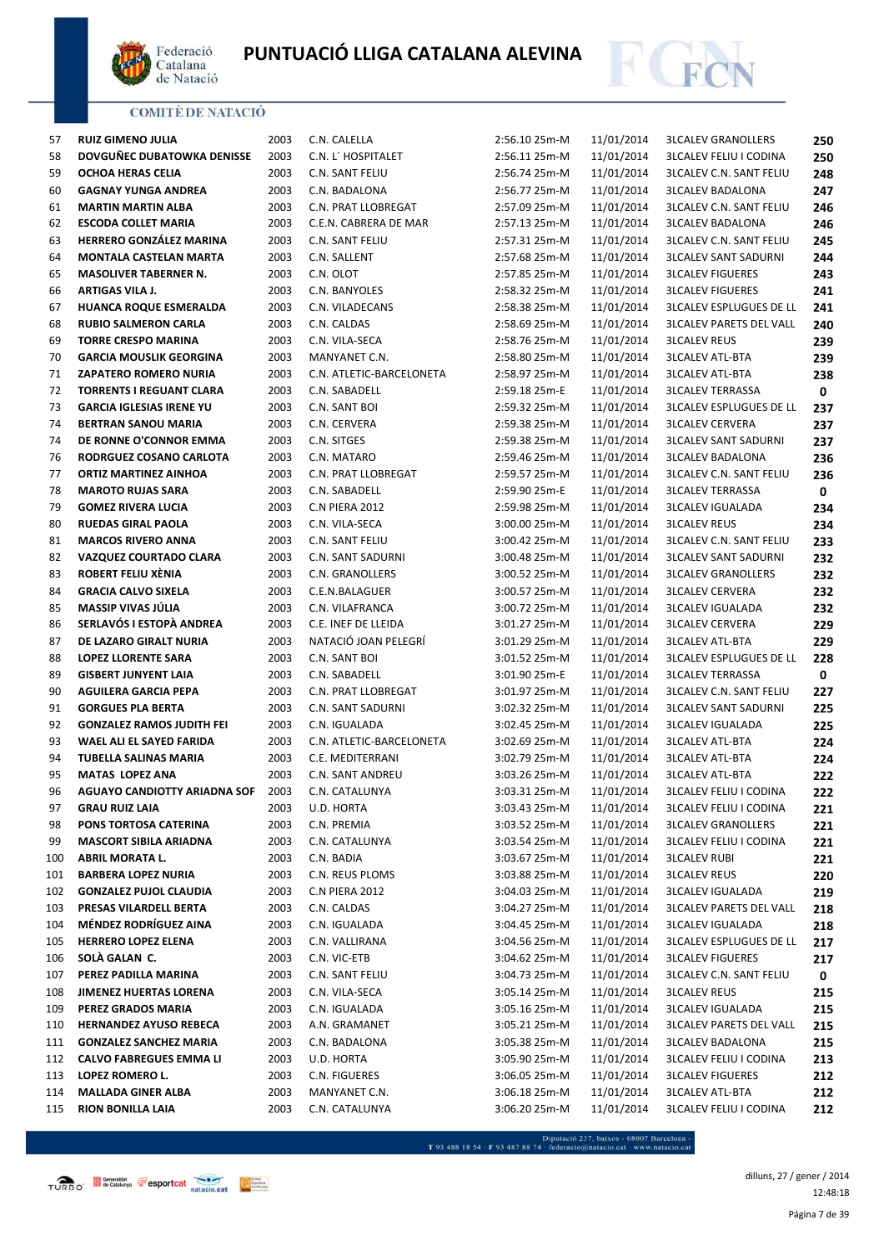



| $\sim$ | . .                                 |      |     |
|--------|-------------------------------------|------|-----|
| 57     | <b>RUIZ GIMENO JULIA</b>            | 2003 | C.N |
| 58     | DOVGUÑEC DUBATOWKA DENISSE          | 2003 | C.N |
| 59     | OCHOA HERAS CELIA                   | 2003 | C.N |
| 60     | <b>GAGNAY YUNGA ANDREA</b>          | 2003 | C.N |
| 61     | <b>MARTIN MARTIN ALBA</b>           | 2003 | C.N |
| 62     | <b>ESCODA COLLET MARIA</b>          | 2003 | C.E |
| 63     | <b>HERRERO GONZÁLEZ MARINA</b>      | 2003 | C.N |
| 64     | <b>MONTALA CASTELAN MARTA</b>       | 2003 | C.N |
| 65     | <b>MASOLIVER TABERNER N.</b>        | 2003 | C.N |
| 66     | <b>ARTIGAS VILA J.</b>              | 2003 | C.N |
| 67     | <b>HUANCA ROQUE ESMERALDA</b>       | 2003 | C.N |
| 68     | <b>RUBIO SALMERON CARLA</b>         | 2003 | C.N |
| 69     | <b>TORRE CRESPO MARINA</b>          | 2003 | C.N |
| 70     | <b>GARCIA MOUSLIK GEORGINA</b>      | 2003 | MΑ  |
| 71     | <b>ZAPATERO ROMERO NURIA</b>        | 2003 | C.N |
| 72     | <b>TORRENTS I REGUANT CLARA</b>     | 2003 | C.N |
| 73     | <b>GARCIA IGLESIAS IRENE YU</b>     | 2003 | C.N |
| 74     | <b>BERTRAN SANOU MARIA</b>          |      |     |
|        |                                     | 2003 | C.N |
| 74     | DE RONNE O'CONNOR EMMA              | 2003 | C.N |
| 76     | RODRGUEZ COSANO CARLOTA             | 2003 | C.N |
| 77     | <b>ORTIZ MARTINEZ AINHOA</b>        | 2003 | C.N |
| 78     | <b>MAROTO RUJAS SARA</b>            | 2003 | C.N |
| 79     | <b>GOMEZ RIVERA LUCIA</b>           | 2003 | C.N |
| 80     | <b>RUEDAS GIRAL PAOLA</b>           | 2003 | C.N |
| 81     | <b>MARCOS RIVERO ANNA</b>           | 2003 | C.N |
| 82     | <b>VAZQUEZ COURTADO CLARA</b>       | 2003 | C.N |
| 83     | ROBERT FELIU XÈNIA                  | 2003 | C.N |
| 84     | <b>GRACIA CALVO SIXELA</b>          | 2003 | C.E |
| 85     | MASSIP VIVAS JÚLIA                  | 2003 | C.N |
| 86     | SERLAVÓS I ESTOPÀ ANDREA            | 2003 | C.E |
| 87     | DE LAZARO GIRALT NURIA              | 2003 | NA  |
| 88     | <b>LOPEZ LLORENTE SARA</b>          | 2003 | C.N |
| 89     | <b>GISBERT JUNYENT LAIA</b>         | 2003 | C.N |
| 90     | <b>AGUILERA GARCIA PEPA</b>         | 2003 | C.N |
| 91     | <b>GORGUES PLA BERTA</b>            | 2003 | C.N |
| 92     | <b>GONZALEZ RAMOS JUDITH FEI</b>    | 2003 | C.N |
| 93     | <b>WAEL ALI EL SAYED FARIDA</b>     | 2003 | C.N |
| 94     | TUBELLA SALINAS MARIA               | 2003 | C.E |
| 95     | <b>MATAS LOPEZ ANA</b>              | 2003 | C.N |
| 96     | <b>AGUAYO CANDIOTTY ARIADNA SOF</b> | 2003 | C.N |
| 97     | <b>GRAU RUIZ LAIA</b>               | 2003 | U.D |
| 98     | PONS TORTOSA CATERINA               | 2003 | C.N |
| 99     | <b>MASCORT SIBILA ARIADNA</b>       | 2003 | C.N |
| 100    | <b>ABRIL MORATA L.</b>              | 2003 | C.N |
| 101    | <b>BARBERA LOPEZ NURIA</b>          | 2003 | C.N |
| 102    | <b>GONZALEZ PUJOL CLAUDIA</b>       | 2003 | C.N |
| 103    | PRESAS VILARDELL BERTA              | 2003 | C.N |
| 104    | MÉNDEZ RODRÍGUEZ AINA               | 2003 | C.N |
| 105    | <b>HERRERO LOPEZ ELENA</b>          | 2003 | C.N |
| 106    | SOLÀ GALAN C.                       | 2003 | C.N |
| 107    | PEREZ PADILLA MARINA                | 2003 | C.N |
|        | JIMENEZ HUERTAS LORENA              |      |     |
| 108    |                                     | 2003 | C.N |
| 109    | PEREZ GRADOS MARIA                  | 2003 | C.N |
| 110    | <b>HERNANDEZ AYUSO REBECA</b>       | 2003 | A.N |
| 111    | <b>GONZALEZ SANCHEZ MARIA</b>       | 2003 | C.N |
| 112    | <b>CALVO FABREGUES EMMA LI</b>      | 2003 | U.D |
| 113    | LOPEZ ROMERO L.                     | 2003 | C.N |
| 114    | <b>MALLADA GINER ALBA</b>           | 2003 | M۵  |

| C.N. CALELLA               |
|----------------------------|
| C.N. L' HOSPITALET         |
| C.N. SANT FELIU            |
| C.N. BADALONA              |
| C.N. PRAT LLOBREGAT        |
|                            |
| C.E.N. CABRERA DE MAR      |
| <b>C.N. SANT FELIU</b>     |
| C.N. SALLENT               |
| C.N. OLOT                  |
| C.N. BANYOLES              |
| C.N. VILADECANS            |
| C.N. CALDAS                |
| C.N. VILA-SECA             |
| MANYANET C.N.              |
| C.N. ATLETIC-BARCELONETA   |
| C.N. SABADELL              |
| C.N. SANT BOI              |
| C.N. CERVERA               |
| C.N. SITGES                |
| C.N. MATARO                |
| C.N. PRAT LLOBREGAT        |
| C.N. SABADELL              |
| <b>C.N PIERA 2012</b>      |
| C.N. VILA-SECA             |
| C.N. SANT FELIU            |
| C.N. SANT SADURNI          |
| C.N. GRANOLLERS            |
| C.E.N.BALAGUER             |
| C.N. VILAFRANCA            |
| C.E. INEF DE LLEIDA        |
| NATACIÓ JOAN PELEGRI       |
| C.N. SANT BOI              |
| C.N. SABADELL              |
| <b>C.N. PRAT LLOBREGAT</b> |
| <b>C.N. SANT SADURNI</b>   |
| C.N. IGUALADA              |
|                            |
| C.N. ATLETIC-BARCELONETA   |
| C.E. MEDITERRANI           |
| C.N. SANT ANDREU           |
| C.N. CATALUNYA             |
| U.D. HORTA                 |
| C.N. PREMIA                |
| C.N. CATALUNYA             |
| C.N. BADIA                 |
| C.N. REUS PLOMS            |
| <b>C.N PIERA 2012</b>      |
| C.N. CALDAS                |
| C.N. IGUALADA              |
| C.N. VALLIRANA             |
| C.N. VIC-ETB               |
| C.N. SANT FELIU            |
| C.N. VILA-SECA             |
| C.N. IGUALADA              |
| A.N. GRAMANET              |
| C.N. BADALONA              |

| 57         | <b>RUIZ GIMENO JULIA</b>                        | 2003         | C.N. CALELLA                    | 2:56.10 25m-M                  | 11/01/2014               | <b>3LCALEV GRANOLLERS</b>                             | 250        |
|------------|-------------------------------------------------|--------------|---------------------------------|--------------------------------|--------------------------|-------------------------------------------------------|------------|
| 58         | DOVGUÑEC DUBATOWKA DENISSE                      | 2003         | C.N. L' HOSPITALET              | 2:56.11 25m-M                  | 11/01/2014               | <b>3LCALEV FELIU I CODINA</b>                         | 250        |
| 59         | OCHOA HERAS CELIA                               | 2003         | C.N. SANT FELIU                 | 2:56.74 25m-M                  | 11/01/2014               | <b>3LCALEV C.N. SANT FELIU</b>                        | 248        |
| 60         | <b>GAGNAY YUNGA ANDREA</b>                      | 2003         | C.N. BADALONA                   | 2:56.77 25m-M                  | 11/01/2014               | <b>3LCALEV BADALONA</b>                               | 247        |
| 61         | <b>MARTIN MARTIN ALBA</b>                       | 2003         | C.N. PRAT LLOBREGAT             | 2:57.09 25m-M                  | 11/01/2014               | <b>3LCALEV C.N. SANT FELIU</b>                        | 246        |
| 62         | <b>ESCODA COLLET MARIA</b>                      | 2003         | C.E.N. CABRERA DE MAR           | 2:57.13 25m-M                  | 11/01/2014               | <b>3LCALEV BADALONA</b>                               | 246        |
| 63         | HERRERO GONZÁLEZ MARINA                         | 2003         | C.N. SANT FELIU                 | 2:57.31 25m-M                  | 11/01/2014               | <b>3LCALEV C.N. SANT FELIU</b>                        | 245        |
| 64         | <b>MONTALA CASTELAN MARTA</b>                   | 2003         | C.N. SALLENT                    | 2:57.68 25m-M                  | 11/01/2014               | <b>3LCALEV SANT SADURNI</b>                           | 244        |
| 65         | <b>MASOLIVER TABERNER N.</b>                    | 2003         | C.N. OLOT                       | 2:57.85 25m-M                  | 11/01/2014               | <b>3LCALEV FIGUERES</b>                               | 243        |
| 66         | ARTIGAS VILA J.                                 | 2003         | C.N. BANYOLES                   | 2:58.32 25m-M                  | 11/01/2014               | <b>3LCALEV FIGUERES</b>                               | 241        |
| 67         | HUANCA ROQUE ESMERALDA                          | 2003         | C.N. VILADECANS                 | 2:58.38 25m-M                  | 11/01/2014               | <b>3LCALEV ESPLUGUES DE LL</b>                        | 241        |
| 68         | <b>RUBIO SALMERON CARLA</b>                     | 2003         | C.N. CALDAS                     | 2:58.69 25m-M                  | 11/01/2014               | <b>3LCALEV PARETS DEL VALL</b>                        | 240        |
| 69         | <b>TORRE CRESPO MARINA</b>                      | 2003         | C.N. VILA-SECA                  | 2:58.76 25m-M                  | 11/01/2014               | <b>3LCALEV REUS</b>                                   | 239        |
| 70         | <b>GARCIA MOUSLIK GEORGINA</b>                  | 2003         | MANYANET C.N.                   | 2:58.80 25m-M                  | 11/01/2014               | <b>3LCALEV ATL-BTA</b>                                | 239        |
| 71         | <b>ZAPATERO ROMERO NURIA</b>                    | 2003         | C.N. ATLETIC-BARCELONETA        | 2:58.97 25m-M                  | 11/01/2014               | <b>3LCALEV ATL-BTA</b>                                | 238        |
| 72         | <b>TORRENTS I REGUANT CLARA</b>                 | 2003         | C.N. SABADELL                   | 2:59.18 25m-E                  | 11/01/2014               | <b>3LCALEV TERRASSA</b>                               | 0          |
| 73         | <b>GARCIA IGLESIAS IRENE YU</b>                 | 2003         | C.N. SANT BOI                   | 2:59.32 25m-M                  | 11/01/2014               | <b>3LCALEV ESPLUGUES DE LL</b>                        | 237        |
| 74         | <b>BERTRAN SANOU MARIA</b>                      | 2003         | C.N. CERVERA                    | 2:59.38 25m-M                  | 11/01/2014               | <b>3LCALEV CERVERA</b>                                | 237        |
| 74         | DE RONNE O'CONNOR EMMA                          | 2003         | C.N. SITGES                     | 2:59.38 25m-M                  | 11/01/2014               | <b>3LCALEV SANT SADURNI</b>                           | 237        |
| 76         | RODRGUEZ COSANO CARLOTA                         | 2003         | C.N. MATARO                     | 2:59.46 25m-M                  | 11/01/2014               | <b>3LCALEV BADALONA</b>                               | 236        |
| 77         | <b>ORTIZ MARTINEZ AINHOA</b>                    | 2003         | C.N. PRAT LLOBREGAT             | 2:59.57 25m-M                  | 11/01/2014               | <b>3LCALEV C.N. SANT FELIU</b>                        | 236        |
| 78         | <b>MAROTO RUJAS SARA</b>                        | 2003         | C.N. SABADELL                   | 2:59.90 25m-E                  | 11/01/2014               | <b>3LCALEV TERRASSA</b>                               | 0          |
| 79         | <b>GOMEZ RIVERA LUCIA</b>                       | 2003         | C.N PIERA 2012                  | 2:59.98 25m-M                  | 11/01/2014               | <b>3LCALEV IGUALADA</b>                               | 234        |
| 80         | <b>RUEDAS GIRAL PAOLA</b>                       | 2003         | C.N. VILA-SECA                  | 3:00.00 25m-M                  | 11/01/2014               | <b>3LCALEV REUS</b>                                   | 234        |
| 81         | <b>MARCOS RIVERO ANNA</b>                       | 2003         | C.N. SANT FELIU                 | 3:00.42 25m-M                  | 11/01/2014               | <b>3LCALEV C.N. SANT FELIU</b>                        | 233        |
| 82         | VAZQUEZ COURTADO CLARA                          | 2003         | C.N. SANT SADURNI               | 3:00.48 25m-M                  | 11/01/2014               | <b>3LCALEV SANT SADURNI</b>                           | 232        |
| 83         | ROBERT FELIU XÈNIA                              | 2003         | C.N. GRANOLLERS                 | 3:00.52 25m-M                  | 11/01/2014               | <b>3LCALEV GRANOLLERS</b>                             | 232        |
| 84         | <b>GRACIA CALVO SIXELA</b>                      | 2003         | C.E.N.BALAGUER                  | 3:00.57 25m-M                  | 11/01/2014               | <b>3LCALEV CERVERA</b>                                | 232        |
| 85         | MASSIP VIVAS JÚLIA                              | 2003         | C.N. VILAFRANCA                 | 3:00.72 25m-M                  | 11/01/2014               | <b>3LCALEV IGUALADA</b>                               | 232        |
| 86         | SERLAVÓS I ESTOPÀ ANDREA                        | 2003         | C.E. INEF DE LLEIDA             | 3:01.27 25m-M                  | 11/01/2014               | <b>3LCALEV CERVERA</b>                                | 229        |
| 87         | DE LAZARO GIRALT NURIA                          | 2003         | NATACIÓ JOAN PELEGRÍ            | 3:01.29 25m-M                  | 11/01/2014               | <b>3LCALEV ATL-BTA</b>                                | 229        |
| 88         | <b>LOPEZ LLORENTE SARA</b>                      | 2003         | C.N. SANT BOI                   | 3:01.52 25m-M                  | 11/01/2014               | <b>3LCALEV ESPLUGUES DE LL</b>                        | 228        |
| 89         | <b>GISBERT JUNYENT LAIA</b>                     | 2003         | C.N. SABADELL                   | 3:01.90 25m-E                  | 11/01/2014               | <b>3LCALEV TERRASSA</b>                               | 0          |
| 90         | <b>AGUILERA GARCIA PEPA</b>                     | 2003         | C.N. PRAT LLOBREGAT             | 3:01.97 25m-M                  | 11/01/2014               | <b>3LCALEV C.N. SANT FELIU</b>                        | 227        |
| 91         | <b>GORGUES PLA BERTA</b>                        | 2003         | <b>C.N. SANT SADURNI</b>        | 3:02.32 25m-M                  | 11/01/2014               | <b>3LCALEV SANT SADURNI</b>                           | 225        |
| 92         | <b>GONZALEZ RAMOS JUDITH FEI</b>                | 2003         | C.N. IGUALADA                   | 3:02.45 25m-M                  | 11/01/2014               | <b>3LCALEV IGUALADA</b>                               | 225        |
| 93         | WAEL ALI EL SAYED FARIDA                        | 2003         | C.N. ATLETIC-BARCELONETA        | 3:02.69 25m-M                  | 11/01/2014               | <b>3LCALEV ATL-BTA</b>                                | 224        |
| 94         | TUBELLA SALINAS MARIA                           | 2003         | C.E. MEDITERRANI                | 3:02.79 25m-M                  | 11/01/2014               | <b>3LCALEV ATL-BTA</b>                                | 224        |
| 95         | <b>MATAS LOPEZ ANA</b>                          | 2003         | C.N. SANT ANDREU                | 3:03.26 25m-M                  | 11/01/2014               | <b>3LCALEV ATL-BTA</b>                                | 222        |
| 96         | <b>AGUAYO CANDIOTTY ARIADNA SOF</b>             | 2003         | C.N. CATALUNYA                  | 3:03.31 25m-M                  | 11/01/2014               | <b>3LCALEV FELIU I CODINA</b>                         | 222        |
| 97         | <b>GRAU RUIZ LAIA</b>                           | 2003         | U.D. HORTA                      | 3:03.43 25m-M                  | 11/01/2014               | <b>3LCALEV FELIU I CODINA</b>                         | 221        |
| 98         | PONS TORTOSA CATERINA                           | 2003         | C.N. PREMIA                     | 3:03.52 25m-M                  | 11/01/2014               | <b>3LCALEV GRANOLLERS</b>                             | 221        |
| 99         | <b>MASCORT SIBILA ARIADNA</b>                   | 2003         | C.N. CATALUNYA                  | 3:03.54 25m-M                  | 11/01/2014               | <b>3LCALEV FELIU I CODINA</b>                         | 221        |
| 100        | <b>ABRIL MORATA L.</b>                          | 2003         | C.N. BADIA                      | 3:03.67 25m-M                  | 11/01/2014               | <b>3LCALEV RUBI</b>                                   | 221        |
| 101        | <b>BARBERA LOPEZ NURIA</b>                      | 2003         | C.N. REUS PLOMS                 | 3:03.88 25m-M                  | 11/01/2014               | <b>3LCALEV REUS</b>                                   | 220        |
| 102        | <b>GONZALEZ PUJOL CLAUDIA</b>                   | 2003         | C.N PIERA 2012                  | 3:04.03 25m-M                  | 11/01/2014               | <b>3LCALEV IGUALADA</b>                               | 219        |
| 103        | PRESAS VILARDELL BERTA<br>MÉNDEZ RODRÍGUEZ AINA | 2003         | C.N. CALDAS                     | 3:04.27 25m-M                  | 11/01/2014               | <b>3LCALEV PARETS DEL VALL</b>                        | 218        |
| 104        |                                                 | 2003         | C.N. IGUALADA                   | 3:04.45 25m-M                  | 11/01/2014               | <b>3LCALEV IGUALADA</b>                               | 218        |
| 105        | <b>HERRERO LOPEZ ELENA</b><br>SOLA GALAN C.     | 2003<br>2003 | C.N. VALLIRANA                  | 3:04.56 25m-M                  | 11/01/2014<br>11/01/2014 | <b>3LCALEV ESPLUGUES DE LL</b>                        | 217        |
| 106        | PEREZ PADILLA MARINA                            |              | C.N. VIC-ETB<br>C.N. SANT FELIU | 3:04.62 25m-M                  | 11/01/2014               | <b>3LCALEV FIGUERES</b>                               | 217        |
| 107<br>108 | JIMENEZ HUERTAS LORENA                          | 2003<br>2003 | C.N. VILA-SECA                  | 3:04.73 25m-M<br>3:05.14 25m-M | 11/01/2014               | <b>3LCALEV C.N. SANT FELIU</b><br><b>3LCALEV REUS</b> | 0          |
| 109        | PEREZ GRADOS MARIA                              | 2003         | C.N. IGUALADA                   | 3:05.16 25m-M                  | 11/01/2014               | <b>3LCALEV IGUALADA</b>                               | 215        |
| 110        | <b>HERNANDEZ AYUSO REBECA</b>                   | 2003         | A.N. GRAMANET                   | 3:05.21 25m-M                  | 11/01/2014               | <b>3LCALEV PARETS DEL VALL</b>                        | 215        |
| 111        | <b>GONZALEZ SANCHEZ MARIA</b>                   | 2003         | C.N. BADALONA                   | 3:05.38 25m-M                  | 11/01/2014               | <b>3LCALEV BADALONA</b>                               | 215        |
| 112        | <b>CALVO FABREGUES EMMA LI</b>                  | 2003         | U.D. HORTA                      | 3:05.90 25m-M                  | 11/01/2014               | <b>3LCALEV FELIU I CODINA</b>                         | 215        |
| 113        | LOPEZ ROMERO L.                                 | 2003         | C.N. FIGUERES                   | 3:06.05 25m-M                  | 11/01/2014               | <b>3LCALEV FIGUERES</b>                               | 213        |
| 114        | <b>MALLADA GINER ALBA</b>                       | 2003         | MANYANET C.N.                   | 3:06.18 25m-M                  | 11/01/2014               | <b>3LCALEV ATL-BTA</b>                                | 212<br>212 |
|            |                                                 |              |                                 |                                |                          |                                                       |            |

- Diputació 237, baixos - 08007 Barcelona<br>T 93 488 18 54 · F 93 487 88 74 · federacio@natacio.cat · www.natacio.cat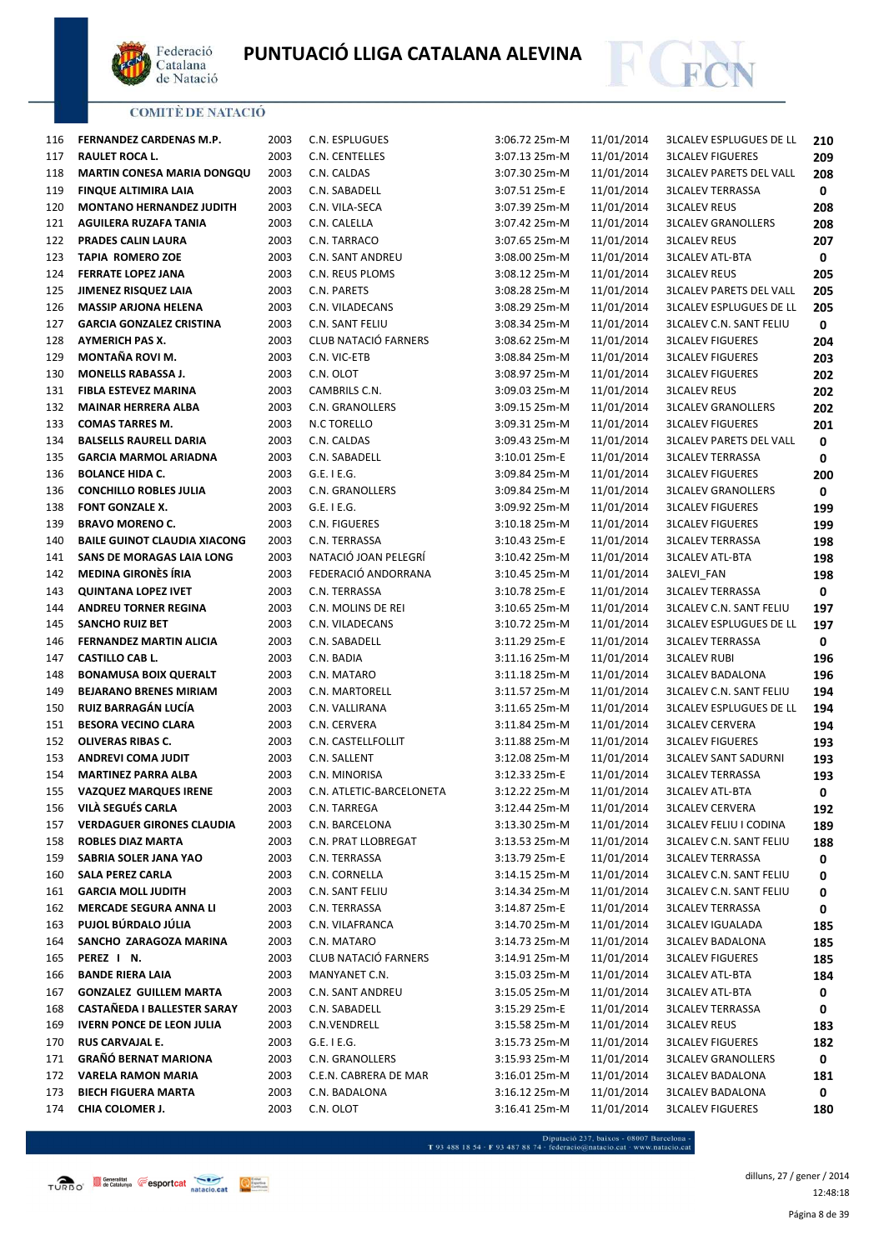



| 116 | FERNANDEZ CARDENAS M.P.             | 2003 | C.N. ESPLUGUES              | 3:06.72 25m-M   | 11/01/2014 | <b>3LCALEV ESPLUGUES DE LL</b> | 210        |
|-----|-------------------------------------|------|-----------------------------|-----------------|------------|--------------------------------|------------|
| 117 | <b>RAULET ROCA L.</b>               | 2003 | C.N. CENTELLES              | 3:07.13 25m-M   | 11/01/2014 | <b>3LCALEV FIGUERES</b>        | 209        |
| 118 | <b>MARTIN CONESA MARIA DONGQU</b>   | 2003 | C.N. CALDAS                 | 3:07.30 25m-M   | 11/01/2014 | <b>3LCALEV PARETS DEL VALL</b> | 208        |
| 119 | <b>FINQUE ALTIMIRA LAIA</b>         | 2003 | C.N. SABADELL               | 3:07.51 25m-E   | 11/01/2014 | <b>3LCALEV TERRASSA</b>        | 0          |
| 120 | <b>MONTANO HERNANDEZ JUDITH</b>     | 2003 | C.N. VILA-SECA              | 3:07.39 25m-M   | 11/01/2014 | <b>3LCALEV REUS</b>            | 208        |
| 121 | AGUILERA RUZAFA TANIA               | 2003 | C.N. CALELLA                | 3:07.42 25m-M   | 11/01/2014 | <b>3LCALEV GRANOLLERS</b>      | 208        |
| 122 | PRADES CALIN LAURA                  | 2003 | C.N. TARRACO                | 3:07.65 25m-M   | 11/01/2014 | <b>3LCALEV REUS</b>            | 207        |
| 123 | <b>TAPIA ROMERO ZOE</b>             | 2003 | <b>C.N. SANT ANDREU</b>     | 3:08.00 25m-M   | 11/01/2014 | <b>3LCALEV ATL-BTA</b>         | 0          |
| 124 | <b>FERRATE LOPEZ JANA</b>           | 2003 | C.N. REUS PLOMS             | 3:08.12 25m-M   | 11/01/2014 | <b>3LCALEV REUS</b>            | 205        |
| 125 | JIMENEZ RISQUEZ LAIA                | 2003 | C.N. PARETS                 | 3:08.28 25m-M   | 11/01/2014 | <b>3LCALEV PARETS DEL VALL</b> | 205        |
| 126 | <b>MASSIP ARJONA HELENA</b>         | 2003 | C.N. VILADECANS             | 3:08.29 25m-M   | 11/01/2014 | <b>3LCALEV ESPLUGUES DE LL</b> | 205        |
| 127 | <b>GARCIA GONZALEZ CRISTINA</b>     | 2003 | C.N. SANT FELIU             | 3:08.34 25m-M   | 11/01/2014 | <b>3LCALEV C.N. SANT FELIU</b> | 0          |
| 128 | <b>AYMERICH PAS X.</b>              | 2003 | CLUB NATACIÓ FARNERS        | 3:08.62 25m-M   | 11/01/2014 | <b>3LCALEV FIGUERES</b>        | 204        |
| 129 | MONTAÑA ROVI M.                     | 2003 | C.N. VIC-ETB                | 3:08.84 25m-M   | 11/01/2014 | <b>3LCALEV FIGUERES</b>        | 203        |
| 130 | <b>MONELLS RABASSA J.</b>           | 2003 | C.N. OLOT                   | 3:08.97 25m-M   | 11/01/2014 | <b>3LCALEV FIGUERES</b>        | 202        |
| 131 | <b>FIBLA ESTEVEZ MARINA</b>         | 2003 | CAMBRILS C.N.               | 3:09.03 25m-M   | 11/01/2014 | <b>3LCALEV REUS</b>            | 202        |
| 132 | <b>MAINAR HERRERA ALBA</b>          | 2003 | C.N. GRANOLLERS             | 3:09.15 25m-M   | 11/01/2014 | <b>3LCALEV GRANOLLERS</b>      | 202        |
| 133 | <b>COMAS TARRES M.</b>              | 2003 | N.C TORELLO                 | 3:09.31 25m-M   | 11/01/2014 | <b>3LCALEV FIGUERES</b>        | 201        |
| 134 | <b>BALSELLS RAURELL DARIA</b>       | 2003 | C.N. CALDAS                 | 3:09.43 25m-M   | 11/01/2014 | <b>3LCALEV PARETS DEL VALL</b> | 0          |
| 135 | <b>GARCIA MARMOL ARIADNA</b>        | 2003 | C.N. SABADELL               | 3:10.01 25m-E   | 11/01/2014 | <b>3LCALEV TERRASSA</b>        | 0          |
| 136 | <b>BOLANCE HIDA C.</b>              | 2003 | $G.E.$ I $E.G.$             | 3:09.84 25m-M   | 11/01/2014 | <b>3LCALEV FIGUERES</b>        | 200        |
| 136 | <b>CONCHILLO ROBLES JULIA</b>       | 2003 | C.N. GRANOLLERS             | 3:09.84 25m-M   | 11/01/2014 | <b>3LCALEV GRANOLLERS</b>      | 0          |
| 138 | FONT GONZALE X.                     | 2003 | G.E. I E.G.                 | 3:09.92 25m-M   | 11/01/2014 | <b>3LCALEV FIGUERES</b>        | 199        |
| 139 | <b>BRAVO MORENO C.</b>              | 2003 | C.N. FIGUERES               | 3:10.18 25m-M   | 11/01/2014 | <b>3LCALEV FIGUERES</b>        | 199        |
| 140 | <b>BAILE GUINOT CLAUDIA XIACONG</b> | 2003 | C.N. TERRASSA               | 3:10.43 25m-E   | 11/01/2014 | <b>3LCALEV TERRASSA</b>        | 198        |
| 141 | SANS DE MORAGAS LAIA LONG           | 2003 | NATACIÓ JOAN PELEGRÍ        | 3:10.42 25m-M   | 11/01/2014 | <b>3LCALEV ATL-BTA</b>         | 198        |
| 142 | <b>MEDINA GIRONÈS ÍRIA</b>          | 2003 | FEDERACIÓ ANDORRANA         | 3:10.45 25m-M   | 11/01/2014 | 3ALEVI_FAN                     | 198        |
| 143 | <b>QUINTANA LOPEZ IVET</b>          | 2003 | C.N. TERRASSA               | 3:10.78 25m-E   | 11/01/2014 | <b>3LCALEV TERRASSA</b>        | 0          |
| 144 | <b>ANDREU TORNER REGINA</b>         | 2003 | C.N. MOLINS DE REI          | 3:10.65 25m-M   | 11/01/2014 | <b>3LCALEV C.N. SANT FELIU</b> | 197        |
| 145 | <b>SANCHO RUIZ BET</b>              | 2003 | C.N. VILADECANS             | 3:10.72 25m-M   | 11/01/2014 | <b>3LCALEV ESPLUGUES DE LL</b> | 197        |
| 146 | <b>FERNANDEZ MARTIN ALICIA</b>      | 2003 | C.N. SABADELL               | 3:11.29 25m-E   | 11/01/2014 | <b>3LCALEV TERRASSA</b>        | 0          |
| 147 | <b>CASTILLO CAB L.</b>              | 2003 | C.N. BADIA                  | 3:11.16 25m-M   | 11/01/2014 | <b>3LCALEV RUBI</b>            | 196        |
| 148 | <b>BONAMUSA BOIX QUERALT</b>        | 2003 | C.N. MATARO                 | 3:11.18 25m-M   | 11/01/2014 | <b>3LCALEV BADALONA</b>        | 196        |
| 149 | <b>BEJARANO BRENES MIRIAM</b>       | 2003 | C.N. MARTORELL              | 3:11.57 25m-M   | 11/01/2014 | <b>3LCALEV C.N. SANT FELIU</b> | 194        |
| 150 | RUIZ BARRAGÁN LUCÍA                 | 2003 | C.N. VALLIRANA              | 3:11.65 25m-M   | 11/01/2014 | <b>3LCALEV ESPLUGUES DE LL</b> | 194        |
| 151 | <b>BESORA VECINO CLARA</b>          | 2003 | C.N. CERVERA                | 3:11.84 25m-M   | 11/01/2014 | <b>3LCALEV CERVERA</b>         | 194        |
| 152 | OLIVERAS RIBAS C.                   | 2003 | C.N. CASTELLFOLLIT          | 3:11.88 25m-M   | 11/01/2014 | <b>3LCALEV FIGUERES</b>        | 193        |
| 153 | <b>ANDREVI COMA JUDIT</b>           | 2003 | C.N. SALLENT                | 3:12.08 25m-M   | 11/01/2014 | <b>3LCALEV SANT SADURNI</b>    |            |
| 154 | <b>MARTINEZ PARRA ALBA</b>          | 2003 | C.N. MINORISA               | 3:12.33 25m-E   | 11/01/2014 | <b>3LCALEV TERRASSA</b>        | 193<br>193 |
| 155 | <b>VAZQUEZ MARQUES IRENE</b>        | 2003 | C.N. ATLETIC-BARCELONETA    | 3:12.22 25m-M   | 11/01/2014 | <b>3LCALEV ATL-BTA</b>         |            |
| 156 | VILÀ SEGUÉS CARLA                   | 2003 | C.N. TARREGA                | 3:12.44 25m-M   | 11/01/2014 | <b>3LCALEV CERVERA</b>         | 0          |
| 157 | <b>VERDAGUER GIRONES CLAUDIA</b>    | 2003 | C.N. BARCELONA              | 3:13.30 25m-M   | 11/01/2014 | <b>3LCALEV FELIU I CODINA</b>  | 192        |
|     | <b>ROBLES DIAZ MARTA</b>            | 2003 | C.N. PRAT LLOBREGAT         | 3:13.53 25m-M   | 11/01/2014 | <b>3LCALEV C.N. SANT FELIU</b> | 189        |
| 158 | SABRIA SOLER JANA YAO               | 2003 | C.N. TERRASSA               | 3:13.79 25m-E   | 11/01/2014 | <b>3LCALEV TERRASSA</b>        | 188        |
| 159 | <b>SALA PEREZ CARLA</b>             | 2003 | C.N. CORNELLA               | 3:14.15 25m-M   | 11/01/2014 | <b>3LCALEV C.N. SANT FELIU</b> | 0          |
| 160 | <b>GARCIA MOLL JUDITH</b>           |      |                             |                 |            |                                | 0          |
| 161 | <b>MERCADE SEGURA ANNA LI</b>       | 2003 | C.N. SANT FELIU             | 3:14.34 25m-M   | 11/01/2014 | <b>3LCALEV C.N. SANT FELIU</b> | 0          |
| 162 |                                     | 2003 | C.N. TERRASSA               | 3:14.87 25m-E   | 11/01/2014 | <b>3LCALEV TERRASSA</b>        | 0          |
| 163 | PUJOL BÚRDALO JÚLIA                 | 2003 | C.N. VILAFRANCA             | 3:14.70 25m-M   | 11/01/2014 | <b>3LCALEV IGUALADA</b>        | 185        |
| 164 | SANCHO ZARAGOZA MARINA              | 2003 | C.N. MATARO                 | 3:14.73 25m-M   | 11/01/2014 | <b>3LCALEV BADALONA</b>        | 185        |
| 165 | PEREZ I N.                          | 2003 | <b>CLUB NATACIÓ FARNERS</b> | 3:14.91 25m-M   | 11/01/2014 | <b>3LCALEV FIGUERES</b>        | 185        |
| 166 | <b>BANDE RIERA LAIA</b>             | 2003 | MANYANET C.N.               | 3:15.03 25m-M   | 11/01/2014 | <b>3LCALEV ATL-BTA</b>         | 184        |
| 167 | <b>GONZALEZ GUILLEM MARTA</b>       | 2003 | C.N. SANT ANDREU            | 3:15.05 25m-M   | 11/01/2014 | <b>3LCALEV ATL-BTA</b>         | 0          |
| 168 | CASTAÑEDA I BALLESTER SARAY         | 2003 | C.N. SABADELL               | 3:15.29 25m-E   | 11/01/2014 | <b>3LCALEV TERRASSA</b>        | 0          |
| 169 | <b>IVERN PONCE DE LEON JULIA</b>    | 2003 | C.N.VENDRELL                | 3:15.58 25m-M   | 11/01/2014 | <b>3LCALEV REUS</b>            | 183        |
| 170 | RUS CARVAJAL E.                     | 2003 | $G.E.$ I E.G.               | 3:15.73 25m-M   | 11/01/2014 | <b>3LCALEV FIGUERES</b>        | 182        |
| 171 | <b>GRAÑÓ BERNAT MARIONA</b>         | 2003 | C.N. GRANOLLERS             | 3:15.93 25m-M   | 11/01/2014 | <b>3LCALEV GRANOLLERS</b>      | 0          |
| 172 | <b>VARELA RAMON MARIA</b>           | 2003 | C.E.N. CABRERA DE MAR       | 3:16.01 25m-M   | 11/01/2014 | <b>3LCALEV BADALONA</b>        | 181        |
| 173 | <b>BIECH FIGUERA MARTA</b>          | 2003 | C.N. BADALONA               | $3:16.12$ 25m-M | 11/01/2014 | <b>3LCALEV BADALONA</b>        | 0          |
| 174 | CHIA COLOMER J.                     | 2003 | C.N. OLOT                   | 3:16.41 25m-M   | 11/01/2014 | <b>3LCALEV FIGUERES</b>        | 180        |

 $\begin{minipage}{.45\textwidth} \begin{minipage}{.45\textwidth} \begin{tabular}{l} \bf{7.93.488.18.54$\cdot$ F 93.487 88.74$\cdot$ federació@natacio.cat$\cdot$ www.natacio.cat.\end{tabular} \end{minipage} \end{minipage}$ 

Página 8 de 39 dilluns, 27 / gener / 2014 12:48:18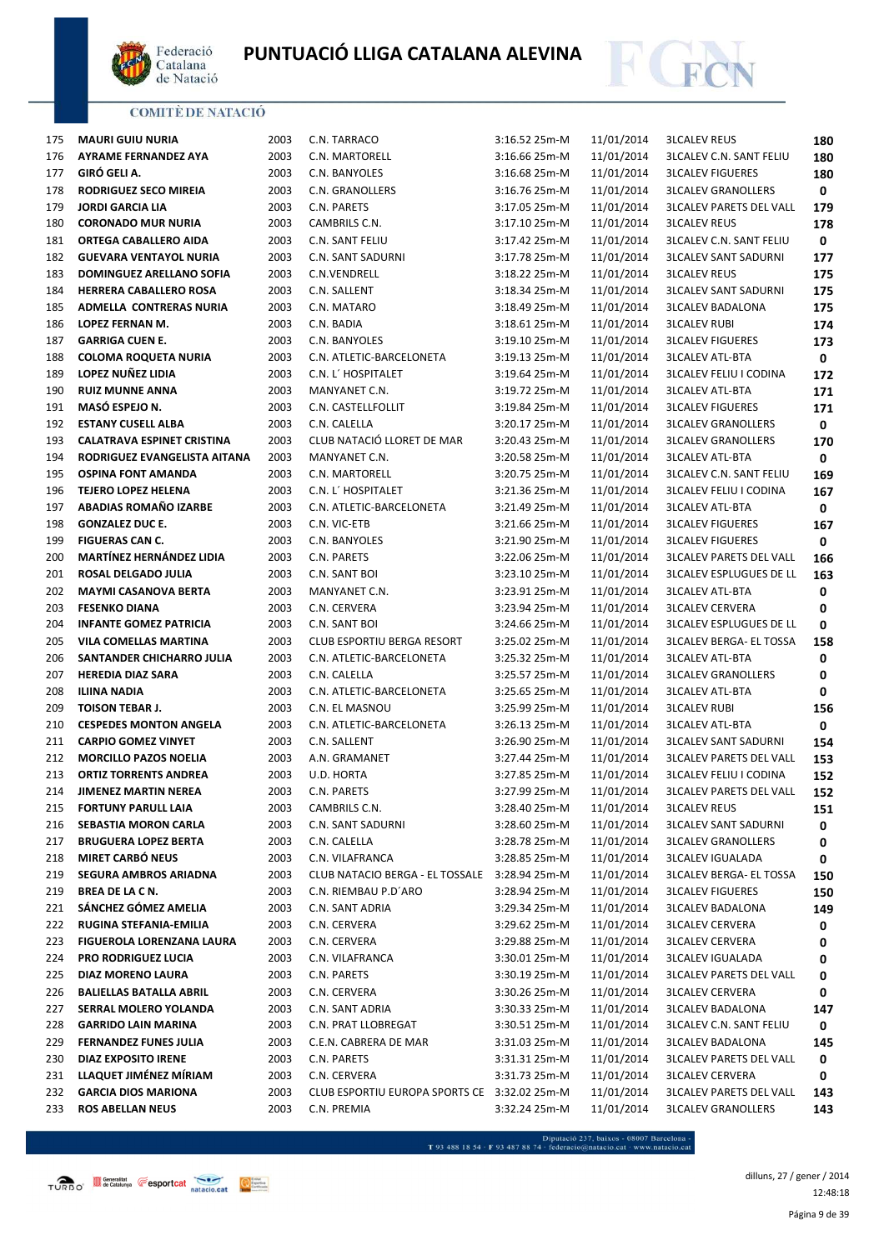



| 175 | <b>MAURI GUIU NURIA</b>           | 2003 | C.N. TARRACO                                 | 3:16.52 25m-M | 11/01/2014 | <b>3LCALEV REUS</b>                                      | 180         |
|-----|-----------------------------------|------|----------------------------------------------|---------------|------------|----------------------------------------------------------|-------------|
| 176 | <b>AYRAME FERNANDEZ AYA</b>       | 2003 | C.N. MARTORELL                               | 3:16.66 25m-M | 11/01/2014 | <b>3LCALEV C.N. SANT FELIU</b>                           | 180         |
| 177 | GIRÓ GELI A.                      | 2003 | C.N. BANYOLES                                | 3:16.68 25m-M | 11/01/2014 | <b>3LCALEV FIGUERES</b>                                  | 180         |
| 178 | RODRIGUEZ SECO MIREIA             | 2003 | C.N. GRANOLLERS                              | 3:16.76 25m-M | 11/01/2014 | <b>3LCALEV GRANOLLERS</b>                                | 0           |
| 179 | <b>JORDI GARCIA LIA</b>           | 2003 | C.N. PARETS                                  | 3:17.05 25m-M | 11/01/2014 | <b>3LCALEV PARETS DEL VALL</b>                           | 179         |
| 180 | <b>CORONADO MUR NURIA</b>         | 2003 | CAMBRILS C.N.                                | 3:17.10 25m-M | 11/01/2014 | <b>3LCALEV REUS</b>                                      | 178         |
| 181 | ORTEGA CABALLERO AIDA             | 2003 | C.N. SANT FELIU                              | 3:17.42 25m-M | 11/01/2014 | <b>3LCALEV C.N. SANT FELIU</b>                           | $\mathbf 0$ |
| 182 | <b>GUEVARA VENTAYOL NURIA</b>     | 2003 | C.N. SANT SADURNI                            | 3:17.78 25m-M | 11/01/2014 | <b>3LCALEV SANT SADURNI</b>                              | 177         |
| 183 | DOMINGUEZ ARELLANO SOFIA          | 2003 | C.N.VENDRELL                                 | 3:18.22 25m-M | 11/01/2014 | <b>3LCALEV REUS</b>                                      | 175         |
| 184 | <b>HERRERA CABALLERO ROSA</b>     | 2003 | C.N. SALLENT                                 | 3:18.34 25m-M | 11/01/2014 | <b>3LCALEV SANT SADURNI</b>                              | 175         |
| 185 | ADMELLA CONTRERAS NURIA           | 2003 | C.N. MATARO                                  | 3:18.49 25m-M | 11/01/2014 | <b>3LCALEV BADALONA</b>                                  | 175         |
| 186 | LOPEZ FERNAN M.                   | 2003 | C.N. BADIA                                   | 3:18.61 25m-M | 11/01/2014 | <b>3LCALEV RUBI</b>                                      | 174         |
| 187 | <b>GARRIGA CUEN E.</b>            | 2003 | C.N. BANYOLES                                | 3:19.10 25m-M | 11/01/2014 | <b>3LCALEV FIGUERES</b>                                  | 173         |
| 188 | <b>COLOMA ROQUETA NURIA</b>       | 2003 | C.N. ATLETIC-BARCELONETA                     | 3:19.13 25m-M | 11/01/2014 | <b>3LCALEV ATL-BTA</b>                                   | 0           |
| 189 | LOPEZ NUÑEZ LIDIA                 | 2003 | C.N. L' HOSPITALET                           | 3:19.64 25m-M | 11/01/2014 | <b>3LCALEV FELIU I CODINA</b>                            | 172         |
| 190 | <b>RUIZ MUNNE ANNA</b>            | 2003 | MANYANET C.N.                                | 3:19.72 25m-M | 11/01/2014 | <b>3LCALEV ATL-BTA</b>                                   |             |
| 191 | MASÓ ESPEJO N.                    | 2003 | C.N. CASTELLFOLLIT                           | 3:19.84 25m-M | 11/01/2014 | <b>3LCALEV FIGUERES</b>                                  | 171         |
| 192 | <b>ESTANY CUSELL ALBA</b>         | 2003 | C.N. CALELLA                                 | 3:20.17 25m-M | 11/01/2014 | <b>3LCALEV GRANOLLERS</b>                                | 171<br>0    |
|     | <b>CALATRAVA ESPINET CRISTINA</b> | 2003 | CLUB NATACIÓ LLORET DE MAR                   | 3:20.43 25m-M | 11/01/2014 | <b>3LCALEV GRANOLLERS</b>                                |             |
| 193 |                                   |      |                                              |               |            |                                                          | 170         |
| 194 | RODRIGUEZ EVANGELISTA AITANA      | 2003 | MANYANET C.N.                                | 3:20.58 25m-M | 11/01/2014 | <b>3LCALEV ATL-BTA</b><br><b>3LCALEV C.N. SANT FELIU</b> | 0           |
| 195 | <b>OSPINA FONT AMANDA</b>         | 2003 | C.N. MARTORELL                               | 3:20.75 25m-M | 11/01/2014 |                                                          | 169         |
| 196 | <b>TEJERO LOPEZ HELENA</b>        | 2003 | C.N. L' HOSPITALET                           | 3:21.36 25m-M | 11/01/2014 | <b>3LCALEV FELIU I CODINA</b>                            | 167         |
| 197 | ABADIAS ROMAÑO IZARBE             | 2003 | C.N. ATLETIC-BARCELONETA                     | 3:21.49 25m-M | 11/01/2014 | <b>3LCALEV ATL-BTA</b>                                   | 0           |
| 198 | <b>GONZALEZ DUC E.</b>            | 2003 | C.N. VIC-ETB                                 | 3:21.66 25m-M | 11/01/2014 | <b>3LCALEV FIGUERES</b>                                  | 167         |
| 199 | <b>FIGUERAS CAN C.</b>            | 2003 | C.N. BANYOLES                                | 3:21.90 25m-M | 11/01/2014 | <b>3LCALEV FIGUERES</b>                                  | 0           |
| 200 | <b>MARTÍNEZ HERNÁNDEZ LIDIA</b>   | 2003 | C.N. PARETS                                  | 3:22.06 25m-M | 11/01/2014 | <b>3LCALEV PARETS DEL VALL</b>                           | 166         |
| 201 | ROSAL DELGADO JULIA               | 2003 | C.N. SANT BOI                                | 3:23.10 25m-M | 11/01/2014 | <b>3LCALEV ESPLUGUES DE LL</b>                           | 163         |
| 202 | <b>MAYMI CASANOVA BERTA</b>       | 2003 | MANYANET C.N.                                | 3:23.91 25m-M | 11/01/2014 | <b>3LCALEV ATL-BTA</b>                                   | 0           |
| 203 | <b>FESENKO DIANA</b>              | 2003 | C.N. CERVERA                                 | 3:23.94 25m-M | 11/01/2014 | <b>3LCALEV CERVERA</b>                                   | 0           |
| 204 | <b>INFANTE GOMEZ PATRICIA</b>     | 2003 | C.N. SANT BOI                                | 3:24.66 25m-M | 11/01/2014 | <b>3LCALEV ESPLUGUES DE LL</b>                           | 0           |
| 205 | VILA COMELLAS MARTINA             | 2003 | CLUB ESPORTIU BERGA RESORT                   | 3:25.02 25m-M | 11/01/2014 | <b>3LCALEV BERGA- EL TOSSA</b>                           | 158         |
| 206 | SANTANDER CHICHARRO JULIA         | 2003 | C.N. ATLETIC-BARCELONETA                     | 3:25.32 25m-M | 11/01/2014 | <b>3LCALEV ATL-BTA</b>                                   | 0           |
| 207 | <b>HEREDIA DIAZ SARA</b>          | 2003 | C.N. CALELLA                                 | 3:25.57 25m-M | 11/01/2014 | <b>3LCALEV GRANOLLERS</b>                                | 0           |
| 208 | <b>ILIINA NADIA</b>               | 2003 | C.N. ATLETIC-BARCELONETA                     | 3:25.65 25m-M | 11/01/2014 | <b>3LCALEV ATL-BTA</b>                                   | 0           |
| 209 | <b>TOISON TEBAR J.</b>            | 2003 | C.N. EL MASNOU                               | 3:25.99 25m-M | 11/01/2014 | <b>3LCALEV RUBI</b>                                      | 156         |
| 210 | <b>CESPEDES MONTON ANGELA</b>     | 2003 | C.N. ATLETIC-BARCELONETA                     | 3:26.13 25m-M | 11/01/2014 | <b>3LCALEV ATL-BTA</b>                                   | 0           |
| 211 | <b>CARPIO GOMEZ VINYET</b>        | 2003 | C.N. SALLENT                                 | 3:26.90 25m-M | 11/01/2014 | <b>3LCALEV SANT SADURNI</b>                              | 154         |
| 212 | <b>MORCILLO PAZOS NOELIA</b>      | 2003 | A.N. GRAMANET                                | 3:27.44 25m-M | 11/01/2014 | <b>3LCALEV PARETS DEL VALL</b>                           | 153         |
| 213 | <b>ORTIZ TORRENTS ANDREA</b>      | 2003 | U.D. HORTA                                   | 3:27.85 25m-M | 11/01/2014 | <b>3LCALEV FELIU I CODINA</b>                            | 152         |
| 214 | JIMENEZ MARTIN NEREA              | 2003 | C.N. PARETS                                  | 3:27.99 25m-M | 11/01/2014 | <b>3LCALEV PARETS DEL VALL</b>                           | 152         |
| 215 | <b>FORTUNY PARULL LAIA</b>        | 2003 | CAMBRILS C.N.                                | 3:28.40 25m-M | 11/01/2014 | <b>3LCALEV REUS</b>                                      | 151         |
| 216 | SEBASTIA MORON CARLA              | 2003 | C.N. SANT SADURNI                            | 3:28.60 25m-M | 11/01/2014 | <b>3LCALEV SANT SADURNI</b>                              | 0           |
| 217 | <b>BRUGUERA LOPEZ BERTA</b>       | 2003 | C.N. CALELLA                                 | 3:28.78 25m-M | 11/01/2014 | <b>3LCALEV GRANOLLERS</b>                                | 0           |
| 218 | <b>MIRET CARBÓ NEUS</b>           | 2003 | C.N. VILAFRANCA                              | 3:28.85 25m-M | 11/01/2014 | <b>3LCALEV IGUALADA</b>                                  | 0           |
| 219 | <b>SEGURA AMBROS ARIADNA</b>      | 2003 | CLUB NATACIO BERGA - EL TOSSALE              | 3:28.94 25m-M | 11/01/2014 | <b>3LCALEV BERGA- EL TOSSA</b>                           | 150         |
| 219 | BREA DE LA C N.                   | 2003 | C.N. RIEMBAU P.D'ARO                         | 3:28.94 25m-M | 11/01/2014 | <b>3LCALEV FIGUERES</b>                                  | 150         |
| 221 | SÁNCHEZ GÓMEZ AMELIA              | 2003 | C.N. SANT ADRIA                              | 3:29.34 25m-M | 11/01/2014 | <b>3LCALEV BADALONA</b>                                  | 149         |
| 222 | RUGINA STEFANIA-EMILIA            | 2003 | C.N. CERVERA                                 | 3:29.62 25m-M | 11/01/2014 | <b>3LCALEV CERVERA</b>                                   | 0           |
| 223 | FIGUEROLA LORENZANA LAURA         | 2003 | C.N. CERVERA                                 | 3:29.88 25m-M | 11/01/2014 | <b>3LCALEV CERVERA</b>                                   | 0           |
| 224 | <b>PRO RODRIGUEZ LUCIA</b>        | 2003 | C.N. VILAFRANCA                              | 3:30.01 25m-M | 11/01/2014 | <b>3LCALEV IGUALADA</b>                                  | 0           |
| 225 | DIAZ MORENO LAURA                 | 2003 | C.N. PARETS                                  | 3:30.19 25m-M | 11/01/2014 | <b>3LCALEV PARETS DEL VALL</b>                           | 0           |
| 226 | <b>BALIELLAS BATALLA ABRIL</b>    | 2003 | C.N. CERVERA                                 | 3:30.26 25m-M | 11/01/2014 | <b>3LCALEV CERVERA</b>                                   | 0           |
| 227 | SERRAL MOLERO YOLANDA             | 2003 | C.N. SANT ADRIA                              | 3:30.33 25m-M | 11/01/2014 | <b>3LCALEV BADALONA</b>                                  | 147         |
| 228 | <b>GARRIDO LAIN MARINA</b>        | 2003 | C.N. PRAT LLOBREGAT                          | 3:30.51 25m-M | 11/01/2014 | <b>3LCALEV C.N. SANT FELIU</b>                           | 0           |
| 229 | <b>FERNANDEZ FUNES JULIA</b>      | 2003 | C.E.N. CABRERA DE MAR                        | 3:31.03 25m-M | 11/01/2014 | <b>3LCALEV BADALONA</b>                                  | 145         |
| 230 | DIAZ EXPOSITO IRENE               | 2003 | C.N. PARETS                                  | 3:31.31 25m-M | 11/01/2014 | <b>3LCALEV PARETS DEL VALL</b>                           | 0           |
| 231 | LLAQUET JIMÉNEZ MÍRIAM            | 2003 | C.N. CERVERA                                 | 3:31.73 25m-M | 11/01/2014 | <b>3LCALEV CERVERA</b>                                   | 0           |
| 232 | <b>GARCIA DIOS MARIONA</b>        | 2003 | CLUB ESPORTIU EUROPA SPORTS CE 3:32.02 25m-M |               | 11/01/2014 | <b>3LCALEV PARETS DEL VALL</b>                           | 143         |
| 233 | <b>ROS ABELLAN NEUS</b>           | 2003 | C.N. PREMIA                                  | 3:32.24 25m-M | 11/01/2014 | <b>3LCALEV GRANOLLERS</b>                                | 143         |

- Diputació 237, baixos - 08007 Barcelona<br>T 93 488 18 54 · F 93 487 88 74 · federacio@natacio.cat · www.natacio.cat

Página 9 de 39 dilluns, 27 / gener / 2014 12:48:18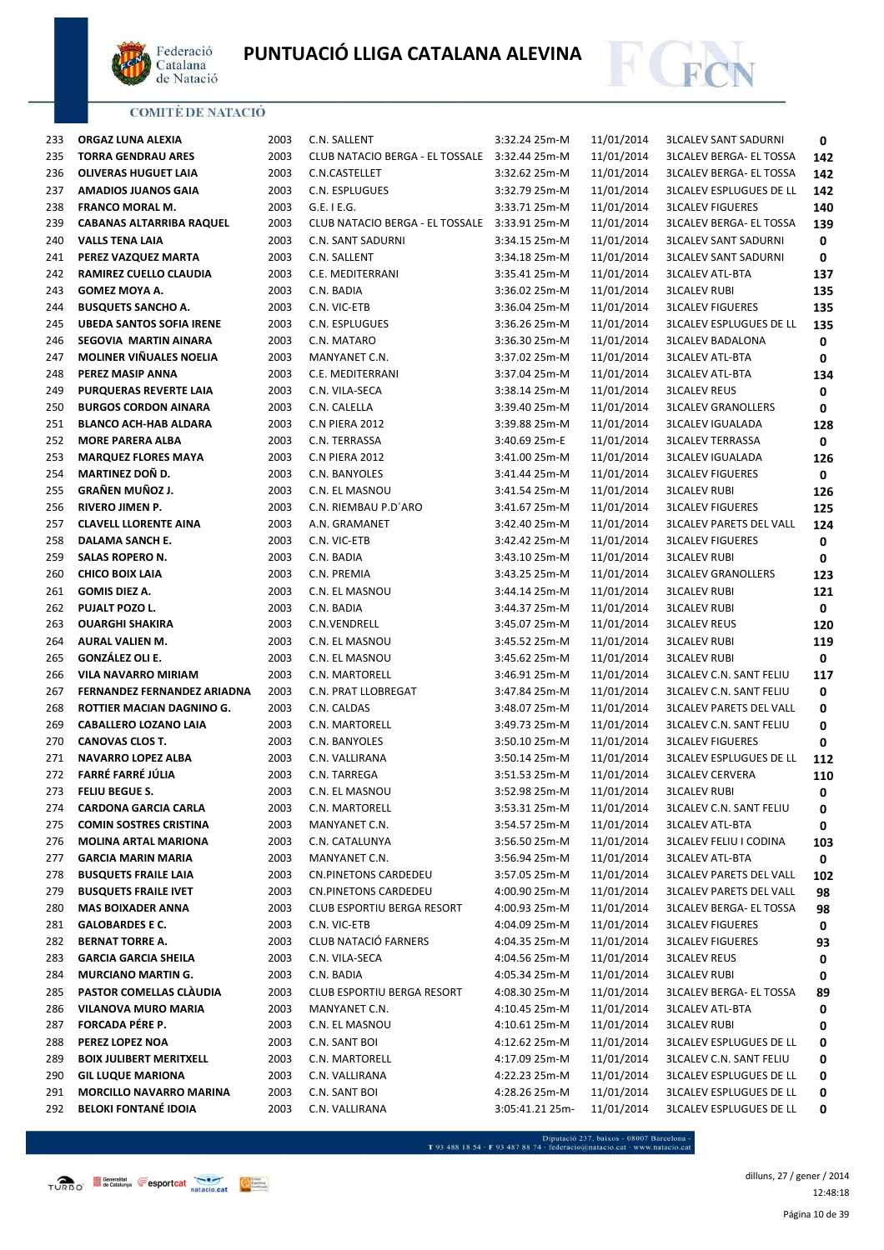



| 233 | ORGAZ LUNA ALEXIA               | 2003 | C.N. SALLENT                    | 3:32.24 25m-M   | 11/01/2014 | <b>3LCALEV SANT SADURNI</b>    | 0   |
|-----|---------------------------------|------|---------------------------------|-----------------|------------|--------------------------------|-----|
| 235 | <b>TORRA GENDRAU ARES</b>       | 2003 | CLUB NATACIO BERGA - EL TOSSALE | 3:32.44 25m-M   | 11/01/2014 | <b>3LCALEV BERGA- EL TOSSA</b> | 142 |
| 236 | <b>OLIVERAS HUGUET LAIA</b>     | 2003 | C.N.CASTELLET                   | 3:32.62 25m-M   | 11/01/2014 | <b>3LCALEV BERGA- EL TOSSA</b> | 142 |
| 237 | <b>AMADIOS JUANOS GAIA</b>      | 2003 | C.N. ESPLUGUES                  | 3:32.79 25m-M   | 11/01/2014 | <b>3LCALEV ESPLUGUES DE LL</b> | 142 |
| 238 | <b>FRANCO MORAL M.</b>          | 2003 | $G.E.$ I E.G.                   | 3:33.71 25m-M   | 11/01/2014 | <b>3LCALEV FIGUERES</b>        | 140 |
| 239 | <b>CABANAS ALTARRIBA RAQUEL</b> | 2003 | CLUB NATACIO BERGA - EL TOSSALE | 3:33.91 25m-M   | 11/01/2014 | <b>3LCALEV BERGA- EL TOSSA</b> | 139 |
| 240 | <b>VALLS TENA LAIA</b>          | 2003 | C.N. SANT SADURNI               | 3:34.15 25m-M   | 11/01/2014 | <b>3LCALEV SANT SADURNI</b>    | 0   |
| 241 | PEREZ VAZQUEZ MARTA             | 2003 | C.N. SALLENT                    | 3:34.18 25m-M   | 11/01/2014 | <b>3LCALEV SANT SADURNI</b>    | 0   |
| 242 | RAMIREZ CUELLO CLAUDIA          | 2003 | C.E. MEDITERRANI                | 3:35.41 25m-M   | 11/01/2014 | <b>3LCALEV ATL-BTA</b>         | 137 |
| 243 | GOMEZ MOYA A.                   | 2003 | C.N. BADIA                      | 3:36.02 25m-M   | 11/01/2014 | <b>3LCALEV RUBI</b>            | 135 |
| 244 | <b>BUSQUETS SANCHO A.</b>       | 2003 | C.N. VIC-ETB                    | 3:36.04 25m-M   | 11/01/2014 | <b>3LCALEV FIGUERES</b>        | 135 |
| 245 | <b>UBEDA SANTOS SOFIA IRENE</b> | 2003 | C.N. ESPLUGUES                  | 3:36.26 25m-M   | 11/01/2014 | <b>3LCALEV ESPLUGUES DE LL</b> | 135 |
| 246 | SEGOVIA MARTIN AINARA           | 2003 | C.N. MATARO                     | 3:36.30 25m-M   | 11/01/2014 | <b>3LCALEV BADALONA</b>        | 0   |
| 247 | MOLINER VIÑUALES NOELIA         | 2003 | MANYANET C.N.                   | 3:37.02 25m-M   | 11/01/2014 | <b>3LCALEV ATL-BTA</b>         | 0   |
| 248 | PEREZ MASIP ANNA                | 2003 | C.E. MEDITERRANI                | 3:37.04 25m-M   | 11/01/2014 | <b>3LCALEV ATL-BTA</b>         | 134 |
| 249 | PURQUERAS REVERTE LAIA          | 2003 | C.N. VILA-SECA                  | 3:38.14 25m-M   | 11/01/2014 | <b>3LCALEV REUS</b>            | 0   |
| 250 | <b>BURGOS CORDON AINARA</b>     | 2003 | C.N. CALELLA                    | 3:39.40 25m-M   | 11/01/2014 | <b>3LCALEV GRANOLLERS</b>      | 0   |
| 251 | <b>BLANCO ACH-HAB ALDARA</b>    | 2003 | C.N PIERA 2012                  | 3:39.88 25m-M   | 11/01/2014 | <b>3LCALEV IGUALADA</b>        | 128 |
| 252 | <b>MORE PARERA ALBA</b>         | 2003 | C.N. TERRASSA                   | 3:40.69 25m-E   | 11/01/2014 | <b>3LCALEV TERRASSA</b>        | 0   |
| 253 | <b>MARQUEZ FLORES MAYA</b>      | 2003 | C.N PIERA 2012                  | 3:41.00 25m-M   | 11/01/2014 | <b>3LCALEV IGUALADA</b>        | 126 |
| 254 | <b>MARTINEZ DOÑ D.</b>          | 2003 | C.N. BANYOLES                   | 3:41.44 25m-M   | 11/01/2014 | <b>3LCALEV FIGUERES</b>        | 0   |
| 255 | <b>GRAÑEN MUÑOZ J.</b>          | 2003 | C.N. EL MASNOU                  | 3:41.54 25m-M   | 11/01/2014 | <b>3LCALEV RUBI</b>            | 126 |
| 256 | <b>RIVERO JIMEN P.</b>          | 2003 | C.N. RIEMBAU P.D'ARO            | 3:41.67 25m-M   | 11/01/2014 | <b>3LCALEV FIGUERES</b>        | 125 |
| 257 | <b>CLAVELL LLORENTE AINA</b>    | 2003 | A.N. GRAMANET                   | 3:42.40 25m-M   | 11/01/2014 | <b>3LCALEV PARETS DEL VALL</b> | 124 |
| 258 | DALAMA SANCH E.                 | 2003 | C.N. VIC-ETB                    | 3:42.42 25m-M   | 11/01/2014 | <b>3LCALEV FIGUERES</b>        | 0   |
| 259 | SALAS ROPERO N.                 | 2003 | C.N. BADIA                      | 3:43.10 25m-M   | 11/01/2014 | <b>3LCALEV RUBI</b>            | 0   |
| 260 | <b>CHICO BOIX LAIA</b>          | 2003 | C.N. PREMIA                     | 3:43.25 25m-M   | 11/01/2014 | <b>3LCALEV GRANOLLERS</b>      | 123 |
| 261 | GOMIS DIEZ A.                   | 2003 | C.N. EL MASNOU                  | 3:44.14 25m-M   | 11/01/2014 | <b>3LCALEV RUBI</b>            | 121 |
| 262 | PUJALT POZO L.                  | 2003 | C.N. BADIA                      | 3:44.37 25m-M   | 11/01/2014 | <b>3LCALEV RUBI</b>            | 0   |
| 263 | <b>OUARGHI SHAKIRA</b>          | 2003 | C.N.VENDRELL                    | 3:45.07 25m-M   | 11/01/2014 | <b>3LCALEV REUS</b>            | 120 |
| 264 | AURAL VALIEN M.                 | 2003 | C.N. EL MASNOU                  | 3:45.52 25m-M   | 11/01/2014 | <b>3LCALEV RUBI</b>            | 119 |
| 265 | GONZÁLEZ OLI E.                 | 2003 | C.N. EL MASNOU                  | 3:45.62 25m-M   | 11/01/2014 | <b>3LCALEV RUBI</b>            | 0   |
| 266 | <b>VILA NAVARRO MIRIAM</b>      | 2003 | C.N. MARTORELL                  | 3:46.91 25m-M   | 11/01/2014 | <b>3LCALEV C.N. SANT FELIU</b> | 117 |
| 267 | FERNANDEZ FERNANDEZ ARIADNA     | 2003 | C.N. PRAT LLOBREGAT             | 3:47.84 25m-M   | 11/01/2014 | <b>3LCALEV C.N. SANT FELIU</b> | 0   |
| 268 | ROTTIER MACIAN DAGNINO G.       | 2003 | C.N. CALDAS                     | 3:48.07 25m-M   | 11/01/2014 | <b>3LCALEV PARETS DEL VALL</b> | 0   |
| 269 | <b>CABALLERO LOZANO LAIA</b>    | 2003 | C.N. MARTORELL                  | 3:49.73 25m-M   | 11/01/2014 | <b>3LCALEV C.N. SANT FELIU</b> | 0   |
| 270 | <b>CANOVAS CLOS T.</b>          | 2003 | C.N. BANYOLES                   | 3:50.10 25m-M   | 11/01/2014 | <b>3LCALEV FIGUERES</b>        | 0   |
| 271 | <b>NAVARRO LOPEZ ALBA</b>       | 2003 | C.N. VALLIRANA                  | 3:50.14 25m-M   | 11/01/2014 | <b>3LCALEV ESPLUGUES DE LL</b> | 112 |
| 272 | FARRÉ FARRÉ JÚLIA               | 2003 | C.N. TARREGA                    | 3:51.53 25m-M   | 11/01/2014 | <b>3LCALEV CERVERA</b>         | 110 |
| 273 | FELIU BEGUE S.                  | 2003 | C.N. EL MASNOU                  | 3:52.98 25m-M   | 11/01/2014 | <b>3LCALEV RUBI</b>            | 0   |
| 274 | <b>CARDONA GARCIA CARLA</b>     | 2003 | C.N. MARTORELL                  | 3:53.31 25m-M   | 11/01/2014 | <b>3LCALEV C.N. SANT FELIU</b> | 0   |
| 275 | <b>COMIN SOSTRES CRISTINA</b>   | 2003 | MANYANET C.N.                   | 3:54.57 25m-M   | 11/01/2014 | <b>3LCALEV ATL-BTA</b>         | 0   |
| 276 | <b>MOLINA ARTAL MARIONA</b>     | 2003 | C.N. CATALUNYA                  | 3:56.50 25m-M   | 11/01/2014 | <b>3LCALEV FELIU I CODINA</b>  | 103 |
| 277 | <b>GARCIA MARIN MARIA</b>       | 2003 | MANYANET C.N.                   | 3:56.94 25m-M   | 11/01/2014 | <b>3LCALEV ATL-BTA</b>         | 0   |
| 278 | <b>BUSQUETS FRAILE LAIA</b>     | 2003 | <b>CN.PINETONS CARDEDEU</b>     | 3:57.05 25m-M   | 11/01/2014 | <b>3LCALEV PARETS DEL VALL</b> | 102 |
| 279 | <b>BUSQUETS FRAILE IVET</b>     | 2003 | CN.PINETONS CARDEDEU            | 4:00.90 25m-M   | 11/01/2014 | <b>3LCALEV PARETS DEL VALL</b> | 98  |
| 280 | <b>MAS BOIXADER ANNA</b>        | 2003 | CLUB ESPORTIU BERGA RESORT      | 4:00.93 25m-M   | 11/01/2014 | <b>3LCALEV BERGA- EL TOSSA</b> | 98  |
| 281 | <b>GALOBARDES E C.</b>          | 2003 | C.N. VIC-ETB                    | 4:04.09 25m-M   | 11/01/2014 | <b>3LCALEV FIGUERES</b>        | 0   |
| 282 | <b>BERNAT TORRE A.</b>          | 2003 | CLUB NATACIÓ FARNERS            | 4:04.35 25m-M   | 11/01/2014 | <b>3LCALEV FIGUERES</b>        | 93  |
| 283 | <b>GARCIA GARCIA SHEILA</b>     | 2003 | C.N. VILA-SECA                  | 4:04.56 25m-M   | 11/01/2014 | <b>3LCALEV REUS</b>            | 0   |
| 284 | <b>MURCIANO MARTIN G.</b>       | 2003 | C.N. BADIA                      | 4:05.34 25m-M   | 11/01/2014 | <b>3LCALEV RUBI</b>            | 0   |
| 285 | PASTOR COMELLAS CLAUDIA         | 2003 | CLUB ESPORTIU BERGA RESORT      | 4:08.30 25m-M   | 11/01/2014 | <b>3LCALEV BERGA- EL TOSSA</b> | 89  |
| 286 | <b>VILANOVA MURO MARIA</b>      | 2003 | MANYANET C.N.                   | 4:10.45 25m-M   | 11/01/2014 | <b>3LCALEV ATL-BTA</b>         | 0   |
| 287 | FORCADA PÉRE P.                 | 2003 | C.N. EL MASNOU                  | 4:10.61 25m-M   | 11/01/2014 | <b>3LCALEV RUBI</b>            | 0   |
| 288 | PEREZ LOPEZ NOA                 | 2003 | C.N. SANT BOI                   | 4:12.62 25m-M   | 11/01/2014 | <b>3LCALEV ESPLUGUES DE LL</b> | 0   |
| 289 | <b>BOIX JULIBERT MERITXELL</b>  | 2003 | C.N. MARTORELL                  | 4:17.09 25m-M   | 11/01/2014 | <b>3LCALEV C.N. SANT FELIU</b> | 0   |
| 290 | <b>GIL LUQUE MARIONA</b>        | 2003 | C.N. VALLIRANA                  | 4:22.23 25m-M   | 11/01/2014 | <b>3LCALEV ESPLUGUES DE LL</b> | 0   |
| 291 | <b>MORCILLO NAVARRO MARINA</b>  | 2003 | C.N. SANT BOI                   | 4:28.26 25m-M   | 11/01/2014 | <b>3LCALEV ESPLUGUES DE LL</b> | 0   |
| 292 | <b>BELOKI FONTANÉ IDOIA</b>     | 2003 | C.N. VALLIRANA                  | 3:05:41.21 25m- | 11/01/2014 | <b>3LCALEV ESPLUGUES DE LL</b> | 0   |
|     |                                 |      |                                 |                 |            |                                |     |

 $\begin{minipage}{.45\textwidth} \begin{minipage}{.45\textwidth} \begin{tabular}{l} \bf{7.93.488.18.54\cdot F93.487.88.74\cdot{} \textbf{f} & \textbf{f} & \textbf{f} & \textbf{f} & \textbf{f} & \textbf{f} & \textbf{f} & \textbf{f} & \textbf{f} & \textbf{f} & \textbf{f} & \textbf{f} & \textbf{f} & \textbf{f} & \textbf{f} \\ \end{tabular} \end{minipage} \begin{minipage}{.45\textwidth} \begin{minipage}{.45\textwidth} \begin{$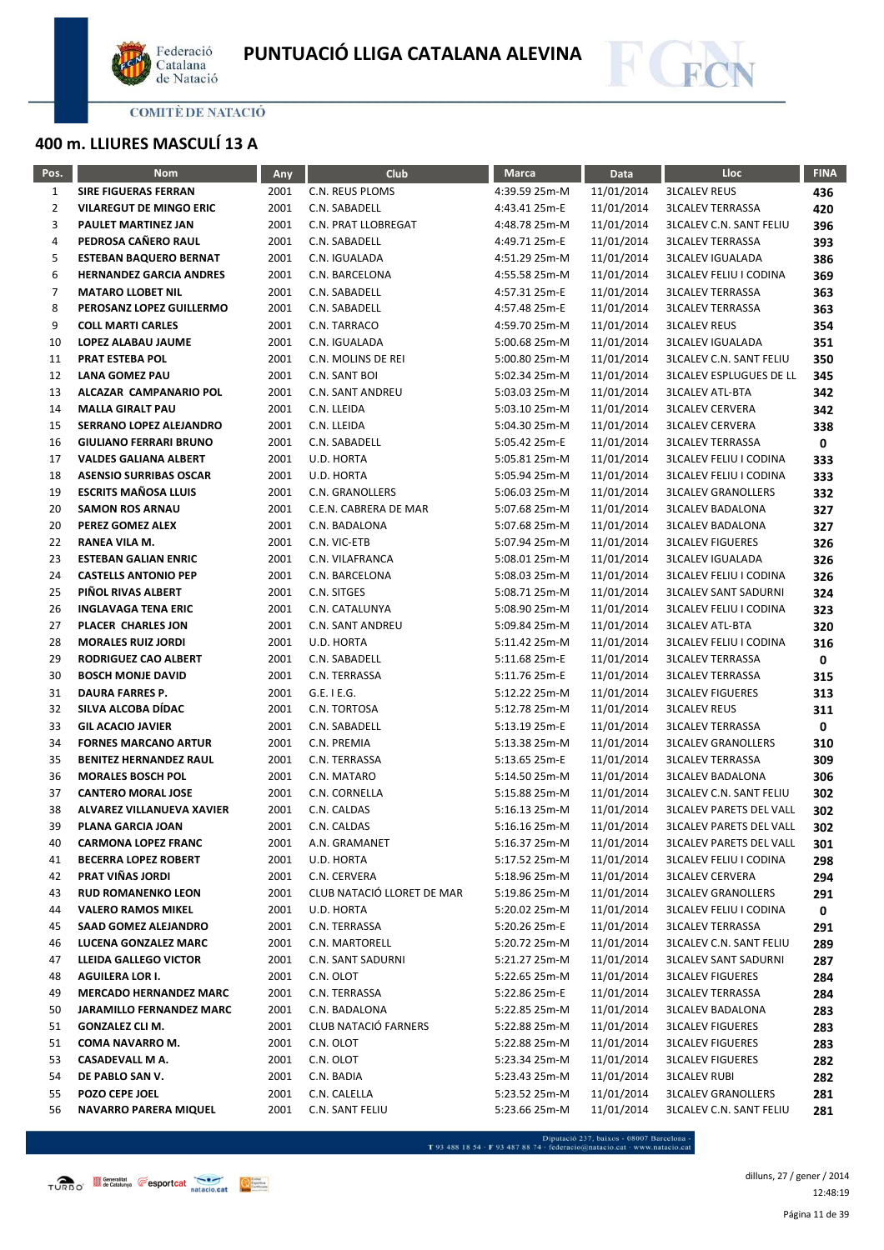



# **400 m. LLIURES MASCULÍ 13 A**

| Pos.           | <b>Nom</b>                      | Any  | Club                       | <b>Marca</b>  | Data       | Lloc                           | <b>FINA</b> |
|----------------|---------------------------------|------|----------------------------|---------------|------------|--------------------------------|-------------|
| $\mathbf{1}$   | <b>SIRE FIGUERAS FERRAN</b>     | 2001 | C.N. REUS PLOMS            | 4:39.59 25m-M | 11/01/2014 | <b>3LCALEV REUS</b>            | 436         |
| $\overline{2}$ | <b>VILAREGUT DE MINGO ERIC</b>  | 2001 | C.N. SABADELL              | 4:43.41 25m-E | 11/01/2014 | <b>3LCALEV TERRASSA</b>        | 420         |
| 3              | PAULET MARTINEZ JAN             | 2001 | C.N. PRAT LLOBREGAT        | 4:48.78 25m-M | 11/01/2014 | <b>3LCALEV C.N. SANT FELIU</b> | 396         |
| 4              | PEDROSA CAÑERO RAUL             | 2001 | C.N. SABADELL              | 4:49.71 25m-E | 11/01/2014 | <b>3LCALEV TERRASSA</b>        | 393         |
| 5              | <b>ESTEBAN BAQUERO BERNAT</b>   | 2001 | C.N. IGUALADA              | 4:51.29 25m-M | 11/01/2014 | <b>3LCALEV IGUALADA</b>        | 386         |
| 6              | <b>HERNANDEZ GARCIA ANDRES</b>  | 2001 | C.N. BARCELONA             | 4:55.58 25m-M | 11/01/2014 | <b>3LCALEV FELIU I CODINA</b>  | 369         |
| $\overline{7}$ | <b>MATARO LLOBET NIL</b>        | 2001 | C.N. SABADELL              | 4:57.31 25m-E | 11/01/2014 | <b>3LCALEV TERRASSA</b>        | 363         |
| 8              | PEROSANZ LOPEZ GUILLERMO        | 2001 | C.N. SABADELL              | 4:57.48 25m-E | 11/01/2014 | <b>3LCALEV TERRASSA</b>        | 363         |
| 9              | <b>COLL MARTI CARLES</b>        | 2001 | C.N. TARRACO               | 4:59.70 25m-M | 11/01/2014 | <b>3LCALEV REUS</b>            | 354         |
| 10             | LOPEZ ALABAU JAUME              | 2001 | C.N. IGUALADA              | 5:00.68 25m-M | 11/01/2014 | <b>3LCALEV IGUALADA</b>        | 351         |
| 11             | <b>PRAT ESTEBA POL</b>          | 2001 | C.N. MOLINS DE REI         | 5:00.80 25m-M | 11/01/2014 | <b>3LCALEV C.N. SANT FELIU</b> | 350         |
| 12             | LANA GOMEZ PAU                  | 2001 | C.N. SANT BOI              | 5:02.34 25m-M | 11/01/2014 | <b>3LCALEV ESPLUGUES DE LL</b> | 345         |
| 13             | ALCAZAR CAMPANARIO POL          | 2001 | C.N. SANT ANDREU           | 5:03.03 25m-M | 11/01/2014 | <b>3LCALEV ATL-BTA</b>         | 342         |
| 14             | <b>MALLA GIRALT PAU</b>         | 2001 | C.N. LLEIDA                | 5:03.10 25m-M | 11/01/2014 | <b>3LCALEV CERVERA</b>         | 342         |
| 15             | SERRANO LOPEZ ALEJANDRO         | 2001 | C.N. LLEIDA                | 5:04.30 25m-M | 11/01/2014 | <b>3LCALEV CERVERA</b>         | 338         |
| 16             | <b>GIULIANO FERRARI BRUNO</b>   | 2001 | C.N. SABADELL              | 5:05.42 25m-E | 11/01/2014 | <b>3LCALEV TERRASSA</b>        | 0           |
| 17             | <b>VALDES GALIANA ALBERT</b>    | 2001 | U.D. HORTA                 | 5:05.81 25m-M | 11/01/2014 | <b>3LCALEV FELIU I CODINA</b>  | 333         |
| 18             | <b>ASENSIO SURRIBAS OSCAR</b>   | 2001 | U.D. HORTA                 | 5:05.94 25m-M | 11/01/2014 | <b>3LCALEV FELIU I CODINA</b>  | 333         |
| 19             | <b>ESCRITS MAÑOSA LLUIS</b>     | 2001 | C.N. GRANOLLERS            | 5:06.03 25m-M | 11/01/2014 | <b>3LCALEV GRANOLLERS</b>      | 332         |
| 20             | <b>SAMON ROS ARNAU</b>          | 2001 | C.E.N. CABRERA DE MAR      | 5:07.68 25m-M | 11/01/2014 | <b>3LCALEV BADALONA</b>        | 327         |
| 20             | PEREZ GOMEZ ALEX                | 2001 | C.N. BADALONA              | 5:07.68 25m-M | 11/01/2014 | <b>3LCALEV BADALONA</b>        | 327         |
| 22             | RANEA VILA M.                   | 2001 | C.N. VIC-ETB               | 5:07.94 25m-M | 11/01/2014 | <b>3LCALEV FIGUERES</b>        | 326         |
| 23             | <b>ESTEBAN GALIAN ENRIC</b>     | 2001 | C.N. VILAFRANCA            | 5:08.01 25m-M | 11/01/2014 | <b>3LCALEV IGUALADA</b>        | 326         |
| 24             | <b>CASTELLS ANTONIO PEP</b>     | 2001 | C.N. BARCELONA             | 5:08.03 25m-M | 11/01/2014 | <b>3LCALEV FELIU I CODINA</b>  | 326         |
| 25             | PIÑOL RIVAS ALBERT              | 2001 | C.N. SITGES                | 5:08.71 25m-M | 11/01/2014 | <b>3LCALEV SANT SADURNI</b>    | 324         |
| 26             | <b>INGLAVAGA TENA ERIC</b>      | 2001 | C.N. CATALUNYA             | 5:08.90 25m-M | 11/01/2014 | <b>3LCALEV FELIU I CODINA</b>  | 323         |
| 27             | PLACER CHARLES JON              | 2001 | C.N. SANT ANDREU           | 5:09.84 25m-M | 11/01/2014 | <b>3LCALEV ATL-BTA</b>         | 320         |
| 28             | <b>MORALES RUIZ JORDI</b>       | 2001 | U.D. HORTA                 | 5:11.42 25m-M | 11/01/2014 | <b>3LCALEV FELIU I CODINA</b>  | 316         |
| 29             | RODRIGUEZ CAO ALBERT            | 2001 | C.N. SABADELL              | 5:11.68 25m-E | 11/01/2014 | <b>3LCALEV TERRASSA</b>        | 0           |
| 30             | <b>BOSCH MONJE DAVID</b>        | 2001 | C.N. TERRASSA              | 5:11.76 25m-E | 11/01/2014 | <b>3LCALEV TERRASSA</b>        | 315         |
| 31             | DAURA FARRES P.                 | 2001 | G.E. I E.G.                | 5:12.22 25m-M | 11/01/2014 | <b>3LCALEV FIGUERES</b>        | 313         |
| 32             | SILVA ALCOBA DÍDAC              | 2001 | C.N. TORTOSA               | 5:12.78 25m-M | 11/01/2014 | <b>3LCALEV REUS</b>            | 311         |
| 33             | <b>GIL ACACIO JAVIER</b>        | 2001 | C.N. SABADELL              | 5:13.19 25m-E | 11/01/2014 | <b>3LCALEV TERRASSA</b>        | 0           |
| 34             | <b>FORNES MARCANO ARTUR</b>     | 2001 | C.N. PREMIA                | 5:13.38 25m-M | 11/01/2014 | <b>3LCALEV GRANOLLERS</b>      | 310         |
| 35             | <b>BENITEZ HERNANDEZ RAUL</b>   | 2001 | C.N. TERRASSA              | 5:13.65 25m-E | 11/01/2014 | <b>3LCALEV TERRASSA</b>        | 309         |
| 36             | <b>MORALES BOSCH POL</b>        | 2001 | C.N. MATARO                | 5:14.50 25m-M | 11/01/2014 | <b>3LCALEV BADALONA</b>        | 306         |
| 37             | <b>CANTERO MORAL JOSE</b>       | 2001 | C.N. CORNELLA              | 5:15.88 25m-M | 11/01/2014 | <b>3LCALEV C.N. SANT FELIU</b> | 302         |
| 38             | ALVAREZ VILLANUEVA XAVIER       | 2001 | C.N. CALDAS                | 5:16.13 25m-M | 11/01/2014 | <b>3LCALEV PARETS DEL VALL</b> | 302         |
| 39             | PLANA GARCIA JOAN               | 2001 | C.N. CALDAS                | 5:16.16 25m-M | 11/01/2014 | <b>3LCALEV PARETS DEL VALL</b> | 302         |
| 40             | <b>CARMONA LOPEZ FRANC</b>      | 2001 | A.N. GRAMANET              | 5:16.37 25m-M | 11/01/2014 | <b>3LCALEV PARETS DEL VALL</b> | 301         |
| 41             | <b>BECERRA LOPEZ ROBERT</b>     | 2001 | U.D. HORTA                 | 5:17.52 25m-M | 11/01/2014 | <b>3LCALEV FELIU I CODINA</b>  | 298         |
| 42             | PRAT VIÑAS JORDI                | 2001 | C.N. CERVERA               | 5:18.96 25m-M | 11/01/2014 | <b>3LCALEV CERVERA</b>         | 294         |
| 43             | <b>RUD ROMANENKO LEON</b>       | 2001 | CLUB NATACIÓ LLORET DE MAR | 5:19.86 25m-M | 11/01/2014 | <b>3LCALEV GRANOLLERS</b>      | 291         |
| 44             | <b>VALERO RAMOS MIKEL</b>       | 2001 | U.D. HORTA                 | 5:20.02 25m-M | 11/01/2014 | <b>3LCALEV FELIU I CODINA</b>  | 0           |
| 45             | SAAD GOMEZ ALEJANDRO            | 2001 | C.N. TERRASSA              | 5:20.26 25m-E | 11/01/2014 | <b>3LCALEV TERRASSA</b>        | 291         |
| 46             | LUCENA GONZALEZ MARC            | 2001 | C.N. MARTORELL             | 5:20.72 25m-M | 11/01/2014 | <b>3LCALEV C.N. SANT FELIU</b> | 289         |
| 47             | <b>LLEIDA GALLEGO VICTOR</b>    | 2001 | C.N. SANT SADURNI          | 5:21.27 25m-M | 11/01/2014 | <b>3LCALEV SANT SADURNI</b>    | 287         |
| 48             | <b>AGUILERA LOR I.</b>          | 2001 | C.N. OLOT                  | 5:22.65 25m-M | 11/01/2014 | <b>3LCALEV FIGUERES</b>        | 284         |
| 49             | <b>MERCADO HERNANDEZ MARC</b>   | 2001 | C.N. TERRASSA              | 5:22.86 25m-E | 11/01/2014 | <b>3LCALEV TERRASSA</b>        | 284         |
| 50             | <b>JARAMILLO FERNANDEZ MARC</b> | 2001 | C.N. BADALONA              | 5:22.85 25m-M | 11/01/2014 | <b>3LCALEV BADALONA</b>        | 283         |
| 51             | <b>GONZALEZ CLI M.</b>          | 2001 | CLUB NATACIÓ FARNERS       | 5:22.88 25m-M | 11/01/2014 | <b>3LCALEV FIGUERES</b>        | 283         |
| 51             | COMA NAVARRO M.                 | 2001 | C.N. OLOT                  | 5:22.88 25m-M | 11/01/2014 | <b>3LCALEV FIGUERES</b>        | 283         |
| 53             | CASADEVALL M A.                 | 2001 | C.N. OLOT                  | 5:23.34 25m-M | 11/01/2014 | <b>3LCALEV FIGUERES</b>        | 282         |
| 54             | DE PABLO SAN V.                 | 2001 | C.N. BADIA                 | 5:23.43 25m-M | 11/01/2014 | <b>3LCALEV RUBI</b>            | 282         |
| 55             | POZO CEPE JOEL                  | 2001 | C.N. CALELLA               | 5:23.52 25m-M | 11/01/2014 | <b>3LCALEV GRANOLLERS</b>      | 281         |
| 56             | NAVARRO PARERA MIQUEL           | 2001 | C.N. SANT FELIU            | 5:23.66 25m-M | 11/01/2014 | <b>3LCALEV C.N. SANT FELIU</b> | 281         |

- Diputació 237, baixos - 08007 Barcelona<br>T 93 488 18 54 · F 93 487 88 74 · federacio@natacio.cat · www.natacio.cat

Página 11 de 39 dilluns, 27 / gener / 2014 12:48:19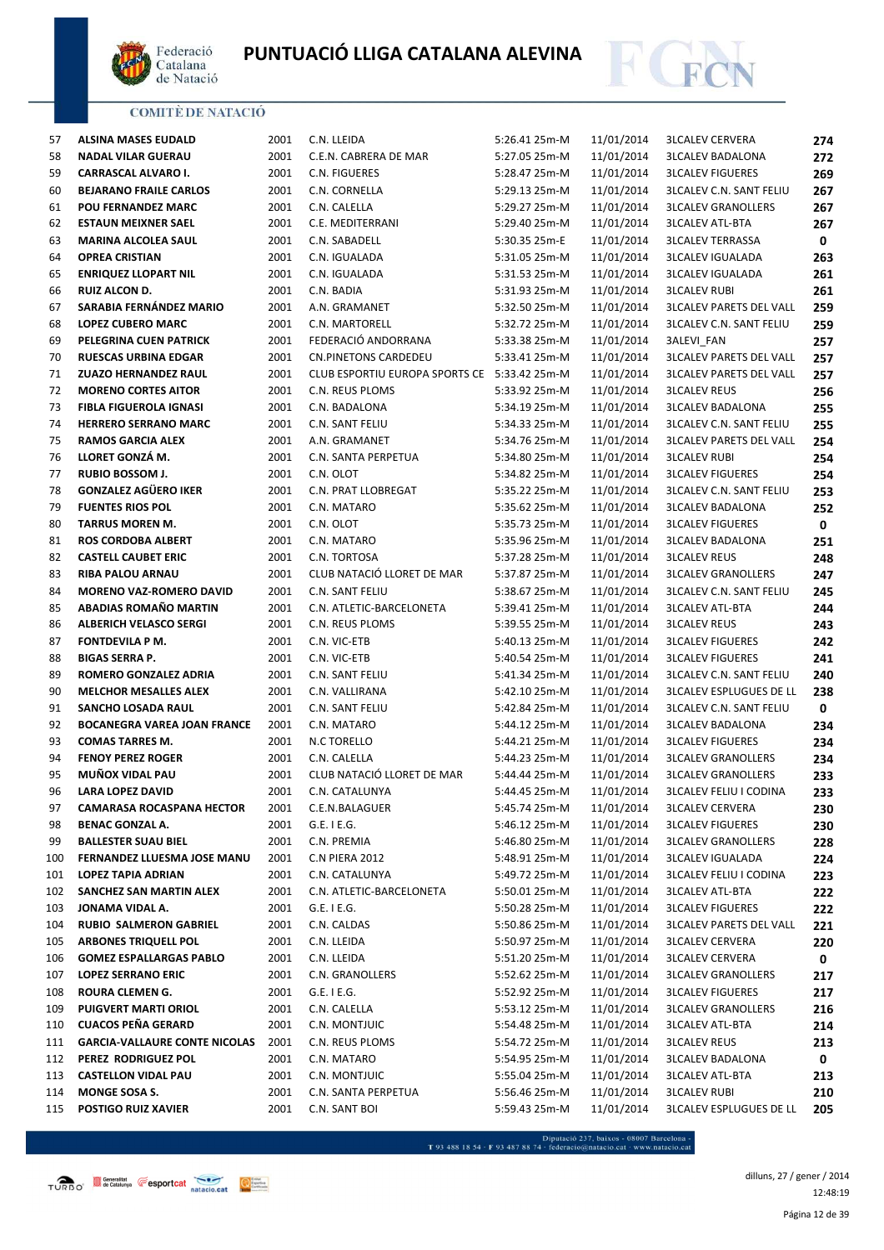



| 57  | <b>ALSINA MASES EUDALD</b>           | 2001 | C.N. LLEIDA                                  | 5:26.41 25m-M | 11/01/2014 | <b>3LCALEV CERVERA</b>         | 274 |
|-----|--------------------------------------|------|----------------------------------------------|---------------|------------|--------------------------------|-----|
| 58  | <b>NADAL VILAR GUERAU</b>            | 2001 | C.E.N. CABRERA DE MAR                        | 5:27.05 25m-M | 11/01/2014 | <b>3LCALEV BADALONA</b>        | 272 |
| 59  | CARRASCAL ALVARO I.                  | 2001 | C.N. FIGUERES                                | 5:28.47 25m-M | 11/01/2014 | <b>3LCALEV FIGUERES</b>        | 269 |
| 60  | <b>BEJARANO FRAILE CARLOS</b>        | 2001 | C.N. CORNELLA                                | 5:29.13 25m-M | 11/01/2014 | <b>3LCALEV C.N. SANT FELIU</b> | 267 |
| 61  | POU FERNANDEZ MARC                   | 2001 | C.N. CALELLA                                 | 5:29.27 25m-M | 11/01/2014 | <b>3LCALEV GRANOLLERS</b>      | 267 |
| 62  | <b>ESTAUN MEIXNER SAEL</b>           | 2001 | C.E. MEDITERRANI                             | 5:29.40 25m-M | 11/01/2014 | <b>3LCALEV ATL-BTA</b>         | 267 |
| 63  | MARINA ALCOLEA SAUL                  | 2001 | C.N. SABADELL                                | 5:30.35 25m-E | 11/01/2014 | <b>3LCALEV TERRASSA</b>        | 0   |
| 64  | <b>OPREA CRISTIAN</b>                | 2001 | C.N. IGUALADA                                | 5:31.05 25m-M | 11/01/2014 | <b>3LCALEV IGUALADA</b>        | 263 |
| 65  | <b>ENRIQUEZ LLOPART NIL</b>          | 2001 | C.N. IGUALADA                                | 5:31.53 25m-M | 11/01/2014 | <b>3LCALEV IGUALADA</b>        | 261 |
| 66  | <b>RUIZ ALCON D.</b>                 | 2001 | C.N. BADIA                                   | 5:31.93 25m-M | 11/01/2014 | <b>3LCALEV RUBI</b>            | 261 |
| 67  | SARABIA FERNÁNDEZ MARIO              | 2001 | A.N. GRAMANET                                | 5:32.50 25m-M | 11/01/2014 | <b>3LCALEV PARETS DEL VALL</b> | 259 |
| 68  | <b>LOPEZ CUBERO MARC</b>             | 2001 | C.N. MARTORELL                               | 5:32.72 25m-M | 11/01/2014 | <b>3LCALEV C.N. SANT FELIU</b> | 259 |
| 69  | PELEGRINA CUEN PATRICK               | 2001 | FEDERACIÓ ANDORRANA                          | 5:33.38 25m-M | 11/01/2014 | 3ALEVI_FAN                     | 257 |
| 70  | <b>RUESCAS URBINA EDGAR</b>          | 2001 | CN.PINETONS CARDEDEU                         | 5:33.41 25m-M | 11/01/2014 | <b>3LCALEV PARETS DEL VALL</b> | 257 |
| 71  | <b>ZUAZO HERNANDEZ RAUL</b>          | 2001 | CLUB ESPORTIU EUROPA SPORTS CE 5:33.42 25m-M |               | 11/01/2014 | <b>3LCALEV PARETS DEL VALL</b> | 257 |
| 72  | <b>MORENO CORTES AITOR</b>           | 2001 | C.N. REUS PLOMS                              | 5:33.92 25m-M | 11/01/2014 | <b>3LCALEV REUS</b>            | 256 |
| 73  | <b>FIBLA FIGUEROLA IGNASI</b>        | 2001 | C.N. BADALONA                                | 5:34.19 25m-M | 11/01/2014 | <b>3LCALEV BADALONA</b>        | 255 |
| 74  | <b>HERRERO SERRANO MARC</b>          | 2001 | C.N. SANT FELIU                              | 5:34.33 25m-M | 11/01/2014 | <b>3LCALEV C.N. SANT FELIU</b> | 255 |
| 75  | <b>RAMOS GARCIA ALEX</b>             | 2001 | A.N. GRAMANET                                | 5:34.76 25m-M | 11/01/2014 | <b>3LCALEV PARETS DEL VALL</b> | 254 |
| 76  | LLORET GONZÁ M.                      | 2001 | C.N. SANTA PERPETUA                          | 5:34.80 25m-M | 11/01/2014 | <b>3LCALEV RUBI</b>            | 254 |
| 77  | RUBIO BOSSOM J.                      | 2001 | C.N. OLOT                                    | 5:34.82 25m-M | 11/01/2014 | <b>3LCALEV FIGUERES</b>        | 254 |
| 78  | <b>GONZALEZ AGÜERO IKER</b>          | 2001 | C.N. PRAT LLOBREGAT                          | 5:35.22 25m-M | 11/01/2014 | <b>3LCALEV C.N. SANT FELIU</b> | 253 |
| 79  | <b>FUENTES RIOS POL</b>              | 2001 | C.N. MATARO                                  | 5:35.62 25m-M | 11/01/2014 | <b>3LCALEV BADALONA</b>        | 252 |
| 80  | <b>TARRUS MOREN M.</b>               | 2001 | C.N. OLOT                                    | 5:35.73 25m-M | 11/01/2014 | <b>3LCALEV FIGUERES</b>        | 0   |
| 81  | <b>ROS CORDOBA ALBERT</b>            | 2001 | C.N. MATARO                                  | 5:35.96 25m-M | 11/01/2014 | <b>3LCALEV BADALONA</b>        | 251 |
| 82  | <b>CASTELL CAUBET ERIC</b>           | 2001 | C.N. TORTOSA                                 | 5:37.28 25m-M | 11/01/2014 | <b>3LCALEV REUS</b>            | 248 |
| 83  | RIBA PALOU ARNAU                     | 2001 | CLUB NATACIÓ LLORET DE MAR                   | 5:37.87 25m-M | 11/01/2014 | <b>3LCALEV GRANOLLERS</b>      | 247 |
| 84  | <b>MORENO VAZ-ROMERO DAVID</b>       | 2001 | C.N. SANT FELIU                              | 5:38.67 25m-M | 11/01/2014 | <b>3LCALEV C.N. SANT FELIU</b> | 245 |
| 85  | ABADIAS ROMAÑO MARTIN                | 2001 | C.N. ATLETIC-BARCELONETA                     | 5:39.41 25m-M | 11/01/2014 | <b>3LCALEV ATL-BTA</b>         | 244 |
| 86  | <b>ALBERICH VELASCO SERGI</b>        | 2001 | C.N. REUS PLOMS                              | 5:39.55 25m-M | 11/01/2014 | <b>3LCALEV REUS</b>            | 243 |
| 87  | FONTDEVILA P M.                      | 2001 | C.N. VIC-ETB                                 | 5:40.13 25m-M | 11/01/2014 | <b>3LCALEV FIGUERES</b>        | 242 |
| 88  | <b>BIGAS SERRA P.</b>                | 2001 | C.N. VIC-ETB                                 | 5:40.54 25m-M | 11/01/2014 | <b>3LCALEV FIGUERES</b>        | 241 |
| 89  | ROMERO GONZALEZ ADRIA                | 2001 | C.N. SANT FELIU                              | 5:41.34 25m-M | 11/01/2014 | <b>3LCALEV C.N. SANT FELIU</b> | 240 |
| 90  | <b>MELCHOR MESALLES ALEX</b>         | 2001 | C.N. VALLIRANA                               | 5:42.10 25m-M | 11/01/2014 | <b>3LCALEV ESPLUGUES DE LL</b> | 238 |
| 91  | SANCHO LOSADA RAUL                   | 2001 | C.N. SANT FELIU                              | 5:42.84 25m-M | 11/01/2014 | <b>3LCALEV C.N. SANT FELIU</b> | 0   |
| 92  | <b>BOCANEGRA VAREA JOAN FRANCE</b>   | 2001 | C.N. MATARO                                  | 5:44.12 25m-M | 11/01/2014 | <b>3LCALEV BADALONA</b>        | 234 |
| 93  | <b>COMAS TARRES M.</b>               | 2001 | N.C TORELLO                                  | 5:44.21 25m-M | 11/01/2014 | <b>3LCALEV FIGUERES</b>        | 234 |
| 94  | <b>FENOY PEREZ ROGER</b>             | 2001 | C.N. CALELLA                                 | 5:44.23 25m-M | 11/01/2014 | <b>3LCALEV GRANOLLERS</b>      | 234 |
| 95  | MUÑOX VIDAL PAU                      | 2001 | CLUB NATACIÓ LLORET DE MAR                   | 5:44.44 25m-M | 11/01/2014 | <b>3LCALEV GRANOLLERS</b>      | 233 |
| 96  | <b>LARA LOPEZ DAVID</b>              | 2001 | C.N. CATALUNYA                               | 5:44.45 25m-M | 11/01/2014 | <b>3LCALEV FELIU I CODINA</b>  | 233 |
| 97  | <b>CAMARASA ROCASPANA HECTOR</b>     | 2001 | C.E.N.BALAGUER                               | 5:45.74 25m-M | 11/01/2014 | <b>3LCALEV CERVERA</b>         | 230 |
| 98  | <b>BENAC GONZAL A.</b>               | 2001 | $G.E.$ I E.G.                                | 5:46.12 25m-M | 11/01/2014 | <b>3LCALEV FIGUERES</b>        | 230 |
| 99  | <b>BALLESTER SUAU BIEL</b>           | 2001 | C.N. PREMIA                                  | 5:46.80 25m-M | 11/01/2014 | <b>3LCALEV GRANOLLERS</b>      | 228 |
| 100 | FERNANDEZ LLUESMA JOSE MANU          | 2001 | C.N PIERA 2012                               | 5:48.91 25m-M | 11/01/2014 | <b>3LCALEV IGUALADA</b>        | 224 |
| 101 | <b>LOPEZ TAPIA ADRIAN</b>            | 2001 | C.N. CATALUNYA                               | 5:49.72 25m-M | 11/01/2014 | <b>3LCALEV FELIU I CODINA</b>  | 223 |
| 102 | SANCHEZ SAN MARTIN ALEX              | 2001 | C.N. ATLETIC-BARCELONETA                     | 5:50.01 25m-M | 11/01/2014 | <b>3LCALEV ATL-BTA</b>         | 222 |
| 103 | JONAMA VIDAL A.                      | 2001 | $G.E.$ I E.G.                                | 5:50.28 25m-M | 11/01/2014 | <b>3LCALEV FIGUERES</b>        | 222 |
| 104 | <b>RUBIO SALMERON GABRIEL</b>        | 2001 | C.N. CALDAS                                  | 5:50.86 25m-M | 11/01/2014 | <b>3LCALEV PARETS DEL VALL</b> | 221 |
| 105 | <b>ARBONES TRIQUELL POL</b>          | 2001 | C.N. LLEIDA                                  | 5:50.97 25m-M | 11/01/2014 | <b>3LCALEV CERVERA</b>         | 220 |
| 106 | <b>GOMEZ ESPALLARGAS PABLO</b>       | 2001 | C.N. LLEIDA                                  | 5:51.20 25m-M | 11/01/2014 | <b>3LCALEV CERVERA</b>         | 0   |
| 107 | <b>LOPEZ SERRANO ERIC</b>            | 2001 | C.N. GRANOLLERS                              | 5:52.62 25m-M | 11/01/2014 | <b>3LCALEV GRANOLLERS</b>      | 217 |
| 108 | ROURA CLEMEN G.                      | 2001 | $G.E.$ I E.G.                                | 5:52.92 25m-M | 11/01/2014 | <b>3LCALEV FIGUERES</b>        | 217 |
| 109 | <b>PUIGVERT MARTI ORIOL</b>          | 2001 | C.N. CALELLA                                 | 5:53.12 25m-M | 11/01/2014 | <b>3LCALEV GRANOLLERS</b>      | 216 |
| 110 | <b>CUACOS PEÑA GERARD</b>            | 2001 | C.N. MONTJUIC                                | 5:54.48 25m-M | 11/01/2014 | <b>3LCALEV ATL-BTA</b>         | 214 |
| 111 | <b>GARCIA-VALLAURE CONTE NICOLAS</b> | 2001 | C.N. REUS PLOMS                              | 5:54.72 25m-M | 11/01/2014 | <b>3LCALEV REUS</b>            | 213 |
| 112 | PEREZ RODRIGUEZ POL                  | 2001 | C.N. MATARO                                  | 5:54.95 25m-M | 11/01/2014 | <b>3LCALEV BADALONA</b>        | 0   |
| 113 | <b>CASTELLON VIDAL PAU</b>           | 2001 | C.N. MONTJUIC                                | 5:55.04 25m-M | 11/01/2014 | <b>3LCALEV ATL-BTA</b>         | 213 |
| 114 | MONGE SOSA S.                        | 2001 | C.N. SANTA PERPETUA                          | 5:56.46 25m-M | 11/01/2014 | <b>3LCALEV RUBI</b>            | 210 |
| 115 | <b>POSTIGO RUIZ XAVIER</b>           | 2001 | C.N. SANT BOI                                | 5:59.43 25m-M | 11/01/2014 | <b>3LCALEV ESPLUGUES DE LL</b> | 205 |
|     |                                      |      |                                              |               |            |                                |     |

 $\begin{minipage}{.45\textwidth} \begin{minipage}{.45\textwidth} \begin{tabular}{l} \bf{7.93.488.18.54\cdot F93.487.88.74\cdot{} \textbf{f} & \textbf{f} & \textbf{f} & \textbf{f} & \textbf{f} & \textbf{f} & \textbf{f} & \textbf{f} & \textbf{f} & \textbf{f} & \textbf{f} & \textbf{f} & \textbf{f} & \textbf{f} & \textbf{f} \\ \end{tabular} \end{minipage} \begin{minipage}{.45\textwidth} \begin{minipage}{.45\textwidth} \begin{$ 

Página 12 de 39 dilluns, 27 / gener / 2014 12:48:19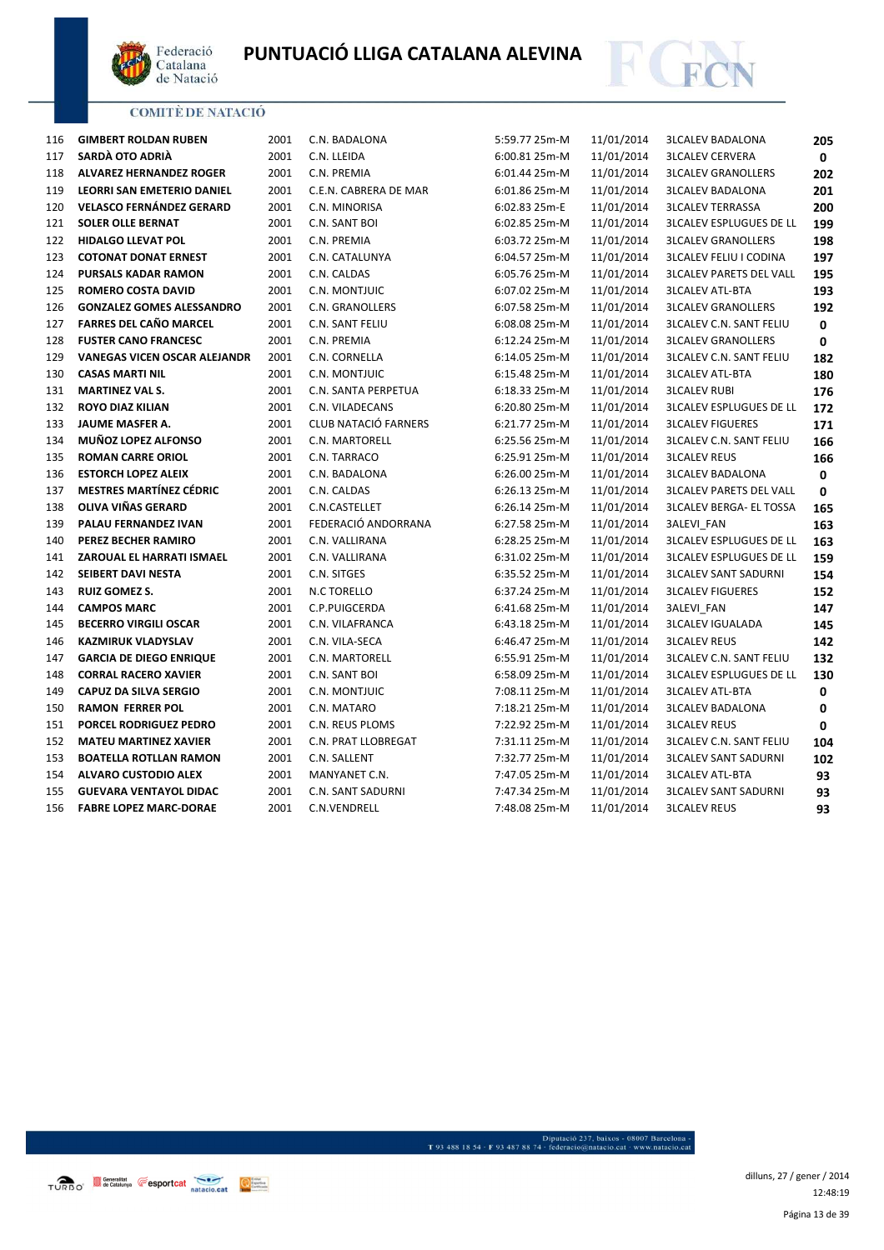



| 116 | <b>GIMBERT ROLDAN RUBEN</b>      | 2001 | C.N. BADALONA               | 5:59.77 25m-M | 11/01/2014 | <b>3LCALEV BADALONA</b>        | 205 |
|-----|----------------------------------|------|-----------------------------|---------------|------------|--------------------------------|-----|
| 117 | SARDÀ OTO ADRIÀ                  | 2001 | C.N. LLEIDA                 | 6:00.81 25m-M | 11/01/2014 | <b>3LCALEV CERVERA</b>         | 0   |
| 118 | <b>ALVAREZ HERNANDEZ ROGER</b>   | 2001 | C.N. PREMIA                 | 6:01.44 25m-M | 11/01/2014 | <b>3LCALEV GRANOLLERS</b>      | 202 |
| 119 | LEORRI SAN EMETERIO DANIEL       | 2001 | C.E.N. CABRERA DE MAR       | 6:01.86 25m-M | 11/01/2014 | <b>3LCALEV BADALONA</b>        | 201 |
| 120 | <b>VELASCO FERNÁNDEZ GERARD</b>  | 2001 | C.N. MINORISA               | 6:02.83 25m-E | 11/01/2014 | <b>3LCALEV TERRASSA</b>        | 200 |
| 121 | <b>SOLER OLLE BERNAT</b>         | 2001 | C.N. SANT BOI               | 6:02.85 25m-M | 11/01/2014 | <b>3LCALEV ESPLUGUES DE LL</b> | 199 |
| 122 | <b>HIDALGO LLEVAT POL</b>        | 2001 | C.N. PREMIA                 | 6:03.72 25m-M | 11/01/2014 | <b>3LCALEV GRANOLLERS</b>      | 198 |
| 123 | <b>COTONAT DONAT ERNEST</b>      | 2001 | C.N. CATALUNYA              | 6:04.57 25m-M | 11/01/2014 | <b>3LCALEV FELIU I CODINA</b>  | 197 |
| 124 | <b>PURSALS KADAR RAMON</b>       | 2001 | C.N. CALDAS                 | 6:05.76 25m-M | 11/01/2014 | <b>3LCALEV PARETS DEL VALL</b> | 195 |
| 125 | <b>ROMERO COSTA DAVID</b>        | 2001 | C.N. MONTJUIC               | 6:07.02 25m-M | 11/01/2014 | <b>3LCALEV ATL-BTA</b>         | 193 |
| 126 | <b>GONZALEZ GOMES ALESSANDRO</b> | 2001 | C.N. GRANOLLERS             | 6:07.58 25m-M | 11/01/2014 | <b>3LCALEV GRANOLLERS</b>      | 192 |
| 127 | <b>FARRES DEL CAÑO MARCEL</b>    | 2001 | C.N. SANT FELIU             | 6:08.08 25m-M | 11/01/2014 | <b>3LCALEV C.N. SANT FELIU</b> | 0   |
| 128 | <b>FUSTER CANO FRANCESC</b>      | 2001 | C.N. PREMIA                 | 6:12.24 25m-M | 11/01/2014 | <b>3LCALEV GRANOLLERS</b>      | 0   |
| 129 | VANEGAS VICEN OSCAR ALEJANDR     | 2001 | C.N. CORNELLA               | 6:14.05 25m-M | 11/01/2014 | <b>3LCALEV C.N. SANT FELIU</b> | 182 |
| 130 | <b>CASAS MARTI NIL</b>           | 2001 | C.N. MONTJUIC               | 6:15.48 25m-M | 11/01/2014 | <b>3LCALEV ATL-BTA</b>         | 180 |
| 131 | <b>MARTINEZ VAL S.</b>           | 2001 | C.N. SANTA PERPETUA         | 6:18.33 25m-M | 11/01/2014 | <b>3LCALEV RUBI</b>            | 176 |
| 132 | <b>ROYO DIAZ KILIAN</b>          | 2001 | C.N. VILADECANS             | 6:20.80 25m-M | 11/01/2014 | <b>3LCALEV ESPLUGUES DE LL</b> | 172 |
| 133 | JAUME MASFER A.                  | 2001 | <b>CLUB NATACIÓ FARNERS</b> | 6:21.77 25m-M | 11/01/2014 | <b>3LCALEV FIGUERES</b>        | 171 |
| 134 | <b>MUÑOZ LOPEZ ALFONSO</b>       | 2001 | C.N. MARTORELL              | 6:25.56 25m-M | 11/01/2014 | <b>3LCALEV C.N. SANT FELIU</b> | 166 |
| 135 | <b>ROMAN CARRE ORIOL</b>         | 2001 | C.N. TARRACO                | 6:25.91 25m-M | 11/01/2014 | <b>3LCALEV REUS</b>            | 166 |
| 136 | <b>ESTORCH LOPEZ ALEIX</b>       | 2001 | C.N. BADALONA               | 6:26.00 25m-M | 11/01/2014 | <b>3LCALEV BADALONA</b>        | 0   |
| 137 | <b>MESTRES MARTÍNEZ CÉDRIC</b>   | 2001 | C.N. CALDAS                 | 6:26.13 25m-M | 11/01/2014 | <b>3LCALEV PARETS DEL VALL</b> | 0   |
| 138 | OLIVA VIÑAS GERARD               | 2001 | C.N.CASTELLET               | 6:26.14 25m-M | 11/01/2014 | <b>3LCALEV BERGA- EL TOSSA</b> | 165 |
| 139 | PALAU FERNANDEZ IVAN             | 2001 | FEDERACIÓ ANDORRANA         | 6:27.58 25m-M | 11/01/2014 | 3ALEVI_FAN                     | 163 |
| 140 | PEREZ BECHER RAMIRO              | 2001 | C.N. VALLIRANA              | 6:28.25 25m-M | 11/01/2014 | <b>3LCALEV ESPLUGUES DE LL</b> | 163 |
| 141 | ZAROUAL EL HARRATI ISMAEL        | 2001 | C.N. VALLIRANA              | 6:31.02 25m-M | 11/01/2014 | <b>3LCALEV ESPLUGUES DE LL</b> | 159 |
| 142 | SEIBERT DAVI NESTA               | 2001 | C.N. SITGES                 | 6:35.52 25m-M | 11/01/2014 | <b>3LCALEV SANT SADURNI</b>    | 154 |
| 143 | <b>RUIZ GOMEZ S.</b>             | 2001 | N.C TORELLO                 | 6:37.24 25m-M | 11/01/2014 | <b>3LCALEV FIGUERES</b>        | 152 |
| 144 | <b>CAMPOS MARC</b>               | 2001 | C.P.PUIGCERDA               | 6:41.68 25m-M | 11/01/2014 | 3ALEVI_FAN                     | 147 |
| 145 | <b>BECERRO VIRGILI OSCAR</b>     | 2001 | C.N. VILAFRANCA             | 6:43.18 25m-M | 11/01/2014 | <b>3LCALEV IGUALADA</b>        | 145 |
| 146 | <b>KAZMIRUK VLADYSLAV</b>        | 2001 | C.N. VILA-SECA              | 6:46.47 25m-M | 11/01/2014 | <b>3LCALEV REUS</b>            | 142 |
| 147 | <b>GARCIA DE DIEGO ENRIQUE</b>   | 2001 | C.N. MARTORELL              | 6:55.91 25m-M | 11/01/2014 | <b>3LCALEV C.N. SANT FELIU</b> | 132 |
| 148 | <b>CORRAL RACERO XAVIER</b>      | 2001 | C.N. SANT BOI               | 6:58.09 25m-M | 11/01/2014 | <b>3LCALEV ESPLUGUES DE LL</b> | 130 |
| 149 | <b>CAPUZ DA SILVA SERGIO</b>     | 2001 | C.N. MONTJUIC               | 7:08.11 25m-M | 11/01/2014 | <b>3LCALEV ATL-BTA</b>         | 0   |
| 150 | <b>RAMON FERRER POL</b>          | 2001 | C.N. MATARO                 | 7:18.21 25m-M | 11/01/2014 | <b>3LCALEV BADALONA</b>        | 0   |
| 151 | PORCEL RODRIGUEZ PEDRO           | 2001 | C.N. REUS PLOMS             | 7:22.92 25m-M | 11/01/2014 | <b>3LCALEV REUS</b>            | 0   |
| 152 | <b>MATEU MARTINEZ XAVIER</b>     | 2001 | C.N. PRAT LLOBREGAT         | 7:31.11 25m-M | 11/01/2014 | <b>3LCALEV C.N. SANT FELIU</b> | 104 |
| 153 | <b>BOATELLA ROTLLAN RAMON</b>    | 2001 | C.N. SALLENT                | 7:32.77 25m-M | 11/01/2014 | <b>3LCALEV SANT SADURNI</b>    | 102 |
| 154 | <b>ALVARO CUSTODIO ALEX</b>      | 2001 | MANYANET C.N.               | 7:47.05 25m-M | 11/01/2014 | <b>3LCALEV ATL-BTA</b>         | 93  |
| 155 | <b>GUEVARA VENTAYOL DIDAC</b>    | 2001 | <b>C.N. SANT SADURNI</b>    | 7:47.34 25m-M | 11/01/2014 | <b>3LCALEV SANT SADURNI</b>    | 93  |

**FABRE LOPEZ MARC-DORAE** 2001 C.N.VENDRELL 7:48.08 25m-M 11/01/2014 3LCALEV REUS **93**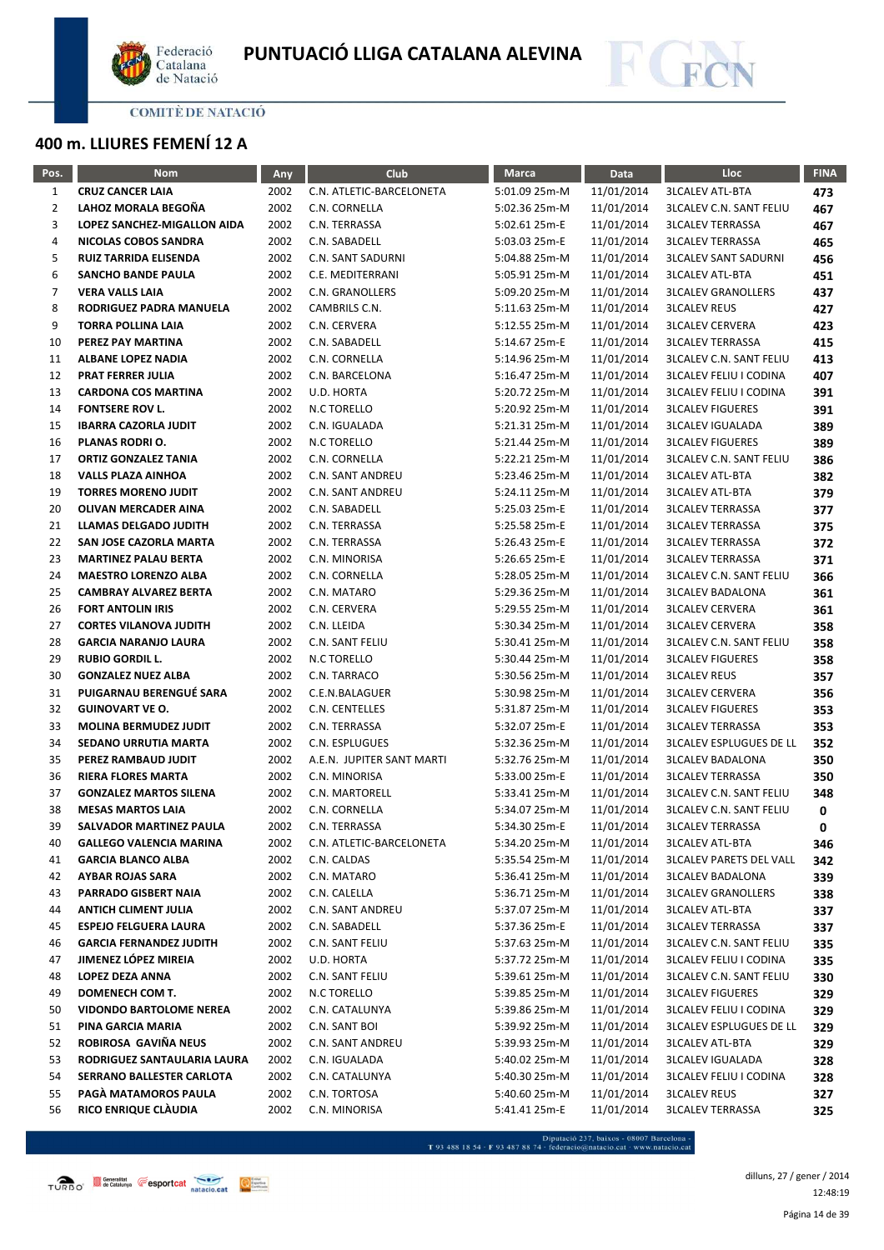



# **400 m. LLIURES FEMENÍ 12 A**

| Pos.           | <b>Nom</b>                     | <b>Any</b> | Club                      | <b>Marca</b>  | Data       | Lloc                           | <b>FINA</b> |
|----------------|--------------------------------|------------|---------------------------|---------------|------------|--------------------------------|-------------|
| $\mathbf{1}$   | <b>CRUZ CANCER LAIA</b>        | 2002       | C.N. ATLETIC-BARCELONETA  | 5:01.09 25m-M | 11/01/2014 | <b>3LCALEV ATL-BTA</b>         | 473         |
| $\overline{2}$ | LAHOZ MORALA BEGOÑA            | 2002       | C.N. CORNELLA             | 5:02.36 25m-M | 11/01/2014 | <b>3LCALEV C.N. SANT FELIU</b> | 467         |
| 3              | LOPEZ SANCHEZ-MIGALLON AIDA    | 2002       | C.N. TERRASSA             | 5:02.61 25m-E | 11/01/2014 | <b>3LCALEV TERRASSA</b>        | 467         |
| 4              | NICOLAS COBOS SANDRA           | 2002       | C.N. SABADELL             | 5:03.03 25m-E | 11/01/2014 | <b>3LCALEV TERRASSA</b>        | 465         |
| 5              | RUIZ TARRIDA ELISENDA          | 2002       | C.N. SANT SADURNI         | 5:04.88 25m-M | 11/01/2014 | <b>3LCALEV SANT SADURNI</b>    | 456         |
| 6              | <b>SANCHO BANDE PAULA</b>      | 2002       | C.E. MEDITERRANI          | 5:05.91 25m-M | 11/01/2014 | <b>3LCALEV ATL-BTA</b>         | 451         |
| $\overline{7}$ | <b>VERA VALLS LAIA</b>         | 2002       | C.N. GRANOLLERS           | 5:09.20 25m-M | 11/01/2014 | <b>3LCALEV GRANOLLERS</b>      | 437         |
| 8              | RODRIGUEZ PADRA MANUELA        | 2002       | CAMBRILS C.N.             | 5:11.63 25m-M | 11/01/2014 | <b>3LCALEV REUS</b>            | 427         |
| 9              | <b>TORRA POLLINA LAIA</b>      | 2002       | C.N. CERVERA              | 5:12.55 25m-M | 11/01/2014 | <b>3LCALEV CERVERA</b>         | 423         |
| 10             | PEREZ PAY MARTINA              | 2002       | C.N. SABADELL             | 5:14.67 25m-E | 11/01/2014 | <b>3LCALEV TERRASSA</b>        | 415         |
| 11             | <b>ALBANE LOPEZ NADIA</b>      | 2002       | C.N. CORNELLA             | 5:14.96 25m-M | 11/01/2014 | <b>3LCALEV C.N. SANT FELIU</b> | 413         |
| 12             | <b>PRAT FERRER JULIA</b>       | 2002       | C.N. BARCELONA            | 5:16.47 25m-M | 11/01/2014 | <b>3LCALEV FELIU I CODINA</b>  | 407         |
| 13             | <b>CARDONA COS MARTINA</b>     | 2002       | U.D. HORTA                | 5:20.72 25m-M | 11/01/2014 | <b>3LCALEV FELIU I CODINA</b>  | 391         |
| 14             | <b>FONTSERE ROV L.</b>         | 2002       | N.C TORELLO               | 5:20.92 25m-M | 11/01/2014 | <b>3LCALEV FIGUERES</b>        | 391         |
| 15             | <b>IBARRA CAZORLA JUDIT</b>    | 2002       | C.N. IGUALADA             | 5:21.31 25m-M | 11/01/2014 | <b>3LCALEV IGUALADA</b>        | 389         |
| 16             | PLANAS RODRI O.                | 2002       | <b>N.C TORELLO</b>        | 5:21.44 25m-M | 11/01/2014 | <b>3LCALEV FIGUERES</b>        | 389         |
| 17             | <b>ORTIZ GONZALEZ TANIA</b>    | 2002       | C.N. CORNELLA             | 5:22.21 25m-M | 11/01/2014 | <b>3LCALEV C.N. SANT FELIU</b> | 386         |
| 18             | <b>VALLS PLAZA AINHOA</b>      | 2002       | C.N. SANT ANDREU          | 5:23.46 25m-M | 11/01/2014 | <b>3LCALEV ATL-BTA</b>         | 382         |
| 19             | <b>TORRES MORENO JUDIT</b>     | 2002       | <b>C.N. SANT ANDREU</b>   | 5:24.11 25m-M | 11/01/2014 | <b>3LCALEV ATL-BTA</b>         | 379         |
| 20             | <b>OLIVAN MERCADER AINA</b>    | 2002       | C.N. SABADELL             | 5:25.03 25m-E | 11/01/2014 | <b>3LCALEV TERRASSA</b>        | 377         |
| 21             | <b>LLAMAS DELGADO JUDITH</b>   | 2002       | C.N. TERRASSA             | 5:25.58 25m-E | 11/01/2014 | <b>3LCALEV TERRASSA</b>        | 375         |
| 22             | SAN JOSE CAZORLA MARTA         | 2002       | C.N. TERRASSA             | 5:26.43 25m-E | 11/01/2014 | <b>3LCALEV TERRASSA</b>        | 372         |
| 23             | <b>MARTINEZ PALAU BERTA</b>    | 2002       | C.N. MINORISA             | 5:26.65 25m-E | 11/01/2014 | <b>3LCALEV TERRASSA</b>        | 371         |
| 24             | <b>MAESTRO LORENZO ALBA</b>    | 2002       | C.N. CORNELLA             | 5:28.05 25m-M | 11/01/2014 | <b>3LCALEV C.N. SANT FELIU</b> | 366         |
| 25             | <b>CAMBRAY ALVAREZ BERTA</b>   | 2002       | C.N. MATARO               | 5:29.36 25m-M | 11/01/2014 | <b>3LCALEV BADALONA</b>        | 361         |
| 26             | <b>FORT ANTOLIN IRIS</b>       | 2002       | C.N. CERVERA              | 5:29.55 25m-M | 11/01/2014 | <b>3LCALEV CERVERA</b>         | 361         |
| 27             | <b>CORTES VILANOVA JUDITH</b>  | 2002       | C.N. LLEIDA               | 5:30.34 25m-M | 11/01/2014 | <b>3LCALEV CERVERA</b>         | 358         |
| 28             | <b>GARCIA NARANJO LAURA</b>    | 2002       | C.N. SANT FELIU           | 5:30.41 25m-M | 11/01/2014 | <b>3LCALEV C.N. SANT FELIU</b> | 358         |
| 29             | <b>RUBIO GORDIL L.</b>         | 2002       | N.C TORELLO               | 5:30.44 25m-M | 11/01/2014 | <b>3LCALEV FIGUERES</b>        | 358         |
| 30             | <b>GONZALEZ NUEZ ALBA</b>      | 2002       | C.N. TARRACO              | 5:30.56 25m-M | 11/01/2014 | <b>3LCALEV REUS</b>            | 357         |
| 31             | PUIGARNAU BERENGUÉ SARA        | 2002       | C.E.N.BALAGUER            | 5:30.98 25m-M | 11/01/2014 | <b>3LCALEV CERVERA</b>         | 356         |
| 32             | <b>GUINOVART VE O.</b>         | 2002       | C.N. CENTELLES            | 5:31.87 25m-M | 11/01/2014 | <b>3LCALEV FIGUERES</b>        | 353         |
| 33             | <b>MOLINA BERMUDEZ JUDIT</b>   | 2002       | C.N. TERRASSA             | 5:32.07 25m-E | 11/01/2014 | <b>3LCALEV TERRASSA</b>        | 353         |
| 34             | SEDANO URRUTIA MARTA           | 2002       | C.N. ESPLUGUES            | 5:32.36 25m-M | 11/01/2014 | <b>3LCALEV ESPLUGUES DE LL</b> | 352         |
| 35             | PEREZ RAMBAUD JUDIT            | 2002       | A.E.N. JUPITER SANT MARTI | 5:32.76 25m-M | 11/01/2014 | <b>3LCALEV BADALONA</b>        | 350         |
| 36             | <b>RIERA FLORES MARTA</b>      | 2002       | C.N. MINORISA             | 5:33.00 25m-E | 11/01/2014 | <b>3LCALEV TERRASSA</b>        | 350         |
| 37             | <b>GONZALEZ MARTOS SILENA</b>  | 2002       | C.N. MARTORELL            | 5:33.41 25m-M | 11/01/2014 | <b>3LCALEV C.N. SANT FELIU</b> | 348         |
| 38             | <b>MESAS MARTOS LAIA</b>       | 2002       | C.N. CORNELLA             | 5:34.07 25m-M | 11/01/2014 | <b>3LCALEV C.N. SANT FELIU</b> | 0           |
| 39             | <b>SALVADOR MARTINEZ PAULA</b> | 2002       | C.N. TERRASSA             | 5:34.30 25m-E | 11/01/2014 | <b>3LCALEV TERRASSA</b>        | 0           |
| 40             | <b>GALLEGO VALENCIA MARINA</b> | 2002       | C.N. ATLETIC-BARCELONETA  | 5:34.20 25m-M | 11/01/2014 | <b>3LCALEV ATL-BTA</b>         | 346         |
| 41             | <b>GARCIA BLANCO ALBA</b>      | 2002       | C.N. CALDAS               | 5:35.54 25m-M | 11/01/2014 | <b>3LCALEV PARETS DEL VALL</b> | 342         |
| 42             | <b>AYBAR ROJAS SARA</b>        | 2002       | C.N. MATARO               | 5:36.41 25m-M | 11/01/2014 | <b>3LCALEV BADALONA</b>        | 339         |
| 43             | PARRADO GISBERT NAIA           | 2002       | C.N. CALELLA              | 5:36.71 25m-M | 11/01/2014 | <b>3LCALEV GRANOLLERS</b>      | 338         |
| 44             | <b>ANTICH CLIMENT JULIA</b>    | 2002       | C.N. SANT ANDREU          | 5:37.07 25m-M | 11/01/2014 | <b>3LCALEV ATL-BTA</b>         | 337         |
| 45             | <b>ESPEJO FELGUERA LAURA</b>   | 2002       | C.N. SABADELL             | 5:37.36 25m-E | 11/01/2014 | <b>3LCALEV TERRASSA</b>        | 337         |
| 46             | <b>GARCIA FERNANDEZ JUDITH</b> | 2002       | C.N. SANT FELIU           | 5:37.63 25m-M | 11/01/2014 | <b>3LCALEV C.N. SANT FELIU</b> | 335         |
| 47             | JIMENEZ LÓPEZ MIREIA           | 2002       | U.D. HORTA                | 5:37.72 25m-M | 11/01/2014 | <b>3LCALEV FELIU I CODINA</b>  | 335         |
| 48             | LOPEZ DEZA ANNA                | 2002       | C.N. SANT FELIU           | 5:39.61 25m-M | 11/01/2014 | <b>3LCALEV C.N. SANT FELIU</b> | 330         |
| 49             | DOMENECH COM T.                | 2002       | N.C TORELLO               | 5:39.85 25m-M | 11/01/2014 | <b>3LCALEV FIGUERES</b>        | 329         |
| 50             | <b>VIDONDO BARTOLOME NEREA</b> | 2002       | C.N. CATALUNYA            | 5:39.86 25m-M | 11/01/2014 | <b>3LCALEV FELIU I CODINA</b>  | 329         |
| 51             | PINA GARCIA MARIA              | 2002       | C.N. SANT BOI             | 5:39.92 25m-M | 11/01/2014 | <b>3LCALEV ESPLUGUES DE LL</b> | 329         |
| 52             | ROBIROSA GAVIÑA NEUS           | 2002       | C.N. SANT ANDREU          | 5:39.93 25m-M | 11/01/2014 | <b>3LCALEV ATL-BTA</b>         | 329         |
| 53             | RODRIGUEZ SANTAULARIA LAURA    | 2002       | C.N. IGUALADA             | 5:40.02 25m-M | 11/01/2014 | <b>3LCALEV IGUALADA</b>        | 328         |
| 54             | SERRANO BALLESTER CARLOTA      | 2002       | C.N. CATALUNYA            | 5:40.30 25m-M | 11/01/2014 | <b>3LCALEV FELIU I CODINA</b>  | 328         |
| 55             | PAGA MATAMOROS PAULA           | 2002       | C.N. TORTOSA              | 5:40.60 25m-M | 11/01/2014 | <b>3LCALEV REUS</b>            | 327         |
| 56             | RICO ENRIQUE CLÀUDIA           | 2002       | C.N. MINORISA             | 5:41.41 25m-E | 11/01/2014 | <b>3LCALEV TERRASSA</b>        | 325         |

- Diputació 237, baixos - 08007 Barcelona<br>T 93 488 18 54 · F 93 487 88 74 · federacio@natacio.cat · www.natacio.cat

Página 14 de 39 dilluns, 27 / gener / 2014 12:48:19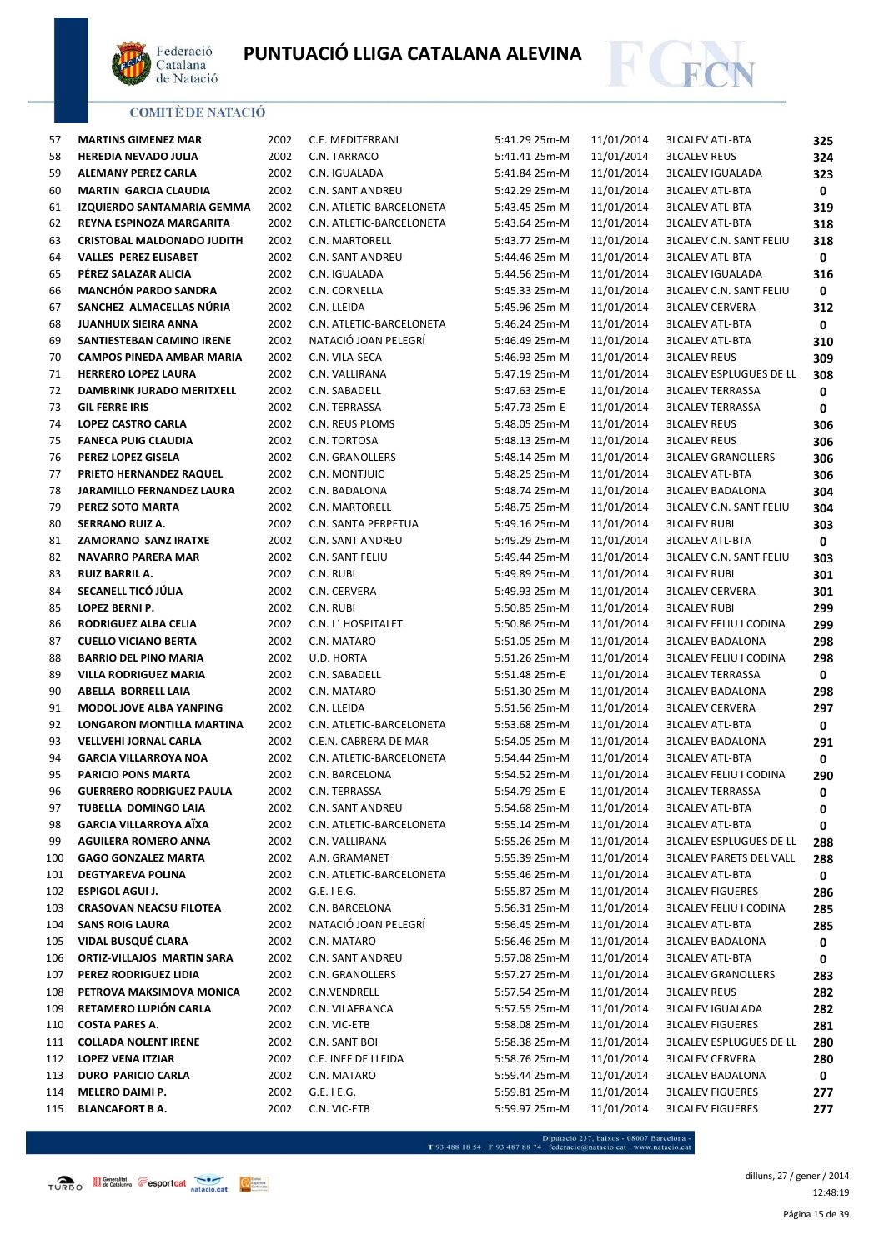



| 57  | <b>MARTINS GIMENEZ MAR</b>        | 2002 | C.E. MEDITERRANI         | 5:41.29 25m-M | 11/01/2014 | <b>3LCALEV ATL-BTA</b>         | 325         |
|-----|-----------------------------------|------|--------------------------|---------------|------------|--------------------------------|-------------|
| 58  | <b>HEREDIA NEVADO JULIA</b>       | 2002 | C.N. TARRACO             | 5:41.41 25m-M | 11/01/2014 | <b>3LCALEV REUS</b>            | 324         |
| 59  | <b>ALEMANY PEREZ CARLA</b>        | 2002 | C.N. IGUALADA            | 5:41.84 25m-M | 11/01/2014 | <b>3LCALEV IGUALADA</b>        | 323         |
| 60  | <b>MARTIN GARCIA CLAUDIA</b>      | 2002 | C.N. SANT ANDREU         | 5:42.29 25m-M | 11/01/2014 | <b>3LCALEV ATL-BTA</b>         | 0           |
| 61  | IZQUIERDO SANTAMARIA GEMMA        | 2002 | C.N. ATLETIC-BARCELONETA | 5:43.45 25m-M | 11/01/2014 | <b>3LCALEV ATL-BTA</b>         | 319         |
| 62  | REYNA ESPINOZA MARGARITA          | 2002 | C.N. ATLETIC-BARCELONETA | 5:43.64 25m-M | 11/01/2014 | <b>3LCALEV ATL-BTA</b>         | 318         |
| 63  | <b>CRISTOBAL MALDONADO JUDITH</b> | 2002 | C.N. MARTORELL           | 5:43.77 25m-M | 11/01/2014 | <b>3LCALEV C.N. SANT FELIU</b> | 318         |
| 64  | <b>VALLES PEREZ ELISABET</b>      | 2002 | C.N. SANT ANDREU         | 5:44.46 25m-M | 11/01/2014 | <b>3LCALEV ATL-BTA</b>         | 0           |
| 65  | PÉREZ SALAZAR ALICIA              | 2002 | C.N. IGUALADA            | 5:44.56 25m-M | 11/01/2014 | <b>3LCALEV IGUALADA</b>        | 316         |
| 66  | <b>MANCHÓN PARDO SANDRA</b>       | 2002 | C.N. CORNELLA            | 5:45.33 25m-M | 11/01/2014 | <b>3LCALEV C.N. SANT FELIU</b> | 0           |
| 67  | SANCHEZ ALMACELLAS NÚRIA          | 2002 | C.N. LLEIDA              | 5:45.96 25m-M | 11/01/2014 | <b>3LCALEV CERVERA</b>         | 312         |
| 68  | JUANHUIX SIEIRA ANNA              | 2002 | C.N. ATLETIC-BARCELONETA | 5:46.24 25m-M | 11/01/2014 | <b>3LCALEV ATL-BTA</b>         | 0           |
| 69  | SANTIESTEBAN CAMINO IRENE         | 2002 | NATACIÓ JOAN PELEGRÍ     | 5:46.49 25m-M | 11/01/2014 | <b>3LCALEV ATL-BTA</b>         | 310         |
| 70  | <b>CAMPOS PINEDA AMBAR MARIA</b>  | 2002 | C.N. VILA-SECA           | 5:46.93 25m-M | 11/01/2014 | <b>3LCALEV REUS</b>            | 309         |
| 71  | <b>HERRERO LOPEZ LAURA</b>        | 2002 | C.N. VALLIRANA           | 5:47.19 25m-M | 11/01/2014 | <b>3LCALEV ESPLUGUES DE LL</b> | 308         |
| 72  | DAMBRINK JURADO MERITXELL         | 2002 | C.N. SABADELL            | 5:47.63 25m-E | 11/01/2014 | <b>3LCALEV TERRASSA</b>        | 0           |
| 73  | <b>GIL FERRE IRIS</b>             | 2002 | C.N. TERRASSA            | 5:47.73 25m-E | 11/01/2014 | <b>3LCALEV TERRASSA</b>        | 0           |
| 74  | <b>LOPEZ CASTRO CARLA</b>         | 2002 | C.N. REUS PLOMS          | 5:48.05 25m-M | 11/01/2014 | <b>3LCALEV REUS</b>            | 306         |
| 75  | <b>FANECA PUIG CLAUDIA</b>        | 2002 | C.N. TORTOSA             | 5:48.13 25m-M | 11/01/2014 | <b>3LCALEV REUS</b>            | 306         |
| 76  | PEREZ LOPEZ GISELA                | 2002 | <b>C.N. GRANOLLERS</b>   | 5:48.14 25m-M | 11/01/2014 | <b>3LCALEV GRANOLLERS</b>      | 306         |
| 77  | PRIETO HERNANDEZ RAQUEL           | 2002 | C.N. MONTJUIC            | 5:48.25 25m-M | 11/01/2014 | <b>3LCALEV ATL-BTA</b>         | 306         |
| 78  | <b>JARAMILLO FERNANDEZ LAURA</b>  | 2002 | C.N. BADALONA            | 5:48.74 25m-M | 11/01/2014 | <b>3LCALEV BADALONA</b>        | 304         |
| 79  | PEREZ SOTO MARTA                  | 2002 | C.N. MARTORELL           | 5:48.75 25m-M | 11/01/2014 | <b>3LCALEV C.N. SANT FELIU</b> | 304         |
| 80  | SERRANO RUIZ A.                   | 2002 | C.N. SANTA PERPETUA      | 5:49.16 25m-M | 11/01/2014 | <b>3LCALEV RUBI</b>            | 303         |
| 81  | ZAMORANO SANZ IRATXE              | 2002 | <b>C.N. SANT ANDREU</b>  | 5:49.29 25m-M | 11/01/2014 | <b>3LCALEV ATL-BTA</b>         | 0           |
| 82  | <b>NAVARRO PARERA MAR</b>         | 2002 | C.N. SANT FELIU          | 5:49.44 25m-M | 11/01/2014 | <b>3LCALEV C.N. SANT FELIU</b> | 303         |
| 83  | <b>RUIZ BARRIL A.</b>             | 2002 | C.N. RUBI                | 5:49.89 25m-M | 11/01/2014 | <b>3LCALEV RUBI</b>            | 301         |
| 84  | SECANELL TICÓ JÚLIA               | 2002 | C.N. CERVERA             | 5:49.93 25m-M | 11/01/2014 | <b>3LCALEV CERVERA</b>         | 301         |
| 85  | LOPEZ BERNI P.                    | 2002 | C.N. RUBI                | 5:50.85 25m-M | 11/01/2014 | <b>3LCALEV RUBI</b>            | 299         |
| 86  | RODRIGUEZ ALBA CELIA              | 2002 | C.N. L' HOSPITALET       | 5:50.86 25m-M | 11/01/2014 | <b>3LCALEV FELIU I CODINA</b>  | 299         |
| 87  | <b>CUELLO VICIANO BERTA</b>       | 2002 | C.N. MATARO              | 5:51.05 25m-M | 11/01/2014 | <b>3LCALEV BADALONA</b>        | 298         |
| 88  | <b>BARRIO DEL PINO MARIA</b>      | 2002 | U.D. HORTA               | 5:51.26 25m-M | 11/01/2014 | <b>3LCALEV FELIU I CODINA</b>  | 298         |
| 89  | <b>VILLA RODRIGUEZ MARIA</b>      | 2002 | C.N. SABADELL            | 5:51.48 25m-E | 11/01/2014 | <b>3LCALEV TERRASSA</b>        | 0           |
| 90  | ABELLA BORRELL LAIA               | 2002 | C.N. MATARO              | 5:51.30 25m-M | 11/01/2014 | <b>3LCALEV BADALONA</b>        | 298         |
| 91  | MODOL JOVE ALBA YANPING           | 2002 | C.N. LLEIDA              | 5:51.56 25m-M | 11/01/2014 | <b>3LCALEV CERVERA</b>         | 297         |
| 92  | LONGARON MONTILLA MARTINA         | 2002 | C.N. ATLETIC-BARCELONETA | 5:53.68 25m-M | 11/01/2014 | <b>3LCALEV ATL-BTA</b>         | 0           |
| 93  | <b>VELLVEHI JORNAL CARLA</b>      | 2002 | C.E.N. CABRERA DE MAR    | 5:54.05 25m-M | 11/01/2014 | <b>3LCALEV BADALONA</b>        | 291         |
| 94  | <b>GARCIA VILLARROYA NOA</b>      | 2002 | C.N. ATLETIC-BARCELONETA | 5:54.44 25m-M | 11/01/2014 | <b>3LCALEV ATL-BTA</b>         | 0           |
| 95  | <b>PARICIO PONS MARTA</b>         | 2002 | C.N. BARCELONA           | 5:54.52 25m-M | 11/01/2014 | <b>3LCALEV FELIU I CODINA</b>  | 290         |
| 96  | <b>GUERRERO RODRIGUEZ PAULA</b>   | 2002 | C.N. TERRASSA            | 5:54.79 25m-E | 11/01/2014 | <b>3LCALEV TERRASSA</b>        | 0           |
| 97  | TUBELLA DOMINGO LAIA              | 2002 | C.N. SANT ANDREU         | 5:54.68 25m-M | 11/01/2014 | <b>3LCALEV ATL-BTA</b>         | 0           |
| 98  | <b>GARCIA VILLARROYA AÏXA</b>     | 2002 | C.N. ATLETIC-BARCELONETA | 5:55.14 25m-M | 11/01/2014 | <b>3LCALEV ATL-BTA</b>         | 0           |
| 99  | <b>AGUILERA ROMERO ANNA</b>       | 2002 | C.N. VALLIRANA           | 5:55.26 25m-M | 11/01/2014 | <b>3LCALEV ESPLUGUES DE LL</b> | 288         |
| 100 | <b>GAGO GONZALEZ MARTA</b>        | 2002 | A.N. GRAMANET            | 5:55.39 25m-M | 11/01/2014 | <b>3LCALEV PARETS DEL VALL</b> | 288         |
| 101 | <b>DEGTYAREVA POLINA</b>          | 2002 | C.N. ATLETIC-BARCELONETA | 5:55.46 25m-M | 11/01/2014 | <b>3LCALEV ATL-BTA</b>         | 0           |
| 102 | <b>ESPIGOL AGUI J.</b>            | 2002 | $G.E.$ I $E.G.$          | 5:55.87 25m-M | 11/01/2014 | <b>3LCALEV FIGUERES</b>        | 286         |
| 103 | <b>CRASOVAN NEACSU FILOTEA</b>    | 2002 | C.N. BARCELONA           | 5:56.31 25m-M | 11/01/2014 | <b>3LCALEV FELIU I CODINA</b>  | 285         |
| 104 | <b>SANS ROIG LAURA</b>            | 2002 | NATACIÓ JOAN PELEGRÍ     | 5:56.45 25m-M | 11/01/2014 | <b>3LCALEV ATL-BTA</b>         | 285         |
| 105 | VIDAL BUSQUÉ CLARA                | 2002 | C.N. MATARO              | 5:56.46 25m-M | 11/01/2014 | <b>3LCALEV BADALONA</b>        | 0           |
| 106 | ORTIZ-VILLAJOS MARTIN SARA        | 2002 | C.N. SANT ANDREU         | 5:57.08 25m-M | 11/01/2014 | <b>3LCALEV ATL-BTA</b>         | 0           |
| 107 | PEREZ RODRIGUEZ LIDIA             | 2002 | C.N. GRANOLLERS          | 5:57.27 25m-M | 11/01/2014 | <b>3LCALEV GRANOLLERS</b>      | 283         |
| 108 | PETROVA MAKSIMOVA MONICA          | 2002 | C.N.VENDRELL             | 5:57.54 25m-M | 11/01/2014 | <b>3LCALEV REUS</b>            | 282         |
| 109 | RETAMERO LUPIÓN CARLA             | 2002 | C.N. VILAFRANCA          | 5:57.55 25m-M | 11/01/2014 | <b>3LCALEV IGUALADA</b>        | 282         |
| 110 | <b>COSTA PARES A.</b>             | 2002 | C.N. VIC-ETB             | 5:58.08 25m-M | 11/01/2014 | <b>3LCALEV FIGUERES</b>        | 281         |
| 111 | <b>COLLADA NOLENT IRENE</b>       | 2002 | C.N. SANT BOI            | 5:58.38 25m-M | 11/01/2014 | <b>3LCALEV ESPLUGUES DE LL</b> | 280         |
| 112 | <b>LOPEZ VENA ITZIAR</b>          | 2002 | C.E. INEF DE LLEIDA      | 5:58.76 25m-M | 11/01/2014 | <b>3LCALEV CERVERA</b>         | 280         |
| 113 | <b>DURO PARICIO CARLA</b>         | 2002 | C.N. MATARO              | 5:59.44 25m-M | 11/01/2014 | <b>3LCALEV BADALONA</b>        | $\mathbf 0$ |
| 114 | <b>MELERO DAIMI P.</b>            | 2002 | $G.E.$ I E.G.            | 5:59.81 25m-M | 11/01/2014 | <b>3LCALEV FIGUERES</b>        | 277         |
| 115 | <b>BLANCAFORT B A.</b>            | 2002 | C.N. VIC-ETB             | 5:59.97 25m-M | 11/01/2014 | <b>3LCALEV FIGUERES</b>        | 277         |
|     |                                   |      |                          |               |            |                                |             |

| n-M        | 11/01/2014               | <b>3LCALEV ATL-BTA</b>                                   | 325        |
|------------|--------------------------|----------------------------------------------------------|------------|
| n-M        | 11/01/2014               | <b>3LCALEV REUS</b>                                      | 324        |
| n-M        | 11/01/2014               | <b>3LCALEV IGUALADA</b>                                  | 323        |
| n-M        | 11/01/2014               | <b>3LCALEV ATL-BTA</b>                                   | 0          |
| n-M        | 11/01/2014               | <b>3LCALEV ATL-BTA</b>                                   | 319        |
| n-M        | 11/01/2014               | <b>3LCALEV ATL-BTA</b>                                   | 318        |
| n-M        | 11/01/2014               | <b>3LCALEV C.N. SANT FELIU</b>                           | 318        |
| n-M        | 11/01/2014               | <b>3LCALEV ATL-BTA</b>                                   | 0          |
| n-M        | 11/01/2014               | <b>3LCALEV IGUALADA</b>                                  | 316        |
| n-M        | 11/01/2014               | <b>3LCALEV C.N. SANT FELIU</b>                           | 0          |
| n-M        | 11/01/2014               | <b>3LCALEV CERVERA</b>                                   | 312        |
| n-M        | 11/01/2014               | <b>3LCALEV ATL-BTA</b>                                   | 0          |
| n-M        | 11/01/2014               | <b>3LCALEV ATL-BTA</b>                                   | 310        |
| n-M        | 11/01/2014               | <b>3LCALEV REUS</b>                                      | 309        |
| n-M        | 11/01/2014               | <b>3LCALEV ESPLUGUES DE LL</b>                           | 308        |
| n-E        | 11/01/2014               | <b>3LCALEV TERRASSA</b>                                  | 0          |
| n-E        | 11/01/2014               | <b>3LCALEV TERRASSA</b>                                  | 0          |
| n-M        | 11/01/2014               | <b>3LCALEV REUS</b>                                      | 306        |
| n-M        | 11/01/2014               | <b>3LCALEV REUS</b>                                      | 306        |
| n-M        | 11/01/2014               | <b>3LCALEV GRANOLLERS</b>                                | 306        |
| n-M        | 11/01/2014               | <b>3LCALEV ATL-BTA</b>                                   | 306        |
| n-M        | 11/01/2014               | <b>3LCALEV BADALONA</b>                                  | 304        |
| n-M        | 11/01/2014               | <b>3LCALEV C.N. SANT FELIU</b>                           | 304        |
| n-M        | 11/01/2014               | <b>3LCALEV RUBI</b>                                      | 303        |
| n-M<br>n-M | 11/01/2014<br>11/01/2014 | <b>3LCALEV ATL-BTA</b><br><b>3LCALEV C.N. SANT FELIU</b> | 0          |
| n-M        | 11/01/2014               | <b>3LCALEV RUBI</b>                                      | 303        |
| n-M        | 11/01/2014               | <b>3LCALEV CERVERA</b>                                   | 301<br>301 |
| n-M        | 11/01/2014               | <b>3LCALEV RUBI</b>                                      | 299        |
| n-M        | 11/01/2014               | <b>3LCALEV FELIU I CODINA</b>                            | 299        |
| n-M        | 11/01/2014               | <b>3LCALEV BADALONA</b>                                  | 298        |
| n-M        | 11/01/2014               | <b>3LCALEV FELIU I CODINA</b>                            | 298        |
| n-E        | 11/01/2014               | <b>3LCALEV TERRASSA</b>                                  | 0          |
| n-M        | 11/01/2014               | <b>3LCALEV BADALONA</b>                                  | 298        |
| n-M        | 11/01/2014               | <b>3LCALEV CERVERA</b>                                   | 297        |
| n-M        | 11/01/2014               | <b>3LCALEV ATL-BTA</b>                                   | 0          |
| n-M        | 11/01/2014               | <b>3LCALEV BADALONA</b>                                  | 291        |
| n-M        | 11/01/2014               | <b>3LCALEV ATL-BTA</b>                                   | 0          |
| n-M        | 11/01/2014               | <b>3LCALEV FELIU I CODINA</b>                            | 290        |
| n-E        | 11/01/2014               | <b>3LCALEV TERRASSA</b>                                  | 0          |
| n-M        | 11/01/2014               | <b>3LCALEV ATL-BTA</b>                                   | 0          |
| n-M        | 11/01/2014               | <b>3LCALEV ATL-BTA</b>                                   | 0          |
| n-M        | 11/01/2014               | <b>3LCALEV ESPLUGUES DE LL</b>                           | 288        |
| n-M        | 11/01/2014               | <b>3LCALEV PARETS DEL VALL</b>                           | 288        |
| n-M        | 11/01/2014               | <b>3LCALEV ATL-BTA</b>                                   | 0          |
| n-M        | 11/01/2014               | <b>3LCALEV FIGUERES</b>                                  | 286        |
| n-M        | 11/01/2014               | <b>3LCALEV FELIU I CODINA</b>                            | 285        |
| n-M        | 11/01/2014               | <b>3LCALEV ATL-BTA</b>                                   | 285        |
| n-M        | 11/01/2014               | <b>3LCALEV BADALONA</b>                                  | 0          |
| n-M        | 11/01/2014               | <b>3LCALEV ATL-BTA</b>                                   | 0          |
| n-M        | 11/01/2014               | <b>3LCALEV GRANOLLERS</b>                                | 283        |
| n-M        | 11/01/2014               | <b>3LCALEV REUS</b>                                      | 282        |
| n-M        | 11/01/2014               | <b>3LCALEV IGUALADA</b>                                  | 282        |
| n-M        | 11/01/2014               | <b>3LCALEV FIGUERES</b>                                  | 281        |
| n-M<br>n-M | 11/01/2014<br>11/01/2014 | <b>3LCALEV ESPLUGUES DE LL</b><br><b>3LCALEV CERVERA</b> | 280        |
| n-M        | 11/01/2014               | <b>3LCALEV BADALONA</b>                                  | 280        |
| n-M        | 11/01/2014               | <b>3LCALEV FIGUERES</b>                                  | 0<br>277   |
| n-M        | 11/01/2014               | <b>3LCALEV FIGUERES</b>                                  | 277        |
|            |                          |                                                          |            |

 $\begin{minipage}{.45\textwidth} \begin{minipage}{.45\textwidth} \begin{tabular}{l} \bf{7.93.488.18.54\cdot F93.487.88.74\cdot{} \textbf{f} & \textbf{f} & \textbf{f} & \textbf{f} & \textbf{f} & \textbf{f} & \textbf{f} & \textbf{f} & \textbf{f} & \textbf{f} & \textbf{f} & \textbf{f} & \textbf{f} & \textbf{f} & \textbf{f} \\ \end{tabular} \end{minipage} \begin{minipage}{.45\textwidth} \begin{minipage}{.45\textwidth} \begin{$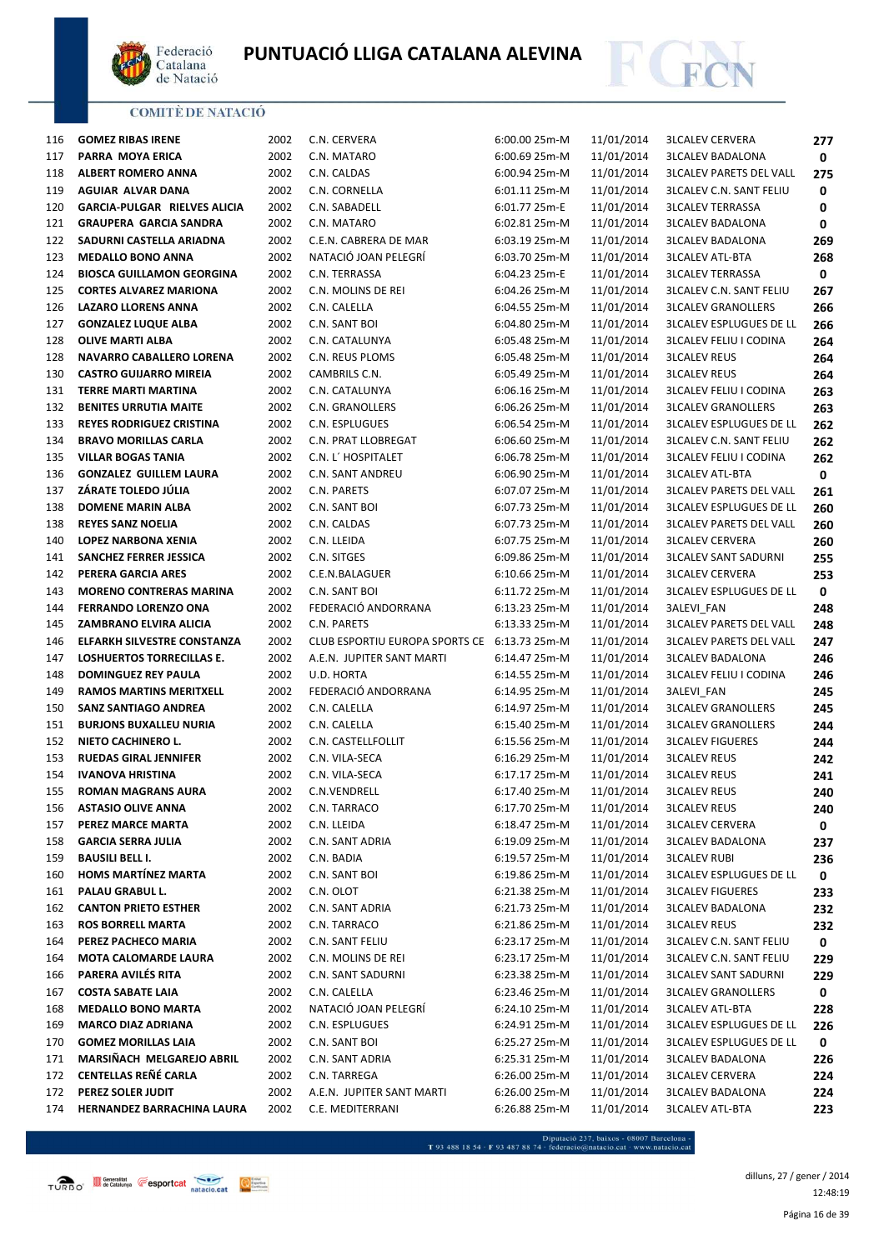



| 116 | <b>GOMEZ RIBAS IRENE</b>            | 2002 | C.N. CERVERA                                 | 6:00.00 25m-M | 11/01/2014 | <b>3LCALEV CERVERA</b>         | 277 |
|-----|-------------------------------------|------|----------------------------------------------|---------------|------------|--------------------------------|-----|
| 117 | PARRA MOYA ERICA                    | 2002 | C.N. MATARO                                  | 6:00.69 25m-M | 11/01/2014 | <b>3LCALEV BADALONA</b>        | 0   |
| 118 | <b>ALBERT ROMERO ANNA</b>           | 2002 | C.N. CALDAS                                  | 6:00.94 25m-M | 11/01/2014 | <b>3LCALEV PARETS DEL VALL</b> | 275 |
| 119 | AGUIAR ALVAR DANA                   | 2002 | C.N. CORNELLA                                | 6:01.11 25m-M | 11/01/2014 | <b>3LCALEV C.N. SANT FELIU</b> | 0   |
| 120 | <b>GARCIA-PULGAR RIELVES ALICIA</b> | 2002 | C.N. SABADELL                                | 6:01.77 25m-E | 11/01/2014 | <b>3LCALEV TERRASSA</b>        | 0   |
| 121 | <b>GRAUPERA GARCIA SANDRA</b>       | 2002 | C.N. MATARO                                  | 6:02.81 25m-M | 11/01/2014 | <b>3LCALEV BADALONA</b>        | 0   |
| 122 | SADURNI CASTELLA ARIADNA            | 2002 | C.E.N. CABRERA DE MAR                        | 6:03.19 25m-M | 11/01/2014 | <b>3LCALEV BADALONA</b>        | 269 |
| 123 | <b>MEDALLO BONO ANNA</b>            | 2002 | NATACIÓ JOAN PELEGRÍ                         | 6:03.70 25m-M | 11/01/2014 | <b>3LCALEV ATL-BTA</b>         | 268 |
| 124 | <b>BIOSCA GUILLAMON GEORGINA</b>    | 2002 | C.N. TERRASSA                                | 6:04.23 25m-E | 11/01/2014 | <b>3LCALEV TERRASSA</b>        | 0   |
| 125 | <b>CORTES ALVAREZ MARIONA</b>       | 2002 | C.N. MOLINS DE REI                           | 6:04.26 25m-M | 11/01/2014 | <b>3LCALEV C.N. SANT FELIU</b> | 267 |
| 126 | LAZARO LLORENS ANNA                 | 2002 | C.N. CALELLA                                 | 6:04.55 25m-M | 11/01/2014 | <b>3LCALEV GRANOLLERS</b>      | 266 |
| 127 | <b>GONZALEZ LUQUE ALBA</b>          | 2002 | C.N. SANT BOI                                | 6:04.80 25m-M | 11/01/2014 | <b>3LCALEV ESPLUGUES DE LL</b> | 266 |
| 128 | <b>OLIVE MARTI ALBA</b>             | 2002 | C.N. CATALUNYA                               | 6:05.48 25m-M | 11/01/2014 | <b>3LCALEV FELIU I CODINA</b>  | 264 |
| 128 | NAVARRO CABALLERO LORENA            | 2002 | C.N. REUS PLOMS                              | 6:05.48 25m-M | 11/01/2014 | <b>3LCALEV REUS</b>            | 264 |
| 130 | <b>CASTRO GUIJARRO MIREIA</b>       | 2002 | CAMBRILS C.N.                                | 6:05.49 25m-M | 11/01/2014 | <b>3LCALEV REUS</b>            | 264 |
| 131 | TERRE MARTI MARTINA                 | 2002 | C.N. CATALUNYA                               | 6:06.16 25m-M | 11/01/2014 | <b>3LCALEV FELIU I CODINA</b>  | 263 |
| 132 | <b>BENITES URRUTIA MAITE</b>        | 2002 | C.N. GRANOLLERS                              | 6:06.26 25m-M | 11/01/2014 | <b>3LCALEV GRANOLLERS</b>      | 263 |
| 133 | <b>REYES RODRIGUEZ CRISTINA</b>     | 2002 | C.N. ESPLUGUES                               | 6:06.54 25m-M | 11/01/2014 | <b>3LCALEV ESPLUGUES DE LL</b> | 262 |
| 134 | <b>BRAVO MORILLAS CARLA</b>         | 2002 | C.N. PRAT LLOBREGAT                          | 6:06.60 25m-M | 11/01/2014 | <b>3LCALEV C.N. SANT FELIU</b> | 262 |
| 135 | <b>VILLAR BOGAS TANIA</b>           | 2002 | C.N. L' HOSPITALET                           | 6:06.78 25m-M | 11/01/2014 | <b>3LCALEV FELIU I CODINA</b>  | 262 |
| 136 | <b>GONZALEZ GUILLEM LAURA</b>       | 2002 | <b>C.N. SANT ANDREU</b>                      | 6:06.90 25m-M | 11/01/2014 | <b>3LCALEV ATL-BTA</b>         | 0   |
| 137 | ZÁRATE TOLEDO JÚLIA                 | 2002 | C.N. PARETS                                  | 6:07.07 25m-M | 11/01/2014 | <b>3LCALEV PARETS DEL VALL</b> | 261 |
| 138 | <b>DOMENE MARIN ALBA</b>            | 2002 | C.N. SANT BOI                                | 6:07.73 25m-M | 11/01/2014 | <b>3LCALEV ESPLUGUES DE LL</b> | 260 |
| 138 | <b>REYES SANZ NOELIA</b>            | 2002 | C.N. CALDAS                                  | 6:07.73 25m-M | 11/01/2014 | <b>3LCALEV PARETS DEL VALL</b> | 260 |
| 140 | LOPEZ NARBONA XENIA                 | 2002 | C.N. LLEIDA                                  | 6:07.75 25m-M | 11/01/2014 | <b>3LCALEV CERVERA</b>         | 260 |
| 141 | SANCHEZ FERRER JESSICA              | 2002 | C.N. SITGES                                  | 6:09.86 25m-M | 11/01/2014 | <b>3LCALEV SANT SADURNI</b>    | 255 |
| 142 | PERERA GARCIA ARES                  | 2002 | C.E.N.BALAGUER                               | 6:10.66 25m-M | 11/01/2014 | <b>3LCALEV CERVERA</b>         | 253 |
| 143 | <b>MORENO CONTRERAS MARINA</b>      | 2002 | C.N. SANT BOI                                | 6:11.72 25m-M | 11/01/2014 | <b>3LCALEV ESPLUGUES DE LL</b> | 0   |
| 144 | <b>FERRANDO LORENZO ONA</b>         | 2002 | FEDERACIÓ ANDORRANA                          | 6:13.23 25m-M | 11/01/2014 | 3ALEVI_FAN                     | 248 |
| 145 | ZAMBRANO ELVIRA ALICIA              | 2002 | C.N. PARETS                                  | 6:13.33 25m-M | 11/01/2014 | <b>3LCALEV PARETS DEL VALL</b> | 248 |
| 146 | <b>ELFARKH SILVESTRE CONSTANZA</b>  | 2002 | CLUB ESPORTIU EUROPA SPORTS CE 6:13.73 25m-M |               | 11/01/2014 | <b>3LCALEV PARETS DEL VALL</b> | 247 |
| 147 | <b>LOSHUERTOS TORRECILLAS E.</b>    | 2002 | A.E.N. JUPITER SANT MARTI                    | 6:14.47 25m-M | 11/01/2014 | <b>3LCALEV BADALONA</b>        | 246 |
| 148 | DOMINGUEZ REY PAULA                 | 2002 | U.D. HORTA                                   | 6:14.55 25m-M | 11/01/2014 | <b>3LCALEV FELIU I CODINA</b>  | 246 |
| 149 | <b>RAMOS MARTINS MERITXELL</b>      | 2002 | FEDERACIÓ ANDORRANA                          | 6:14.95 25m-M | 11/01/2014 | 3ALEVI_FAN                     | 245 |
| 150 | <b>SANZ SANTIAGO ANDREA</b>         | 2002 | C.N. CALELLA                                 | 6:14.97 25m-M | 11/01/2014 | <b>3LCALEV GRANOLLERS</b>      | 245 |
| 151 | <b>BURJONS BUXALLEU NURIA</b>       | 2002 | C.N. CALELLA                                 | 6:15.40 25m-M | 11/01/2014 | <b>3LCALEV GRANOLLERS</b>      | 244 |
| 152 | NIETO CACHINERO L.                  | 2002 | C.N. CASTELLFOLLIT                           | 6:15.56 25m-M | 11/01/2014 | <b>3LCALEV FIGUERES</b>        | 244 |
| 153 | <b>RUEDAS GIRAL JENNIFER</b>        | 2002 | C.N. VILA-SECA                               | 6:16.29 25m-M | 11/01/2014 | <b>3LCALEV REUS</b>            | 242 |
| 154 | <b>IVANOVA HRISTINA</b>             | 2002 | C.N. VILA-SECA                               | 6:17.17 25m-M | 11/01/2014 | <b>3LCALEV REUS</b>            | 241 |
| 155 | <b>ROMAN MAGRANS AURA</b>           | 2002 | C.N.VENDRELL                                 | 6:17.40 25m-M | 11/01/2014 | <b>3LCALEV REUS</b>            | 240 |
| 156 | <b>ASTASIO OLIVE ANNA</b>           | 2002 | C.N. TARRACO                                 | 6:17.70 25m-M | 11/01/2014 | <b>3LCALEV REUS</b>            | 240 |
| 157 | PEREZ MARCE MARTA                   | 2002 | C.N. LLEIDA                                  | 6:18.47 25m-M | 11/01/2014 | <b>3LCALEV CERVERA</b>         | 0   |
| 158 | <b>GARCIA SERRA JULIA</b>           | 2002 | C.N. SANT ADRIA                              | 6:19.09 25m-M | 11/01/2014 | <b>3LCALEV BADALONA</b>        | 237 |
| 159 | <b>BAUSILI BELL I.</b>              | 2002 | C.N. BADIA                                   | 6:19.57 25m-M | 11/01/2014 | <b>3LCALEV RUBI</b>            | 236 |
| 160 | <b>HOMS MARTÍNEZ MARTA</b>          | 2002 | C.N. SANT BOI                                | 6:19.86 25m-M | 11/01/2014 | <b>3LCALEV ESPLUGUES DE LL</b> | 0   |
| 161 | PALAU GRABUL L.                     | 2002 | C.N. OLOT                                    | 6:21.38 25m-M | 11/01/2014 | <b>3LCALEV FIGUERES</b>        | 233 |
| 162 | <b>CANTON PRIETO ESTHER</b>         | 2002 | C.N. SANT ADRIA                              | 6:21.73 25m-M | 11/01/2014 | <b>3LCALEV BADALONA</b>        | 232 |
| 163 | <b>ROS BORRELL MARTA</b>            | 2002 | C.N. TARRACO                                 | 6:21.86 25m-M | 11/01/2014 | <b>3LCALEV REUS</b>            | 232 |
| 164 | PEREZ PACHECO MARIA                 | 2002 | C.N. SANT FELIU                              | 6:23.17 25m-M | 11/01/2014 | <b>3LCALEV C.N. SANT FELIU</b> | 0   |
| 164 | <b>MOTA CALOMARDE LAURA</b>         | 2002 | C.N. MOLINS DE REI                           | 6:23.17 25m-M | 11/01/2014 | <b>3LCALEV C.N. SANT FELIU</b> | 229 |
| 166 | PARERA AVILÉS RITA                  | 2002 | C.N. SANT SADURNI                            | 6:23.38 25m-M | 11/01/2014 | <b>3LCALEV SANT SADURNI</b>    | 229 |
| 167 | <b>COSTA SABATE LAIA</b>            | 2002 | C.N. CALELLA                                 | 6:23.46 25m-M | 11/01/2014 | <b>3LCALEV GRANOLLERS</b>      | 0   |
| 168 | <b>MEDALLO BONO MARTA</b>           | 2002 | NATACIÓ JOAN PELEGRÍ                         | 6:24.10 25m-M | 11/01/2014 | <b>3LCALEV ATL-BTA</b>         | 228 |
| 169 | <b>MARCO DIAZ ADRIANA</b>           | 2002 | C.N. ESPLUGUES                               | 6:24.91 25m-M | 11/01/2014 | <b>3LCALEV ESPLUGUES DE LL</b> | 226 |
| 170 | <b>GOMEZ MORILLAS LAIA</b>          | 2002 | C.N. SANT BOI                                | 6:25.27 25m-M | 11/01/2014 | <b>3LCALEV ESPLUGUES DE LL</b> | 0   |
| 171 | MARSIÑACH MELGAREJO ABRIL           | 2002 | C.N. SANT ADRIA                              | 6:25.31 25m-M | 11/01/2014 | <b>3LCALEV BADALONA</b>        | 226 |
| 172 | CENTELLAS REÑÉ CARLA                | 2002 | C.N. TARREGA                                 | 6:26.00 25m-M | 11/01/2014 | <b>3LCALEV CERVERA</b>         | 224 |
| 172 | PEREZ SOLER JUDIT                   | 2002 | A.E.N. JUPITER SANT MARTI                    | 6:26.00 25m-M | 11/01/2014 | <b>3LCALEV BADALONA</b>        | 224 |
| 174 | HERNANDEZ BARRACHINA LAURA          | 2002 | C.E. MEDITERRANI                             | 6:26.88 25m-M | 11/01/2014 | <b>3LCALEV ATL-BTA</b>         | 223 |

 $\begin{minipage}{.45\textwidth} \begin{minipage}{.45\textwidth} \begin{tabular}{l} \bf{7.93.488.18.54\cdot F93.487.88.74\cdot{} \textbf{f} & \textbf{f} & \textbf{f} & \textbf{f} & \textbf{f} & \textbf{f} & \textbf{f} & \textbf{f} & \textbf{f} & \textbf{f} & \textbf{f} & \textbf{f} & \textbf{f} & \textbf{f} & \textbf{f} \\ \end{tabular} \end{minipage} \begin{minipage}{.45\textwidth} \begin{minipage}{.45\textwidth} \begin{$ 

Página 16 de 39 dilluns, 27 / gener / 2014 12:48:19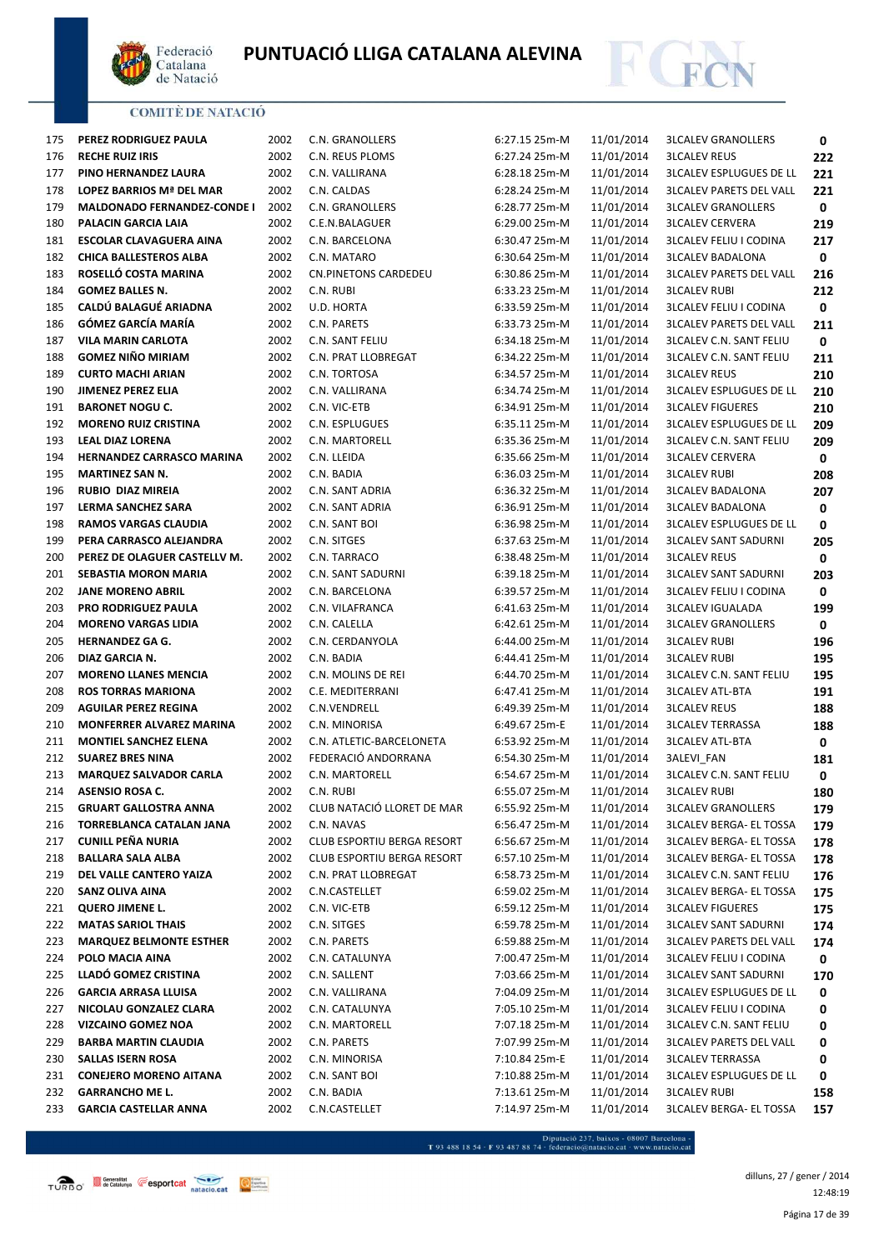



| 175 | PEREZ RODRIGUEZ PAULA              | 2002 | C.N. GRANOLLERS            | 6:27.15 25m-M | 11/01/2014 | <b>3LCALEV GRANOLLERS</b>      | 0   |
|-----|------------------------------------|------|----------------------------|---------------|------------|--------------------------------|-----|
| 176 | <b>RECHE RUIZ IRIS</b>             | 2002 | C.N. REUS PLOMS            | 6:27.24 25m-M | 11/01/2014 | <b>3LCALEV REUS</b>            | 222 |
| 177 | PINO HERNANDEZ LAURA               | 2002 | C.N. VALLIRANA             | 6:28.18 25m-M | 11/01/2014 | <b>3LCALEV ESPLUGUES DE LL</b> | 221 |
| 178 | LOPEZ BARRIOS Mª DEL MAR           | 2002 | C.N. CALDAS                | 6:28.24 25m-M | 11/01/2014 | <b>3LCALEV PARETS DEL VALL</b> | 221 |
| 179 | <b>MALDONADO FERNANDEZ-CONDE I</b> | 2002 | C.N. GRANOLLERS            | 6:28.77 25m-M | 11/01/2014 | <b>3LCALEV GRANOLLERS</b>      | 0   |
| 180 | PALACIN GARCIA LAIA                | 2002 | C.E.N.BALAGUER             | 6:29.00 25m-M | 11/01/2014 | <b>3LCALEV CERVERA</b>         | 219 |
| 181 | <b>ESCOLAR CLAVAGUERA AINA</b>     | 2002 | C.N. BARCELONA             | 6:30.47 25m-M | 11/01/2014 | <b>3LCALEV FELIU I CODINA</b>  | 217 |
| 182 | <b>CHICA BALLESTEROS ALBA</b>      | 2002 | C.N. MATARO                | 6:30.64 25m-M | 11/01/2014 | <b>3LCALEV BADALONA</b>        | 0   |
| 183 | ROSELLÓ COSTA MARINA               | 2002 | CN.PINETONS CARDEDEU       | 6:30.86 25m-M | 11/01/2014 | <b>3LCALEV PARETS DEL VALL</b> | 216 |
| 184 | <b>GOMEZ BALLES N.</b>             | 2002 | C.N. RUBI                  | 6:33.23 25m-M | 11/01/2014 | <b>3LCALEV RUBI</b>            | 212 |
| 185 | CALDÚ BALAGUÉ ARIADNA              | 2002 | U.D. HORTA                 | 6:33.59 25m-M | 11/01/2014 | <b>3LCALEV FELIU I CODINA</b>  | 0   |
| 186 | GÓMEZ GARCÍA MARÍA                 | 2002 | C.N. PARETS                | 6:33.73 25m-M | 11/01/2014 | <b>3LCALEV PARETS DEL VALL</b> | 211 |
| 187 | <b>VILA MARIN CARLOTA</b>          | 2002 | C.N. SANT FELIU            | 6:34.18 25m-M | 11/01/2014 | <b>3LCALEV C.N. SANT FELIU</b> | 0   |
| 188 | <b>GOMEZ NIÑO MIRIAM</b>           | 2002 | C.N. PRAT LLOBREGAT        | 6:34.22 25m-M | 11/01/2014 | <b>3LCALEV C.N. SANT FELIU</b> | 211 |
| 189 | <b>CURTO MACHI ARIAN</b>           | 2002 | C.N. TORTOSA               | 6:34.57 25m-M | 11/01/2014 | <b>3LCALEV REUS</b>            | 210 |
| 190 | <b>JIMENEZ PEREZ ELIA</b>          | 2002 | C.N. VALLIRANA             | 6:34.74 25m-M | 11/01/2014 | <b>3LCALEV ESPLUGUES DE LL</b> | 210 |
| 191 | <b>BARONET NOGU C.</b>             | 2002 | C.N. VIC-ETB               | 6:34.91 25m-M | 11/01/2014 | <b>3LCALEV FIGUERES</b>        | 210 |
| 192 | <b>MORENO RUIZ CRISTINA</b>        | 2002 | C.N. ESPLUGUES             | 6:35.11 25m-M | 11/01/2014 | <b>3LCALEV ESPLUGUES DE LL</b> | 209 |
| 193 | <b>LEAL DIAZ LORENA</b>            | 2002 | C.N. MARTORELL             | 6:35.36 25m-M | 11/01/2014 | <b>3LCALEV C.N. SANT FELIU</b> | 209 |
| 194 | <b>HERNANDEZ CARRASCO MARINA</b>   | 2002 | C.N. LLEIDA                | 6:35.66 25m-M | 11/01/2014 | <b>3LCALEV CERVERA</b>         | 0   |
| 195 | <b>MARTINEZ SAN N.</b>             | 2002 | C.N. BADIA                 | 6:36.03 25m-M | 11/01/2014 | <b>3LCALEV RUBI</b>            | 208 |
| 196 | <b>RUBIO DIAZ MIREIA</b>           | 2002 | C.N. SANT ADRIA            | 6:36.32 25m-M | 11/01/2014 | <b>3LCALEV BADALONA</b>        | 207 |
| 197 | LERMA SANCHEZ SARA                 | 2002 | C.N. SANT ADRIA            | 6:36.91 25m-M | 11/01/2014 | <b>3LCALEV BADALONA</b>        | 0   |
| 198 | <b>RAMOS VARGAS CLAUDIA</b>        | 2002 | C.N. SANT BOI              | 6:36.98 25m-M | 11/01/2014 | <b>3LCALEV ESPLUGUES DE LL</b> | 0   |
| 199 | PERA CARRASCO ALEJANDRA            | 2002 | C.N. SITGES                | 6:37.63 25m-M | 11/01/2014 | <b>3LCALEV SANT SADURNI</b>    | 205 |
| 200 | PEREZ DE OLAGUER CASTELLV M.       | 2002 | C.N. TARRACO               | 6:38.48 25m-M | 11/01/2014 | <b>3LCALEV REUS</b>            | 0   |
| 201 | SEBASTIA MORON MARIA               | 2002 | C.N. SANT SADURNI          | 6:39.18 25m-M | 11/01/2014 | <b>3LCALEV SANT SADURNI</b>    | 203 |
| 202 | <b>JANE MORENO ABRIL</b>           | 2002 | C.N. BARCELONA             | 6:39.57 25m-M | 11/01/2014 | <b>3LCALEV FELIU I CODINA</b>  | 0   |
| 203 | <b>PRO RODRIGUEZ PAULA</b>         | 2002 | C.N. VILAFRANCA            | 6:41.63 25m-M | 11/01/2014 | <b>3LCALEV IGUALADA</b>        | 199 |
| 204 | <b>MORENO VARGAS LIDIA</b>         | 2002 | C.N. CALELLA               | 6:42.61 25m-M | 11/01/2014 | <b>3LCALEV GRANOLLERS</b>      | 0   |
| 205 | <b>HERNANDEZ GA G.</b>             | 2002 | C.N. CERDANYOLA            | 6:44.00 25m-M | 11/01/2014 | <b>3LCALEV RUBI</b>            | 196 |
| 206 | DIAZ GARCIA N.                     | 2002 | C.N. BADIA                 | 6:44.41 25m-M | 11/01/2014 | <b>3LCALEV RUBI</b>            | 195 |
| 207 | <b>MORENO LLANES MENCIA</b>        | 2002 | C.N. MOLINS DE REI         | 6:44.70 25m-M | 11/01/2014 | <b>3LCALEV C.N. SANT FELIU</b> | 195 |
| 208 | <b>ROS TORRAS MARIONA</b>          | 2002 | C.E. MEDITERRANI           | 6:47.41 25m-M | 11/01/2014 | <b>3LCALEV ATL-BTA</b>         | 191 |
| 209 | <b>AGUILAR PEREZ REGINA</b>        | 2002 | C.N.VENDRELL               | 6:49.39 25m-M | 11/01/2014 | <b>3LCALEV REUS</b>            | 188 |
| 210 | MONFERRER ALVAREZ MARINA           | 2002 | C.N. MINORISA              | 6:49.67 25m-E | 11/01/2014 | <b>3LCALEV TERRASSA</b>        | 188 |
| 211 | <b>MONTIEL SANCHEZ ELENA</b>       | 2002 | C.N. ATLETIC-BARCELONETA   | 6:53.92 25m-M | 11/01/2014 | <b>3LCALEV ATL-BTA</b>         | 0   |
| 212 | <b>SUAREZ BRES NINA</b>            | 2002 | FEDERACIÓ ANDORRANA        | 6:54.30 25m-M | 11/01/2014 | 3ALEVI_FAN                     | 181 |
| 213 | <b>MARQUEZ SALVADOR CARLA</b>      | 2002 | C.N. MARTORELL             | 6:54.67 25m-M | 11/01/2014 | <b>3LCALEV C.N. SANT FELIU</b> | 0   |
| 214 | <b>ASENSIO ROSA C.</b>             | 2002 | C.N. RUBI                  | 6:55.07 25m-M | 11/01/2014 | <b>3LCALEV RUBI</b>            | 180 |
| 215 | <b>GRUART GALLOSTRA ANNA</b>       | 2002 | CLUB NATACIÓ LLORET DE MAR | 6:55.92 25m-M | 11/01/2014 | <b>3LCALEV GRANOLLERS</b>      | 179 |
| 216 | TORREBLANCA CATALAN JANA           | 2002 | C.N. NAVAS                 | 6:56.47 25m-M | 11/01/2014 | <b>3LCALEV BERGA- EL TOSSA</b> | 179 |
| 217 | <b>CUNILL PEÑA NURIA</b>           | 2002 | CLUB ESPORTIU BERGA RESORT | 6:56.67 25m-M | 11/01/2014 | <b>3LCALEV BERGA- EL TOSSA</b> | 178 |
| 218 | <b>BALLARA SALA ALBA</b>           | 2002 | CLUB ESPORTIU BERGA RESORT | 6:57.10 25m-M | 11/01/2014 | <b>3LCALEV BERGA- EL TOSSA</b> | 178 |
| 219 | DEL VALLE CANTERO YAIZA            | 2002 | C.N. PRAT LLOBREGAT        | 6:58.73 25m-M | 11/01/2014 | <b>3LCALEV C.N. SANT FELIU</b> | 176 |
| 220 | <b>SANZ OLIVA AINA</b>             | 2002 | C.N.CASTELLET              | 6:59.02 25m-M | 11/01/2014 | <b>3LCALEV BERGA- EL TOSSA</b> | 175 |
| 221 | <b>QUERO JIMENE L.</b>             | 2002 | C.N. VIC-ETB               | 6:59.12 25m-M | 11/01/2014 | <b>3LCALEV FIGUERES</b>        | 175 |
| 222 | <b>MATAS SARIOL THAIS</b>          | 2002 | C.N. SITGES                | 6:59.78 25m-M | 11/01/2014 | <b>3LCALEV SANT SADURNI</b>    | 174 |
| 223 | <b>MARQUEZ BELMONTE ESTHER</b>     | 2002 | C.N. PARETS                | 6:59.88 25m-M | 11/01/2014 | <b>3LCALEV PARETS DEL VALL</b> | 174 |
| 224 | POLO MACIA AINA                    | 2002 | C.N. CATALUNYA             | 7:00.47 25m-M | 11/01/2014 | <b>3LCALEV FELIU I CODINA</b>  | 0   |
| 225 | LLADÓ GOMEZ CRISTINA               | 2002 | C.N. SALLENT               | 7:03.66 25m-M | 11/01/2014 | <b>3LCALEV SANT SADURNI</b>    | 170 |
| 226 | <b>GARCIA ARRASA LLUISA</b>        | 2002 | C.N. VALLIRANA             | 7:04.09 25m-M | 11/01/2014 | <b>3LCALEV ESPLUGUES DE LL</b> | 0   |
| 227 | NICOLAU GONZALEZ CLARA             | 2002 | C.N. CATALUNYA             | 7:05.10 25m-M | 11/01/2014 | <b>3LCALEV FELIU I CODINA</b>  | 0   |
| 228 | <b>VIZCAINO GOMEZ NOA</b>          | 2002 | C.N. MARTORELL             | 7:07.18 25m-M | 11/01/2014 | <b>3LCALEV C.N. SANT FELIU</b> | 0   |
| 229 | <b>BARBA MARTIN CLAUDIA</b>        | 2002 | C.N. PARETS                | 7:07.99 25m-M | 11/01/2014 | <b>3LCALEV PARETS DEL VALL</b> | 0   |
| 230 | <b>SALLAS ISERN ROSA</b>           | 2002 | C.N. MINORISA              | 7:10.84 25m-E | 11/01/2014 | <b>3LCALEV TERRASSA</b>        | 0   |
| 231 | <b>CONEJERO MORENO AITANA</b>      | 2002 | C.N. SANT BOI              | 7:10.88 25m-M | 11/01/2014 | <b>3LCALEV ESPLUGUES DE LL</b> | 0   |
| 232 | <b>GARRANCHO ME L.</b>             | 2002 | C.N. BADIA                 | 7:13.61 25m-M | 11/01/2014 | <b>3LCALEV RUBI</b>            | 158 |
| 233 | <b>GARCIA CASTELLAR ANNA</b>       | 2002 | C.N.CASTELLET              | 7:14.97 25m-M | 11/01/2014 | <b>3LCALEV BERGA- EL TOSSA</b> | 157 |
|     |                                    |      |                            |               |            |                                |     |

 $\begin{minipage}{.45\textwidth} \begin{minipage}{.45\textwidth} \begin{tabular}{l} \bf{7.93.488.18.54$\cdot$ F 93.487 88.74$\cdot$ federació@natacio.cat$\cdot$ www.natacio.cat.\end{tabular} \end{minipage} \end{minipage}$ 

Página 17 de 39 dilluns, 27 / gener / 2014 12:48:19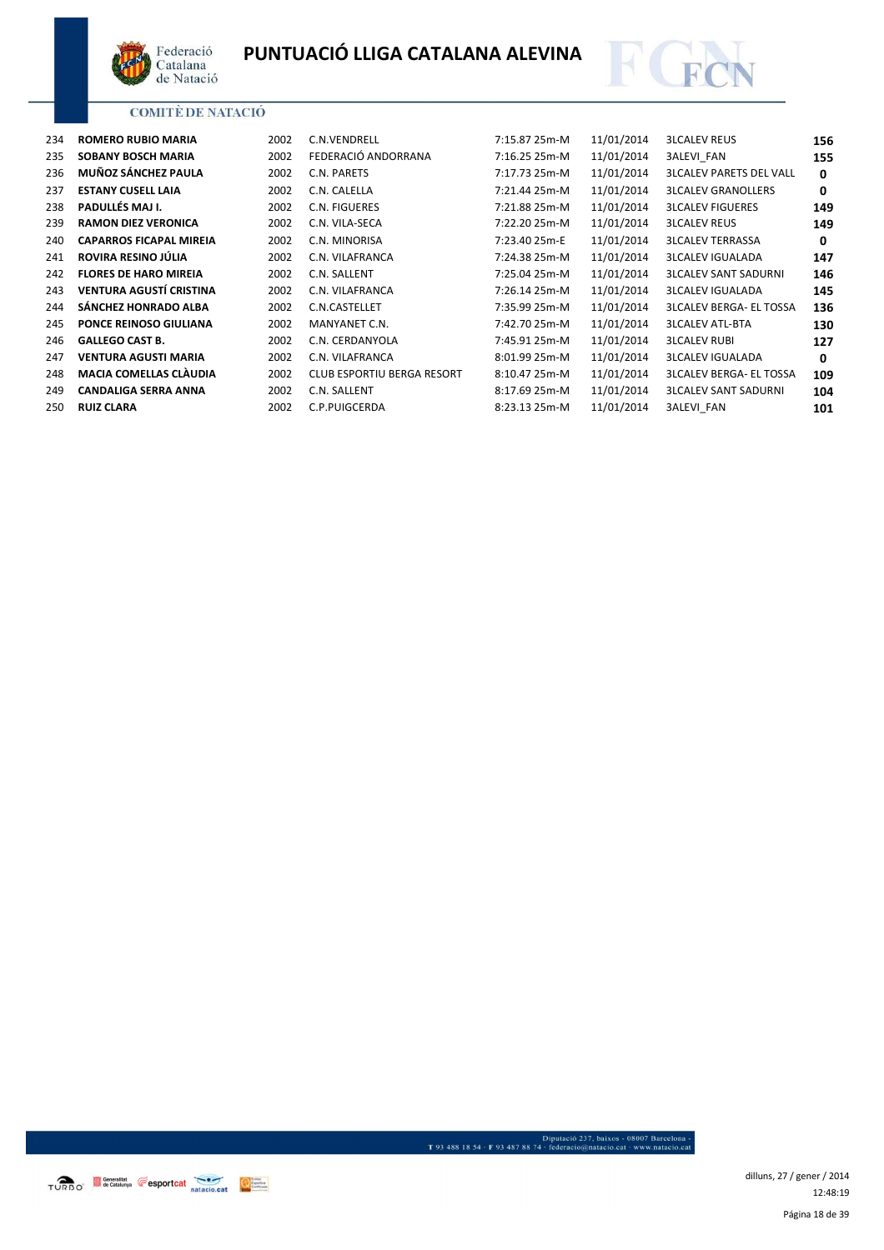



| 234 | <b>ROMERO RUBIO MARIA</b>      | 2002 | C.N.VENDRELL                      | 7:15.87 25m-M | 11/01/2014 | <b>3LCALEV REUS</b>            | 156 |
|-----|--------------------------------|------|-----------------------------------|---------------|------------|--------------------------------|-----|
| 235 | <b>SOBANY BOSCH MARIA</b>      | 2002 | FEDERACIÓ ANDORRANA               | 7:16.25 25m-M | 11/01/2014 | <b>3ALEVI FAN</b>              | 155 |
| 236 | MUÑOZ SÁNCHEZ PAULA            | 2002 | C.N. PARETS                       | 7:17.73 25m-M | 11/01/2014 | <b>3LCALEV PARETS DEL VALL</b> | 0   |
| 237 | <b>ESTANY CUSELL LAIA</b>      | 2002 | C.N. CALELLA                      | 7:21.44 25m-M | 11/01/2014 | <b>3LCALEV GRANOLLERS</b>      | 0   |
| 238 | PADULLÉS MAJ I.                | 2002 | C.N. FIGUERES                     | 7:21.88 25m-M | 11/01/2014 | <b>3LCALEV FIGUERES</b>        | 149 |
| 239 | <b>RAMON DIEZ VERONICA</b>     | 2002 | C.N. VILA-SECA                    | 7:22.20 25m-M | 11/01/2014 | <b>3LCALEV REUS</b>            | 149 |
| 240 | <b>CAPARROS FICAPAL MIREIA</b> | 2002 | C.N. MINORISA                     | 7:23.40 25m-E | 11/01/2014 | <b>3LCALEV TERRASSA</b>        | 0   |
| 241 | ROVIRA RESINO JÚLIA            | 2002 | C.N. VILAFRANCA                   | 7:24.38 25m-M | 11/01/2014 | <b>3LCALEV IGUALADA</b>        | 147 |
| 242 | <b>FLORES DE HARO MIREIA</b>   | 2002 | C.N. SALLENT                      | 7:25.04 25m-M | 11/01/2014 | <b>3LCALEV SANT SADURNI</b>    | 146 |
| 243 | <b>VENTURA AGUSTÍ CRISTINA</b> | 2002 | C.N. VILAFRANCA                   | 7:26.14 25m-M | 11/01/2014 | <b>3LCALEV IGUALADA</b>        | 145 |
| 244 | <b>SÁNCHEZ HONRADO ALBA</b>    | 2002 | C.N.CASTELLET                     | 7:35.99 25m-M | 11/01/2014 | <b>3LCALEV BERGA- EL TOSSA</b> | 136 |
| 245 | <b>PONCE REINOSO GIULIANA</b>  | 2002 | MANYANET C.N.                     | 7:42.70 25m-M | 11/01/2014 | <b>3LCALEV ATL-BTA</b>         | 130 |
| 246 | <b>GALLEGO CAST B.</b>         | 2002 | C.N. CERDANYOLA                   | 7:45.91 25m-M | 11/01/2014 | <b>3LCALEV RUBI</b>            | 127 |
| 247 | <b>VENTURA AGUSTI MARIA</b>    | 2002 | C.N. VILAFRANCA                   | 8:01.99 25m-M | 11/01/2014 | <b>3LCALEV IGUALADA</b>        | 0   |
| 248 | <b>MACIA COMELLAS CLÀUDIA</b>  | 2002 | <b>CLUB ESPORTIU BERGA RESORT</b> | 8:10.47 25m-M | 11/01/2014 | <b>3LCALEV BERGA- EL TOSSA</b> | 109 |
| 249 | <b>CANDALIGA SERRA ANNA</b>    | 2002 | C.N. SALLENT                      | 8:17.69 25m-M | 11/01/2014 | <b>3LCALEV SANT SADURNI</b>    | 104 |
| 250 | <b>RUIZ CLARA</b>              | 2002 | C.P.PUIGCERDA                     | 8:23.13 25m-M | 11/01/2014 | <b>3ALEVI FAN</b>              | 101 |
|     |                                |      |                                   |               |            |                                |     |

- Diputació 237, baixos - 08007 Barcelona<br>1934 - 1934 - 1934 - 1934 - 1937 - 1948 - 1949 - 1949 - 1949 - 1949 - 1949 - 1949 - 1949 - 1949 - 1949 - 1949 - 1949 - 1949 - 1949 - 1949 - 1949 - 1949 - 1949 - 1949 - 1949 - 1949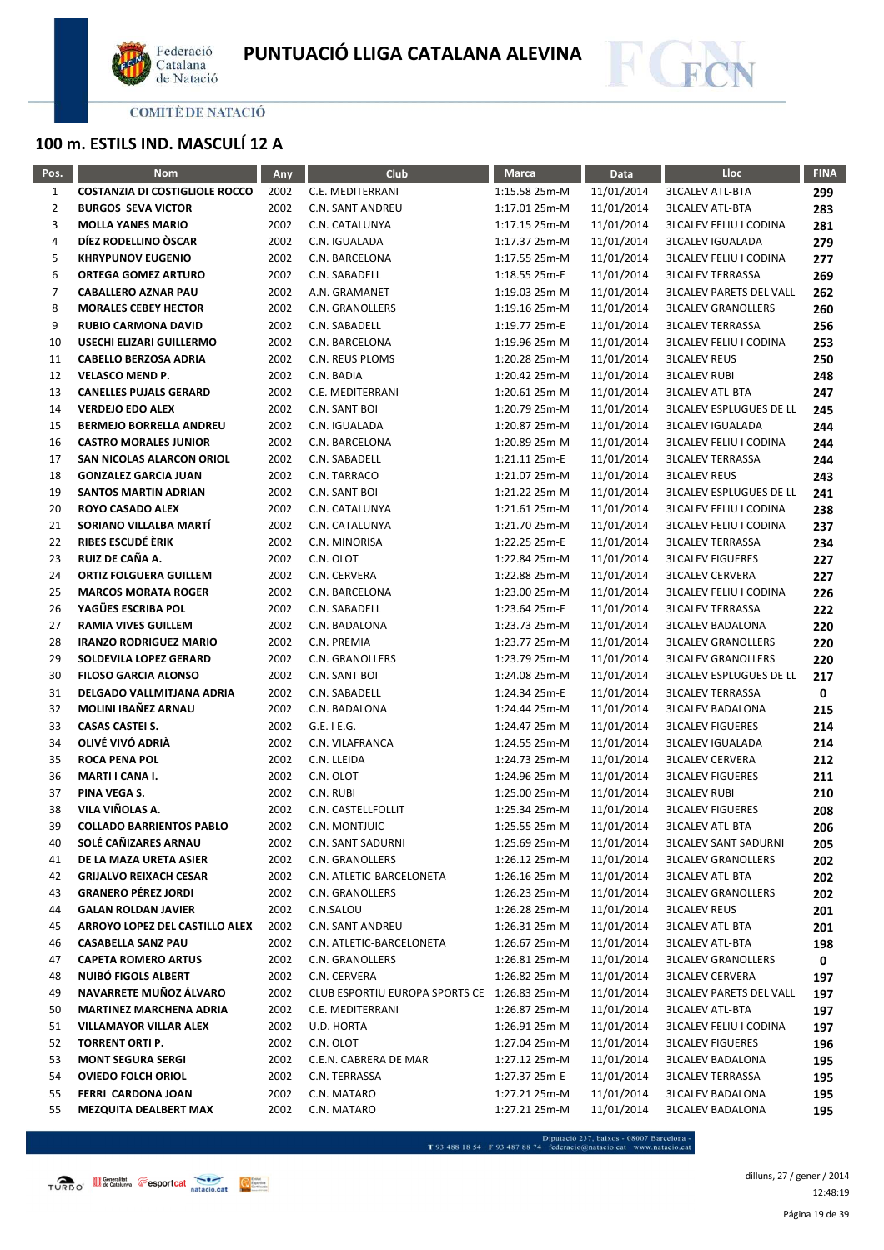



# **100 m. ESTILS IND. MASCULÍ 12 A**

| Pos.           | <b>Nom</b>                            | Any  | Club                                         | <b>Marca</b>  | Data       | Lloc                           | <b>FINA</b> |
|----------------|---------------------------------------|------|----------------------------------------------|---------------|------------|--------------------------------|-------------|
| $\mathbf{1}$   | <b>COSTANZIA DI COSTIGLIOLE ROCCO</b> | 2002 | C.E. MEDITERRANI                             | 1:15.58 25m-M | 11/01/2014 | <b>3LCALEV ATL-BTA</b>         | 299         |
| $\overline{2}$ | <b>BURGOS SEVA VICTOR</b>             | 2002 | <b>C.N. SANT ANDREU</b>                      | 1:17.01 25m-M | 11/01/2014 | <b>3LCALEV ATL-BTA</b>         | 283         |
| 3              | <b>MOLLA YANES MARIO</b>              | 2002 | C.N. CATALUNYA                               | 1:17.15 25m-M | 11/01/2014 | <b>3LCALEV FELIU I CODINA</b>  | 281         |
| 4              | DÍEZ RODELLINO ÒSCAR                  | 2002 | C.N. IGUALADA                                | 1:17.37 25m-M | 11/01/2014 | <b>3LCALEV IGUALADA</b>        | 279         |
| 5              | <b>KHRYPUNOV EUGENIO</b>              | 2002 | C.N. BARCELONA                               | 1:17.55 25m-M | 11/01/2014 | <b>3LCALEV FELIU I CODINA</b>  | 277         |
| 6              | <b>ORTEGA GOMEZ ARTURO</b>            | 2002 | C.N. SABADELL                                | 1:18.55 25m-E | 11/01/2014 | <b>3LCALEV TERRASSA</b>        | 269         |
| 7              | <b>CABALLERO AZNAR PAU</b>            | 2002 | A.N. GRAMANET                                | 1:19.03 25m-M | 11/01/2014 | <b>3LCALEV PARETS DEL VALL</b> | 262         |
| 8              | <b>MORALES CEBEY HECTOR</b>           | 2002 | C.N. GRANOLLERS                              | 1:19.16 25m-M | 11/01/2014 | <b>3LCALEV GRANOLLERS</b>      | 260         |
| 9              | <b>RUBIO CARMONA DAVID</b>            | 2002 | C.N. SABADELL                                | 1:19.77 25m-E | 11/01/2014 | <b>3LCALEV TERRASSA</b>        | 256         |
| 10             | USECHI ELIZARI GUILLERMO              | 2002 | C.N. BARCELONA                               | 1:19.96 25m-M | 11/01/2014 | <b>3LCALEV FELIU I CODINA</b>  | 253         |
| 11             | <b>CABELLO BERZOSA ADRIA</b>          | 2002 | C.N. REUS PLOMS                              | 1:20.28 25m-M | 11/01/2014 | <b>3LCALEV REUS</b>            | 250         |
| 12             | <b>VELASCO MEND P.</b>                | 2002 | C.N. BADIA                                   | 1:20.42 25m-M | 11/01/2014 | <b>3LCALEV RUBI</b>            | 248         |
| 13             | <b>CANELLES PUJALS GERARD</b>         | 2002 | C.E. MEDITERRANI                             | 1:20.61 25m-M | 11/01/2014 | <b>3LCALEV ATL-BTA</b>         | 247         |
| 14             | <b>VERDEJO EDO ALEX</b>               | 2002 | C.N. SANT BOI                                | 1:20.79 25m-M | 11/01/2014 | <b>3LCALEV ESPLUGUES DE LL</b> | 245         |
| 15             | <b>BERMEJO BORRELLA ANDREU</b>        | 2002 | C.N. IGUALADA                                | 1:20.87 25m-M | 11/01/2014 | <b>3LCALEV IGUALADA</b>        | 244         |
| 16             | <b>CASTRO MORALES JUNIOR</b>          | 2002 | C.N. BARCELONA                               | 1:20.89 25m-M | 11/01/2014 | <b>3LCALEV FELIU I CODINA</b>  | 244         |
| 17             | SAN NICOLAS ALARCON ORIOL             | 2002 | C.N. SABADELL                                | 1:21.11 25m-E | 11/01/2014 | <b>3LCALEV TERRASSA</b>        | 244         |
| 18             | <b>GONZALEZ GARCIA JUAN</b>           | 2002 | C.N. TARRACO                                 | 1:21.07 25m-M | 11/01/2014 | <b>3LCALEV REUS</b>            | 243         |
| 19             | <b>SANTOS MARTIN ADRIAN</b>           | 2002 | C.N. SANT BOI                                | 1:21.22 25m-M | 11/01/2014 | <b>3LCALEV ESPLUGUES DE LL</b> | 241         |
| 20             | <b>ROYO CASADO ALEX</b>               | 2002 | C.N. CATALUNYA                               | 1:21.61 25m-M | 11/01/2014 | <b>3LCALEV FELIU I CODINA</b>  | 238         |
| 21             | SORIANO VILLALBA MARTÍ                | 2002 | C.N. CATALUNYA                               | 1:21.70 25m-M | 11/01/2014 | <b>3LCALEV FELIU I CODINA</b>  | 237         |
| 22             | RIBES ESCUDÉ ÈRIK                     | 2002 | C.N. MINORISA                                | 1:22.25 25m-E | 11/01/2014 | <b>3LCALEV TERRASSA</b>        | 234         |
| 23             | RUIZ DE CAÑA A.                       | 2002 | C.N. OLOT                                    | 1:22.84 25m-M | 11/01/2014 | <b>3LCALEV FIGUERES</b>        | 227         |
| 24             | <b>ORTIZ FOLGUERA GUILLEM</b>         | 2002 | C.N. CERVERA                                 | 1:22.88 25m-M | 11/01/2014 | <b>3LCALEV CERVERA</b>         | 227         |
| 25             | <b>MARCOS MORATA ROGER</b>            | 2002 | C.N. BARCELONA                               | 1:23.00 25m-M | 11/01/2014 | <b>3LCALEV FELIU I CODINA</b>  | 226         |
| 26             | YAGÜES ESCRIBA POL                    | 2002 | C.N. SABADELL                                | 1:23.64 25m-E | 11/01/2014 | <b>3LCALEV TERRASSA</b>        | 222         |
| 27             | <b>RAMIA VIVES GUILLEM</b>            | 2002 | C.N. BADALONA                                | 1:23.73 25m-M | 11/01/2014 | <b>3LCALEV BADALONA</b>        | 220         |
| 28             | <b>IRANZO RODRIGUEZ MARIO</b>         | 2002 | C.N. PREMIA                                  | 1:23.77 25m-M | 11/01/2014 | <b>3LCALEV GRANOLLERS</b>      | 220         |
| 29             | SOLDEVILA LOPEZ GERARD                | 2002 | C.N. GRANOLLERS                              | 1:23.79 25m-M | 11/01/2014 | <b>3LCALEV GRANOLLERS</b>      | 220         |
| 30             | <b>FILOSO GARCIA ALONSO</b>           | 2002 | C.N. SANT BOI                                | 1:24.08 25m-M | 11/01/2014 | <b>3LCALEV ESPLUGUES DE LL</b> | 217         |
| 31             | DELGADO VALLMITJANA ADRIA             | 2002 | C.N. SABADELL                                | 1:24.34 25m-E | 11/01/2014 | <b>3LCALEV TERRASSA</b>        | 0           |
| 32             | MOLINI IBAÑEZ ARNAU                   | 2002 | C.N. BADALONA                                | 1:24.44 25m-M | 11/01/2014 | <b>3LCALEV BADALONA</b>        | 215         |
| 33             | <b>CASAS CASTEI S.</b>                | 2002 | $G.E.$ I E.G.                                | 1:24.47 25m-M | 11/01/2014 | <b>3LCALEV FIGUERES</b>        | 214         |
| 34             | OLIVÉ VIVÓ ADRIÀ                      | 2002 | C.N. VILAFRANCA                              | 1:24.55 25m-M | 11/01/2014 | <b>3LCALEV IGUALADA</b>        | 214         |
| 35             | <b>ROCA PENA POL</b>                  | 2002 | C.N. LLEIDA                                  | 1:24.73 25m-M | 11/01/2014 | <b>3LCALEV CERVERA</b>         | 212         |
| 36             | MARTI I CANA I.                       | 2002 | C.N. OLOT                                    | 1:24.96 25m-M | 11/01/2014 | <b>3LCALEV FIGUERES</b>        | 211         |
| 37             | PINA VEGA S.                          | 2002 | C.N. RUBI                                    | 1:25.00 25m-M | 11/01/2014 | <b>3LCALEV RUBI</b>            | 210         |
| 38             | VILA VIÑOLAS A.                       | 2002 | C.N. CASTELLFOLLIT                           | 1:25.34 25m-M | 11/01/2014 | <b>3LCALEV FIGUERES</b>        | 208         |
| 39             | <b>COLLADO BARRIENTOS PABLO</b>       | 2002 | C.N. MONTJUIC                                | 1:25.55 25m-M | 11/01/2014 | <b>3LCALEV ATL-BTA</b>         | 206         |
| 40             | SOLÉ CAÑIZARES ARNAU                  | 2002 | C.N. SANT SADURNI                            | 1:25.69 25m-M | 11/01/2014 | <b>3LCALEV SANT SADURNI</b>    | 205         |
| 41             | DE LA MAZA URETA ASIER                | 2002 | C.N. GRANOLLERS                              | 1:26.12 25m-M | 11/01/2014 | <b>3LCALEV GRANOLLERS</b>      | 202         |
| 42             | <b>GRIJALVO REIXACH CESAR</b>         | 2002 | C.N. ATLETIC-BARCELONETA                     | 1:26.16 25m-M | 11/01/2014 | <b>3LCALEV ATL-BTA</b>         | 202         |
| 43             | <b>GRANERO PÉREZ JORDI</b>            | 2002 | C.N. GRANOLLERS                              | 1:26.23 25m-M | 11/01/2014 | <b>3LCALEV GRANOLLERS</b>      | 202         |
| 44             | <b>GALAN ROLDAN JAVIER</b>            | 2002 | C.N.SALOU                                    | 1:26.28 25m-M | 11/01/2014 | <b>3LCALEV REUS</b>            | 201         |
| 45             | ARROYO LOPEZ DEL CASTILLO ALEX        | 2002 | C.N. SANT ANDREU                             | 1:26.31 25m-M | 11/01/2014 | <b>3LCALEV ATL-BTA</b>         | 201         |
| 46             | <b>CASABELLA SANZ PAU</b>             | 2002 | C.N. ATLETIC-BARCELONETA                     | 1:26.67 25m-M | 11/01/2014 | <b>3LCALEV ATL-BTA</b>         | 198         |
| 47             | <b>CAPETA ROMERO ARTUS</b>            | 2002 | C.N. GRANOLLERS                              | 1:26.81 25m-M | 11/01/2014 | <b>3LCALEV GRANOLLERS</b>      | 0           |
| 48             | NUIBÓ FIGOLS ALBERT                   | 2002 | C.N. CERVERA                                 | 1:26.82 25m-M | 11/01/2014 | <b>3LCALEV CERVERA</b>         | 197         |
| 49             | NAVARRETE MUÑOZ ÁLVARO                | 2002 | CLUB ESPORTIU EUROPA SPORTS CE 1:26.83 25m-M |               | 11/01/2014 | <b>3LCALEV PARETS DEL VALL</b> | 197         |
| 50             | <b>MARTINEZ MARCHENA ADRIA</b>        | 2002 | C.E. MEDITERRANI                             | 1:26.87 25m-M | 11/01/2014 | <b>3LCALEV ATL-BTA</b>         | 197         |
| 51             | <b>VILLAMAYOR VILLAR ALEX</b>         | 2002 | U.D. HORTA                                   | 1:26.91 25m-M | 11/01/2014 | <b>3LCALEV FELIU I CODINA</b>  | 197         |
| 52             | TORRENT ORTI P.                       | 2002 | C.N. OLOT                                    | 1:27.04 25m-M | 11/01/2014 | <b>3LCALEV FIGUERES</b>        | 196         |
| 53             | <b>MONT SEGURA SERGI</b>              | 2002 | C.E.N. CABRERA DE MAR                        | 1:27.12 25m-M | 11/01/2014 | <b>3LCALEV BADALONA</b>        | 195         |
| 54             | <b>OVIEDO FOLCH ORIOL</b>             | 2002 | C.N. TERRASSA                                | 1:27.37 25m-E | 11/01/2014 | <b>3LCALEV TERRASSA</b>        | 195         |
| 55             | FERRI CARDONA JOAN                    | 2002 | C.N. MATARO                                  | 1:27.21 25m-M | 11/01/2014 | <b>3LCALEV BADALONA</b>        | 195         |
| 55             | MEZQUITA DEALBERT MAX                 | 2002 | C.N. MATARO                                  | 1:27.21 25m-M | 11/01/2014 | <b>3LCALEV BADALONA</b>        | 195         |

- Diputació 237, baixos - 08007 Barcelona<br>T 93 488 18 54 · F 93 487 88 74 · federacio@natacio.cat · www.natacio.cat

Página 19 de 39 dilluns, 27 / gener / 2014 12:48:19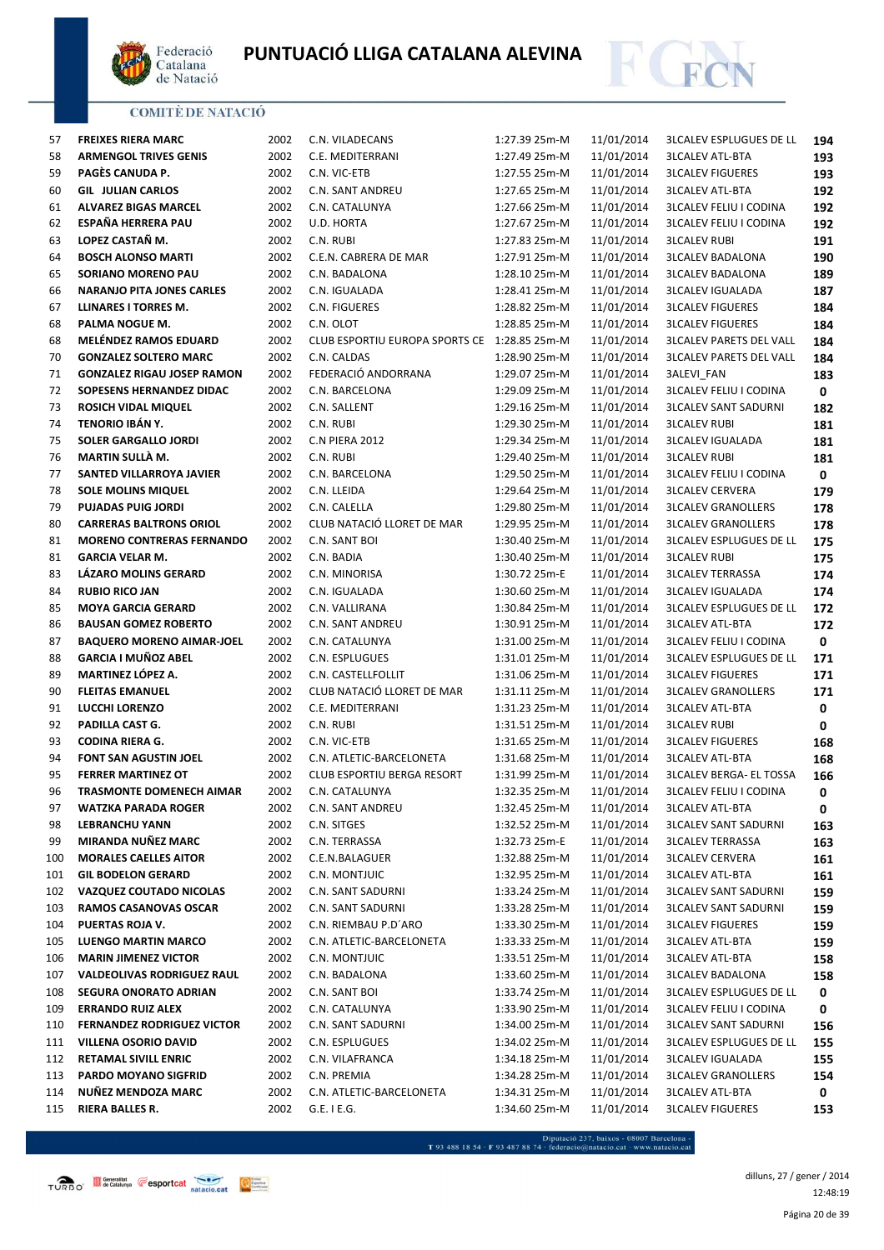



| 57  | <b>FREIXES RIERA MARC</b>         | 2002 | C.N. VILADECANS                              | 1:27.39 25m-M | 11/01/2014 | <b>3LCALEV ESPLUGUES DE LL</b> | 194 |
|-----|-----------------------------------|------|----------------------------------------------|---------------|------------|--------------------------------|-----|
| 58  | <b>ARMENGOL TRIVES GENIS</b>      | 2002 | C.E. MEDITERRANI                             | 1:27.49 25m-M | 11/01/2014 | <b>3LCALEV ATL-BTA</b>         | 193 |
| 59  | PAGÈS CANUDA P.                   | 2002 | C.N. VIC-ETB                                 | 1:27.55 25m-M | 11/01/2014 | <b>3LCALEV FIGUERES</b>        | 193 |
| 60  | <b>GIL JULIAN CARLOS</b>          | 2002 | C.N. SANT ANDREU                             | 1:27.65 25m-M | 11/01/2014 | <b>3LCALEV ATL-BTA</b>         | 192 |
| 61  | <b>ALVAREZ BIGAS MARCEL</b>       | 2002 | C.N. CATALUNYA                               | 1:27.66 25m-M | 11/01/2014 | <b>3LCALEV FELIU I CODINA</b>  | 192 |
| 62  | <b>ESPAÑA HERRERA PAU</b>         | 2002 | U.D. HORTA                                   | 1:27.67 25m-M | 11/01/2014 | <b>3LCALEV FELIU I CODINA</b>  | 192 |
| 63  | LOPEZ CASTAÑ M.                   | 2002 | C.N. RUBI                                    | 1:27.83 25m-M | 11/01/2014 | <b>3LCALEV RUBI</b>            | 191 |
| 64  | <b>BOSCH ALONSO MARTI</b>         | 2002 | C.E.N. CABRERA DE MAR                        | 1:27.91 25m-M | 11/01/2014 | <b>3LCALEV BADALONA</b>        | 190 |
| 65  | SORIANO MORENO PAU                | 2002 | C.N. BADALONA                                | 1:28.10 25m-M | 11/01/2014 | <b>3LCALEV BADALONA</b>        | 189 |
| 66  | <b>NARANJO PITA JONES CARLES</b>  | 2002 | C.N. IGUALADA                                | 1:28.41 25m-M | 11/01/2014 | <b>3LCALEV IGUALADA</b>        | 187 |
| 67  | LLINARES I TORRES M.              | 2002 | C.N. FIGUERES                                | 1:28.82 25m-M | 11/01/2014 | <b>3LCALEV FIGUERES</b>        | 184 |
| 68  | PALMA NOGUE M.                    | 2002 | C.N. OLOT                                    | 1:28.85 25m-M | 11/01/2014 | <b>3LCALEV FIGUERES</b>        | 184 |
| 68  | <b>MELÉNDEZ RAMOS EDUARD</b>      | 2002 | CLUB ESPORTIU EUROPA SPORTS CE 1:28.85 25m-M |               | 11/01/2014 | <b>3LCALEV PARETS DEL VALL</b> | 184 |
| 70  | <b>GONZALEZ SOLTERO MARC</b>      | 2002 | C.N. CALDAS                                  | 1:28.90 25m-M | 11/01/2014 | <b>3LCALEV PARETS DEL VALL</b> | 184 |
| 71  | <b>GONZALEZ RIGAU JOSEP RAMON</b> | 2002 | FEDERACIÓ ANDORRANA                          | 1:29.07 25m-M | 11/01/2014 | 3ALEVI_FAN                     | 183 |
| 72  | SOPESENS HERNANDEZ DIDAC          | 2002 | C.N. BARCELONA                               | 1:29.09 25m-M | 11/01/2014 | <b>3LCALEV FELIU I CODINA</b>  | 0   |
| 73  | <b>ROSICH VIDAL MIQUEL</b>        | 2002 | C.N. SALLENT                                 | 1:29.16 25m-M | 11/01/2014 | <b>3LCALEV SANT SADURNI</b>    | 182 |
| 74  | TENORIO IBÁN Y.                   | 2002 | C.N. RUBI                                    | 1:29.30 25m-M | 11/01/2014 | <b>3LCALEV RUBI</b>            | 181 |
| 75  | <b>SOLER GARGALLO JORDI</b>       | 2002 | C.N PIERA 2012                               | 1:29.34 25m-M | 11/01/2014 | <b>3LCALEV IGUALADA</b>        | 181 |
| 76  | MARTIN SULLÀ M.                   | 2002 | C.N. RUBI                                    | 1:29.40 25m-M | 11/01/2014 | <b>3LCALEV RUBI</b>            | 181 |
| 77  | SANTED VILLARROYA JAVIER          | 2002 | C.N. BARCELONA                               | 1:29.50 25m-M | 11/01/2014 | <b>3LCALEV FELIU I CODINA</b>  | 0   |
| 78  | <b>SOLE MOLINS MIQUEL</b>         | 2002 | C.N. LLEIDA                                  | 1:29.64 25m-M | 11/01/2014 | <b>3LCALEV CERVERA</b>         | 179 |
| 79  | <b>PUJADAS PUIG JORDI</b>         | 2002 | C.N. CALELLA                                 | 1:29.80 25m-M | 11/01/2014 | <b>3LCALEV GRANOLLERS</b>      | 178 |
| 80  | <b>CARRERAS BALTRONS ORIOL</b>    | 2002 | CLUB NATACIÓ LLORET DE MAR                   | 1:29.95 25m-M | 11/01/2014 | <b>3LCALEV GRANOLLERS</b>      | 178 |
| 81  | <b>MORENO CONTRERAS FERNANDO</b>  | 2002 | C.N. SANT BOI                                | 1:30.40 25m-M | 11/01/2014 | <b>3LCALEV ESPLUGUES DE LL</b> | 175 |
| 81  | <b>GARCIA VELAR M.</b>            | 2002 | C.N. BADIA                                   | 1:30.40 25m-M | 11/01/2014 | <b>3LCALEV RUBI</b>            | 175 |
| 83  | LÁZARO MOLINS GERARD              | 2002 | C.N. MINORISA                                | 1:30.72 25m-E | 11/01/2014 | <b>3LCALEV TERRASSA</b>        | 174 |
| 84  | <b>RUBIO RICO JAN</b>             | 2002 | C.N. IGUALADA                                | 1:30.60 25m-M | 11/01/2014 | <b>3LCALEV IGUALADA</b>        | 174 |
| 85  | <b>MOYA GARCIA GERARD</b>         | 2002 | C.N. VALLIRANA                               | 1:30.84 25m-M | 11/01/2014 | <b>3LCALEV ESPLUGUES DE LL</b> | 172 |
| 86  | <b>BAUSAN GOMEZ ROBERTO</b>       | 2002 | C.N. SANT ANDREU                             | 1:30.91 25m-M | 11/01/2014 | <b>3LCALEV ATL-BTA</b>         | 172 |
| 87  | <b>BAQUERO MORENO AIMAR-JOEL</b>  | 2002 | C.N. CATALUNYA                               | 1:31.00 25m-M | 11/01/2014 | <b>3LCALEV FELIU I CODINA</b>  | 0   |
| 88  | <b>GARCIA I MUÑOZ ABEL</b>        | 2002 | C.N. ESPLUGUES                               | 1:31.01 25m-M | 11/01/2014 | <b>3LCALEV ESPLUGUES DE LL</b> | 171 |
| 89  | <b>MARTINEZ LÓPEZ A.</b>          | 2002 | C.N. CASTELLFOLLIT                           | 1:31.06 25m-M | 11/01/2014 | <b>3LCALEV FIGUERES</b>        | 171 |
| 90  | <b>FLEITAS EMANUEL</b>            | 2002 | CLUB NATACIÓ LLORET DE MAR                   | 1:31.11 25m-M | 11/01/2014 | <b>3LCALEV GRANOLLERS</b>      | 171 |
| 91  | <b>LUCCHI LORENZO</b>             | 2002 | C.E. MEDITERRANI                             | 1:31.23 25m-M | 11/01/2014 | <b>3LCALEV ATL-BTA</b>         | 0   |
| 92  | PADILLA CAST G.                   | 2002 | C.N. RUBI                                    | 1:31.51 25m-M | 11/01/2014 | <b>3LCALEV RUBI</b>            | 0   |
| 93  | <b>CODINA RIERA G.</b>            | 2002 | C.N. VIC-ETB                                 | 1:31.65 25m-M | 11/01/2014 | <b>3LCALEV FIGUERES</b>        | 168 |
| 94  | FONT SAN AGUSTIN JOEL             | 2002 | C.N. ATLETIC-BARCELONETA                     | 1:31.68 25m-M | 11/01/2014 | <b>3LCALEV ATL-BTA</b>         | 168 |
| 95  | <b>FERRER MARTINEZ OT</b>         | 2002 | CLUB ESPORTIU BERGA RESORT                   | 1:31.99 25m-M | 11/01/2014 | <b>3LCALEV BERGA- EL TOSSA</b> | 166 |
| 96  | <b>TRASMONTE DOMENECH AIMAR</b>   | 2002 | C.N. CATALUNYA                               | 1:32.35 25m-M | 11/01/2014 | <b>3LCALEV FELIU I CODINA</b>  | 0   |
| 97  | WATZKA PARADA ROGER               | 2002 | C.N. SANT ANDREU                             | 1:32.45 25m-M | 11/01/2014 | <b>3LCALEV ATL-BTA</b>         | 0   |
| 98  | <b>LEBRANCHU YANN</b>             | 2002 | C.N. SITGES                                  | 1:32.52 25m-M | 11/01/2014 | <b>3LCALEV SANT SADURNI</b>    | 163 |
| 99  | MIRANDA NUÑEZ MARC                | 2002 | C.N. TERRASSA                                | 1:32.73 25m-E | 11/01/2014 | <b>3LCALEV TERRASSA</b>        | 163 |
| 100 | <b>MORALES CAELLES AITOR</b>      | 2002 | C.E.N.BALAGUER                               | 1:32.88 25m-M | 11/01/2014 | <b>3LCALEV CERVERA</b>         | 161 |
| 101 | <b>GIL BODELON GERARD</b>         | 2002 | C.N. MONTJUIC                                | 1:32.95 25m-M | 11/01/2014 | <b>3LCALEV ATL-BTA</b>         | 161 |
| 102 | <b>VAZQUEZ COUTADO NICOLAS</b>    | 2002 | C.N. SANT SADURNI                            | 1:33.24 25m-M | 11/01/2014 | <b>3LCALEV SANT SADURNI</b>    | 159 |
| 103 | RAMOS CASANOVAS OSCAR             | 2002 | C.N. SANT SADURNI                            | 1:33.28 25m-M | 11/01/2014 | <b>3LCALEV SANT SADURNI</b>    | 159 |
| 104 | PUERTAS ROJA V.                   | 2002 | C.N. RIEMBAU P.D'ARO                         | 1:33.30 25m-M | 11/01/2014 | <b>3LCALEV FIGUERES</b>        | 159 |
| 105 | <b>LUENGO MARTIN MARCO</b>        | 2002 | C.N. ATLETIC-BARCELONETA                     | 1:33.33 25m-M | 11/01/2014 | <b>3LCALEV ATL-BTA</b>         | 159 |
| 106 | <b>MARIN JIMENEZ VICTOR</b>       | 2002 | C.N. MONTJUIC                                | 1:33.51 25m-M | 11/01/2014 | <b>3LCALEV ATL-BTA</b>         | 158 |
| 107 | <b>VALDEOLIVAS RODRIGUEZ RAUL</b> | 2002 | C.N. BADALONA                                | 1:33.60 25m-M | 11/01/2014 | <b>3LCALEV BADALONA</b>        | 158 |
| 108 | <b>SEGURA ONORATO ADRIAN</b>      | 2002 | C.N. SANT BOI                                | 1:33.74 25m-M | 11/01/2014 | <b>3LCALEV ESPLUGUES DE LL</b> | 0   |
| 109 | <b>ERRANDO RUIZ ALEX</b>          | 2002 | C.N. CATALUNYA                               | 1:33.90 25m-M | 11/01/2014 | <b>3LCALEV FELIU I CODINA</b>  | 0   |
| 110 | <b>FERNANDEZ RODRIGUEZ VICTOR</b> | 2002 | C.N. SANT SADURNI                            | 1:34.00 25m-M | 11/01/2014 | <b>3LCALEV SANT SADURNI</b>    | 156 |
| 111 | <b>VILLENA OSORIO DAVID</b>       | 2002 | C.N. ESPLUGUES                               | 1:34.02 25m-M | 11/01/2014 | <b>3LCALEV ESPLUGUES DE LL</b> | 155 |
| 112 | RETAMAL SIVILL ENRIC              | 2002 | C.N. VILAFRANCA                              | 1:34.18 25m-M | 11/01/2014 | <b>3LCALEV IGUALADA</b>        | 155 |
| 113 | PARDO MOYANO SIGFRID              | 2002 | C.N. PREMIA                                  | 1:34.28 25m-M | 11/01/2014 | <b>3LCALEV GRANOLLERS</b>      | 154 |
| 114 | NUÑEZ MENDOZA MARC                | 2002 | C.N. ATLETIC-BARCELONETA                     | 1:34.31 25m-M | 11/01/2014 | <b>3LCALEV ATL-BTA</b>         | 0   |
| 115 | <b>RIERA BALLES R.</b>            | 2002 | $G.E.$ I E.G.                                | 1:34.60 25m-M | 11/01/2014 | <b>3LCALEV FIGUERES</b>        | 153 |

 $\begin{minipage}{.45\textwidth} \begin{minipage}{.45\textwidth} \begin{tabular}{l} \bf{7.93.488.18.54\cdot F93.487.88.74\cdot{} \textbf{f} & \textbf{f} & \textbf{f} & \textbf{f} & \textbf{f} & \textbf{f} & \textbf{f} & \textbf{f} & \textbf{f} & \textbf{f} & \textbf{f} & \textbf{f} & \textbf{f} & \textbf{f} & \textbf{f} \\ \end{tabular} \end{minipage} \begin{minipage}{.45\textwidth} \begin{minipage}{.45\textwidth} \begin{$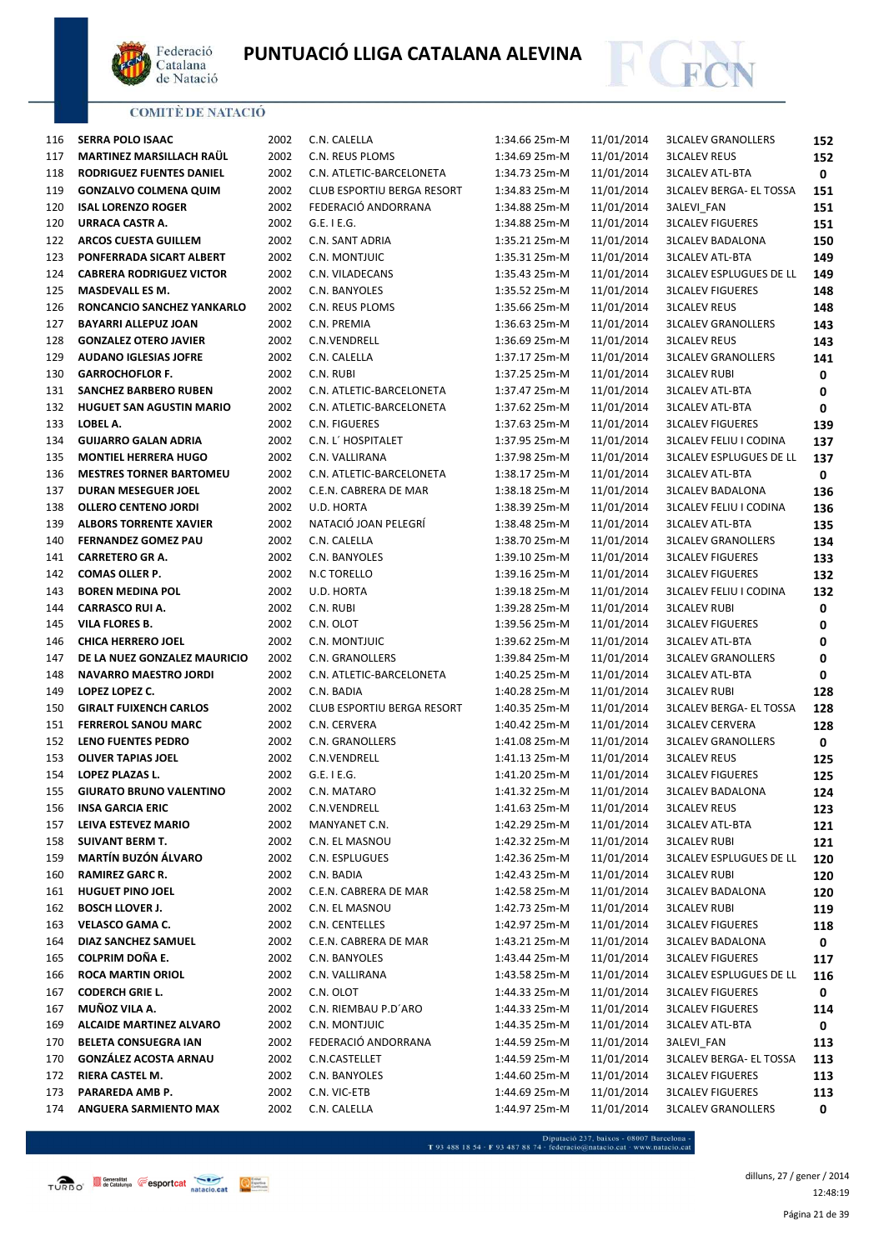



| 116 | <b>SERRA POLO ISAAC</b>         | 2002 | C.N. CALELLA               | 1:34.66 25m-M | 11/01/2014 | <b>3LCALEV GRANOLLERS</b>      | 152 |
|-----|---------------------------------|------|----------------------------|---------------|------------|--------------------------------|-----|
| 117 | <b>MARTINEZ MARSILLACH RAUL</b> | 2002 | C.N. REUS PLOMS            | 1:34.69 25m-M | 11/01/2014 | <b>3LCALEV REUS</b>            | 152 |
| 118 | RODRIGUEZ FUENTES DANIEL        | 2002 | C.N. ATLETIC-BARCELONETA   | 1:34.73 25m-M | 11/01/2014 | <b>3LCALEV ATL-BTA</b>         | 0   |
| 119 | <b>GONZALVO COLMENA QUIM</b>    | 2002 | CLUB ESPORTIU BERGA RESORT | 1:34.83 25m-M | 11/01/2014 | <b>3LCALEV BERGA- EL TOSSA</b> | 151 |
| 120 | <b>ISAL LORENZO ROGER</b>       | 2002 | FEDERACIÓ ANDORRANA        | 1:34.88 25m-M | 11/01/2014 | 3ALEVI_FAN                     | 151 |
| 120 | URRACA CASTR A.                 | 2002 | $G.E.$ I E.G.              | 1:34.88 25m-M | 11/01/2014 | <b>3LCALEV FIGUERES</b>        | 151 |
| 122 | <b>ARCOS CUESTA GUILLEM</b>     | 2002 | C.N. SANT ADRIA            | 1:35.21 25m-M | 11/01/2014 | <b>3LCALEV BADALONA</b>        | 150 |
| 123 | PONFERRADA SICART ALBERT        | 2002 | C.N. MONTJUIC              | 1:35.31 25m-M | 11/01/2014 | <b>3LCALEV ATL-BTA</b>         | 149 |
| 124 | <b>CABRERA RODRIGUEZ VICTOR</b> | 2002 | C.N. VILADECANS            | 1:35.43 25m-M | 11/01/2014 | <b>3LCALEV ESPLUGUES DE LL</b> | 149 |
| 125 | <b>MASDEVALL ES M.</b>          | 2002 | C.N. BANYOLES              | 1:35.52 25m-M | 11/01/2014 | <b>3LCALEV FIGUERES</b>        | 148 |
| 126 | RONCANCIO SANCHEZ YANKARLO      | 2002 | C.N. REUS PLOMS            | 1:35.66 25m-M | 11/01/2014 | <b>3LCALEV REUS</b>            | 148 |
| 127 | <b>BAYARRI ALLEPUZ JOAN</b>     | 2002 | C.N. PREMIA                | 1:36.63 25m-M | 11/01/2014 | <b>3LCALEV GRANOLLERS</b>      | 143 |
| 128 | <b>GONZALEZ OTERO JAVIER</b>    | 2002 | C.N.VENDRELL               | 1:36.69 25m-M | 11/01/2014 | <b>3LCALEV REUS</b>            | 143 |
| 129 | <b>AUDANO IGLESIAS JOFRE</b>    | 2002 | C.N. CALELLA               | 1:37.17 25m-M | 11/01/2014 | <b>3LCALEV GRANOLLERS</b>      | 141 |
| 130 | <b>GARROCHOFLOR F.</b>          | 2002 | C.N. RUBI                  | 1:37.25 25m-M | 11/01/2014 | <b>3LCALEV RUBI</b>            | 0   |
| 131 | <b>SANCHEZ BARBERO RUBEN</b>    | 2002 | C.N. ATLETIC-BARCELONETA   | 1:37.47 25m-M | 11/01/2014 | <b>3LCALEV ATL-BTA</b>         | 0   |
| 132 | <b>HUGUET SAN AGUSTIN MARIO</b> | 2002 | C.N. ATLETIC-BARCELONETA   | 1:37.62 25m-M | 11/01/2014 | <b>3LCALEV ATL-BTA</b>         | 0   |
| 133 | LOBEL A.                        | 2002 | C.N. FIGUERES              | 1:37.63 25m-M | 11/01/2014 | <b>3LCALEV FIGUERES</b>        | 139 |
| 134 | <b>GUIJARRO GALAN ADRIA</b>     | 2002 | C.N. L' HOSPITALET         | 1:37.95 25m-M | 11/01/2014 | <b>3LCALEV FELIU I CODINA</b>  | 137 |
| 135 | <b>MONTIEL HERRERA HUGO</b>     | 2002 | C.N. VALLIRANA             | 1:37.98 25m-M | 11/01/2014 | <b>3LCALEV ESPLUGUES DE LL</b> | 137 |
| 136 | <b>MESTRES TORNER BARTOMEU</b>  | 2002 | C.N. ATLETIC-BARCELONETA   | 1:38.17 25m-M | 11/01/2014 | <b>3LCALEV ATL-BTA</b>         | 0   |
| 137 | <b>DURAN MESEGUER JOEL</b>      | 2002 | C.E.N. CABRERA DE MAR      | 1:38.18 25m-M | 11/01/2014 | <b>3LCALEV BADALONA</b>        | 136 |
| 138 | <b>OLLERO CENTENO JORDI</b>     | 2002 | U.D. HORTA                 | 1:38.39 25m-M | 11/01/2014 | <b>3LCALEV FELIU I CODINA</b>  | 136 |
| 139 | <b>ALBORS TORRENTE XAVIER</b>   | 2002 | NATACIÓ JOAN PELEGRÍ       | 1:38.48 25m-M | 11/01/2014 | <b>3LCALEV ATL-BTA</b>         | 135 |
| 140 | <b>FERNANDEZ GOMEZ PAU</b>      | 2002 | C.N. CALELLA               | 1:38.70 25m-M | 11/01/2014 | <b>3LCALEV GRANOLLERS</b>      | 134 |
| 141 | <b>CARRETERO GR A.</b>          | 2002 | C.N. BANYOLES              | 1:39.10 25m-M | 11/01/2014 | <b>3LCALEV FIGUERES</b>        | 133 |
| 142 | <b>COMAS OLLER P.</b>           | 2002 | N.C TORELLO                | 1:39.16 25m-M | 11/01/2014 | <b>3LCALEV FIGUERES</b>        | 132 |
| 143 | <b>BOREN MEDINA POL</b>         | 2002 | U.D. HORTA                 | 1:39.18 25m-M | 11/01/2014 | <b>3LCALEV FELIU I CODINA</b>  | 132 |
| 144 | <b>CARRASCO RUI A.</b>          | 2002 | C.N. RUBI                  | 1:39.28 25m-M | 11/01/2014 | <b>3LCALEV RUBI</b>            | 0   |
| 145 | VILA FLORES B.                  | 2002 | C.N. OLOT                  | 1:39.56 25m-M | 11/01/2014 | <b>3LCALEV FIGUERES</b>        | 0   |
| 146 | <b>CHICA HERRERO JOEL</b>       | 2002 | C.N. MONTJUIC              | 1:39.62 25m-M | 11/01/2014 | <b>3LCALEV ATL-BTA</b>         | 0   |
| 147 | DE LA NUEZ GONZALEZ MAURICIO    | 2002 | C.N. GRANOLLERS            | 1:39.84 25m-M | 11/01/2014 | <b>3LCALEV GRANOLLERS</b>      | 0   |
| 148 | <b>NAVARRO MAESTRO JORDI</b>    | 2002 | C.N. ATLETIC-BARCELONETA   | 1:40.25 25m-M | 11/01/2014 | <b>3LCALEV ATL-BTA</b>         | 0   |
| 149 | LOPEZ LOPEZ C.                  | 2002 | C.N. BADIA                 | 1:40.28 25m-M | 11/01/2014 | <b>3LCALEV RUBI</b>            | 128 |
| 150 | <b>GIRALT FUIXENCH CARLOS</b>   | 2002 | CLUB ESPORTIU BERGA RESORT | 1:40.35 25m-M | 11/01/2014 | <b>3LCALEV BERGA- EL TOSSA</b> | 128 |
| 151 | <b>FERREROL SANOU MARC</b>      | 2002 | C.N. CERVERA               | 1:40.42 25m-M | 11/01/2014 | <b>3LCALEV CERVERA</b>         | 128 |
| 152 | LENO FUENTES PEDRO              | 2002 | C.N. GRANOLLERS            | 1:41.08 25m-M | 11/01/2014 | <b>3LCALEV GRANOLLERS</b>      | 0   |
| 153 | <b>OLIVER TAPIAS JOEL</b>       | 2002 | C.N.VENDRELL               | 1:41.13 25m-M | 11/01/2014 | <b>3LCALEV REUS</b>            | 125 |
| 154 | LOPEZ PLAZAS L.                 | 2002 | G.E. I E.G.                | 1:41.20 25m-M | 11/01/2014 | <b>3LCALEV FIGUERES</b>        | 125 |
| 155 | <b>GIURATO BRUNO VALENTINO</b>  | 2002 | C.N. MATARO                | 1:41.32 25m-M | 11/01/2014 | <b>3LCALEV BADALONA</b>        | 124 |
| 156 | <b>INSA GARCIA ERIC</b>         | 2002 | C.N.VENDRELL               | 1:41.63 25m-M | 11/01/2014 | <b>3LCALEV REUS</b>            | 123 |
| 157 | LEIVA ESTEVEZ MARIO             | 2002 | MANYANET C.N.              | 1:42.29 25m-M | 11/01/2014 | <b>3LCALEV ATL-BTA</b>         | 121 |
| 158 | SUIVANT BERM T.                 | 2002 | C.N. EL MASNOU             | 1:42.32 25m-M | 11/01/2014 | <b>3LCALEV RUBI</b>            | 121 |
| 159 | <b>MARTÍN BUZÓN ÁLVARO</b>      | 2002 | C.N. ESPLUGUES             | 1:42.36 25m-M | 11/01/2014 | <b>3LCALEV ESPLUGUES DE LL</b> | 120 |
| 160 | <b>RAMIREZ GARC R.</b>          | 2002 | C.N. BADIA                 | 1:42.43 25m-M | 11/01/2014 | 3LCALEV RUBI                   | 120 |
| 161 | HUGUET PINO JOEL                | 2002 | C.E.N. CABRERA DE MAR      | 1:42.58 25m-M | 11/01/2014 | <b>3LCALEV BADALONA</b>        | 120 |
| 162 | <b>BOSCH LLOVER J.</b>          | 2002 | C.N. EL MASNOU             | 1:42.73 25m-M | 11/01/2014 | <b>3LCALEV RUBI</b>            | 119 |
| 163 | VELASCO GAMA C.                 | 2002 | C.N. CENTELLES             | 1:42.97 25m-M | 11/01/2014 | <b>3LCALEV FIGUERES</b>        | 118 |
| 164 | DIAZ SANCHEZ SAMUEL             | 2002 | C.E.N. CABRERA DE MAR      | 1:43.21 25m-M | 11/01/2014 | <b>3LCALEV BADALONA</b>        | 0   |
| 165 | <b>COLPRIM DOÑA E.</b>          | 2002 | C.N. BANYOLES              | 1:43.44 25m-M | 11/01/2014 | <b>3LCALEV FIGUERES</b>        | 117 |
| 166 | <b>ROCA MARTIN ORIOL</b>        | 2002 | C.N. VALLIRANA             | 1:43.58 25m-M | 11/01/2014 | <b>3LCALEV ESPLUGUES DE LL</b> | 116 |
| 167 | <b>CODERCH GRIE L.</b>          | 2002 | C.N. OLOT                  | 1:44.33 25m-M | 11/01/2014 | <b>3LCALEV FIGUERES</b>        | 0   |
| 167 | MUÑOZ VILA A.                   | 2002 | C.N. RIEMBAU P.D'ARO       | 1:44.33 25m-M | 11/01/2014 | <b>3LCALEV FIGUERES</b>        | 114 |
| 169 | <b>ALCAIDE MARTINEZ ALVARO</b>  | 2002 | C.N. MONTJUIC              | 1:44.35 25m-M | 11/01/2014 | <b>3LCALEV ATL-BTA</b>         | 0   |
| 170 | <b>BELETA CONSUEGRA IAN</b>     | 2002 | FEDERACIÓ ANDORRANA        | 1:44.59 25m-M | 11/01/2014 | 3ALEVI_FAN                     | 113 |
| 170 | <b>GONZÁLEZ ACOSTA ARNAU</b>    | 2002 | C.N.CASTELLET              | 1:44.59 25m-M | 11/01/2014 | <b>3LCALEV BERGA- EL TOSSA</b> | 113 |
| 172 | RIERA CASTEL M.                 | 2002 | C.N. BANYOLES              | 1:44.60 25m-M | 11/01/2014 | <b>3LCALEV FIGUERES</b>        | 113 |
| 173 | PARAREDA AMB P.                 | 2002 | C.N. VIC-ETB               | 1:44.69 25m-M | 11/01/2014 | <b>3LCALEV FIGUERES</b>        | 113 |
| 174 | ANGUERA SARMIENTO MAX           | 2002 | C.N. CALELLA               | 1:44.97 25m-M | 11/01/2014 | <b>3LCALEV GRANOLLERS</b>      | 0   |
|     |                                 |      |                            |               |            |                                |     |



- Diputació 237, baixos - 08007 Barcelona<br>T 93 488 18 54 · F 93 487 88 74 · federacio@natacio.cat · www.natacio.cat

Página 21 de 39 dilluns, 27 / gener / 2014 12:48:19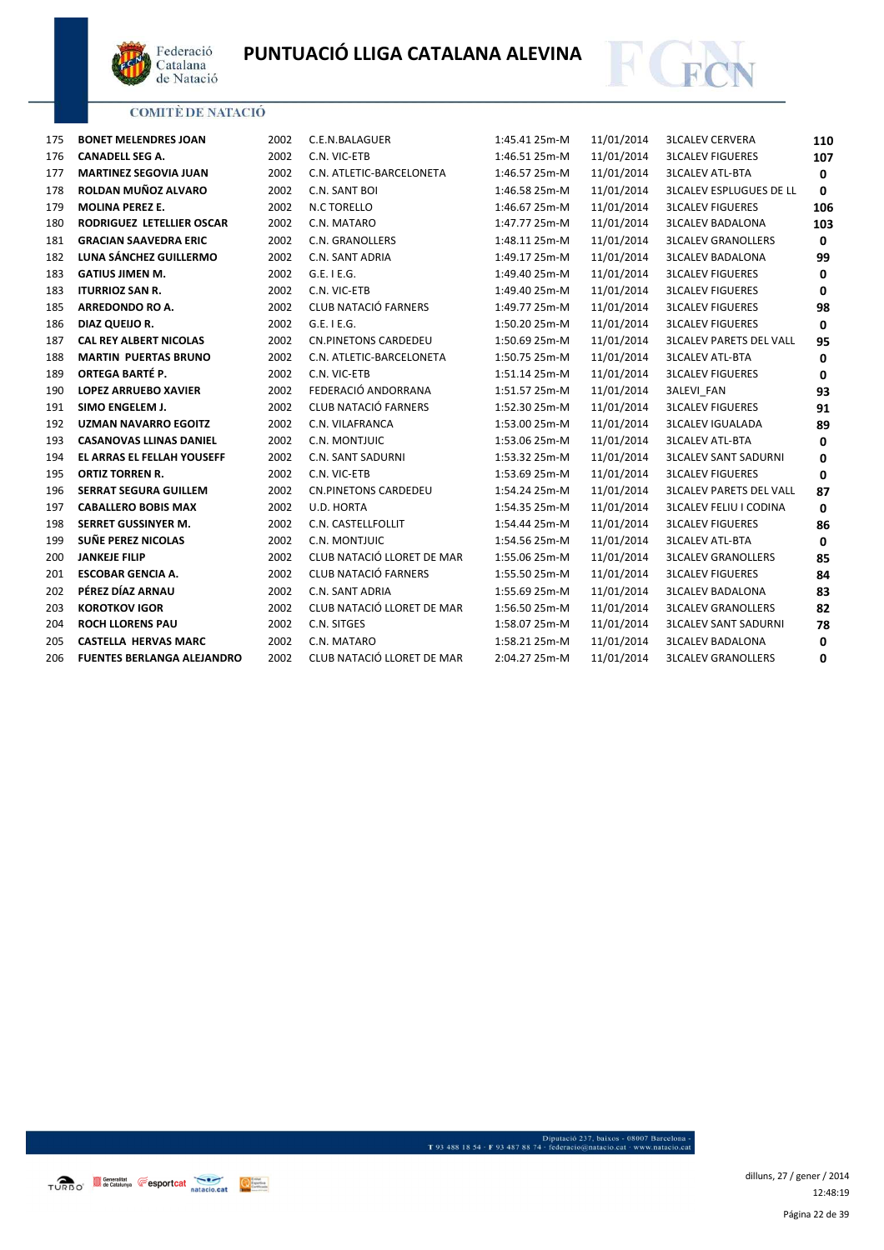



| 175 | <b>BONET MELENDRES JOAN</b>       | 2002 | C.E.N.BALAGUER              | 1:45.41 25m-M | 11/01/2014 | <b>3LCALEV CERVERA</b>         | 110          |
|-----|-----------------------------------|------|-----------------------------|---------------|------------|--------------------------------|--------------|
| 176 | <b>CANADELL SEG A.</b>            | 2002 | C.N. VIC-ETB                | 1:46.51 25m-M | 11/01/2014 | <b>3LCALEV FIGUERES</b>        | 107          |
| 177 | <b>MARTINEZ SEGOVIA JUAN</b>      | 2002 | C.N. ATLETIC-BARCELONETA    | 1:46.57 25m-M | 11/01/2014 | <b>3LCALEV ATL-BTA</b>         | $\mathbf 0$  |
| 178 | ROLDAN MUÑOZ ALVARO               | 2002 | C.N. SANT BOI               | 1:46.58 25m-M | 11/01/2014 | <b>3LCALEV ESPLUGUES DE LL</b> | 0            |
| 179 | <b>MOLINA PEREZ E.</b>            | 2002 | N.C TORELLO                 | 1:46.67 25m-M | 11/01/2014 | <b>3LCALEV FIGUERES</b>        | 106          |
| 180 | RODRIGUEZ LETELLIER OSCAR         | 2002 | C.N. MATARO                 | 1:47.77 25m-M | 11/01/2014 | <b>3LCALEV BADALONA</b>        | 103          |
| 181 | <b>GRACIAN SAAVEDRA ERIC</b>      | 2002 | C.N. GRANOLLERS             | 1:48.11 25m-M | 11/01/2014 | <b>3LCALEV GRANOLLERS</b>      | $\mathbf 0$  |
| 182 | LUNA SÁNCHEZ GUILLERMO            | 2002 | C.N. SANT ADRIA             | 1:49.17 25m-M | 11/01/2014 | <b>3LCALEV BADALONA</b>        | 99           |
| 183 | <b>GATIUS JIMEN M.</b>            | 2002 | G.E. I E.G.                 | 1:49.40 25m-M | 11/01/2014 | <b>3LCALEV FIGUERES</b>        | 0            |
| 183 | <b>ITURRIOZ SAN R.</b>            | 2002 | C.N. VIC-ETB                | 1:49.40 25m-M | 11/01/2014 | <b>3LCALEV FIGUERES</b>        | 0            |
| 185 | ARREDONDO RO A.                   | 2002 | CLUB NATACIÓ FARNERS        | 1:49.77 25m-M | 11/01/2014 | <b>3LCALEV FIGUERES</b>        | 98           |
| 186 | DIAZ QUEIJO R.                    | 2002 | G.E. I E.G.                 | 1:50.20 25m-M | 11/01/2014 | <b>3LCALEV FIGUERES</b>        | $\mathbf 0$  |
| 187 | <b>CAL REY ALBERT NICOLAS</b>     | 2002 | <b>CN.PINETONS CARDEDEU</b> | 1:50.69 25m-M | 11/01/2014 | <b>3LCALEV PARETS DEL VALL</b> | 95           |
| 188 | <b>MARTIN PUERTAS BRUNO</b>       | 2002 | C.N. ATLETIC-BARCELONETA    | 1:50.75 25m-M | 11/01/2014 | <b>3LCALEV ATL-BTA</b>         | 0            |
| 189 | ORTEGA BARTÉ P.                   | 2002 | C.N. VIC-ETB                | 1:51.14 25m-M | 11/01/2014 | <b>3LCALEV FIGUERES</b>        | 0            |
| 190 | <b>LOPEZ ARRUEBO XAVIER</b>       | 2002 | FEDERACIÓ ANDORRANA         | 1:51.57 25m-M | 11/01/2014 | <b>3ALEVI FAN</b>              | 93           |
| 191 | SIMO ENGELEM J.                   | 2002 | <b>CLUB NATACIÓ FARNERS</b> | 1:52.30 25m-M | 11/01/2014 | <b>3LCALEV FIGUERES</b>        | 91           |
| 192 | <b>UZMAN NAVARRO EGOITZ</b>       | 2002 | C.N. VILAFRANCA             | 1:53.00 25m-M | 11/01/2014 | <b>3LCALEV IGUALADA</b>        | 89           |
| 193 | <b>CASANOVAS LLINAS DANIEL</b>    | 2002 | C.N. MONTJUIC               | 1:53.06 25m-M | 11/01/2014 | <b>3LCALEV ATL-BTA</b>         | $\mathbf 0$  |
| 194 | <b>EL ARRAS EL FELLAH YOUSEFF</b> | 2002 | C.N. SANT SADURNI           | 1:53.32 25m-M | 11/01/2014 | <b>3LCALEV SANT SADURNI</b>    | 0            |
| 195 | <b>ORTIZ TORREN R.</b>            | 2002 | C.N. VIC-ETB                | 1:53.69 25m-M | 11/01/2014 | <b>3LCALEV FIGUERES</b>        | 0            |
| 196 | <b>SERRAT SEGURA GUILLEM</b>      | 2002 | <b>CN.PINETONS CARDEDEU</b> | 1:54.24 25m-M | 11/01/2014 | <b>3LCALEV PARETS DEL VALL</b> | 87           |
| 197 | <b>CABALLERO BOBIS MAX</b>        | 2002 | U.D. HORTA                  | 1:54.35 25m-M | 11/01/2014 | <b>3LCALEV FELIU I CODINA</b>  | $\mathbf{0}$ |
| 198 | <b>SERRET GUSSINYER M.</b>        | 2002 | C.N. CASTELLFOLLIT          | 1:54.44 25m-M | 11/01/2014 | <b>3LCALEV FIGUERES</b>        | 86           |
| 199 | SUÑE PEREZ NICOLAS                | 2002 | C.N. MONTJUIC               | 1:54.56 25m-M | 11/01/2014 | <b>3LCALEV ATL-BTA</b>         | 0            |
| 200 | <b>JANKEJE FILIP</b>              | 2002 | CLUB NATACIÓ LLORET DE MAR  | 1:55.06 25m-M | 11/01/2014 | <b>3LCALEV GRANOLLERS</b>      | 85           |
| 201 | <b>ESCOBAR GENCIA A.</b>          | 2002 | CLUB NATACIÓ FARNERS        | 1:55.50 25m-M | 11/01/2014 | <b>3LCALEV FIGUERES</b>        | 84           |
| 202 | PÉREZ DÍAZ ARNAU                  | 2002 | C.N. SANT ADRIA             | 1:55.69 25m-M | 11/01/2014 | <b>3LCALEV BADALONA</b>        | 83           |
| 203 | <b>KOROTKOV IGOR</b>              | 2002 | CLUB NATACIÓ LLORET DE MAR  | 1:56.50 25m-M | 11/01/2014 | <b>3LCALEV GRANOLLERS</b>      | 82           |
| 204 | <b>ROCH LLORENS PAU</b>           | 2002 | C.N. SITGES                 | 1:58.07 25m-M | 11/01/2014 | <b>3LCALEV SANT SADURNI</b>    | 78           |
| 205 | <b>CASTELLA HERVAS MARC</b>       | 2002 | C.N. MATARO                 | 1:58.21 25m-M | 11/01/2014 | <b>3LCALEV BADALONA</b>        | 0            |
| 206 | <b>FUENTES BERLANGA ALEJANDRO</b> | 2002 | CLUB NATACIÓ LLORET DE MAR  | 2:04.27 25m-M | 11/01/2014 | <b>3LCALEV GRANOLLERS</b>      | $\mathbf 0$  |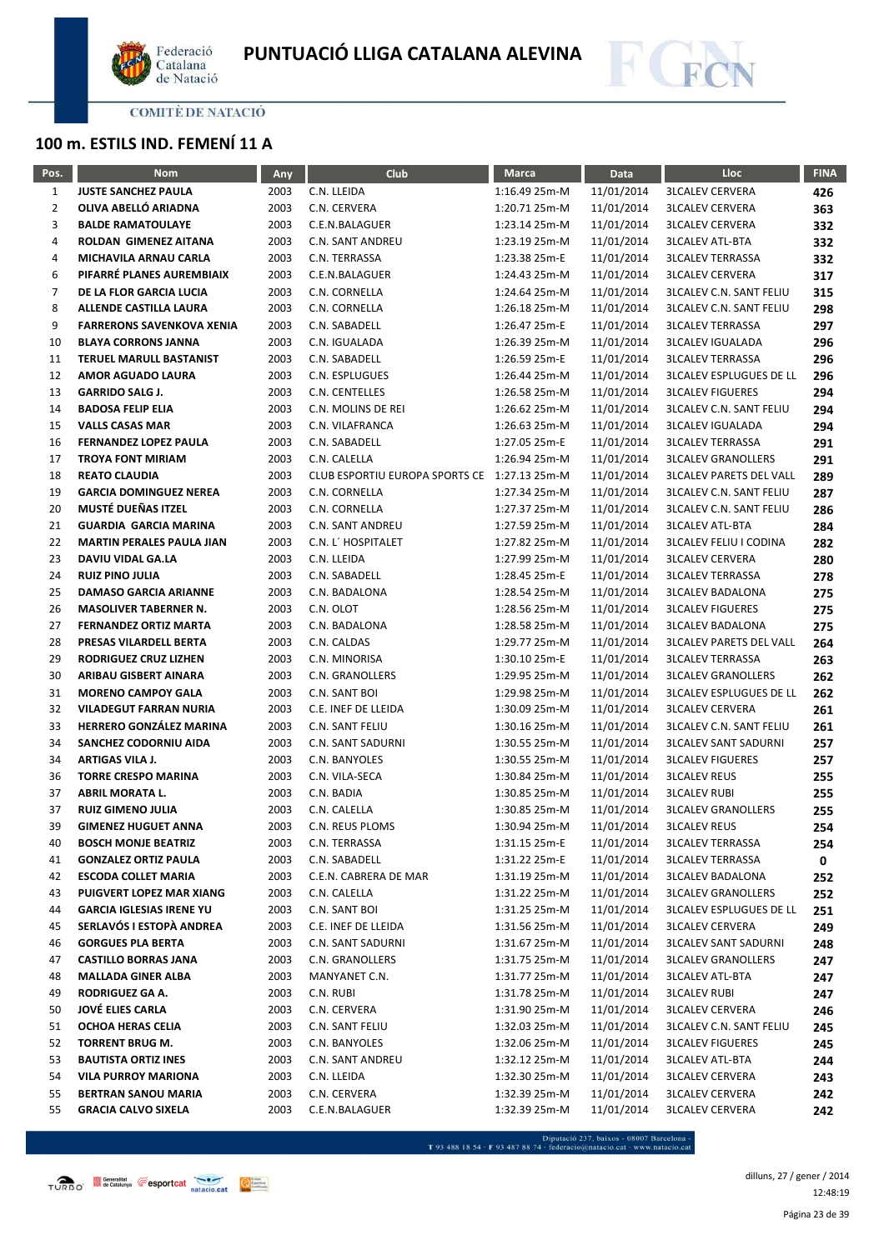



# **100 m. ESTILS IND. FEMENÍ 11 A**

| Pos.           | <b>Nom</b>                                                  | <b>Any</b>   | Club                                         | <b>Marca</b>                   | Data                     | Lloc                                                        | <b>FINA</b> |
|----------------|-------------------------------------------------------------|--------------|----------------------------------------------|--------------------------------|--------------------------|-------------------------------------------------------------|-------------|
| $\mathbf{1}$   | <b>JUSTE SANCHEZ PAULA</b>                                  | 2003         | C.N. LLEIDA                                  | 1:16.49 25m-M                  | 11/01/2014               | <b>3LCALEV CERVERA</b>                                      | 426         |
| $\overline{2}$ | OLIVA ABELLÓ ARIADNA                                        | 2003         | C.N. CERVERA                                 | 1:20.71 25m-M                  | 11/01/2014               | <b>3LCALEV CERVERA</b>                                      | 363         |
| 3              | <b>BALDE RAMATOULAYE</b>                                    | 2003         | C.E.N.BALAGUER                               | 1:23.14 25m-M                  | 11/01/2014               | <b>3LCALEV CERVERA</b>                                      | 332         |
| 4              | <b>ROLDAN GIMENEZ AITANA</b>                                | 2003         | C.N. SANT ANDREU                             | 1:23.19 25m-M                  | 11/01/2014               | <b>3LCALEV ATL-BTA</b>                                      | 332         |
| 4              | MICHAVILA ARNAU CARLA                                       | 2003         | C.N. TERRASSA                                | 1:23.38 25m-E                  | 11/01/2014               | <b>3LCALEV TERRASSA</b>                                     | 332         |
| 6              | PIFARRÉ PLANES AUREMBIAIX                                   | 2003         | C.E.N.BALAGUER                               | 1:24.43 25m-M                  | 11/01/2014               | <b>3LCALEV CERVERA</b>                                      | 317         |
| 7              | DE LA FLOR GARCIA LUCIA                                     | 2003         | C.N. CORNELLA                                | 1:24.64 25m-M                  | 11/01/2014               | <b>3LCALEV C.N. SANT FELIU</b>                              | 315         |
| 8              | ALLENDE CASTILLA LAURA                                      | 2003         | C.N. CORNELLA                                | 1:26.18 25m-M                  | 11/01/2014               | <b>3LCALEV C.N. SANT FELIU</b>                              | 298         |
| 9              | <b>FARRERONS SAVENKOVA XENIA</b>                            | 2003         | C.N. SABADELL                                | 1:26.47 25m-E                  | 11/01/2014               | <b>3LCALEV TERRASSA</b>                                     | 297         |
| 10             | <b>BLAYA CORRONS JANNA</b>                                  | 2003         | C.N. IGUALADA                                | 1:26.39 25m-M                  | 11/01/2014               | <b>3LCALEV IGUALADA</b>                                     | 296         |
| 11             | <b>TERUEL MARULL BASTANIST</b>                              | 2003         | C.N. SABADELL                                | 1:26.59 25m-E                  | 11/01/2014               | <b>3LCALEV TERRASSA</b>                                     | 296         |
| 12             | <b>AMOR AGUADO LAURA</b>                                    | 2003         | C.N. ESPLUGUES                               | 1:26.44 25m-M                  | 11/01/2014               | <b>3LCALEV ESPLUGUES DE LL</b>                              | 296         |
| 13             | <b>GARRIDO SALG J.</b>                                      | 2003         | C.N. CENTELLES                               | 1:26.58 25m-M                  | 11/01/2014               | <b>3LCALEV FIGUERES</b>                                     | 294         |
| 14             | <b>BADOSA FELIP ELIA</b>                                    | 2003         | C.N. MOLINS DE REI                           | 1:26.62 25m-M                  | 11/01/2014               | <b>3LCALEV C.N. SANT FELIU</b>                              | 294         |
| 15             | <b>VALLS CASAS MAR</b>                                      | 2003         | C.N. VILAFRANCA                              | 1:26.63 25m-M                  | 11/01/2014               | <b>3LCALEV IGUALADA</b>                                     | 294         |
| 16             | <b>FERNANDEZ LOPEZ PAULA</b>                                | 2003         | C.N. SABADELL                                | 1:27.05 25m-E                  | 11/01/2014               | <b>3LCALEV TERRASSA</b>                                     | 291         |
| 17             | <b>TROYA FONT MIRIAM</b>                                    | 2003         | C.N. CALELLA                                 | 1:26.94 25m-M                  | 11/01/2014               | <b>3LCALEV GRANOLLERS</b>                                   | 291         |
| 18             | <b>REATO CLAUDIA</b>                                        | 2003         | CLUB ESPORTIU EUROPA SPORTS CE 1:27.13 25m-M |                                | 11/01/2014               | <b>3LCALEV PARETS DEL VALL</b>                              | 289         |
| 19             | <b>GARCIA DOMINGUEZ NEREA</b>                               | 2003         | C.N. CORNELLA                                | 1:27.34 25m-M                  | 11/01/2014               | <b>3LCALEV C.N. SANT FELIU</b>                              | 287         |
| 20             | MUSTÉ DUEÑAS ITZEL                                          | 2003         | C.N. CORNELLA                                | 1:27.37 25m-M                  | 11/01/2014               | <b>3LCALEV C.N. SANT FELIU</b>                              | 286         |
| 21             | <b>GUARDIA GARCIA MARINA</b>                                | 2003         | C.N. SANT ANDREU                             | 1:27.59 25m-M                  | 11/01/2014               | <b>3LCALEV ATL-BTA</b>                                      | 284         |
| 22             | <b>MARTIN PERALES PAULA JIAN</b>                            | 2003         | C.N. L' HOSPITALET                           | 1:27.82 25m-M                  | 11/01/2014               | <b>3LCALEV FELIU I CODINA</b>                               | 282         |
| 23             | <b>DAVIU VIDAL GA.LA</b>                                    | 2003         | C.N. LLEIDA                                  | 1:27.99 25m-M                  | 11/01/2014               | <b>3LCALEV CERVERA</b>                                      | 280         |
| 24             | <b>RUIZ PINO JULIA</b>                                      | 2003         | C.N. SABADELL                                | 1:28.45 25m-E                  | 11/01/2014               | <b>3LCALEV TERRASSA</b>                                     | 278         |
| 25             | <b>DAMASO GARCIA ARIANNE</b>                                | 2003         | C.N. BADALONA                                | 1:28.54 25m-M                  | 11/01/2014               | <b>3LCALEV BADALONA</b>                                     | 275         |
| 26             | <b>MASOLIVER TABERNER N.</b>                                | 2003         | C.N. OLOT                                    | 1:28.56 25m-M                  | 11/01/2014               | <b>3LCALEV FIGUERES</b>                                     | 275         |
| 27             | <b>FERNANDEZ ORTIZ MARTA</b>                                | 2003         | C.N. BADALONA                                | 1:28.58 25m-M                  | 11/01/2014               | <b>3LCALEV BADALONA</b>                                     | 275         |
| 28             | PRESAS VILARDELL BERTA                                      | 2003         | C.N. CALDAS                                  | 1:29.77 25m-M                  | 11/01/2014               | <b>3LCALEV PARETS DEL VALL</b>                              | 264         |
| 29             | RODRIGUEZ CRUZ LIZHEN                                       | 2003         | C.N. MINORISA                                | 1:30.10 25m-E                  | 11/01/2014               | <b>3LCALEV TERRASSA</b>                                     | 263         |
| 30             | ARIBAU GISBERT AINARA                                       | 2003         | C.N. GRANOLLERS                              | 1:29.95 25m-M                  | 11/01/2014               | <b>3LCALEV GRANOLLERS</b>                                   | 262         |
| 31             | <b>MORENO CAMPOY GALA</b>                                   | 2003         | C.N. SANT BOI                                | 1:29.98 25m-M                  | 11/01/2014               | <b>3LCALEV ESPLUGUES DE LL</b>                              | 262         |
| 32             | <b>VILADEGUT FARRAN NURIA</b>                               | 2003         | C.E. INEF DE LLEIDA                          | 1:30.09 25m-M                  | 11/01/2014               | <b>3LCALEV CERVERA</b>                                      | 261         |
| 33             | HERRERO GONZÁLEZ MARINA                                     | 2003         | C.N. SANT FELIU                              | 1:30.16 25m-M                  | 11/01/2014               | <b>3LCALEV C.N. SANT FELIU</b>                              | 261         |
| 34             | <b>SANCHEZ CODORNIU AIDA</b>                                | 2003         | C.N. SANT SADURNI                            | 1:30.55 25m-M                  | 11/01/2014               | <b>3LCALEV SANT SADURNI</b>                                 | 257         |
| 34             | ARTIGAS VILA J.                                             | 2003         | C.N. BANYOLES                                | 1:30.55 25m-M                  | 11/01/2014               | <b>3LCALEV FIGUERES</b>                                     | 257         |
| 36             | <b>TORRE CRESPO MARINA</b>                                  | 2003         | C.N. VILA-SECA                               | 1:30.84 25m-M                  | 11/01/2014               | <b>3LCALEV REUS</b>                                         | 255         |
| 37             | ABRIL MORATA L.                                             | 2003         | C.N. BADIA                                   | 1:30.85 25m-M                  | 11/01/2014               | <b>3LCALEV RUBI</b>                                         | 255         |
| 37             | <b>RUIZ GIMENO JULIA</b>                                    | 2003         | C.N. CALELLA                                 | 1:30.85 25m-M                  | 11/01/2014               | <b>3LCALEV GRANOLLERS</b>                                   | 255         |
| 39             | <b>GIMENEZ HUGUET ANNA</b>                                  | 2003         | C.N. REUS PLOMS                              | 1:30.94 25m-M                  | 11/01/2014               | <b>3LCALEV REUS</b>                                         | 254         |
| 40             | <b>BOSCH MONJE BEATRIZ</b>                                  | 2003         | C.N. TERRASSA                                | 1:31.15 25m-E                  | 11/01/2014               | <b>3LCALEV TERRASSA</b>                                     | 254         |
| 41             | <b>GONZALEZ ORTIZ PAULA</b>                                 | 2003         | C.N. SABADELL                                | 1:31.22 25m-E                  | 11/01/2014<br>11/01/2014 | <b>3LCALEV TERRASSA</b>                                     | 0           |
| 42             | <b>ESCODA COLLET MARIA</b>                                  | 2003         | C.E.N. CABRERA DE MAR<br>C.N. CALELLA        | 1:31.19 25m-M                  | 11/01/2014               | <b>3LCALEV BADALONA</b>                                     | 252         |
| 43<br>44       | PUIGVERT LOPEZ MAR XIANG<br><b>GARCIA IGLESIAS IRENE YU</b> | 2003<br>2003 | C.N. SANT BOI                                | 1:31.22 25m-M<br>1:31.25 25m-M | 11/01/2014               | <b>3LCALEV GRANOLLERS</b><br><b>3LCALEV ESPLUGUES DE LL</b> | 252         |
| 45             | SERLAVÓS I ESTOPÀ ANDREA                                    | 2003         | C.E. INEF DE LLEIDA                          | 1:31.56 25m-M                  | 11/01/2014               | <b>3LCALEV CERVERA</b>                                      | 251         |
| 46             | <b>GORGUES PLA BERTA</b>                                    | 2003         | C.N. SANT SADURNI                            | 1:31.67 25m-M                  | 11/01/2014               | <b>3LCALEV SANT SADURNI</b>                                 | 249         |
| 47             | <b>CASTILLO BORRAS JANA</b>                                 | 2003         | C.N. GRANOLLERS                              | 1:31.75 25m-M                  | 11/01/2014               | <b>3LCALEV GRANOLLERS</b>                                   | 248         |
| 48             | <b>MALLADA GINER ALBA</b>                                   | 2003         | MANYANET C.N.                                | 1:31.77 25m-M                  | 11/01/2014               | <b>3LCALEV ATL-BTA</b>                                      | 247         |
| 49             | RODRIGUEZ GA A.                                             | 2003         | C.N. RUBI                                    | 1:31.78 25m-M                  | 11/01/2014               | <b>3LCALEV RUBI</b>                                         | 247<br>247  |
| 50             | <b>JOVÉ ELIES CARLA</b>                                     | 2003         | C.N. CERVERA                                 | 1:31.90 25m-M                  | 11/01/2014               | <b>3LCALEV CERVERA</b>                                      | 246         |
| 51             | OCHOA HERAS CELIA                                           | 2003         | C.N. SANT FELIU                              | 1:32.03 25m-M                  | 11/01/2014               | <b>3LCALEV C.N. SANT FELIU</b>                              | 245         |
| 52             | <b>TORRENT BRUG M.</b>                                      | 2003         | C.N. BANYOLES                                | 1:32.06 25m-M                  | 11/01/2014               | <b>3LCALEV FIGUERES</b>                                     | 245         |
| 53             | <b>BAUTISTA ORTIZ INES</b>                                  | 2003         | C.N. SANT ANDREU                             | 1:32.12 25m-M                  | 11/01/2014               | <b>3LCALEV ATL-BTA</b>                                      | 244         |
| 54             | <b>VILA PURROY MARIONA</b>                                  | 2003         | C.N. LLEIDA                                  | 1:32.30 25m-M                  | 11/01/2014               | <b>3LCALEV CERVERA</b>                                      | 243         |
| 55             | <b>BERTRAN SANOU MARIA</b>                                  | 2003         | C.N. CERVERA                                 | 1:32.39 25m-M                  | 11/01/2014               | <b>3LCALEV CERVERA</b>                                      | 242         |
| 55             | <b>GRACIA CALVO SIXELA</b>                                  | 2003         | C.E.N.BALAGUER                               | 1:32.39 25m-M                  | 11/01/2014               | <b>3LCALEV CERVERA</b>                                      | 242         |
|                |                                                             |              |                                              |                                |                          |                                                             |             |

- Diputació 237, baixos - 08007 Barcelona<br>T 93 488 18 54 · F 93 487 88 74 · federacio@natacio.cat · www.natacio.cat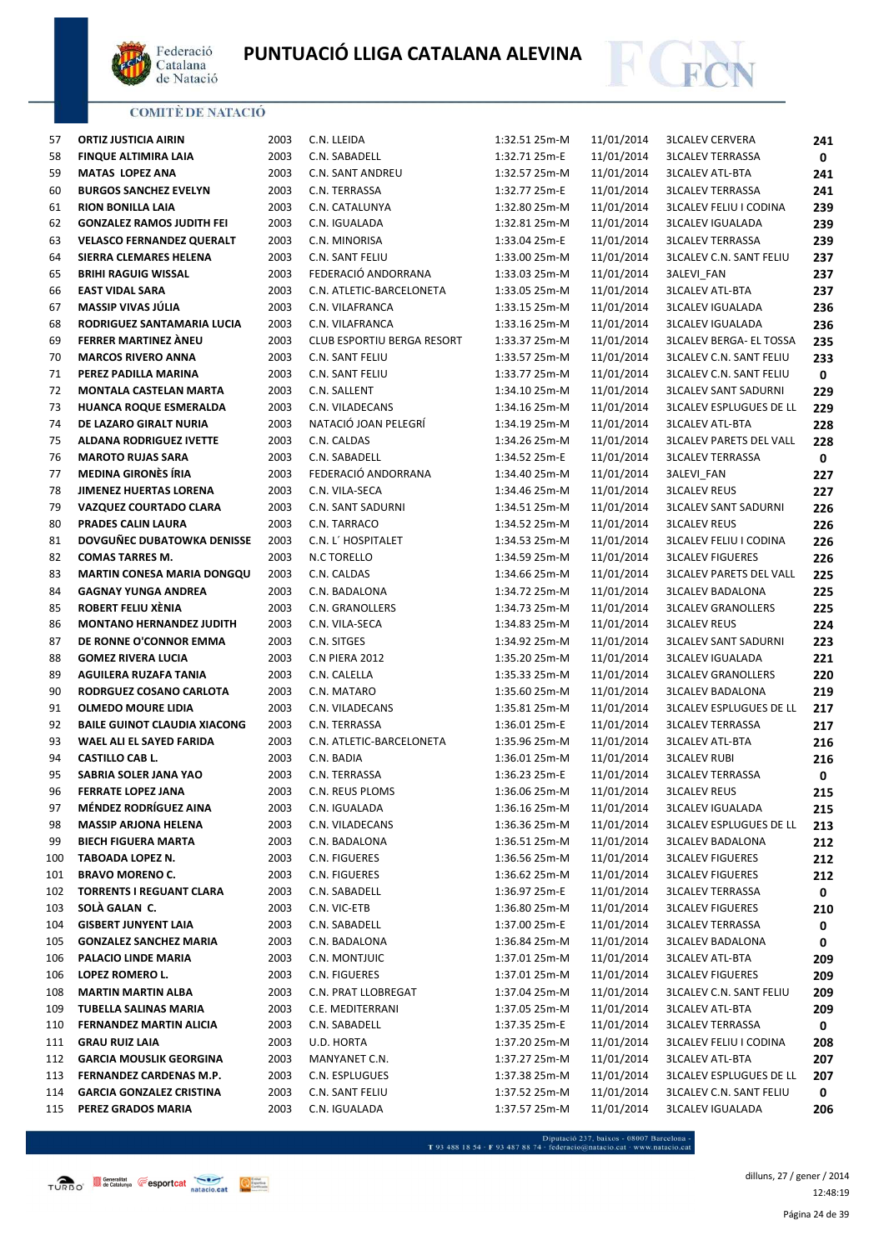



| 57  | <b>ORTIZ JUSTICIA AIRIN</b>         | 2003 | C.N. LLEIDA                | 1:32.51 25m-M | 11/01/2014 | <b>3LCALEV CERVERA</b>         | 241 |
|-----|-------------------------------------|------|----------------------------|---------------|------------|--------------------------------|-----|
| 58  | <b>FINQUE ALTIMIRA LAIA</b>         | 2003 | C.N. SABADELL              | 1:32.71 25m-E | 11/01/2014 | <b>3LCALEV TERRASSA</b>        | 0   |
| 59  | <b>MATAS LOPEZ ANA</b>              | 2003 | C.N. SANT ANDREU           | 1:32.57 25m-M | 11/01/2014 | <b>3LCALEV ATL-BTA</b>         | 241 |
| 60  | <b>BURGOS SANCHEZ EVELYN</b>        | 2003 | C.N. TERRASSA              | 1:32.77 25m-E | 11/01/2014 | <b>3LCALEV TERRASSA</b>        | 241 |
| 61  | <b>RION BONILLA LAIA</b>            | 2003 | C.N. CATALUNYA             | 1:32.80 25m-M | 11/01/2014 | <b>3LCALEV FELIU I CODINA</b>  | 239 |
| 62  | <b>GONZALEZ RAMOS JUDITH FEI</b>    | 2003 | C.N. IGUALADA              | 1:32.81 25m-M | 11/01/2014 | <b>3LCALEV IGUALADA</b>        | 239 |
| 63  | <b>VELASCO FERNANDEZ QUERALT</b>    | 2003 | C.N. MINORISA              | 1:33.04 25m-E | 11/01/2014 | <b>3LCALEV TERRASSA</b>        | 239 |
| 64  | SIERRA CLEMARES HELENA              | 2003 | C.N. SANT FELIU            | 1:33.00 25m-M | 11/01/2014 | <b>3LCALEV C.N. SANT FELIU</b> | 237 |
| 65  | <b>BRIHI RAGUIG WISSAL</b>          | 2003 | FEDERACIÓ ANDORRANA        | 1:33.03 25m-M | 11/01/2014 | 3ALEVI_FAN                     | 237 |
| 66  | <b>EAST VIDAL SARA</b>              | 2003 | C.N. ATLETIC-BARCELONETA   | 1:33.05 25m-M | 11/01/2014 | <b>3LCALEV ATL-BTA</b>         | 237 |
| 67  | MASSIP VIVAS JÚLIA                  | 2003 | C.N. VILAFRANCA            | 1:33.15 25m-M | 11/01/2014 | <b>3LCALEV IGUALADA</b>        | 236 |
| 68  | RODRIGUEZ SANTAMARIA LUCIA          | 2003 | C.N. VILAFRANCA            | 1:33.16 25m-M | 11/01/2014 | <b>3LCALEV IGUALADA</b>        | 236 |
| 69  | FERRER MARTINEZ ANEU                | 2003 | CLUB ESPORTIU BERGA RESORT | 1:33.37 25m-M | 11/01/2014 | <b>3LCALEV BERGA- EL TOSSA</b> | 235 |
| 70  | <b>MARCOS RIVERO ANNA</b>           | 2003 | C.N. SANT FELIU            | 1:33.57 25m-M | 11/01/2014 | <b>3LCALEV C.N. SANT FELIU</b> | 233 |
| 71  | PEREZ PADILLA MARINA                | 2003 | C.N. SANT FELIU            | 1:33.77 25m-M | 11/01/2014 | <b>3LCALEV C.N. SANT FELIU</b> | 0   |
|     |                                     |      |                            |               |            |                                |     |
| 72  | <b>MONTALA CASTELAN MARTA</b>       | 2003 | C.N. SALLENT               | 1:34.10 25m-M | 11/01/2014 | <b>3LCALEV SANT SADURNI</b>    | 229 |
| 73  | <b>HUANCA ROQUE ESMERALDA</b>       | 2003 | C.N. VILADECANS            | 1:34.16 25m-M | 11/01/2014 | <b>3LCALEV ESPLUGUES DE LL</b> | 229 |
| 74  | DE LAZARO GIRALT NURIA              | 2003 | NATACIÓ JOAN PELEGRÍ       | 1:34.19 25m-M | 11/01/2014 | <b>3LCALEV ATL-BTA</b>         | 228 |
| 75  | <b>ALDANA RODRIGUEZ IVETTE</b>      | 2003 | C.N. CALDAS                | 1:34.26 25m-M | 11/01/2014 | <b>3LCALEV PARETS DEL VALL</b> | 228 |
| 76  | <b>MAROTO RUJAS SARA</b>            | 2003 | C.N. SABADELL              | 1:34.52 25m-E | 11/01/2014 | <b>3LCALEV TERRASSA</b>        | 0   |
| 77  | <b>MEDINA GIRONÈS ÍRIA</b>          | 2003 | FEDERACIÓ ANDORRANA        | 1:34.40 25m-M | 11/01/2014 | 3ALEVI_FAN                     | 227 |
| 78  | JIMENEZ HUERTAS LORENA              | 2003 | C.N. VILA-SECA             | 1:34.46 25m-M | 11/01/2014 | <b>3LCALEV REUS</b>            | 227 |
| 79  | VAZQUEZ COURTADO CLARA              | 2003 | <b>C.N. SANT SADURNI</b>   | 1:34.51 25m-M | 11/01/2014 | <b>3LCALEV SANT SADURNI</b>    | 226 |
| 80  | PRADES CALIN LAURA                  | 2003 | C.N. TARRACO               | 1:34.52 25m-M | 11/01/2014 | <b>3LCALEV REUS</b>            | 226 |
| 81  | DOVGUÑEC DUBATOWKA DENISSE          | 2003 | C.N. L' HOSPITALET         | 1:34.53 25m-M | 11/01/2014 | <b>3LCALEV FELIU I CODINA</b>  | 226 |
| 82  | <b>COMAS TARRES M.</b>              | 2003 | <b>N.C TORELLO</b>         | 1:34.59 25m-M | 11/01/2014 | <b>3LCALEV FIGUERES</b>        | 226 |
| 83  | <b>MARTIN CONESA MARIA DONGQU</b>   | 2003 | C.N. CALDAS                | 1:34.66 25m-M | 11/01/2014 | <b>3LCALEV PARETS DEL VALL</b> | 225 |
| 84  | <b>GAGNAY YUNGA ANDREA</b>          | 2003 | C.N. BADALONA              | 1:34.72 25m-M | 11/01/2014 | <b>3LCALEV BADALONA</b>        | 225 |
| 85  | ROBERT FELIU XÈNIA                  | 2003 | C.N. GRANOLLERS            | 1:34.73 25m-M | 11/01/2014 | <b>3LCALEV GRANOLLERS</b>      | 225 |
| 86  | <b>MONTANO HERNANDEZ JUDITH</b>     | 2003 | C.N. VILA-SECA             | 1:34.83 25m-M | 11/01/2014 | <b>3LCALEV REUS</b>            |     |
|     |                                     |      |                            |               |            |                                | 224 |
| 87  | DE RONNE O'CONNOR EMMA              | 2003 | C.N. SITGES                | 1:34.92 25m-M | 11/01/2014 | <b>3LCALEV SANT SADURNI</b>    | 223 |
| 88  | <b>GOMEZ RIVERA LUCIA</b>           | 2003 | <b>C.N PIERA 2012</b>      | 1:35.20 25m-M | 11/01/2014 | <b>3LCALEV IGUALADA</b>        | 221 |
| 89  | AGUILERA RUZAFA TANIA               | 2003 | C.N. CALELLA               | 1:35.33 25m-M | 11/01/2014 | <b>3LCALEV GRANOLLERS</b>      | 220 |
| 90  | RODRGUEZ COSANO CARLOTA             | 2003 | C.N. MATARO                | 1:35.60 25m-M | 11/01/2014 | <b>3LCALEV BADALONA</b>        | 219 |
| 91  | <b>OLMEDO MOURE LIDIA</b>           | 2003 | C.N. VILADECANS            | 1:35.81 25m-M | 11/01/2014 | <b>3LCALEV ESPLUGUES DE LL</b> | 217 |
| 92  | <b>BAILE GUINOT CLAUDIA XIACONG</b> | 2003 | C.N. TERRASSA              | 1:36.01 25m-E | 11/01/2014 | <b>3LCALEV TERRASSA</b>        | 217 |
| 93  | WAEL ALI EL SAYED FARIDA            | 2003 | C.N. ATLETIC-BARCELONETA   | 1:35.96 25m-M | 11/01/2014 | <b>3LCALEV ATL-BTA</b>         | 216 |
| 94  | <b>CASTILLO CAB L.</b>              | 2003 | C.N. BADIA                 | 1:36.01 25m-M | 11/01/2014 | <b>3LCALEV RUBI</b>            | 216 |
| 95  | SABRIA SOLER JANA YAO               | 2003 | C.N. TERRASSA              | 1:36.23 25m-E | 11/01/2014 | <b>3LCALEV TERRASSA</b>        | 0   |
| 96  | <b>FERRATE LOPEZ JANA</b>           | 2003 | C.N. REUS PLOMS            | 1:36.06 25m-M | 11/01/2014 | <b>3LCALEV REUS</b>            | 215 |
| 97  | <b>MÉNDEZ RODRÍGUEZ AINA</b>        | 2003 | C.N. IGUALADA              | 1:36.16 25m-M | 11/01/2014 | <b>3LCALEV IGUALADA</b>        | 215 |
| 98  | <b>MASSIP ARJONA HELENA</b>         | 2003 | C.N. VILADECANS            | 1:36.36 25m-M | 11/01/2014 | <b>3LCALEV ESPLUGUES DE LL</b> | 213 |
| 99  | <b>BIECH FIGUERA MARTA</b>          | 2003 | C.N. BADALONA              | 1:36.51 25m-M | 11/01/2014 | <b>3LCALEV BADALONA</b>        | 212 |
| 100 | TABOADA LOPEZ N.                    | 2003 | C.N. FIGUERES              | 1:36.56 25m-M | 11/01/2014 | <b>3LCALEV FIGUERES</b>        | 212 |
| 101 | <b>BRAVO MORENO C.</b>              | 2003 | C.N. FIGUERES              | 1:36.62 25m-M | 11/01/2014 | <b>3LCALEV FIGUERES</b>        | 212 |
| 102 | <b>TORRENTS I REGUANT CLARA</b>     | 2003 | C.N. SABADELL              | 1:36.97 25m-E | 11/01/2014 | <b>3LCALEV TERRASSA</b>        | 0   |
| 103 | SOLÀ GALAN C.                       | 2003 | C.N. VIC-ETB               | 1:36.80 25m-M | 11/01/2014 | <b>3LCALEV FIGUERES</b>        |     |
|     | <b>GISBERT JUNYENT LAIA</b>         | 2003 | C.N. SABADELL              |               | 11/01/2014 |                                | 210 |
| 104 |                                     |      |                            | 1:37.00 25m-E |            | <b>3LCALEV TERRASSA</b>        | 0   |
| 105 | <b>GONZALEZ SANCHEZ MARIA</b>       | 2003 | C.N. BADALONA              | 1:36.84 25m-M | 11/01/2014 | <b>3LCALEV BADALONA</b>        | 0   |
| 106 | PALACIO LINDE MARIA                 | 2003 | C.N. MONTJUIC              | 1:37.01 25m-M | 11/01/2014 | <b>3LCALEV ATL-BTA</b>         | 209 |
| 106 | LOPEZ ROMERO L.                     | 2003 | C.N. FIGUERES              | 1:37.01 25m-M | 11/01/2014 | <b>3LCALEV FIGUERES</b>        | 209 |
| 108 | <b>MARTIN MARTIN ALBA</b>           | 2003 | C.N. PRAT LLOBREGAT        | 1:37.04 25m-M | 11/01/2014 | <b>3LCALEV C.N. SANT FELIU</b> | 209 |
| 109 | TUBELLA SALINAS MARIA               | 2003 | C.E. MEDITERRANI           | 1:37.05 25m-M | 11/01/2014 | <b>3LCALEV ATL-BTA</b>         | 209 |
| 110 | FERNANDEZ MARTIN ALICIA             | 2003 | C.N. SABADELL              | 1:37.35 25m-E | 11/01/2014 | <b>3LCALEV TERRASSA</b>        | 0   |
| 111 | <b>GRAU RUIZ LAIA</b>               | 2003 | U.D. HORTA                 | 1:37.20 25m-M | 11/01/2014 | <b>3LCALEV FELIU I CODINA</b>  | 208 |
| 112 | <b>GARCIA MOUSLIK GEORGINA</b>      | 2003 | MANYANET C.N.              | 1:37.27 25m-M | 11/01/2014 | <b>3LCALEV ATL-BTA</b>         | 207 |
| 113 | FERNANDEZ CARDENAS M.P.             | 2003 | C.N. ESPLUGUES             | 1:37.38 25m-M | 11/01/2014 | <b>3LCALEV ESPLUGUES DE LL</b> | 207 |
| 114 | <b>GARCIA GONZALEZ CRISTINA</b>     | 2003 | C.N. SANT FELIU            | 1:37.52 25m-M | 11/01/2014 | <b>3LCALEV C.N. SANT FELIU</b> | 0   |
| 115 | PEREZ GRADOS MARIA                  | 2003 | C.N. IGUALADA              | 1:37.57 25m-M | 11/01/2014 | <b>3LCALEV IGUALADA</b>        | 206 |

- Diputació 237, baixos - 08007 Barcelona<br>T 93 488 18 54 · F 93 487 88 74 · federacio@natacio.cat · www.natacio.cat

Página 24 de 39 dilluns, 27 / gener / 2014 12:48:19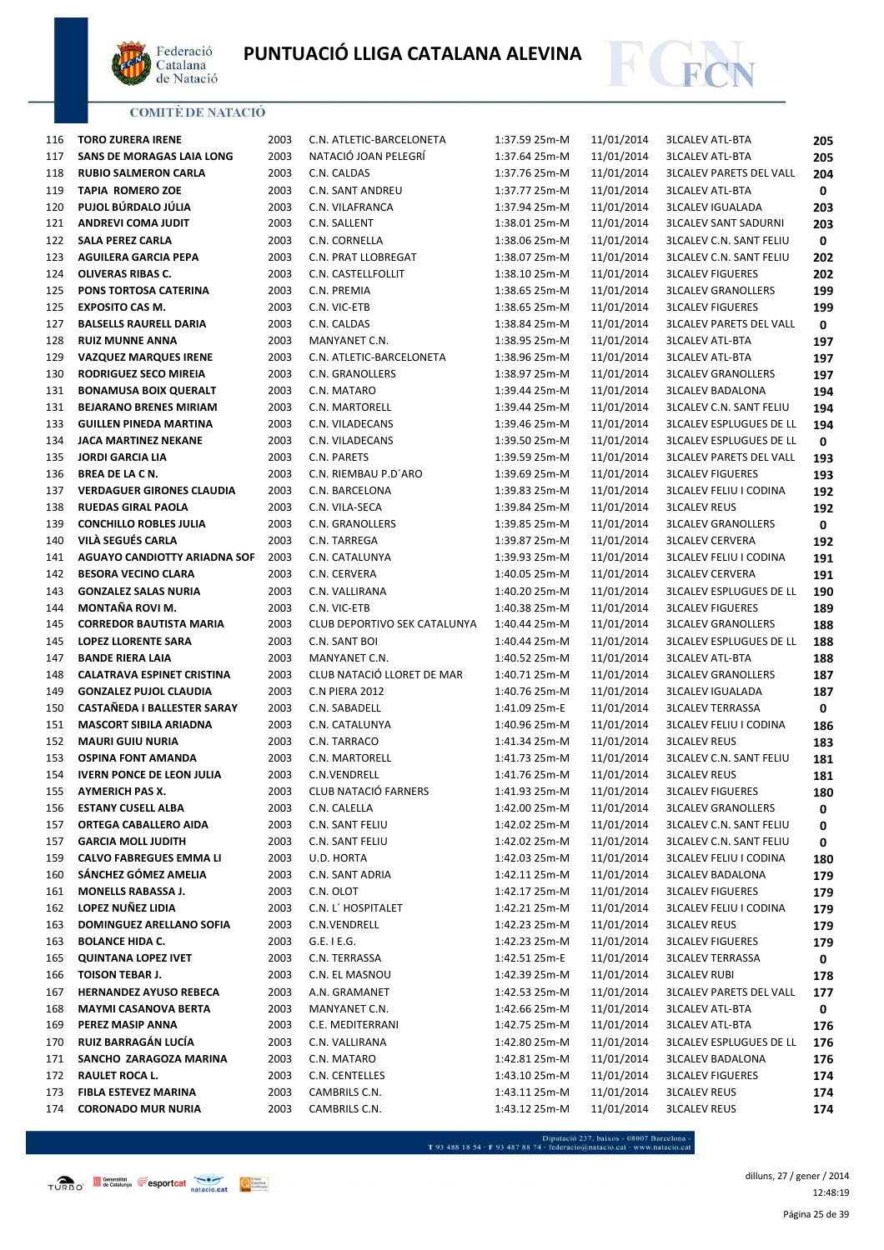



| 116 | <b>TORO ZURERA IRENE</b>            | 2003 | C.N. ATLETIC-BARCELONETA            | 1:37.59 25m-M | 11/01/2014 | <b>3LCALEV ATL-BTA</b>         | 205 |
|-----|-------------------------------------|------|-------------------------------------|---------------|------------|--------------------------------|-----|
| 117 | <b>SANS DE MORAGAS LAIA LONG</b>    | 2003 | NATACIÓ JOAN PELEGRÍ                | 1:37.64 25m-M | 11/01/2014 | <b>3LCALEV ATL-BTA</b>         | 205 |
| 118 | <b>RUBIO SALMERON CARLA</b>         | 2003 | C.N. CALDAS                         | 1:37.76 25m-M | 11/01/2014 | <b>3LCALEV PARETS DEL VALL</b> | 204 |
| 119 | <b>TAPIA ROMERO ZOE</b>             | 2003 | C.N. SANT ANDREU                    | 1:37.77 25m-M | 11/01/2014 | <b>3LCALEV ATL-BTA</b>         | 0   |
| 120 | PUJOL BÚRDALO JÚLIA                 | 2003 | C.N. VILAFRANCA                     | 1:37.94 25m-M | 11/01/2014 | <b>3LCALEV IGUALADA</b>        | 203 |
| 121 | <b>ANDREVI COMA JUDIT</b>           | 2003 | C.N. SALLENT                        | 1:38.01 25m-M | 11/01/2014 | <b>3LCALEV SANT SADURNI</b>    | 203 |
| 122 | <b>SALA PEREZ CARLA</b>             | 2003 | C.N. CORNELLA                       | 1:38.06 25m-M | 11/01/2014 | <b>3LCALEV C.N. SANT FELIU</b> | 0   |
| 123 | <b>AGUILERA GARCIA PEPA</b>         | 2003 | C.N. PRAT LLOBREGAT                 | 1:38.07 25m-M | 11/01/2014 | <b>3LCALEV C.N. SANT FELIU</b> | 202 |
| 124 | OLIVERAS RIBAS C.                   | 2003 | C.N. CASTELLFOLLIT                  | 1:38.10 25m-M | 11/01/2014 | <b>3LCALEV FIGUERES</b>        | 202 |
| 125 | PONS TORTOSA CATERINA               | 2003 | C.N. PREMIA                         | 1:38.65 25m-M | 11/01/2014 | <b>3LCALEV GRANOLLERS</b>      | 199 |
| 125 | <b>EXPOSITO CAS M.</b>              | 2003 | C.N. VIC-ETB                        | 1:38.65 25m-M | 11/01/2014 | <b>3LCALEV FIGUERES</b>        | 199 |
| 127 | <b>BALSELLS RAURELL DARIA</b>       | 2003 | C.N. CALDAS                         | 1:38.84 25m-M | 11/01/2014 | <b>3LCALEV PARETS DEL VALL</b> | 0   |
| 128 | <b>RUIZ MUNNE ANNA</b>              | 2003 | MANYANET C.N.                       | 1:38.95 25m-M | 11/01/2014 | <b>3LCALEV ATL-BTA</b>         | 197 |
| 129 | <b>VAZQUEZ MARQUES IRENE</b>        | 2003 | C.N. ATLETIC-BARCELONETA            | 1:38.96 25m-M | 11/01/2014 | <b>3LCALEV ATL-BTA</b>         | 197 |
| 130 | RODRIGUEZ SECO MIREIA               | 2003 | C.N. GRANOLLERS                     | 1:38.97 25m-M | 11/01/2014 | <b>3LCALEV GRANOLLERS</b>      | 197 |
| 131 | <b>BONAMUSA BOIX QUERALT</b>        | 2003 | C.N. MATARO                         | 1:39.44 25m-M | 11/01/2014 | <b>3LCALEV BADALONA</b>        | 194 |
| 131 | <b>BEJARANO BRENES MIRIAM</b>       | 2003 | C.N. MARTORELL                      | 1:39.44 25m-M | 11/01/2014 | <b>3LCALEV C.N. SANT FELIU</b> | 194 |
| 133 | <b>GUILLEN PINEDA MARTINA</b>       | 2003 | C.N. VILADECANS                     | 1:39.46 25m-M | 11/01/2014 | <b>3LCALEV ESPLUGUES DE LL</b> | 194 |
| 134 | <b>JACA MARTINEZ NEKANE</b>         | 2003 | C.N. VILADECANS                     | 1:39.50 25m-M | 11/01/2014 | <b>3LCALEV ESPLUGUES DE LL</b> | 0   |
| 135 | <b>JORDI GARCIA LIA</b>             | 2003 | C.N. PARETS                         | 1:39.59 25m-M | 11/01/2014 | <b>3LCALEV PARETS DEL VALL</b> | 193 |
| 136 | <b>BREA DE LA C N.</b>              | 2003 | C.N. RIEMBAU P.D'ARO                | 1:39.69 25m-M | 11/01/2014 | <b>3LCALEV FIGUERES</b>        | 193 |
| 137 | <b>VERDAGUER GIRONES CLAUDIA</b>    | 2003 | C.N. BARCELONA                      | 1:39.83 25m-M | 11/01/2014 | <b>3LCALEV FELIU I CODINA</b>  | 192 |
| 138 | <b>RUEDAS GIRAL PAOLA</b>           | 2003 | C.N. VILA-SECA                      | 1:39.84 25m-M | 11/01/2014 | <b>3LCALEV REUS</b>            | 192 |
| 139 | <b>CONCHILLO ROBLES JULIA</b>       | 2003 | C.N. GRANOLLERS                     | 1:39.85 25m-M | 11/01/2014 | <b>3LCALEV GRANOLLERS</b>      | 0   |
| 140 | VILÀ SEGUÉS CARLA                   | 2003 | C.N. TARREGA                        | 1:39.87 25m-M | 11/01/2014 | <b>3LCALEV CERVERA</b>         | 192 |
| 141 | <b>AGUAYO CANDIOTTY ARIADNA SOF</b> | 2003 | C.N. CATALUNYA                      | 1:39.93 25m-M | 11/01/2014 | <b>3LCALEV FELIU I CODINA</b>  | 191 |
| 142 | <b>BESORA VECINO CLARA</b>          | 2003 | C.N. CERVERA                        | 1:40.05 25m-M | 11/01/2014 | <b>3LCALEV CERVERA</b>         | 191 |
| 143 | <b>GONZALEZ SALAS NURIA</b>         | 2003 | C.N. VALLIRANA                      | 1:40.20 25m-M | 11/01/2014 | <b>3LCALEV ESPLUGUES DE LL</b> | 190 |
| 144 | MONTAÑA ROVI M.                     | 2003 | C.N. VIC-ETB                        | 1:40.38 25m-M | 11/01/2014 | <b>3LCALEV FIGUERES</b>        | 189 |
| 145 | <b>CORREDOR BAUTISTA MARIA</b>      | 2003 | <b>CLUB DEPORTIVO SEK CATALUNYA</b> | 1:40.44 25m-M | 11/01/2014 | <b>3LCALEV GRANOLLERS</b>      | 188 |
| 145 | <b>LOPEZ LLORENTE SARA</b>          | 2003 | C.N. SANT BOI                       | 1:40.44 25m-M | 11/01/2014 | <b>3LCALEV ESPLUGUES DE LL</b> | 188 |
| 147 | <b>BANDE RIERA LAIA</b>             | 2003 | MANYANET C.N.                       | 1:40.52 25m-M | 11/01/2014 | <b>3LCALEV ATL-BTA</b>         | 188 |
| 148 | <b>CALATRAVA ESPINET CRISTINA</b>   | 2003 | CLUB NATACIÓ LLORET DE MAR          | 1:40.71 25m-M | 11/01/2014 | <b>3LCALEV GRANOLLERS</b>      | 187 |
| 149 | <b>GONZALEZ PUJOL CLAUDIA</b>       | 2003 | <b>C.N PIERA 2012</b>               | 1:40.76 25m-M | 11/01/2014 | <b>3LCALEV IGUALADA</b>        | 187 |
| 150 | CASTAÑEDA I BALLESTER SARAY         | 2003 | C.N. SABADELL                       | 1:41.09 25m-E | 11/01/2014 | <b>3LCALEV TERRASSA</b>        | 0   |
| 151 | <b>MASCORT SIBILA ARIADNA</b>       | 2003 | C.N. CATALUNYA                      | 1:40.96 25m-M | 11/01/2014 | <b>3LCALEV FELIU I CODINA</b>  | 186 |
| 152 | <b>MAURI GUIU NURIA</b>             | 2003 | C.N. TARRACO                        | 1:41.34 25m-M | 11/01/2014 | <b>3LCALEV REUS</b>            | 183 |
| 153 | <b>OSPINA FONT AMANDA</b>           | 2003 | C.N. MARTORELL                      | 1:41.73 25m-M | 11/01/2014 | <b>3LCALEV C.N. SANT FELIU</b> | 181 |
| 154 | <b>IVERN PONCE DE LEON JULIA</b>    | 2003 | C.N.VENDRELL                        | 1:41.76 25m-M | 11/01/2014 | <b>3LCALEV REUS</b>            | 181 |
| 155 | <b>AYMERICH PAS X.</b>              | 2003 | <b>CLUB NATACIÓ FARNERS</b>         | 1:41.93 25m-M | 11/01/2014 | <b>3LCALEV FIGUERES</b>        | 180 |
| 156 | <b>ESTANY CUSELL ALBA</b>           | 2003 | C.N. CALELLA                        | 1:42.00 25m-M | 11/01/2014 | <b>3LCALEV GRANOLLERS</b>      | 0   |
| 157 | ORTEGA CABALLERO AIDA               | 2003 | C.N. SANT FELIU                     | 1:42.02 25m-M | 11/01/2014 | <b>3LCALEV C.N. SANT FELIU</b> | 0   |
| 157 | <b>GARCIA MOLL JUDITH</b>           | 2003 | C.N. SANT FELIU                     | 1:42.02 25m-M | 11/01/2014 | <b>3LCALEV C.N. SANT FELIU</b> | 0   |
| 159 | <b>CALVO FABREGUES EMMA LI</b>      | 2003 | U.D. HORTA                          | 1:42.03 25m-M | 11/01/2014 | <b>3LCALEV FELIU I CODINA</b>  | 180 |
| 160 | SÁNCHEZ GÓMEZ AMELIA                | 2003 | C.N. SANT ADRIA                     | 1:42.11 25m-M | 11/01/2014 | <b>3LCALEV BADALONA</b>        | 179 |
| 161 | <b>MONELLS RABASSA J.</b>           | 2003 | C.N. OLOT                           | 1:42.17 25m-M | 11/01/2014 | <b>3LCALEV FIGUERES</b>        | 179 |
| 162 | LOPEZ NUÑEZ LIDIA                   | 2003 | C.N. L' HOSPITALET                  | 1:42.21 25m-M | 11/01/2014 | <b>3LCALEV FELIU I CODINA</b>  | 179 |
| 163 | DOMINGUEZ ARELLANO SOFIA            | 2003 | C.N.VENDRELL                        | 1:42.23 25m-M | 11/01/2014 | <b>3LCALEV REUS</b>            | 179 |
| 163 | <b>BOLANCE HIDA C.</b>              | 2003 | $G.E.$ I E.G.                       | 1:42.23 25m-M | 11/01/2014 | <b>3LCALEV FIGUERES</b>        | 179 |
| 165 | <b>QUINTANA LOPEZ IVET</b>          | 2003 | C.N. TERRASSA                       | 1:42.51 25m-E | 11/01/2014 | <b>3LCALEV TERRASSA</b>        | 0   |
| 166 | <b>TOISON TEBAR J.</b>              | 2003 | C.N. EL MASNOU                      | 1:42.39 25m-M | 11/01/2014 | <b>3LCALEV RUBI</b>            | 178 |
| 167 | <b>HERNANDEZ AYUSO REBECA</b>       | 2003 | A.N. GRAMANET                       | 1:42.53 25m-M | 11/01/2014 | <b>3LCALEV PARETS DEL VALL</b> | 177 |
| 168 | <b>MAYMI CASANOVA BERTA</b>         | 2003 | MANYANET C.N.                       | 1:42.66 25m-M | 11/01/2014 | <b>3LCALEV ATL-BTA</b>         | 0   |
| 169 | PEREZ MASIP ANNA                    | 2003 | C.E. MEDITERRANI                    | 1:42.75 25m-M | 11/01/2014 | <b>3LCALEV ATL-BTA</b>         | 176 |
| 170 | RUIZ BARRAGÁN LUCÍA                 | 2003 | C.N. VALLIRANA                      | 1:42.80 25m-M | 11/01/2014 | <b>3LCALEV ESPLUGUES DE LL</b> | 176 |
| 171 | SANCHO ZARAGOZA MARINA              | 2003 | C.N. MATARO                         | 1:42.81 25m-M | 11/01/2014 | <b>3LCALEV BADALONA</b>        | 176 |
| 172 | RAULET ROCA L.                      | 2003 | C.N. CENTELLES                      | 1:43.10 25m-M | 11/01/2014 | <b>3LCALEV FIGUERES</b>        | 174 |
| 173 | <b>FIBLA ESTEVEZ MARINA</b>         | 2003 | CAMBRILS C.N.                       | 1:43.11 25m-M | 11/01/2014 | <b>3LCALEV REUS</b>            | 174 |
| 174 | <b>CORONADO MUR NURIA</b>           | 2003 | CAMBRILS C.N.                       | 1:43.12 25m-M | 11/01/2014 | <b>3LCALEV REUS</b>            | 174 |

- Diputació 237, baixos - 08007 Barcelona<br>T 93 488 18 54 · F 93 487 88 74 · federacio@natacio.cat · www.natacio.cat

 $Q_{\text{factor}}^{\text{fottat}}$ 

Página 25 de 39 dilluns, 27 / gener / 2014 12:48:19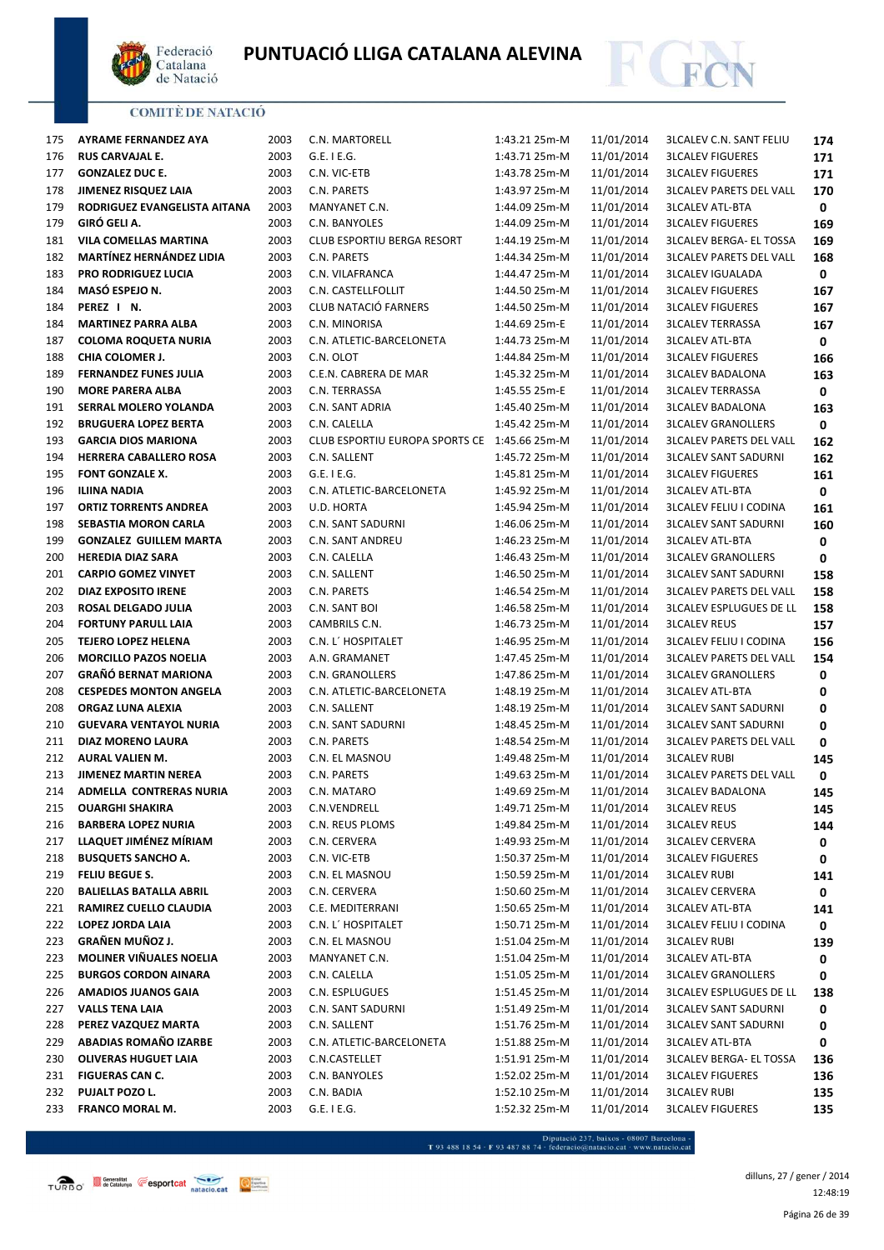



| 175        | AYRAME FERNANDEZ AYA            | 2003 | C.N. MARTORELL                               | 1:43.21 25m-M | 11/01/2014 | <b>3LCALEV C.N. SANT FELIU</b>                             | 174 |
|------------|---------------------------------|------|----------------------------------------------|---------------|------------|------------------------------------------------------------|-----|
| 176        | <b>RUS CARVAJAL E.</b>          | 2003 | $G.E.$ I $E.G.$                              | 1:43.71 25m-M | 11/01/2014 | <b>3LCALEV FIGUERES</b>                                    | 171 |
| 177        | <b>GONZALEZ DUC E.</b>          | 2003 | C.N. VIC-ETB                                 | 1:43.78 25m-M | 11/01/2014 | <b>3LCALEV FIGUERES</b>                                    | 171 |
| 178        | JIMENEZ RISQUEZ LAIA            | 2003 | C.N. PARETS                                  | 1:43.97 25m-M | 11/01/2014 | <b>3LCALEV PARETS DEL VALL</b>                             | 170 |
| 179        | RODRIGUEZ EVANGELISTA AITANA    | 2003 | MANYANET C.N.                                | 1:44.09 25m-M | 11/01/2014 | <b>3LCALEV ATL-BTA</b>                                     | 0   |
| 179        | GIRÓ GELI A.                    | 2003 | C.N. BANYOLES                                | 1:44.09 25m-M | 11/01/2014 | <b>3LCALEV FIGUERES</b>                                    | 169 |
| 181        | VILA COMELLAS MARTINA           | 2003 | <b>CLUB ESPORTIU BERGA RESORT</b>            | 1:44.19 25m-M | 11/01/2014 | <b>3LCALEV BERGA- EL TOSSA</b>                             | 169 |
| 182        | <b>MARTÍNEZ HERNÁNDEZ LIDIA</b> | 2003 | C.N. PARETS                                  | 1:44.34 25m-M | 11/01/2014 | <b>3LCALEV PARETS DEL VALL</b>                             | 168 |
| 183        | <b>PRO RODRIGUEZ LUCIA</b>      | 2003 | C.N. VILAFRANCA                              | 1:44.47 25m-M | 11/01/2014 | <b>3LCALEV IGUALADA</b>                                    | 0   |
| 184        | MASÓ ESPEJO N.                  | 2003 | C.N. CASTELLFOLLIT                           | 1:44.50 25m-M | 11/01/2014 | <b>3LCALEV FIGUERES</b>                                    | 167 |
| 184        | PEREZ I N.                      | 2003 | CLUB NATACIÓ FARNERS                         | 1:44.50 25m-M | 11/01/2014 | <b>3LCALEV FIGUERES</b>                                    | 167 |
| 184        | <b>MARTINEZ PARRA ALBA</b>      | 2003 | C.N. MINORISA                                | 1:44.69 25m-E | 11/01/2014 | <b>3LCALEV TERRASSA</b>                                    | 167 |
| 187        | <b>COLOMA ROQUETA NURIA</b>     | 2003 | C.N. ATLETIC-BARCELONETA                     | 1:44.73 25m-M | 11/01/2014 | <b>3LCALEV ATL-BTA</b>                                     | 0   |
| 188        | CHIA COLOMER J.                 | 2003 | C.N. OLOT                                    | 1:44.84 25m-M | 11/01/2014 | <b>3LCALEV FIGUERES</b>                                    | 166 |
| 189        | <b>FERNANDEZ FUNES JULIA</b>    | 2003 | C.E.N. CABRERA DE MAR                        | 1:45.32 25m-M | 11/01/2014 | <b>3LCALEV BADALONA</b>                                    | 163 |
| 190        | <b>MORE PARERA ALBA</b>         | 2003 | C.N. TERRASSA                                | 1:45.55 25m-E | 11/01/2014 | <b>3LCALEV TERRASSA</b>                                    | 0   |
| 191        | SERRAL MOLERO YOLANDA           | 2003 | C.N. SANT ADRIA                              | 1:45.40 25m-M | 11/01/2014 | <b>3LCALEV BADALONA</b>                                    | 163 |
| 192        | <b>BRUGUERA LOPEZ BERTA</b>     | 2003 | C.N. CALELLA                                 | 1:45.42 25m-M | 11/01/2014 | <b>3LCALEV GRANOLLERS</b>                                  | 0   |
| 193        | <b>GARCIA DIOS MARIONA</b>      | 2003 | CLUB ESPORTIU EUROPA SPORTS CE 1:45.66 25m-M |               | 11/01/2014 | <b>3LCALEV PARETS DEL VALL</b>                             | 162 |
| 194        | <b>HERRERA CABALLERO ROSA</b>   | 2003 | C.N. SALLENT                                 | 1:45.72 25m-M | 11/01/2014 | <b>3LCALEV SANT SADURNI</b>                                | 162 |
| 195        | <b>FONT GONZALE X.</b>          | 2003 | $G.E.$ I E.G.                                | 1:45.81 25m-M | 11/01/2014 | <b>3LCALEV FIGUERES</b>                                    | 161 |
| 196        | <b>ILIINA NADIA</b>             | 2003 | C.N. ATLETIC-BARCELONETA                     | 1:45.92 25m-M | 11/01/2014 | <b>3LCALEV ATL-BTA</b>                                     | 0   |
| 197        | <b>ORTIZ TORRENTS ANDREA</b>    | 2003 | U.D. HORTA                                   | 1:45.94 25m-M | 11/01/2014 | <b>3LCALEV FELIU I CODINA</b>                              | 161 |
| 198        | SEBASTIA MORON CARLA            | 2003 | C.N. SANT SADURNI                            | 1:46.06 25m-M | 11/01/2014 | <b>3LCALEV SANT SADURNI</b>                                | 160 |
| 199        | <b>GONZALEZ GUILLEM MARTA</b>   | 2003 | C.N. SANT ANDREU                             | 1:46.23 25m-M | 11/01/2014 | <b>3LCALEV ATL-BTA</b>                                     | 0   |
| 200        | <b>HEREDIA DIAZ SARA</b>        | 2003 | C.N. CALELLA                                 | 1:46.43 25m-M | 11/01/2014 | <b>3LCALEV GRANOLLERS</b>                                  | 0   |
| 201        | <b>CARPIO GOMEZ VINYET</b>      | 2003 | C.N. SALLENT                                 | 1:46.50 25m-M | 11/01/2014 | <b>3LCALEV SANT SADURNI</b>                                | 158 |
| 202        | DIAZ EXPOSITO IRENE             | 2003 | C.N. PARETS                                  | 1:46.54 25m-M | 11/01/2014 | <b>3LCALEV PARETS DEL VALL</b>                             | 158 |
| 203        | ROSAL DELGADO JULIA             | 2003 | C.N. SANT BOI                                | 1:46.58 25m-M | 11/01/2014 | <b>3LCALEV ESPLUGUES DE LL</b>                             | 158 |
| 204        | <b>FORTUNY PARULL LAIA</b>      | 2003 | CAMBRILS C.N.                                | 1:46.73 25m-M | 11/01/2014 | <b>3LCALEV REUS</b>                                        | 157 |
| 205        | <b>TEJERO LOPEZ HELENA</b>      | 2003 | C.N. L' HOSPITALET                           | 1:46.95 25m-M | 11/01/2014 | <b>3LCALEV FELIU I CODINA</b>                              | 156 |
| 206        | <b>MORCILLO PAZOS NOELIA</b>    | 2003 | A.N. GRAMANET                                | 1:47.45 25m-M | 11/01/2014 | <b>3LCALEV PARETS DEL VALL</b>                             | 154 |
| 207        | <b>GRAÑÓ BERNAT MARIONA</b>     | 2003 | C.N. GRANOLLERS                              | 1:47.86 25m-M | 11/01/2014 | <b>3LCALEV GRANOLLERS</b>                                  | 0   |
| 208        | <b>CESPEDES MONTON ANGELA</b>   | 2003 | C.N. ATLETIC-BARCELONETA                     | 1:48.19 25m-M | 11/01/2014 | <b>3LCALEV ATL-BTA</b>                                     | 0   |
| 208        | ORGAZ LUNA ALEXIA               | 2003 | C.N. SALLENT                                 | 1:48.19 25m-M | 11/01/2014 | <b>3LCALEV SANT SADURNI</b>                                | 0   |
| 210        | <b>GUEVARA VENTAYOL NURIA</b>   | 2003 | C.N. SANT SADURNI                            | 1:48.45 25m-M | 11/01/2014 | <b>3LCALEV SANT SADURNI</b>                                | 0   |
| 211        | DIAZ MORENO LAURA               | 2003 | C.N. PARETS                                  | 1:48.54 25m-M | 11/01/2014 | <b>3LCALEV PARETS DEL VALL</b>                             | 0   |
| 212        | <b>AURAL VALIEN M.</b>          | 2003 | C.N. EL MASNOU                               | 1:49.48 25m-M | 11/01/2014 | <b>3LCALEV RUBI</b>                                        | 145 |
| 213        | <b>JIMENEZ MARTIN NEREA</b>     | 2003 | C.N. PARETS                                  | 1:49.63 25m-M | 11/01/2014 | <b>3LCALEV PARETS DEL VALL</b>                             | 0   |
| 214        | ADMELLA CONTRERAS NURIA         | 2003 | C.N. MATARO                                  | 1:49.69 25m-M | 11/01/2014 | <b>3LCALEV BADALONA</b>                                    | 145 |
| 215        | <b>OUARGHI SHAKIRA</b>          | 2003 | C.N.VENDRELL                                 | 1:49.71 25m-M | 11/01/2014 | <b>3LCALEV REUS</b>                                        | 145 |
| 216        | <b>BARBERA LOPEZ NURIA</b>      | 2003 | C.N. REUS PLOMS                              | 1:49.84 25m-M | 11/01/2014 | <b>3LCALEV REUS</b>                                        | 144 |
| 217        | LLAQUET JIMÉNEZ MÍRIAM          | 2003 | C.N. CERVERA                                 | 1:49.93 25m-M | 11/01/2014 | <b>3LCALEV CERVERA</b>                                     | 0   |
| 218        | <b>BUSQUETS SANCHO A.</b>       | 2003 | C.N. VIC-ETB                                 | 1:50.37 25m-M | 11/01/2014 | <b>3LCALEV FIGUERES</b>                                    | 0   |
| 219        | FELIU BEGUE S.                  | 2003 | C.N. EL MASNOU                               | 1:50.59 25m-M | 11/01/2014 | <b>3LCALEV RUBI</b>                                        | 141 |
| 220        | <b>BALIELLAS BATALLA ABRIL</b>  | 2003 | C.N. CERVERA                                 | 1:50.60 25m-M | 11/01/2014 | <b>3LCALEV CERVERA</b>                                     | 0   |
| 221        | RAMIREZ CUELLO CLAUDIA          | 2003 | C.E. MEDITERRANI                             | 1:50.65 25m-M | 11/01/2014 | <b>3LCALEV ATL-BTA</b>                                     | 141 |
| 222        | LOPEZ JORDA LAIA                | 2003 | C.N. L' HOSPITALET                           | 1:50.71 25m-M | 11/01/2014 | <b>3LCALEV FELIU I CODINA</b>                              | 0   |
| 223        | <b>GRAÑEN MUÑOZ J.</b>          | 2003 | C.N. EL MASNOU                               | 1:51.04 25m-M | 11/01/2014 | <b>3LCALEV RUBI</b>                                        | 139 |
| 223        | MOLINER VIÑUALES NOELIA         | 2003 | MANYANET C.N.                                | 1:51.04 25m-M | 11/01/2014 | <b>3LCALEV ATL-BTA</b>                                     | 0   |
| 225        | <b>BURGOS CORDON AINARA</b>     | 2003 | C.N. CALELLA                                 | 1:51.05 25m-M | 11/01/2014 | <b>3LCALEV GRANOLLERS</b>                                  | 0   |
| 226        | <b>AMADIOS JUANOS GAIA</b>      | 2003 | C.N. ESPLUGUES                               | 1:51.45 25m-M | 11/01/2014 | <b>3LCALEV ESPLUGUES DE LL</b>                             |     |
| 227        | <b>VALLS TENA LAIA</b>          | 2003 |                                              | 1:51.49 25m-M | 11/01/2014 |                                                            | 138 |
|            | PEREZ VAZQUEZ MARTA             | 2003 | C.N. SANT SADURNI                            | 1:51.76 25m-M | 11/01/2014 | <b>3LCALEV SANT SADURNI</b><br><b>3LCALEV SANT SADURNI</b> | 0   |
| 228<br>229 | <b>ABADIAS ROMAÑO IZARBE</b>    | 2003 | C.N. SALLENT<br>C.N. ATLETIC-BARCELONETA     | 1:51.88 25m-M | 11/01/2014 | <b>3LCALEV ATL-BTA</b>                                     | 0   |
|            | <b>OLIVERAS HUGUET LAIA</b>     | 2003 |                                              | 1:51.91 25m-M | 11/01/2014 |                                                            | 0   |
| 230        |                                 |      | C.N.CASTELLET                                |               |            | <b>3LCALEV BERGA- EL TOSSA</b>                             | 136 |
| 231        | FIGUERAS CAN C.                 | 2003 | C.N. BANYOLES                                | 1:52.02 25m-M | 11/01/2014 | <b>3LCALEV FIGUERES</b>                                    | 136 |
| 232        | PUJALT POZO L.                  | 2003 | C.N. BADIA                                   | 1:52.10 25m-M | 11/01/2014 | <b>3LCALEV RUBI</b>                                        | 135 |
| 233        | FRANCO MORAL M.                 | 2003 | $G.E.$ I E.G.                                | 1:52.32 25m-M | 11/01/2014 | <b>3LCALEV FIGUERES</b>                                    | 135 |

- Diputació 237, baixos - 08007 Barcelona<br>T 93 488 18 54 · F 93 487 88 74 · federacio@natacio.cat · www.natacio.cat

Página 26 de 39 dilluns, 27 / gener / 2014 12:48:19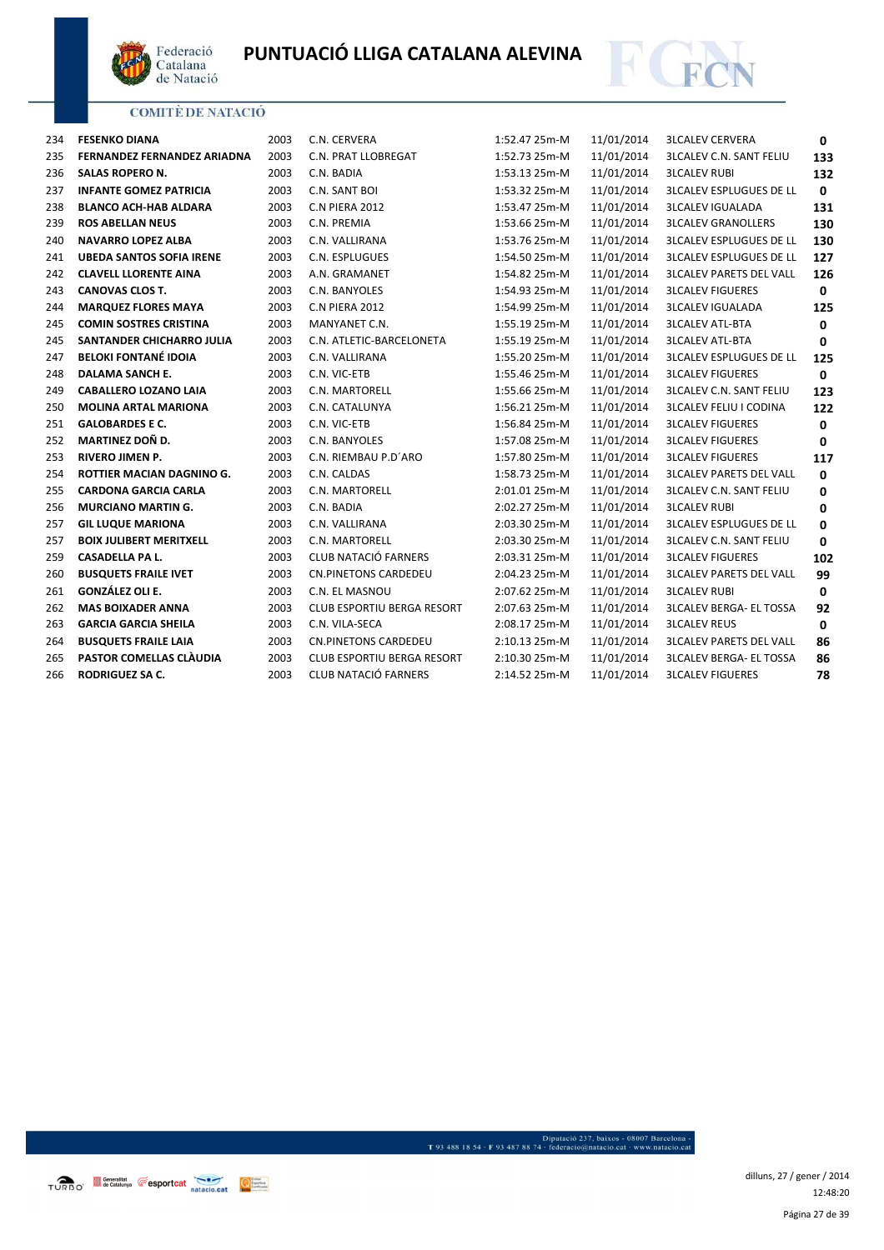



| 234 | <b>FESENKO DIANA</b>            | 2003 | C.N. CERVERA                      | 1:52.47 25m-M | 11/01/2014 | <b>3LCALEV CERVERA</b>         | 0            |
|-----|---------------------------------|------|-----------------------------------|---------------|------------|--------------------------------|--------------|
| 235 | FERNANDEZ FERNANDEZ ARIADNA     | 2003 | C.N. PRAT LLOBREGAT               | 1:52.73 25m-M | 11/01/2014 | <b>3LCALEV C.N. SANT FELIU</b> | 133          |
| 236 | SALAS ROPERO N.                 | 2003 | C.N. BADIA                        | 1:53.13 25m-M | 11/01/2014 | <b>3LCALEV RUBI</b>            | 132          |
| 237 | <b>INFANTE GOMEZ PATRICIA</b>   | 2003 | C.N. SANT BOI                     | 1:53.32 25m-M | 11/01/2014 | <b>3LCALEV ESPLUGUES DE LL</b> | $\mathbf 0$  |
| 238 | <b>BLANCO ACH-HAB ALDARA</b>    | 2003 | C.N PIERA 2012                    | 1:53.47 25m-M | 11/01/2014 | <b>3LCALEV IGUALADA</b>        | 131          |
| 239 | <b>ROS ABELLAN NEUS</b>         | 2003 | C.N. PREMIA                       | 1:53.66 25m-M | 11/01/2014 | <b>3LCALEV GRANOLLERS</b>      | 130          |
| 240 | <b>NAVARRO LOPEZ ALBA</b>       | 2003 | C.N. VALLIRANA                    | 1:53.76 25m-M | 11/01/2014 | <b>3LCALEV ESPLUGUES DE LL</b> | 130          |
| 241 | <b>UBEDA SANTOS SOFIA IRENE</b> | 2003 | C.N. ESPLUGUES                    | 1:54.50 25m-M | 11/01/2014 | <b>3LCALEV ESPLUGUES DE LL</b> | 127          |
| 242 | <b>CLAVELL LLORENTE AINA</b>    | 2003 | A.N. GRAMANET                     | 1:54.82 25m-M | 11/01/2014 | <b>3LCALEV PARETS DEL VALL</b> | 126          |
| 243 | <b>CANOVAS CLOS T.</b>          | 2003 | C.N. BANYOLES                     | 1:54.93 25m-M | 11/01/2014 | <b>3LCALEV FIGUERES</b>        | $\mathbf 0$  |
| 244 | <b>MARQUEZ FLORES MAYA</b>      | 2003 | C.N PIERA 2012                    | 1:54.99 25m-M | 11/01/2014 | <b>3LCALEV IGUALADA</b>        | 125          |
| 245 | <b>COMIN SOSTRES CRISTINA</b>   | 2003 | MANYANET C.N.                     | 1:55.19 25m-M | 11/01/2014 | <b>3LCALEV ATL-BTA</b>         | $\mathbf 0$  |
| 245 | SANTANDER CHICHARRO JULIA       | 2003 | C.N. ATLETIC-BARCELONETA          | 1:55.19 25m-M | 11/01/2014 | <b>3LCALEV ATL-BTA</b>         | 0            |
| 247 | <b>BELOKI FONTANÉ IDOIA</b>     | 2003 | C.N. VALLIRANA                    | 1:55.20 25m-M | 11/01/2014 | <b>3LCALEV ESPLUGUES DE LL</b> | 125          |
| 248 | <b>DALAMA SANCH E.</b>          | 2003 | C.N. VIC-ETB                      | 1:55.46 25m-M | 11/01/2014 | <b>3LCALEV FIGUERES</b>        | $\mathbf{0}$ |
| 249 | <b>CABALLERO LOZANO LAIA</b>    | 2003 | C.N. MARTORELL                    | 1:55.66 25m-M | 11/01/2014 | <b>3LCALEV C.N. SANT FELIU</b> | 123          |
| 250 | <b>MOLINA ARTAL MARIONA</b>     | 2003 | C.N. CATALUNYA                    | 1:56.21 25m-M | 11/01/2014 | <b>3LCALEV FELIU I CODINA</b>  | 122          |
| 251 | <b>GALOBARDES E C.</b>          | 2003 | C.N. VIC-ETB                      | 1:56.84 25m-M | 11/01/2014 | <b>3LCALEV FIGUERES</b>        | 0            |
| 252 | MARTINEZ DOÑ D.                 | 2003 | C.N. BANYOLES                     | 1:57.08 25m-M | 11/01/2014 | <b>3LCALEV FIGUERES</b>        | 0            |
| 253 | <b>RIVERO JIMEN P.</b>          | 2003 | C.N. RIEMBAU P.D'ARO              | 1:57.80 25m-M | 11/01/2014 | <b>3LCALEV FIGUERES</b>        | 117          |
| 254 | ROTTIER MACIAN DAGNINO G.       | 2003 | C.N. CALDAS                       | 1:58.73 25m-M | 11/01/2014 | <b>3LCALEV PARETS DEL VALL</b> | $\mathbf 0$  |
| 255 | <b>CARDONA GARCIA CARLA</b>     | 2003 | C.N. MARTORELL                    | 2:01.01 25m-M | 11/01/2014 | <b>3LCALEV C.N. SANT FELIU</b> | 0            |
| 256 | <b>MURCIANO MARTIN G.</b>       | 2003 | C.N. BADIA                        | 2:02.27 25m-M | 11/01/2014 | <b>3LCALEV RUBI</b>            | 0            |
| 257 | <b>GIL LUQUE MARIONA</b>        | 2003 | C.N. VALLIRANA                    | 2:03.30 25m-M | 11/01/2014 | <b>3LCALEV ESPLUGUES DE LL</b> | 0            |
| 257 | <b>BOIX JULIBERT MERITXELL</b>  | 2003 | C.N. MARTORELL                    | 2:03.30 25m-M | 11/01/2014 | <b>3LCALEV C.N. SANT FELIU</b> | 0            |
| 259 | <b>CASADELLA PA L.</b>          | 2003 | CLUB NATACIÓ FARNERS              | 2:03.31 25m-M | 11/01/2014 | <b>3LCALEV FIGUERES</b>        | 102          |
| 260 | <b>BUSQUETS FRAILE IVET</b>     | 2003 | <b>CN.PINETONS CARDEDEU</b>       | 2:04.23 25m-M | 11/01/2014 | <b>3LCALEV PARETS DEL VALL</b> | 99           |
| 261 | GONZÁLEZ OLI E.                 | 2003 | C.N. EL MASNOU                    | 2:07.62 25m-M | 11/01/2014 | <b>3LCALEV RUBI</b>            | 0            |
| 262 | <b>MAS BOIXADER ANNA</b>        | 2003 | CLUB ESPORTIU BERGA RESORT        | 2:07.63 25m-M | 11/01/2014 | <b>3LCALEV BERGA- EL TOSSA</b> | 92           |
| 263 | <b>GARCIA GARCIA SHEILA</b>     | 2003 | C.N. VILA-SECA                    | 2:08.17 25m-M | 11/01/2014 | <b>3LCALEV REUS</b>            | $\mathbf{0}$ |
| 264 | <b>BUSQUETS FRAILE LAIA</b>     | 2003 | <b>CN.PINETONS CARDEDEU</b>       | 2:10.13 25m-M | 11/01/2014 | <b>3LCALEV PARETS DEL VALL</b> | 86           |
| 265 | PASTOR COMELLAS CLAUDIA         | 2003 | <b>CLUB ESPORTIU BERGA RESORT</b> | 2:10.30 25m-M | 11/01/2014 | <b>3LCALEV BERGA- EL TOSSA</b> | 86           |
| 266 | RODRIGUEZ SA C.                 | 2003 | CLUB NATACIÓ FARNERS              | 2:14.52 25m-M | 11/01/2014 | <b>3LCALEV FIGUERES</b>        | 78           |

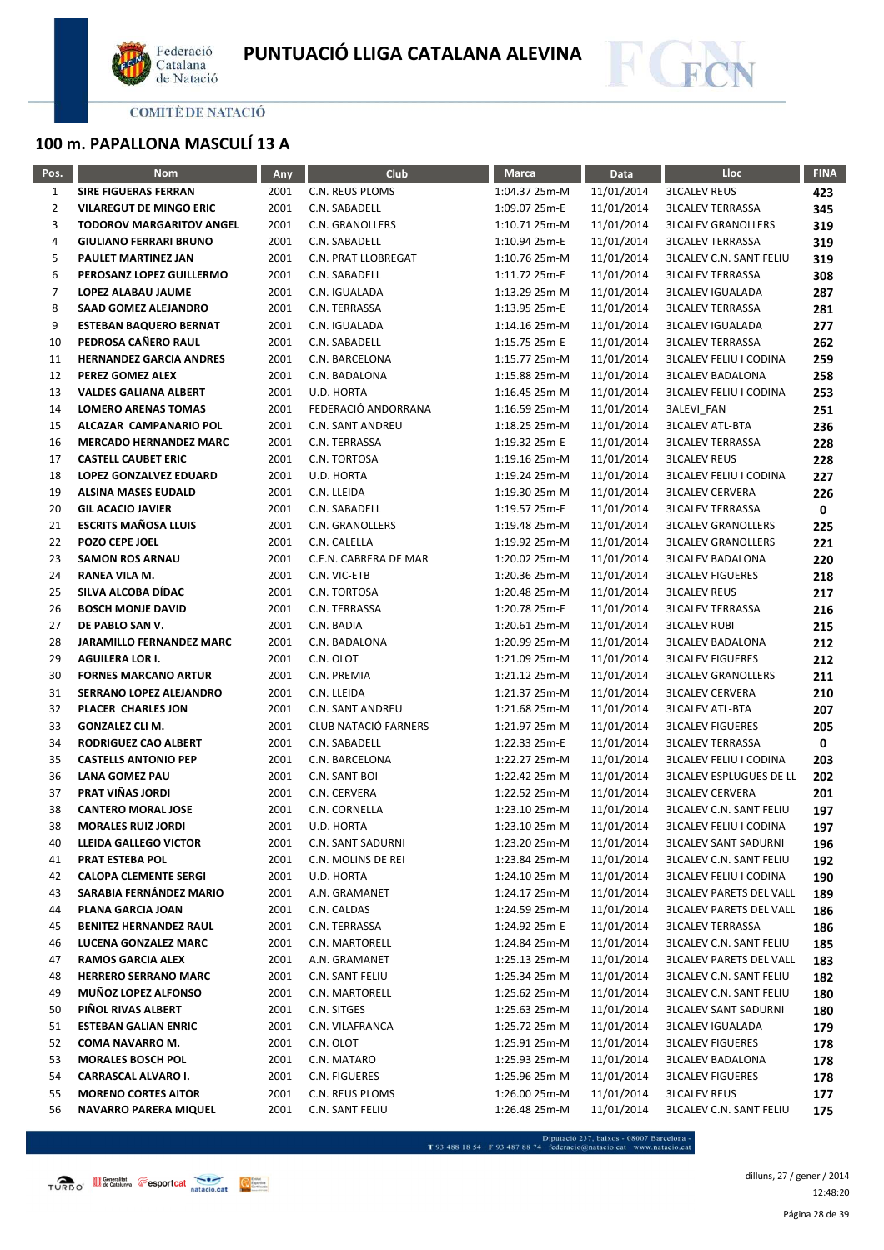



# **100 m. PAPALLONA MASCULÍ 13 A**

| Pos.           | <b>Nom</b>                                             | <b>Any</b>   | <b>Club</b>                      | <b>Marca</b>                   | Data                     | <b>Lloc</b>                                        | <b>FINA</b> |
|----------------|--------------------------------------------------------|--------------|----------------------------------|--------------------------------|--------------------------|----------------------------------------------------|-------------|
| $\mathbf{1}$   | <b>SIRE FIGUERAS FERRAN</b>                            | 2001         | C.N. REUS PLOMS                  | 1:04.37 25m-M                  | 11/01/2014               | <b>3LCALEV REUS</b>                                | 423         |
| $\overline{2}$ | <b>VILAREGUT DE MINGO ERIC</b>                         | 2001         | C.N. SABADELL                    | 1:09.07 25m-E                  | 11/01/2014               | <b>3LCALEV TERRASSA</b>                            | 345         |
| 3              | <b>TODOROV MARGARITOV ANGEL</b>                        | 2001         | C.N. GRANOLLERS                  | 1:10.71 25m-M                  | 11/01/2014               | <b>3LCALEV GRANOLLERS</b>                          | 319         |
| 4              | <b>GIULIANO FERRARI BRUNO</b>                          | 2001         | C.N. SABADELL                    | 1:10.94 25m-E                  | 11/01/2014               | <b>3LCALEV TERRASSA</b>                            | 319         |
| 5              | PAULET MARTINEZ JAN                                    | 2001         | C.N. PRAT LLOBREGAT              | 1:10.76 25m-M                  | 11/01/2014               | <b>3LCALEV C.N. SANT FELIU</b>                     | 319         |
| 6              | PEROSANZ LOPEZ GUILLERMO                               | 2001         | C.N. SABADELL                    | 1:11.72 25m-E                  | 11/01/2014               | <b>3LCALEV TERRASSA</b>                            | 308         |
| 7              | LOPEZ ALABAU JAUME                                     | 2001         | C.N. IGUALADA                    | 1:13.29 25m-M                  | 11/01/2014               | <b>3LCALEV IGUALADA</b>                            | 287         |
| 8              | <b>SAAD GOMEZ ALEJANDRO</b>                            | 2001         | C.N. TERRASSA                    | 1:13.95 25m-E                  | 11/01/2014               | <b>3LCALEV TERRASSA</b>                            | 281         |
| 9              | <b>ESTEBAN BAQUERO BERNAT</b>                          | 2001         | C.N. IGUALADA                    | 1:14.16 25m-M                  | 11/01/2014               | <b>3LCALEV IGUALADA</b>                            | 277         |
| 10             | PEDROSA CAÑERO RAUL                                    | 2001         | C.N. SABADELL                    | 1:15.75 25m-E                  | 11/01/2014               | <b>3LCALEV TERRASSA</b>                            | 262         |
| 11             | <b>HERNANDEZ GARCIA ANDRES</b>                         | 2001         | C.N. BARCELONA                   | 1:15.77 25m-M                  | 11/01/2014               | <b>3LCALEV FELIU I CODINA</b>                      | 259         |
| 12             | PEREZ GOMEZ ALEX                                       | 2001         | C.N. BADALONA                    | 1:15.88 25m-M                  | 11/01/2014               | <b>3LCALEV BADALONA</b>                            | 258         |
| 13             | <b>VALDES GALIANA ALBERT</b>                           | 2001         | U.D. HORTA                       | 1:16.45 25m-M                  | 11/01/2014               | <b>3LCALEV FELIU I CODINA</b>                      | 253         |
| 14             | <b>LOMERO ARENAS TOMAS</b>                             | 2001         | FEDERACIÓ ANDORRANA              | 1:16.59 25m-M                  | 11/01/2014               | 3ALEVI_FAN                                         | 251         |
| 15             | ALCAZAR CAMPANARIO POL                                 | 2001         | <b>C.N. SANT ANDREU</b>          | 1:18.25 25m-M                  | 11/01/2014               | <b>3LCALEV ATL-BTA</b>                             | 236         |
| 16             | <b>MERCADO HERNANDEZ MARC</b>                          | 2001         | C.N. TERRASSA                    | 1:19.32 25m-E                  | 11/01/2014               | <b>3LCALEV TERRASSA</b>                            | 228         |
| 17             | <b>CASTELL CAUBET ERIC</b>                             | 2001         | C.N. TORTOSA                     | 1:19.16 25m-M                  | 11/01/2014               | <b>3LCALEV REUS</b>                                | 228         |
| 18             | LOPEZ GONZALVEZ EDUARD                                 | 2001         | U.D. HORTA                       | 1:19.24 25m-M                  | 11/01/2014               | <b>3LCALEV FELIU I CODINA</b>                      | 227         |
| 19             | <b>ALSINA MASES EUDALD</b>                             | 2001         | C.N. LLEIDA                      | 1:19.30 25m-M                  | 11/01/2014               | <b>3LCALEV CERVERA</b>                             | 226         |
| 20             | <b>GIL ACACIO JAVIER</b>                               | 2001         | C.N. SABADELL                    | 1:19.57 25m-E                  | 11/01/2014               | <b>3LCALEV TERRASSA</b>                            | 0           |
| 21             | <b>ESCRITS MAÑOSA LLUIS</b>                            | 2001         | C.N. GRANOLLERS                  | 1:19.48 25m-M                  | 11/01/2014               | <b>3LCALEV GRANOLLERS</b>                          | 225         |
| 22             | POZO CEPE JOEL                                         | 2001         | C.N. CALELLA                     | 1:19.92 25m-M                  | 11/01/2014               | <b>3LCALEV GRANOLLERS</b>                          | 221         |
| 23             | <b>SAMON ROS ARNAU</b>                                 | 2001         | C.E.N. CABRERA DE MAR            | 1:20.02 25m-M                  | 11/01/2014               | <b>3LCALEV BADALONA</b>                            | 220         |
| 24             | RANEA VILA M.                                          | 2001         | C.N. VIC-ETB                     | 1:20.36 25m-M                  | 11/01/2014               | <b>3LCALEV FIGUERES</b>                            | 218         |
| 25             | SILVA ALCOBA DÍDAC                                     | 2001         | C.N. TORTOSA                     | 1:20.48 25m-M                  | 11/01/2014               | <b>3LCALEV REUS</b>                                | 217         |
| 26             | <b>BOSCH MONJE DAVID</b>                               | 2001         | C.N. TERRASSA                    | 1:20.78 25m-E                  | 11/01/2014               | <b>3LCALEV TERRASSA</b>                            | 216         |
| 27             | DE PABLO SAN V.                                        | 2001         | C.N. BADIA                       | 1:20.61 25m-M                  | 11/01/2014               | <b>3LCALEV RUBI</b>                                | 215         |
| 28             | <b>JARAMILLO FERNANDEZ MARC</b>                        | 2001         | C.N. BADALONA                    | 1:20.99 25m-M                  | 11/01/2014               | <b>3LCALEV BADALONA</b>                            | 212         |
| 29             | <b>AGUILERA LOR I.</b>                                 | 2001         | C.N. OLOT                        | 1:21.09 25m-M                  | 11/01/2014               | <b>3LCALEV FIGUERES</b>                            | 212         |
| 30             | <b>FORNES MARCANO ARTUR</b>                            | 2001         | C.N. PREMIA                      | 1:21.12 25m-M                  | 11/01/2014               | <b>3LCALEV GRANOLLERS</b>                          | 211         |
| 31             | SERRANO LOPEZ ALEJANDRO                                | 2001         | C.N. LLEIDA                      | 1:21.37 25m-M                  | 11/01/2014               | <b>3LCALEV CERVERA</b>                             | 210         |
| 32             | PLACER CHARLES JON                                     | 2001         | <b>C.N. SANT ANDREU</b>          | 1:21.68 25m-M                  | 11/01/2014               | <b>3LCALEV ATL-BTA</b>                             | 207         |
| 33             | <b>GONZALEZ CLI M.</b>                                 | 2001         | CLUB NATACIÓ FARNERS             | 1:21.97 25m-M                  | 11/01/2014               | <b>3LCALEV FIGUERES</b>                            | 205         |
| 34             | <b>RODRIGUEZ CAO ALBERT</b>                            | 2001         | C.N. SABADELL                    | 1:22.33 25m-E                  | 11/01/2014               | <b>3LCALEV TERRASSA</b>                            | 0           |
| 35             | <b>CASTELLS ANTONIO PEP</b>                            | 2001         | C.N. BARCELONA                   | 1:22.27 25m-M                  | 11/01/2014               | <b>3LCALEV FELIU I CODINA</b>                      | 203         |
| 36             | LANA GOMEZ PAU                                         | 2001         | C.N. SANT BOI                    | 1:22.42 25m-M                  | 11/01/2014               | <b>3LCALEV ESPLUGUES DE LL</b>                     | 202         |
| 37             | PRAT VIÑAS JORDI                                       | 2001         | C.N. CERVERA                     | 1:22.52 25m-M                  | 11/01/2014               | <b>3LCALEV CERVERA</b>                             | 201         |
| 38             | <b>CANTERO MORAL JOSE</b>                              | 2001         | C.N. CORNELLA                    | 1:23.10 25m-M                  | 11/01/2014               | <b>3LCALEV C.N. SANT FELIU</b>                     | 197         |
| 38             | <b>MORALES RUIZ JORDI</b>                              | 2001         | U.D. HORTA                       | 1:23.10 25m-M                  | 11/01/2014               | <b>3LCALEV FELIU I CODINA</b>                      | 197         |
| 40             | <b>LLEIDA GALLEGO VICTOR</b>                           | 2001         | C.N. SANT SADURNI                | 1:23.20 25m-M                  | 11/01/2014               | <b>3LCALEV SANT SADURNI</b>                        | 196         |
| 41             | PRAT ESTEBA POL                                        | 2001         | C.N. MOLINS DE REI               | 1:23.84 25m-M                  | 11/01/2014               | <b>3LCALEV C.N. SANT FELIU</b>                     | 192         |
| 42             | <b>CALOPA CLEMENTE SERGI</b>                           | 2001         | U.D. HORTA                       | 1:24.10 25m-M                  | 11/01/2014               | <b>3LCALEV FELIU I CODINA</b>                      | 190         |
| 43             | SARABIA FERNÁNDEZ MARIO                                | 2001         | A.N. GRAMANET                    | 1:24.17 25m-M                  | 11/01/2014               | <b>3LCALEV PARETS DEL VALL</b>                     | 189         |
| 44             | PLANA GARCIA JOAN                                      | 2001         | C.N. CALDAS                      | 1:24.59 25m-M                  | 11/01/2014               | <b>3LCALEV PARETS DEL VALL</b>                     | 186         |
| 45             | <b>BENITEZ HERNANDEZ RAUL</b>                          | 2001         | C.N. TERRASSA                    | 1:24.92 25m-E                  | 11/01/2014               | <b>3LCALEV TERRASSA</b>                            | 186         |
| 46             | <b>LUCENA GONZALEZ MARC</b>                            | 2001         | C.N. MARTORELL                   | 1:24.84 25m-M                  | 11/01/2014               | <b>3LCALEV C.N. SANT FELIU</b>                     | 185         |
| 47             | <b>RAMOS GARCIA ALEX</b>                               | 2001         | A.N. GRAMANET                    | 1:25.13 25m-M                  | 11/01/2014               | <b>3LCALEV PARETS DEL VALL</b>                     | 183         |
| 48             | <b>HERRERO SERRANO MARC</b>                            | 2001         | C.N. SANT FELIU                  | 1:25.34 25m-M                  | 11/01/2014               | <b>3LCALEV C.N. SANT FELIU</b>                     | 182         |
| 49             | <b>MUÑOZ LOPEZ ALFONSO</b>                             | 2001         | C.N. MARTORELL                   | 1:25.62 25m-M                  | 11/01/2014               | <b>3LCALEV C.N. SANT FELIU</b>                     | 180         |
| 50             | PIÑOL RIVAS ALBERT                                     | 2001         | C.N. SITGES                      | 1:25.63 25m-M                  | 11/01/2014               | <b>3LCALEV SANT SADURNI</b>                        | 180         |
| 51             | <b>ESTEBAN GALIAN ENRIC</b>                            | 2001         | C.N. VILAFRANCA                  | 1:25.72 25m-M                  | 11/01/2014               | <b>3LCALEV IGUALADA</b>                            | 179         |
| 52<br>53       | COMA NAVARRO M.                                        | 2001         | C.N. OLOT                        | 1:25.91 25m-M                  | 11/01/2014<br>11/01/2014 | <b>3LCALEV FIGUERES</b>                            | 178         |
| 54             | <b>MORALES BOSCH POL</b><br><b>CARRASCAL ALVARO I.</b> | 2001<br>2001 | C.N. MATARO                      | 1:25.93 25m-M<br>1:25.96 25m-M | 11/01/2014               | <b>3LCALEV BADALONA</b><br><b>3LCALEV FIGUERES</b> | 178         |
| 55             | <b>MORENO CORTES AITOR</b>                             | 2001         | C.N. FIGUERES<br>C.N. REUS PLOMS | 1:26.00 25m-M                  | 11/01/2014               | <b>3LCALEV REUS</b>                                | 178         |
| 56             | NAVARRO PARERA MIQUEL                                  | 2001         | C.N. SANT FELIU                  | 1:26.48 25m-M                  | 11/01/2014               | <b>3LCALEV C.N. SANT FELIU</b>                     | 177<br>175  |
|                |                                                        |              |                                  |                                |                          |                                                    |             |

- Diputació 237, baixos - 08007 Barcelona<br>T 93 488 18 54 · F 93 487 88 74 · federacio@natacio.cat · www.natacio.cat

Página 28 de 39 dilluns, 27 / gener / 2014 12:48:20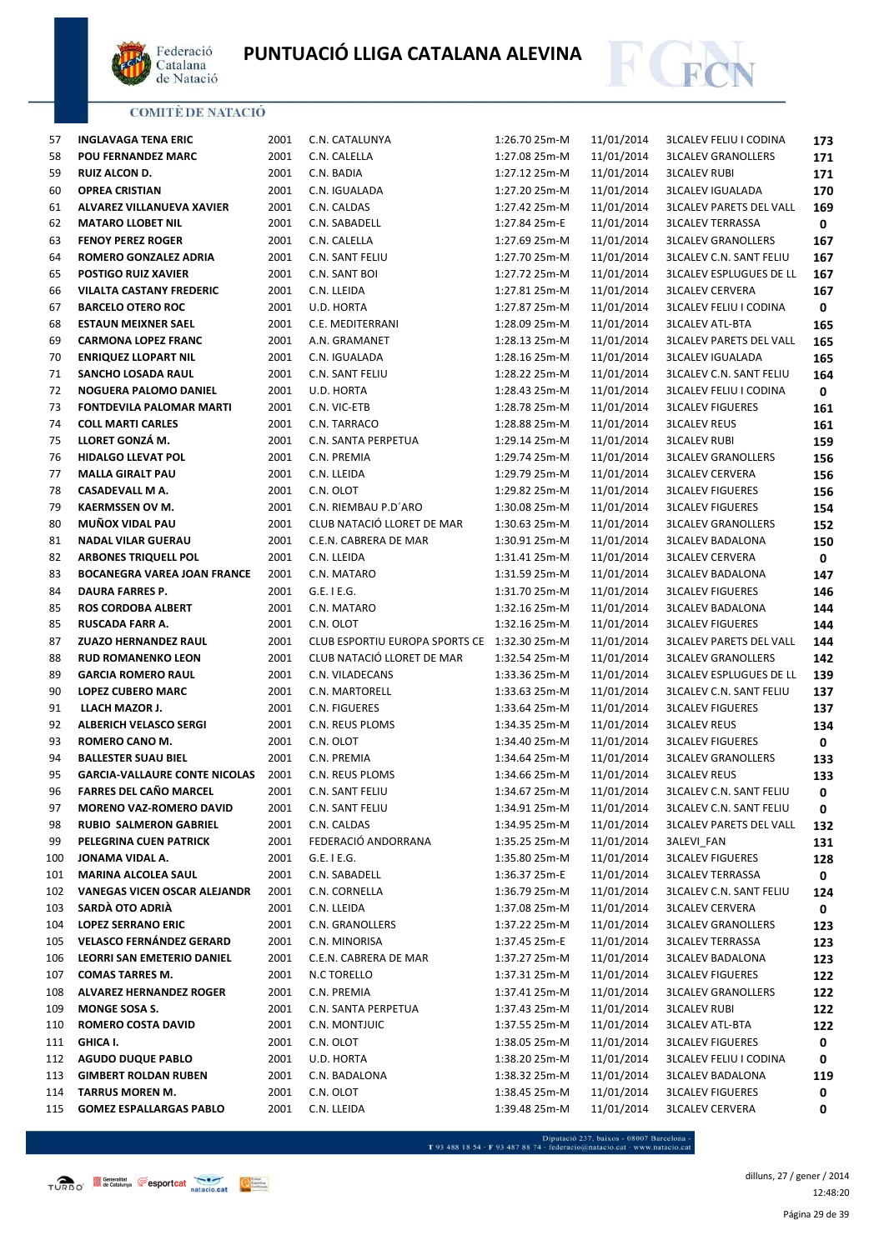



| 57  | <b>INGLAVAGA TENA ERIC</b>           | 2001 | C.N. CATALUNYA                               | 1:26.70 25m-M | 11/01/2014 | <b>3LCALEV FELIU I CODINA</b>  | 173 |
|-----|--------------------------------------|------|----------------------------------------------|---------------|------------|--------------------------------|-----|
| 58  | <b>POU FERNANDEZ MARC</b>            | 2001 | C.N. CALELLA                                 | 1:27.08 25m-M | 11/01/2014 | <b>3LCALEV GRANOLLERS</b>      | 171 |
| 59  | RUIZ ALCON D.                        | 2001 | C.N. BADIA                                   | 1:27.12 25m-M | 11/01/2014 | <b>3LCALEV RUBI</b>            | 171 |
| 60  | <b>OPREA CRISTIAN</b>                | 2001 | C.N. IGUALADA                                | 1:27.20 25m-M | 11/01/2014 | <b>3LCALEV IGUALADA</b>        | 170 |
| 61  | ALVAREZ VILLANUEVA XAVIER            | 2001 | C.N. CALDAS                                  | 1:27.42 25m-M | 11/01/2014 | <b>3LCALEV PARETS DEL VALL</b> | 169 |
| 62  | <b>MATARO LLOBET NIL</b>             | 2001 | C.N. SABADELL                                | 1:27.84 25m-E | 11/01/2014 | <b>3LCALEV TERRASSA</b>        | 0   |
| 63  | <b>FENOY PEREZ ROGER</b>             | 2001 | C.N. CALELLA                                 | 1:27.69 25m-M | 11/01/2014 | <b>3LCALEV GRANOLLERS</b>      | 167 |
| 64  | ROMERO GONZALEZ ADRIA                | 2001 | C.N. SANT FELIU                              | 1:27.70 25m-M | 11/01/2014 | <b>3LCALEV C.N. SANT FELIU</b> | 167 |
| 65  | <b>POSTIGO RUIZ XAVIER</b>           | 2001 | C.N. SANT BOI                                | 1:27.72 25m-M | 11/01/2014 | <b>3LCALEV ESPLUGUES DE LL</b> | 167 |
| 66  | VILALTA CASTANY FREDERIC             | 2001 | C.N. LLEIDA                                  | 1:27.81 25m-M | 11/01/2014 | <b>3LCALEV CERVERA</b>         | 167 |
| 67  | <b>BARCELO OTERO ROC</b>             | 2001 | U.D. HORTA                                   | 1:27.87 25m-M | 11/01/2014 | <b>3LCALEV FELIU I CODINA</b>  | 0   |
| 68  | <b>ESTAUN MEIXNER SAEL</b>           | 2001 | C.E. MEDITERRANI                             | 1:28.09 25m-M | 11/01/2014 | <b>3LCALEV ATL-BTA</b>         | 165 |
| 69  | <b>CARMONA LOPEZ FRANC</b>           | 2001 | A.N. GRAMANET                                | 1:28.13 25m-M | 11/01/2014 | <b>3LCALEV PARETS DEL VALL</b> | 165 |
| 70  | <b>ENRIQUEZ LLOPART NIL</b>          | 2001 | C.N. IGUALADA                                | 1:28.16 25m-M | 11/01/2014 | <b>3LCALEV IGUALADA</b>        | 165 |
| 71  | SANCHO LOSADA RAUL                   | 2001 | C.N. SANT FELIU                              | 1:28.22 25m-M | 11/01/2014 | <b>3LCALEV C.N. SANT FELIU</b> | 164 |
| 72  | NOGUERA PALOMO DANIEL                | 2001 | U.D. HORTA                                   | 1:28.43 25m-M | 11/01/2014 | <b>3LCALEV FELIU I CODINA</b>  | 0   |
| 73  | <b>FONTDEVILA PALOMAR MARTI</b>      | 2001 | C.N. VIC-ETB                                 | 1:28.78 25m-M | 11/01/2014 | <b>3LCALEV FIGUERES</b>        | 161 |
| 74  | <b>COLL MARTI CARLES</b>             | 2001 | C.N. TARRACO                                 | 1:28.88 25m-M | 11/01/2014 | <b>3LCALEV REUS</b>            | 161 |
| 75  | LLORET GONZÁ M.                      | 2001 | C.N. SANTA PERPETUA                          | 1:29.14 25m-M | 11/01/2014 | <b>3LCALEV RUBI</b>            | 159 |
| 76  | <b>HIDALGO LLEVAT POL</b>            | 2001 | C.N. PREMIA                                  | 1:29.74 25m-M | 11/01/2014 | <b>3LCALEV GRANOLLERS</b>      | 156 |
| 77  | <b>MALLA GIRALT PAU</b>              | 2001 | C.N. LLEIDA                                  | 1:29.79 25m-M | 11/01/2014 | <b>3LCALEV CERVERA</b>         | 156 |
| 78  | <b>CASADEVALL M A.</b>               | 2001 | C.N. OLOT                                    | 1:29.82 25m-M | 11/01/2014 | <b>3LCALEV FIGUERES</b>        | 156 |
| 79  | <b>KAERMSSEN OV M.</b>               | 2001 | C.N. RIEMBAU P.D'ARO                         | 1:30.08 25m-M | 11/01/2014 | <b>3LCALEV FIGUERES</b>        | 154 |
| 80  | MUÑOX VIDAL PAU                      | 2001 | CLUB NATACIÓ LLORET DE MAR                   | 1:30.63 25m-M | 11/01/2014 | <b>3LCALEV GRANOLLERS</b>      | 152 |
| 81  | <b>NADAL VILAR GUERAU</b>            | 2001 | C.E.N. CABRERA DE MAR                        | 1:30.91 25m-M | 11/01/2014 | <b>3LCALEV BADALONA</b>        | 150 |
| 82  | <b>ARBONES TRIQUELL POL</b>          | 2001 | C.N. LLEIDA                                  | 1:31.41 25m-M | 11/01/2014 | <b>3LCALEV CERVERA</b>         | 0   |
| 83  | <b>BOCANEGRA VAREA JOAN FRANCE</b>   | 2001 | C.N. MATARO                                  | 1:31.59 25m-M | 11/01/2014 | <b>3LCALEV BADALONA</b>        | 147 |
| 84  | DAURA FARRES P.                      | 2001 | $G.E.$ I $E.G.$                              | 1:31.70 25m-M | 11/01/2014 | <b>3LCALEV FIGUERES</b>        | 146 |
| 85  | <b>ROS CORDOBA ALBERT</b>            | 2001 | C.N. MATARO                                  | 1:32.16 25m-M | 11/01/2014 | <b>3LCALEV BADALONA</b>        | 144 |
| 85  | RUSCADA FARR A.                      | 2001 | C.N. OLOT                                    | 1:32.16 25m-M | 11/01/2014 | <b>3LCALEV FIGUERES</b>        | 144 |
| 87  | <b>ZUAZO HERNANDEZ RAUL</b>          | 2001 | CLUB ESPORTIU EUROPA SPORTS CE 1:32.30 25m-M |               | 11/01/2014 | <b>3LCALEV PARETS DEL VALL</b> | 144 |
| 88  | <b>RUD ROMANENKO LEON</b>            | 2001 | CLUB NATACIÓ LLORET DE MAR                   | 1:32.54 25m-M | 11/01/2014 | <b>3LCALEV GRANOLLERS</b>      | 142 |
| 89  | <b>GARCIA ROMERO RAUL</b>            | 2001 | C.N. VILADECANS                              | 1:33.36 25m-M | 11/01/2014 | <b>3LCALEV ESPLUGUES DE LL</b> | 139 |
| 90  | <b>LOPEZ CUBERO MARC</b>             | 2001 | C.N. MARTORELL                               | 1:33.63 25m-M | 11/01/2014 | <b>3LCALEV C.N. SANT FELIU</b> | 137 |
| 91  | LLACH MAZOR J.                       | 2001 | C.N. FIGUERES                                | 1:33.64 25m-M | 11/01/2014 | <b>3LCALEV FIGUERES</b>        | 137 |
| 92  | <b>ALBERICH VELASCO SERGI</b>        | 2001 | C.N. REUS PLOMS                              | 1:34.35 25m-M | 11/01/2014 | <b>3LCALEV REUS</b>            | 134 |
| 93  | ROMERO CANO M.                       | 2001 | C.N. OLOT                                    | 1:34.40 25m-M | 11/01/2014 | <b>3LCALEV FIGUERES</b>        | 0   |
| 94  | <b>BALLESTER SUAU BIEL</b>           | 2001 | C.N. PREMIA                                  | 1:34.64 25m-M | 11/01/2014 | <b>3LCALEV GRANOLLERS</b>      | 133 |
| 95  | <b>GARCIA-VALLAURE CONTE NICOLAS</b> | 2001 | C.N. REUS PLOMS                              | 1:34.66 25m-M | 11/01/2014 | <b>3LCALEV REUS</b>            | 133 |
| 96  | <b>FARRES DEL CAÑO MARCEL</b>        | 2001 | C.N. SANT FELIU                              | 1:34.67 25m-M | 11/01/2014 | <b>3LCALEV C.N. SANT FELIU</b> | 0   |
| 97  | <b>MORENO VAZ-ROMERO DAVID</b>       | 2001 | C.N. SANT FELIU                              | 1:34.91 25m-M | 11/01/2014 | <b>3LCALEV C.N. SANT FELIU</b> | 0   |
| 98  | <b>RUBIO SALMERON GABRIEL</b>        | 2001 | C.N. CALDAS                                  | 1:34.95 25m-M | 11/01/2014 | <b>3LCALEV PARETS DEL VALL</b> | 132 |
| 99  | PELEGRINA CUEN PATRICK               | 2001 | FEDERACIÓ ANDORRANA                          | 1:35.25 25m-M | 11/01/2014 | <b>3ALEVI FAN</b>              | 131 |
| 100 | JONAMA VIDAL A.                      | 2001 | $G.E.$ I E.G.                                | 1:35.80 25m-M | 11/01/2014 | <b>3LCALEV FIGUERES</b>        | 128 |
| 101 | <b>MARINA ALCOLEA SAUL</b>           | 2001 | C.N. SABADELL                                | 1:36.37 25m-E | 11/01/2014 | <b>3LCALEV TERRASSA</b>        | 0   |
| 102 | <b>VANEGAS VICEN OSCAR ALEJANDR</b>  | 2001 | C.N. CORNELLA                                | 1:36.79 25m-M | 11/01/2014 | <b>3LCALEV C.N. SANT FELIU</b> | 124 |
| 103 | SARDÀ OTO ADRIÀ                      | 2001 | C.N. LLEIDA                                  | 1:37.08 25m-M | 11/01/2014 | <b>3LCALEV CERVERA</b>         | 0   |
| 104 | <b>LOPEZ SERRANO ERIC</b>            | 2001 | C.N. GRANOLLERS                              | 1:37.22 25m-M | 11/01/2014 | <b>3LCALEV GRANOLLERS</b>      | 123 |
| 105 | <b>VELASCO FERNÁNDEZ GERARD</b>      | 2001 | C.N. MINORISA                                | 1:37.45 25m-E | 11/01/2014 | <b>3LCALEV TERRASSA</b>        | 123 |
| 106 | LEORRI SAN EMETERIO DANIEL           | 2001 | C.E.N. CABRERA DE MAR                        | 1:37.27 25m-M | 11/01/2014 | <b>3LCALEV BADALONA</b>        | 123 |
| 107 | <b>COMAS TARRES M.</b>               | 2001 | N.C TORELLO                                  | 1:37.31 25m-M | 11/01/2014 | <b>3LCALEV FIGUERES</b>        | 122 |
| 108 | <b>ALVAREZ HERNANDEZ ROGER</b>       | 2001 | C.N. PREMIA                                  | 1:37.41 25m-M | 11/01/2014 | <b>3LCALEV GRANOLLERS</b>      | 122 |
| 109 | MONGE SOSA S.                        | 2001 | C.N. SANTA PERPETUA                          | 1:37.43 25m-M | 11/01/2014 | <b>3LCALEV RUBI</b>            | 122 |
| 110 | ROMERO COSTA DAVID                   | 2001 | C.N. MONTJUIC                                | 1:37.55 25m-M | 11/01/2014 | <b>3LCALEV ATL-BTA</b>         | 122 |
| 111 | GHICA I.                             | 2001 | C.N. OLOT                                    | 1:38.05 25m-M | 11/01/2014 | <b>3LCALEV FIGUERES</b>        | 0   |
| 112 | <b>AGUDO DUQUE PABLO</b>             | 2001 | U.D. HORTA                                   | 1:38.20 25m-M | 11/01/2014 | <b>3LCALEV FELIU I CODINA</b>  | 0   |
| 113 | <b>GIMBERT ROLDAN RUBEN</b>          | 2001 | C.N. BADALONA                                | 1:38.32 25m-M | 11/01/2014 | <b>3LCALEV BADALONA</b>        | 119 |
| 114 | TARRUS MOREN M.                      | 2001 | C.N. OLOT                                    | 1:38.45 25m-M | 11/01/2014 | <b>3LCALEV FIGUERES</b>        | 0   |
| 115 | <b>GOMEZ ESPALLARGAS PABLO</b>       | 2001 | C.N. LLEIDA                                  | 1:39.48 25m-M | 11/01/2014 | <b>3LCALEV CERVERA</b>         | 0   |
|     |                                      |      |                                              |               |            |                                |     |

 $\begin{minipage}{.45\textwidth} \begin{minipage}{.45\textwidth} \begin{tabular}{l} \bf{7.93.488.18.54\cdot F93.487.88.74\cdot{} \textbf{f} & \textbf{f} & \textbf{f} & \textbf{f} & \textbf{f} & \textbf{f} & \textbf{f} & \textbf{f} & \textbf{f} & \textbf{f} & \textbf{f} & \textbf{f} & \textbf{f} & \textbf{f} & \textbf{f} \\ \end{tabular} \end{minipage} \begin{minipage}{.45\textwidth} \begin{minipage}{.45\textwidth} \begin{$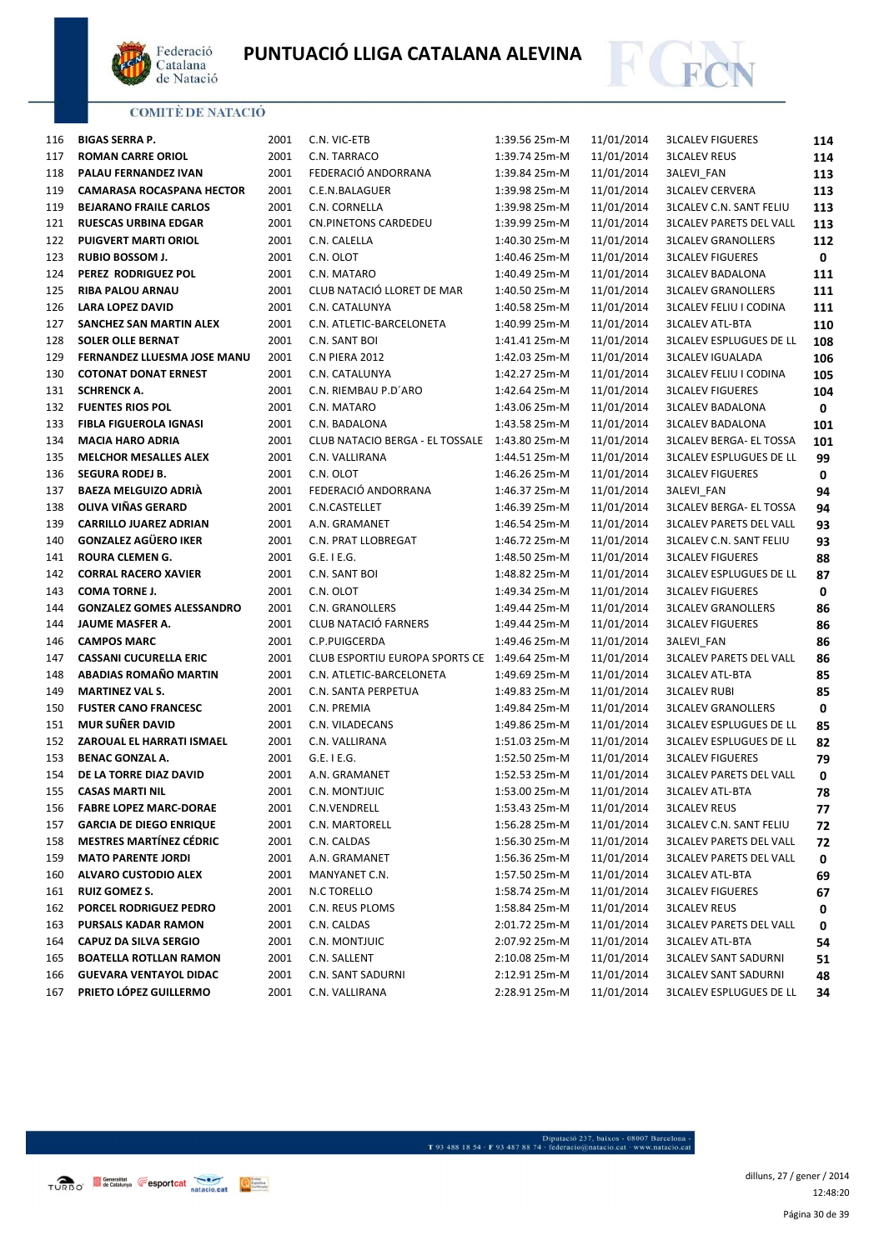



| 116 | <b>BIGAS SERRA P.</b>            | 2001 | C.N. VIC-ETB                    | 1:39.56 25m-M | 11/01/2014 | <b>3LCALEV FIGUERES</b>        | 114 |
|-----|----------------------------------|------|---------------------------------|---------------|------------|--------------------------------|-----|
| 117 | <b>ROMAN CARRE ORIOL</b>         | 2001 | C.N. TARRACO                    | 1:39.74 25m-M | 11/01/2014 | <b>3LCALEV REUS</b>            | 114 |
| 118 | PALAU FERNANDEZ IVAN             | 2001 | FEDERACIÓ ANDORRANA             | 1:39.84 25m-M | 11/01/2014 | 3ALEVI_FAN                     | 113 |
| 119 | <b>CAMARASA ROCASPANA HECTOR</b> | 2001 | C.E.N.BALAGUER                  | 1:39.98 25m-M | 11/01/2014 | <b>3LCALEV CERVERA</b>         | 113 |
| 119 | <b>BEJARANO FRAILE CARLOS</b>    | 2001 | C.N. CORNELLA                   | 1:39.98 25m-M | 11/01/2014 | <b>3LCALEV C.N. SANT FELIU</b> | 113 |
| 121 | <b>RUESCAS URBINA EDGAR</b>      | 2001 | CN.PINETONS CARDEDEU            | 1:39.99 25m-M | 11/01/2014 | <b>3LCALEV PARETS DEL VALL</b> | 113 |
| 122 | <b>PUIGVERT MARTI ORIOL</b>      | 2001 | C.N. CALELLA                    | 1:40.30 25m-M | 11/01/2014 | <b>3LCALEV GRANOLLERS</b>      | 112 |
| 123 | <b>RUBIO BOSSOM J.</b>           | 2001 | C.N. OLOT                       | 1:40.46 25m-M | 11/01/2014 | <b>3LCALEV FIGUERES</b>        | 0   |
| 124 | PEREZ RODRIGUEZ POL              | 2001 | C.N. MATARO                     | 1:40.49 25m-M | 11/01/2014 | <b>3LCALEV BADALONA</b>        | 111 |
| 125 | <b>RIBA PALOU ARNAU</b>          | 2001 | CLUB NATACIÓ LLORET DE MAR      | 1:40.50 25m-M | 11/01/2014 | <b>3LCALEV GRANOLLERS</b>      | 111 |
| 126 | <b>LARA LOPEZ DAVID</b>          | 2001 | C.N. CATALUNYA                  | 1:40.58 25m-M | 11/01/2014 | <b>3LCALEV FELIU I CODINA</b>  | 111 |
| 127 | SANCHEZ SAN MARTIN ALEX          | 2001 | C.N. ATLETIC-BARCELONETA        | 1:40.99 25m-M | 11/01/2014 | <b>3LCALEV ATL-BTA</b>         | 110 |
| 128 | <b>SOLER OLLE BERNAT</b>         | 2001 | C.N. SANT BOI                   | 1:41.41 25m-M | 11/01/2014 | <b>3LCALEV ESPLUGUES DE LL</b> | 108 |
| 129 | FERNANDEZ LLUESMA JOSE MANU      | 2001 | C.N PIERA 2012                  | 1:42.03 25m-M | 11/01/2014 | <b>3LCALEV IGUALADA</b>        | 106 |
| 130 | <b>COTONAT DONAT ERNEST</b>      | 2001 | C.N. CATALUNYA                  | 1:42.27 25m-M | 11/01/2014 | <b>3LCALEV FELIU I CODINA</b>  | 105 |
| 131 | <b>SCHRENCK A.</b>               | 2001 | C.N. RIEMBAU P.D'ARO            | 1:42.64 25m-M | 11/01/2014 | <b>3LCALEV FIGUERES</b>        | 104 |
| 132 | <b>FUENTES RIOS POL</b>          | 2001 | C.N. MATARO                     | 1:43.06 25m-M | 11/01/2014 | <b>3LCALEV BADALONA</b>        | 0   |
| 133 | <b>FIBLA FIGUEROLA IGNASI</b>    | 2001 | C.N. BADALONA                   | 1:43.58 25m-M | 11/01/2014 | <b>3LCALEV BADALONA</b>        | 101 |
| 134 | <b>MACIA HARO ADRIA</b>          | 2001 | CLUB NATACIO BERGA - EL TOSSALE | 1:43.80 25m-M | 11/01/2014 | <b>3LCALEV BERGA- EL TOSSA</b> | 101 |
| 135 | <b>MELCHOR MESALLES ALEX</b>     | 2001 | C.N. VALLIRANA                  | 1:44.51 25m-M | 11/01/2014 | <b>3LCALEV ESPLUGUES DE LL</b> | 99  |
| 136 | <b>SEGURA RODEJ B.</b>           | 2001 | C.N. OLOT                       | 1:46.26 25m-M | 11/01/2014 | <b>3LCALEV FIGUERES</b>        | 0   |
| 137 | <b>BAEZA MELGUIZO ADRIÀ</b>      | 2001 | FEDERACIÓ ANDORRANA             | 1:46.37 25m-M | 11/01/2014 | 3ALEVI_FAN                     | 94  |
| 138 | OLIVA VIÑAS GERARD               | 2001 | C.N.CASTELLET                   | 1:46.39 25m-M | 11/01/2014 | <b>3LCALEV BERGA- EL TOSSA</b> | 94  |
| 139 | <b>CARRILLO JUAREZ ADRIAN</b>    | 2001 | A.N. GRAMANET                   | 1:46.54 25m-M | 11/01/2014 | <b>3LCALEV PARETS DEL VALL</b> | 93  |
| 140 | <b>GONZALEZ AGÜERO IKER</b>      | 2001 | C.N. PRAT LLOBREGAT             | 1:46.72 25m-M | 11/01/2014 | <b>3LCALEV C.N. SANT FELIU</b> | 93  |
| 141 | <b>ROURA CLEMEN G.</b>           | 2001 | $G.E.$ I $E.G.$                 | 1:48.50 25m-M | 11/01/2014 | <b>3LCALEV FIGUERES</b>        | 88  |
| 142 | <b>CORRAL RACERO XAVIER</b>      | 2001 | C.N. SANT BOI                   | 1:48.82 25m-M | 11/01/2014 | <b>3LCALEV ESPLUGUES DE LL</b> | 87  |
| 143 | <b>COMA TORNE J.</b>             | 2001 | C.N. OLOT                       | 1:49.34 25m-M | 11/01/2014 | <b>3LCALEV FIGUERES</b>        | 0   |
| 144 | <b>GONZALEZ GOMES ALESSANDRO</b> | 2001 | C.N. GRANOLLERS                 | 1:49.44 25m-M | 11/01/2014 | <b>3LCALEV GRANOLLERS</b>      | 86  |
| 144 | JAUME MASFER A.                  | 2001 | CLUB NATACIÓ FARNERS            | 1:49.44 25m-M | 11/01/2014 | <b>3LCALEV FIGUERES</b>        | 86  |
| 146 | <b>CAMPOS MARC</b>               | 2001 | C.P.PUIGCERDA                   | 1:49.46 25m-M | 11/01/2014 | 3ALEVI_FAN                     | 86  |
| 147 | <b>CASSANI CUCURELLA ERIC</b>    | 2001 | CLUB ESPORTIU EUROPA SPORTS CE  | 1:49.64 25m-M | 11/01/2014 | <b>3LCALEV PARETS DEL VALL</b> | 86  |
| 148 | ABADIAS ROMAÑO MARTIN            | 2001 | C.N. ATLETIC-BARCELONETA        | 1:49.69 25m-M | 11/01/2014 | <b>3LCALEV ATL-BTA</b>         | 85  |
| 149 | <b>MARTINEZ VAL S.</b>           | 2001 | C.N. SANTA PERPETUA             | 1:49.83 25m-M | 11/01/2014 | <b>3LCALEV RUBI</b>            | 85  |
| 150 | <b>FUSTER CANO FRANCESC</b>      | 2001 | C.N. PREMIA                     | 1:49.84 25m-M | 11/01/2014 | <b>3LCALEV GRANOLLERS</b>      | 0   |
| 151 | <b>MUR SUÑER DAVID</b>           | 2001 | C.N. VILADECANS                 | 1:49.86 25m-M | 11/01/2014 | <b>3LCALEV ESPLUGUES DE LL</b> | 85  |
| 152 | ZAROUAL EL HARRATI ISMAEL        | 2001 | C.N. VALLIRANA                  | 1:51.03 25m-M | 11/01/2014 | <b>3LCALEV ESPLUGUES DE LL</b> | 82  |
| 153 | <b>BENAC GONZAL A.</b>           | 2001 | G.E. I E.G.                     | 1:52.50 25m-M | 11/01/2014 | <b>3LCALEV FIGUERES</b>        | 79  |
| 154 | DE LA TORRE DIAZ DAVID           | 2001 | A.N. GRAMANET                   | 1:52.53 25m-M | 11/01/2014 | <b>3LCALEV PARETS DEL VALL</b> | 0   |
| 155 | <b>CASAS MARTI NIL</b>           | 2001 | C.N. MONTJUIC                   | 1:53.00 25m-M | 11/01/2014 | <b>3LCALEV ATL-BTA</b>         | 78  |
| 156 | <b>FABRE LOPEZ MARC-DORAE</b>    | 2001 | C.N.VENDRELL                    | 1:53.43 25m-M | 11/01/2014 | <b>3LCALEV REUS</b>            | 77  |
| 157 | <b>GARCIA DE DIEGO ENRIQUE</b>   | 2001 | C.N. MARTORELL                  | 1:56.28 25m-M | 11/01/2014 | <b>3LCALEV C.N. SANT FELIU</b> | 72  |
| 158 | <b>MESTRES MARTÍNEZ CÉDRIC</b>   | 2001 | C.N. CALDAS                     | 1:56.30 25m-M | 11/01/2014 | <b>3LCALEV PARETS DEL VALL</b> | 72  |
| 159 | <b>MATO PARENTE JORDI</b>        | 2001 | A.N. GRAMANET                   | 1:56.36 25m-M | 11/01/2014 | <b>3LCALEV PARETS DEL VALL</b> | 0   |
| 160 | <b>ALVARO CUSTODIO ALEX</b>      | 2001 | MANYANET C.N.                   | 1:57.50 25m-M | 11/01/2014 | <b>3LCALEV ATL-BTA</b>         | 69  |
| 161 | <b>RUIZ GOMEZ S.</b>             | 2001 | N.C TORELLO                     | 1:58.74 25m-M | 11/01/2014 | <b>3LCALEV FIGUERES</b>        | 67  |
| 162 | PORCEL RODRIGUEZ PEDRO           | 2001 | C.N. REUS PLOMS                 | 1:58.84 25m-M | 11/01/2014 | <b>3LCALEV REUS</b>            | 0   |
| 163 | PURSALS KADAR RAMON              | 2001 | C.N. CALDAS                     | 2:01.72 25m-M | 11/01/2014 | <b>3LCALEV PARETS DEL VALL</b> | 0   |
| 164 | CAPUZ DA SILVA SERGIO            | 2001 | C.N. MONTJUIC                   | 2:07.92 25m-M | 11/01/2014 | <b>3LCALEV ATL-BTA</b>         | 54  |
| 165 | <b>BOATELLA ROTLLAN RAMON</b>    | 2001 | C.N. SALLENT                    | 2:10.08 25m-M | 11/01/2014 | <b>3LCALEV SANT SADURNI</b>    | 51  |
| 166 | <b>GUEVARA VENTAYOL DIDAC</b>    | 2001 | C.N. SANT SADURNI               | 2:12.91 25m-M | 11/01/2014 | <b>3LCALEV SANT SADURNI</b>    | 48  |
| 167 | PRIETO LÓPEZ GUILLERMO           | 2001 | C.N. VALLIRANA                  | 2:28.91 25m-M | 11/01/2014 | <b>3LCALEV ESPLUGUES DE LL</b> |     |
|     |                                  |      |                                 |               |            |                                | 34  |

Página 30 de 39 dilluns, 27 / gener / 2014 12:48:20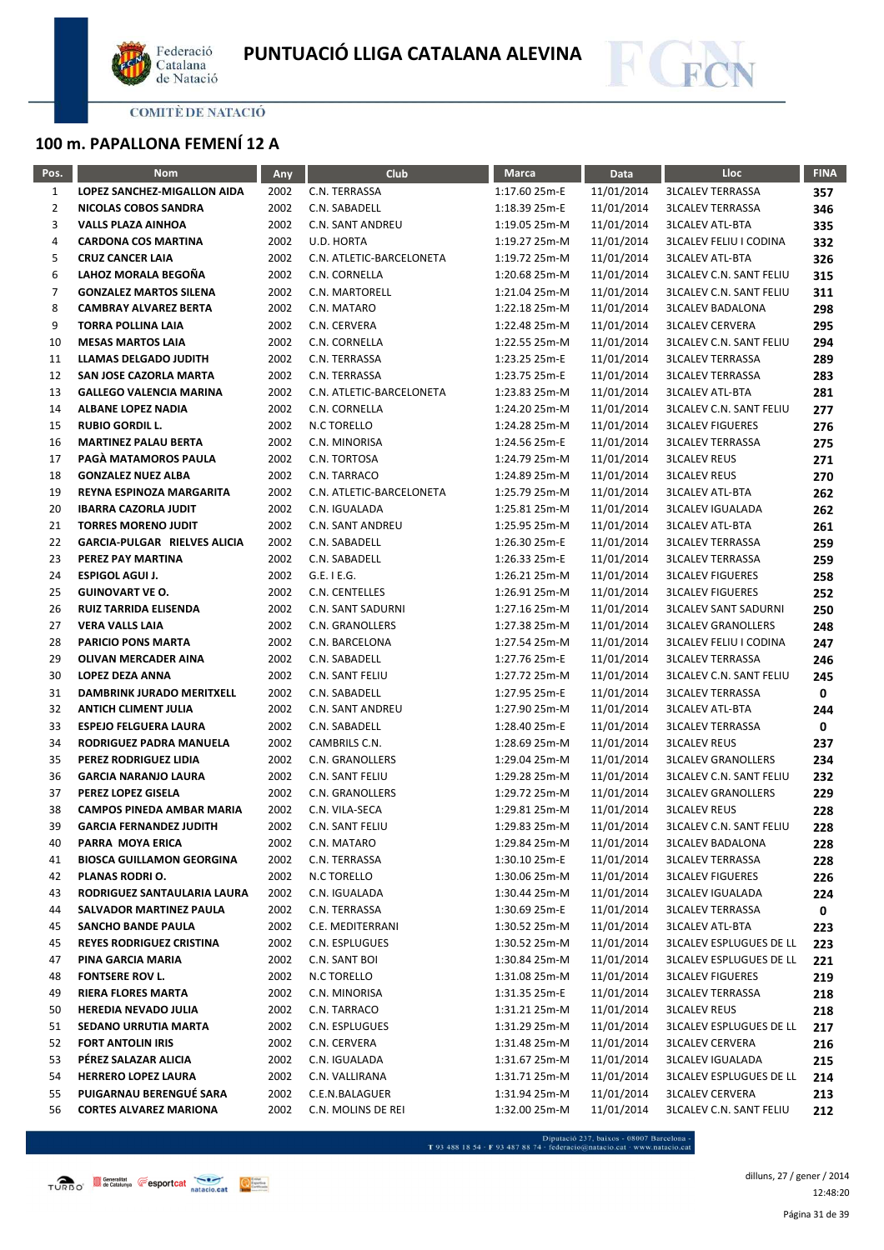



# **100 m. PAPALLONA FEMENÍ 12 A**

| Pos.           | <b>Nom</b>                                       | <b>Any</b>   | Club                            | <b>Marca</b>                   | Data                     | Lloc                                                      | <b>FINA</b> |
|----------------|--------------------------------------------------|--------------|---------------------------------|--------------------------------|--------------------------|-----------------------------------------------------------|-------------|
| $\mathbf{1}$   | LOPEZ SANCHEZ-MIGALLON AIDA                      | 2002         | C.N. TERRASSA                   | 1:17.60 25m-E                  | 11/01/2014               | <b>3LCALEV TERRASSA</b>                                   | 357         |
| $\overline{2}$ | NICOLAS COBOS SANDRA                             | 2002         | C.N. SABADELL                   | 1:18.39 25m-E                  | 11/01/2014               | <b>3LCALEV TERRASSA</b>                                   | 346         |
| 3              | <b>VALLS PLAZA AINHOA</b>                        | 2002         | C.N. SANT ANDREU                | 1:19.05 25m-M                  | 11/01/2014               | <b>3LCALEV ATL-BTA</b>                                    | 335         |
| 4              | <b>CARDONA COS MARTINA</b>                       | 2002         | <b>U.D. HORTA</b>               | 1:19.27 25m-M                  | 11/01/2014               | <b>3LCALEV FELIU I CODINA</b>                             | 332         |
| 5              | <b>CRUZ CANCER LAIA</b>                          | 2002         | C.N. ATLETIC-BARCELONETA        | 1:19.72 25m-M                  | 11/01/2014               | <b>3LCALEV ATL-BTA</b>                                    | 326         |
| 6              | LAHOZ MORALA BEGOÑA                              | 2002         | C.N. CORNELLA                   | 1:20.68 25m-M                  | 11/01/2014               | <b>3LCALEV C.N. SANT FELIU</b>                            | 315         |
| 7              | <b>GONZALEZ MARTOS SILENA</b>                    | 2002         | C.N. MARTORELL                  | 1:21.04 25m-M                  | 11/01/2014               | <b>3LCALEV C.N. SANT FELIU</b>                            | 311         |
| 8              | <b>CAMBRAY ALVAREZ BERTA</b>                     | 2002         | C.N. MATARO                     | 1:22.18 25m-M                  | 11/01/2014               | <b>3LCALEV BADALONA</b>                                   | 298         |
| 9              | <b>TORRA POLLINA LAIA</b>                        | 2002         | C.N. CERVERA                    | 1:22.48 25m-M                  | 11/01/2014               | <b>3LCALEV CERVERA</b>                                    | 295         |
| 10             | <b>MESAS MARTOS LAIA</b>                         | 2002         | C.N. CORNELLA                   | 1:22.55 25m-M                  | 11/01/2014               | <b>3LCALEV C.N. SANT FELIU</b>                            | 294         |
| 11             | <b>LLAMAS DELGADO JUDITH</b>                     | 2002         | C.N. TERRASSA                   | 1:23.25 25m-E                  | 11/01/2014               | <b>3LCALEV TERRASSA</b>                                   | 289         |
| 12             | SAN JOSE CAZORLA MARTA                           | 2002         | C.N. TERRASSA                   | 1:23.75 25m-E                  | 11/01/2014               | <b>3LCALEV TERRASSA</b>                                   | 283         |
| 13             | <b>GALLEGO VALENCIA MARINA</b>                   | 2002         | C.N. ATLETIC-BARCELONETA        | 1:23.83 25m-M                  | 11/01/2014               | <b>3LCALEV ATL-BTA</b>                                    | 281         |
| 14             | <b>ALBANE LOPEZ NADIA</b>                        | 2002         | C.N. CORNELLA                   | 1:24.20 25m-M                  | 11/01/2014               | <b>3LCALEV C.N. SANT FELIU</b>                            | 277         |
| 15             | <b>RUBIO GORDIL L.</b>                           | 2002         | N.C TORELLO                     | 1:24.28 25m-M                  | 11/01/2014               | <b>3LCALEV FIGUERES</b>                                   | 276         |
| 16             | <b>MARTINEZ PALAU BERTA</b>                      | 2002         | C.N. MINORISA                   | 1:24.56 25m-E                  | 11/01/2014               | <b>3LCALEV TERRASSA</b>                                   | 275         |
| 17             | PAGÀ MATAMOROS PAULA                             | 2002         | C.N. TORTOSA                    | 1:24.79 25m-M                  | 11/01/2014               | <b>3LCALEV REUS</b>                                       | 271         |
| 18             | <b>GONZALEZ NUEZ ALBA</b>                        | 2002         | C.N. TARRACO                    | 1:24.89 25m-M                  | 11/01/2014               | <b>3LCALEV REUS</b>                                       | 270         |
| 19             | REYNA ESPINOZA MARGARITA                         | 2002         | C.N. ATLETIC-BARCELONETA        | 1:25.79 25m-M                  | 11/01/2014               | <b>3LCALEV ATL-BTA</b>                                    | 262         |
| 20             | <b>IBARRA CAZORLA JUDIT</b>                      | 2002         | C.N. IGUALADA                   | 1:25.81 25m-M                  | 11/01/2014               | <b>3LCALEV IGUALADA</b>                                   | 262         |
| 21             | <b>TORRES MORENO JUDIT</b>                       | 2002         | <b>C.N. SANT ANDREU</b>         | 1:25.95 25m-M                  | 11/01/2014               | <b>3LCALEV ATL-BTA</b>                                    | 261         |
| 22             | <b>GARCIA-PULGAR RIELVES ALICIA</b>              | 2002         | C.N. SABADELL                   | 1:26.30 25m-E                  | 11/01/2014               | <b>3LCALEV TERRASSA</b>                                   | 259         |
| 23             | PEREZ PAY MARTINA                                | 2002         | C.N. SABADELL                   | 1:26.33 25m-E                  | 11/01/2014               | <b>3LCALEV TERRASSA</b>                                   | 259         |
| 24             | <b>ESPIGOL AGUI J.</b>                           | 2002         | $G.E.$ I E.G.                   | 1:26.21 25m-M                  | 11/01/2014               | <b>3LCALEV FIGUERES</b>                                   | 258         |
| 25             | <b>GUINOVART VE O.</b>                           | 2002         | C.N. CENTELLES                  | 1:26.91 25m-M                  | 11/01/2014               | <b>3LCALEV FIGUERES</b>                                   | 252         |
| 26             | <b>RUIZ TARRIDA ELISENDA</b>                     | 2002         | C.N. SANT SADURNI               | 1:27.16 25m-M                  | 11/01/2014               | <b>3LCALEV SANT SADURNI</b>                               | 250         |
| 27             | <b>VERA VALLS LAIA</b>                           | 2002         | C.N. GRANOLLERS                 | 1:27.38 25m-M                  | 11/01/2014               | <b>3LCALEV GRANOLLERS</b>                                 | 248         |
| 28             | <b>PARICIO PONS MARTA</b>                        | 2002         | C.N. BARCELONA                  | 1:27.54 25m-M                  | 11/01/2014               | <b>3LCALEV FELIU I CODINA</b>                             | 247         |
| 29             | OLIVAN MERCADER AINA                             | 2002         | C.N. SABADELL                   | 1:27.76 25m-E                  | 11/01/2014               | <b>3LCALEV TERRASSA</b>                                   | 246         |
| 30             | LOPEZ DEZA ANNA                                  | 2002         | C.N. SANT FELIU                 | 1:27.72 25m-M                  | 11/01/2014               | <b>3LCALEV C.N. SANT FELIU</b>                            | 245         |
| 31             | DAMBRINK JURADO MERITXELL                        | 2002         | C.N. SABADELL                   | 1:27.95 25m-E                  | 11/01/2014               | <b>3LCALEV TERRASSA</b>                                   | 0           |
| 32             | <b>ANTICH CLIMENT JULIA</b>                      | 2002         | <b>C.N. SANT ANDREU</b>         | 1:27.90 25m-M                  | 11/01/2014               | <b>3LCALEV ATL-BTA</b>                                    | 244         |
| 33             | <b>ESPEJO FELGUERA LAURA</b>                     | 2002         | C.N. SABADELL                   | 1:28.40 25m-E                  | 11/01/2014               | <b>3LCALEV TERRASSA</b>                                   | 0           |
| 34             | RODRIGUEZ PADRA MANUELA                          | 2002         | CAMBRILS C.N.                   | 1:28.69 25m-M                  | 11/01/2014               | <b>3LCALEV REUS</b>                                       | 237         |
| 35             | <b>PEREZ RODRIGUEZ LIDIA</b>                     | 2002         | C.N. GRANOLLERS                 | 1:29.04 25m-M                  | 11/01/2014               | <b>3LCALEV GRANOLLERS</b>                                 | 234         |
| 36             | <b>GARCIA NARANJO LAURA</b>                      | 2002         | C.N. SANT FELIU                 | 1:29.28 25m-M                  | 11/01/2014               | <b>3LCALEV C.N. SANT FELIU</b>                            | 232         |
| 37             | PEREZ LOPEZ GISELA                               | 2002         | C.N. GRANOLLERS                 | 1:29.72 25m-M                  | 11/01/2014               | <b>3LCALEV GRANOLLERS</b>                                 | 229         |
| 38             | <b>CAMPOS PINEDA AMBAR MARIA</b>                 | 2002         | C.N. VILA-SECA                  | 1:29.81 25m-M                  | 11/01/2014               | <b>3LCALEV REUS</b>                                       | 228         |
| 39             | <b>GARCIA FERNANDEZ JUDITH</b>                   | 2002         | C.N. SANT FELIU                 | 1:29.83 25m-M                  | 11/01/2014               | <b>3LCALEV C.N. SANT FELIU</b>                            | 228         |
| 40             | PARRA MOYA ERICA                                 | 2002         | C.N. MATARO                     | 1:29.84 25m-M                  | 11/01/2014               | <b>3LCALEV BADALONA</b>                                   | 228         |
| 41             | <b>BIOSCA GUILLAMON GEORGINA</b>                 | 2002         | C.N. TERRASSA                   | 1:30.10 25m-E                  | 11/01/2014               | <b>3LCALEV TERRASSA</b>                                   | 228         |
| 42             | PLANAS RODRI O.                                  | 2002         | N.C TORELLO                     | 1:30.06 25m-M                  | 11/01/2014               | <b>3LCALEV FIGUERES</b>                                   | 226         |
| 43             | RODRIGUEZ SANTAULARIA LAURA                      | 2002         | C.N. IGUALADA                   | 1:30.44 25m-M                  | 11/01/2014               | <b>3LCALEV IGUALADA</b>                                   | 224         |
| 44             | <b>SALVADOR MARTINEZ PAULA</b>                   | 2002         | C.N. TERRASSA                   | 1:30.69 25m-E                  | 11/01/2014               | <b>3LCALEV TERRASSA</b>                                   | 0           |
| 45             | <b>SANCHO BANDE PAULA</b>                        | 2002         | C.E. MEDITERRANI                | 1:30.52 25m-M                  | 11/01/2014               | <b>3LCALEV ATL-BTA</b>                                    | 223         |
| 45             | <b>REYES RODRIGUEZ CRISTINA</b>                  | 2002         | C.N. ESPLUGUES                  | 1:30.52 25m-M                  | 11/01/2014               | <b>3LCALEV ESPLUGUES DE LL</b>                            | 223         |
| 47             | PINA GARCIA MARIA                                | 2002         | C.N. SANT BOI                   | 1:30.84 25m-M                  | 11/01/2014<br>11/01/2014 | <b>3LCALEV ESPLUGUES DE LL</b>                            | 221         |
| 48             | FONTSERE ROV L.                                  | 2002         | N.C TORELLO<br>C.N. MINORISA    | 1:31.08 25m-M                  |                          | <b>3LCALEV FIGUERES</b>                                   | 219         |
| 49             | <b>RIERA FLORES MARTA</b>                        | 2002         |                                 | 1:31.35 25m-E                  | 11/01/2014               | <b>3LCALEV TERRASSA</b>                                   | 218         |
| 50             | <b>HEREDIA NEVADO JULIA</b>                      | 2002         | C.N. TARRACO                    | 1:31.21 25m-M                  | 11/01/2014               | <b>3LCALEV REUS</b>                                       | 218         |
| 51<br>52       | SEDANO URRUTIA MARTA<br><b>FORT ANTOLIN IRIS</b> | 2002         | C.N. ESPLUGUES                  | 1:31.29 25m-M                  | 11/01/2014<br>11/01/2014 | <b>3LCALEV ESPLUGUES DE LL</b>                            | 217         |
| 53             | PÉREZ SALAZAR ALICIA                             | 2002<br>2002 | C.N. CERVERA                    | 1:31.48 25m-M                  | 11/01/2014               | <b>3LCALEV CERVERA</b>                                    | 216         |
| 54             | <b>HERRERO LOPEZ LAURA</b>                       | 2002         | C.N. IGUALADA<br>C.N. VALLIRANA | 1:31.67 25m-M<br>1:31.71 25m-M | 11/01/2014               | <b>3LCALEV IGUALADA</b><br><b>3LCALEV ESPLUGUES DE LL</b> | 215         |
| 55             | PUIGARNAU BERENGUÉ SARA                          | 2002         | C.E.N.BALAGUER                  | 1:31.94 25m-M                  | 11/01/2014               | <b>3LCALEV CERVERA</b>                                    | 214<br>213  |
| 56             | <b>CORTES ALVAREZ MARIONA</b>                    | 2002         | C.N. MOLINS DE REI              | 1:32.00 25m-M                  | 11/01/2014               | <b>3LCALEV C.N. SANT FELIU</b>                            | 212         |
|                |                                                  |              |                                 |                                |                          |                                                           |             |

- Diputació 237, baixos - 08007 Barcelona<br>T 93 488 18 54 · F 93 487 88 74 · federacio@natacio.cat · www.natacio.cat

dilluns, 27 / gener / 2014 12:48:20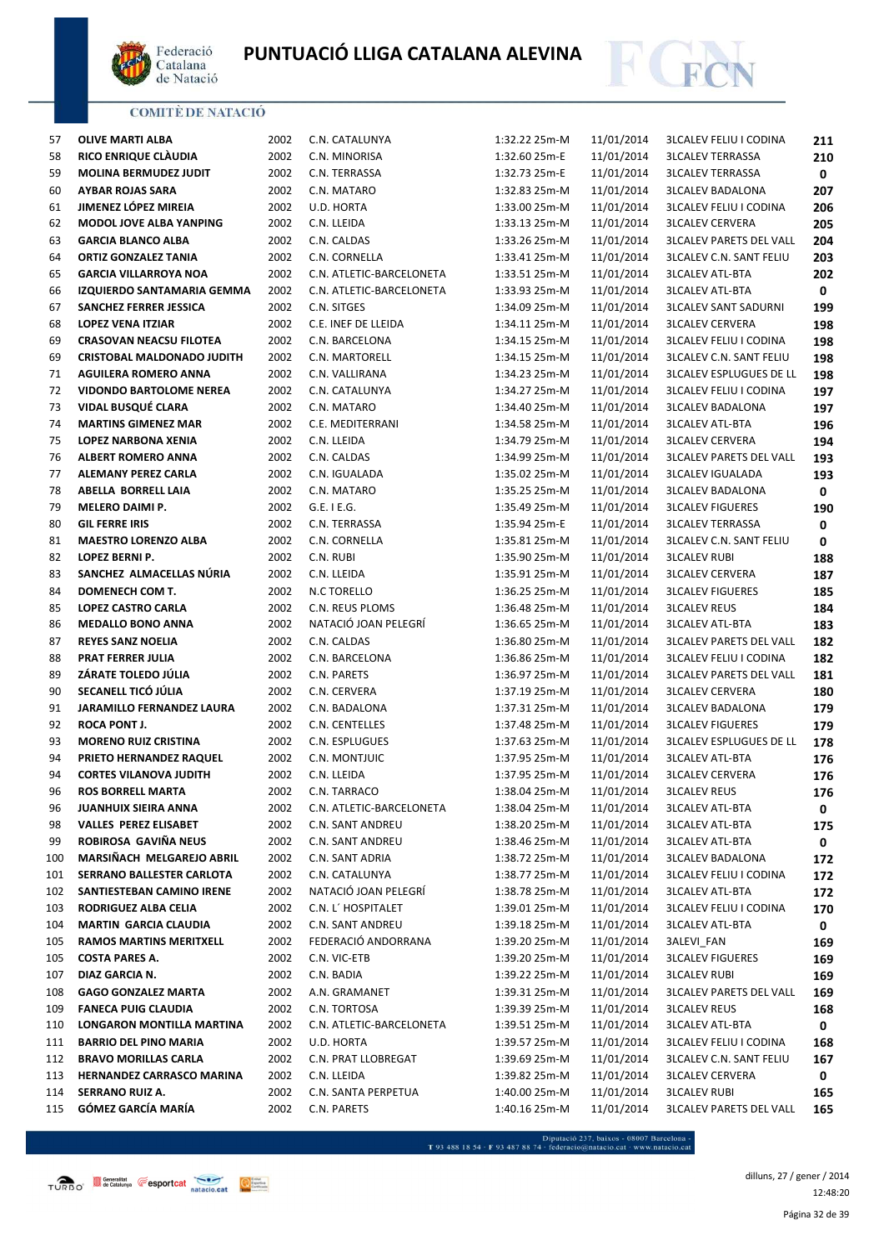



| 57  | <b>OLIVE MARTI ALBA</b>           | 2002 | C.N. CATALUNYA           | 1:32.22 25m-M | 11/01/2014 | <b>3LCALEV FELIU I CODINA</b>  | 211 |
|-----|-----------------------------------|------|--------------------------|---------------|------------|--------------------------------|-----|
| 58  | RICO ENRIQUE CLÀUDIA              | 2002 | C.N. MINORISA            | 1:32.60 25m-E | 11/01/2014 | <b>3LCALEV TERRASSA</b>        | 210 |
| 59  | <b>MOLINA BERMUDEZ JUDIT</b>      | 2002 | C.N. TERRASSA            | 1:32.73 25m-E | 11/01/2014 | <b>3LCALEV TERRASSA</b>        | 0   |
| 60  | <b>AYBAR ROJAS SARA</b>           | 2002 | C.N. MATARO              | 1:32.83 25m-M | 11/01/2014 | <b>3LCALEV BADALONA</b>        | 207 |
| 61  | JIMENEZ LÓPEZ MIREIA              | 2002 | U.D. HORTA               | 1:33.00 25m-M | 11/01/2014 | <b>3LCALEV FELIU I CODINA</b>  | 206 |
| 62  | MODOL JOVE ALBA YANPING           | 2002 | C.N. LLEIDA              | 1:33.13 25m-M | 11/01/2014 | <b>3LCALEV CERVERA</b>         | 205 |
| 63  | <b>GARCIA BLANCO ALBA</b>         | 2002 | C.N. CALDAS              | 1:33.26 25m-M | 11/01/2014 | <b>3LCALEV PARETS DEL VALL</b> | 204 |
| 64  | <b>ORTIZ GONZALEZ TANIA</b>       | 2002 | C.N. CORNELLA            | 1:33.41 25m-M | 11/01/2014 | <b>3LCALEV C.N. SANT FELIU</b> | 203 |
| 65  | <b>GARCIA VILLARROYA NOA</b>      | 2002 | C.N. ATLETIC-BARCELONETA | 1:33.51 25m-M | 11/01/2014 | <b>3LCALEV ATL-BTA</b>         | 202 |
| 66  | IZQUIERDO SANTAMARIA GEMMA        | 2002 | C.N. ATLETIC-BARCELONETA | 1:33.93 25m-M | 11/01/2014 | <b>3LCALEV ATL-BTA</b>         | 0   |
| 67  | SANCHEZ FERRER JESSICA            | 2002 | C.N. SITGES              | 1:34.09 25m-M | 11/01/2014 | <b>3LCALEV SANT SADURNI</b>    | 199 |
| 68  | <b>LOPEZ VENA ITZIAR</b>          | 2002 | C.E. INEF DE LLEIDA      | 1:34.11 25m-M | 11/01/2014 | <b>3LCALEV CERVERA</b>         | 198 |
| 69  | <b>CRASOVAN NEACSU FILOTEA</b>    | 2002 | C.N. BARCELONA           | 1:34.15 25m-M | 11/01/2014 | <b>3LCALEV FELIU I CODINA</b>  | 198 |
| 69  | <b>CRISTOBAL MALDONADO JUDITH</b> | 2002 | C.N. MARTORELL           | 1:34.15 25m-M | 11/01/2014 | <b>3LCALEV C.N. SANT FELIU</b> | 198 |
| 71  | <b>AGUILERA ROMERO ANNA</b>       | 2002 | C.N. VALLIRANA           | 1:34.23 25m-M | 11/01/2014 | <b>3LCALEV ESPLUGUES DE LL</b> | 198 |
| 72  | <b>VIDONDO BARTOLOME NEREA</b>    | 2002 | C.N. CATALUNYA           | 1:34.27 25m-M | 11/01/2014 | <b>3LCALEV FELIU I CODINA</b>  | 197 |
| 73  | VIDAL BUSQUÉ CLARA                | 2002 | C.N. MATARO              | 1:34.40 25m-M | 11/01/2014 | <b>3LCALEV BADALONA</b>        | 197 |
| 74  | <b>MARTINS GIMENEZ MAR</b>        | 2002 | C.E. MEDITERRANI         | 1:34.58 25m-M | 11/01/2014 | <b>3LCALEV ATL-BTA</b>         | 196 |
| 75  | LOPEZ NARBONA XENIA               | 2002 | C.N. LLEIDA              | 1:34.79 25m-M | 11/01/2014 | <b>3LCALEV CERVERA</b>         | 194 |
| 76  | <b>ALBERT ROMERO ANNA</b>         | 2002 | C.N. CALDAS              | 1:34.99 25m-M | 11/01/2014 | <b>3LCALEV PARETS DEL VALL</b> | 193 |
| 77  | <b>ALEMANY PEREZ CARLA</b>        | 2002 | C.N. IGUALADA            | 1:35.02 25m-M | 11/01/2014 | <b>3LCALEV IGUALADA</b>        | 193 |
| 78  | ABELLA BORRELL LAIA               | 2002 | C.N. MATARO              | 1:35.25 25m-M | 11/01/2014 | <b>3LCALEV BADALONA</b>        | 0   |
| 79  | MELERO DAIMI P.                   | 2002 | $G.E.$ I $E.G.$          | 1:35.49 25m-M | 11/01/2014 | <b>3LCALEV FIGUERES</b>        | 190 |
| 80  | <b>GIL FERRE IRIS</b>             | 2002 | C.N. TERRASSA            | 1:35.94 25m-E | 11/01/2014 | <b>3LCALEV TERRASSA</b>        | 0   |
| 81  | <b>MAESTRO LORENZO ALBA</b>       | 2002 | C.N. CORNELLA            | 1:35.81 25m-M | 11/01/2014 | <b>3LCALEV C.N. SANT FELIU</b> | 0   |
| 82  | LOPEZ BERNI P.                    | 2002 | C.N. RUBI                | 1:35.90 25m-M | 11/01/2014 | <b>3LCALEV RUBI</b>            | 188 |
| 83  | SANCHEZ ALMACELLAS NÚRIA          | 2002 | C.N. LLEIDA              | 1:35.91 25m-M | 11/01/2014 | <b>3LCALEV CERVERA</b>         | 187 |
| 84  | DOMENECH COM T.                   | 2002 | N.C TORELLO              | 1:36.25 25m-M | 11/01/2014 | <b>3LCALEV FIGUERES</b>        | 185 |
| 85  | <b>LOPEZ CASTRO CARLA</b>         | 2002 | C.N. REUS PLOMS          | 1:36.48 25m-M | 11/01/2014 | <b>3LCALEV REUS</b>            | 184 |
| 86  | <b>MEDALLO BONO ANNA</b>          | 2002 | NATACIÓ JOAN PELEGRÍ     | 1:36.65 25m-M | 11/01/2014 | <b>3LCALEV ATL-BTA</b>         | 183 |
| 87  | <b>REYES SANZ NOELIA</b>          | 2002 | C.N. CALDAS              | 1:36.80 25m-M | 11/01/2014 | <b>3LCALEV PARETS DEL VALL</b> | 182 |
| 88  | <b>PRAT FERRER JULIA</b>          | 2002 | C.N. BARCELONA           | 1:36.86 25m-M | 11/01/2014 | <b>3LCALEV FELIU I CODINA</b>  | 182 |
| 89  | ZÁRATE TOLEDO JÚLIA               | 2002 | C.N. PARETS              | 1:36.97 25m-M | 11/01/2014 | <b>3LCALEV PARETS DEL VALL</b> | 181 |
| 90  | SECANELL TICÓ JÚLIA               | 2002 | C.N. CERVERA             | 1:37.19 25m-M | 11/01/2014 | <b>3LCALEV CERVERA</b>         | 180 |
| 91  | <b>JARAMILLO FERNANDEZ LAURA</b>  | 2002 | C.N. BADALONA            | 1:37.31 25m-M | 11/01/2014 | <b>3LCALEV BADALONA</b>        | 179 |
| 92  | <b>ROCA PONT J.</b>               | 2002 | C.N. CENTELLES           | 1:37.48 25m-M | 11/01/2014 | <b>3LCALEV FIGUERES</b>        | 179 |
| 93  | <b>MORENO RUIZ CRISTINA</b>       | 2002 | C.N. ESPLUGUES           | 1:37.63 25m-M | 11/01/2014 | <b>3LCALEV ESPLUGUES DE LL</b> | 178 |
| 94  | PRIETO HERNANDEZ RAQUEL           | 2002 | C.N. MONTJUIC            | 1:37.95 25m-M | 11/01/2014 | <b>3LCALEV ATL-BTA</b>         | 176 |
| 94  | <b>CORTES VILANOVA JUDITH</b>     | 2002 | C.N. LLEIDA              | 1:37.95 25m-M | 11/01/2014 | <b>3LCALEV CERVERA</b>         | 176 |
| 96  | <b>ROS BORRELL MARTA</b>          | 2002 | C.N. TARRACO             | 1:38.04 25m-M | 11/01/2014 | <b>3LCALEV REUS</b>            | 176 |
| 96  | JUANHUIX SIEIRA ANNA              | 2002 | C.N. ATLETIC-BARCELONETA | 1:38.04 25m-M | 11/01/2014 | <b>3LCALEV ATL-BTA</b>         | 0   |
| 98  | <b>VALLES PEREZ ELISABET</b>      | 2002 | C.N. SANT ANDREU         | 1:38.20 25m-M | 11/01/2014 | <b>3LCALEV ATL-BTA</b>         | 175 |
| 99  | ROBIROSA GAVIÑA NEUS              | 2002 | C.N. SANT ANDREU         | 1:38.46 25m-M | 11/01/2014 | <b>3LCALEV ATL-BTA</b>         | 0   |
| 100 | MARSIÑACH MELGAREJO ABRIL         | 2002 | C.N. SANT ADRIA          | 1:38.72 25m-M | 11/01/2014 | <b>3LCALEV BADALONA</b>        | 172 |
| 101 | SERRANO BALLESTER CARLOTA         | 2002 | C.N. CATALUNYA           | 1:38.77 25m-M | 11/01/2014 | <b>3LCALEV FELIU I CODINA</b>  | 172 |
| 102 | SANTIESTEBAN CAMINO IRENE         | 2002 | NATACIÓ JOAN PELEGRÍ     | 1:38.78 25m-M | 11/01/2014 | <b>3LCALEV ATL-BTA</b>         | 172 |
| 103 | RODRIGUEZ ALBA CELIA              | 2002 | C.N. L' HOSPITALET       | 1:39.01 25m-M | 11/01/2014 | <b>3LCALEV FELIU I CODINA</b>  | 170 |
| 104 | <b>MARTIN GARCIA CLAUDIA</b>      | 2002 | C.N. SANT ANDREU         | 1:39.18 25m-M | 11/01/2014 | <b>3LCALEV ATL-BTA</b>         | 0   |
| 105 | <b>RAMOS MARTINS MERITXELL</b>    | 2002 | FEDERACIÓ ANDORRANA      | 1:39.20 25m-M | 11/01/2014 | 3ALEVI_FAN                     | 169 |
| 105 | <b>COSTA PARES A.</b>             | 2002 | C.N. VIC-ETB             | 1:39.20 25m-M | 11/01/2014 | <b>3LCALEV FIGUERES</b>        | 169 |
| 107 | DIAZ GARCIA N.                    | 2002 | C.N. BADIA               | 1:39.22 25m-M | 11/01/2014 | <b>3LCALEV RUBI</b>            | 169 |
| 108 | <b>GAGO GONZALEZ MARTA</b>        | 2002 | A.N. GRAMANET            | 1:39.31 25m-M | 11/01/2014 | <b>3LCALEV PARETS DEL VALL</b> | 169 |
| 109 | <b>FANECA PUIG CLAUDIA</b>        | 2002 | C.N. TORTOSA             | 1:39.39 25m-M | 11/01/2014 | <b>3LCALEV REUS</b>            | 168 |
| 110 | LONGARON MONTILLA MARTINA         | 2002 | C.N. ATLETIC-BARCELONETA | 1:39.51 25m-M | 11/01/2014 | <b>3LCALEV ATL-BTA</b>         | 0   |
| 111 | <b>BARRIO DEL PINO MARIA</b>      | 2002 | U.D. HORTA               | 1:39.57 25m-M | 11/01/2014 | <b>3LCALEV FELIU I CODINA</b>  | 168 |
| 112 | <b>BRAVO MORILLAS CARLA</b>       | 2002 | C.N. PRAT LLOBREGAT      | 1:39.69 25m-M | 11/01/2014 | <b>3LCALEV C.N. SANT FELIU</b> | 167 |
| 113 | <b>HERNANDEZ CARRASCO MARINA</b>  | 2002 | C.N. LLEIDA              | 1:39.82 25m-M | 11/01/2014 | <b>3LCALEV CERVERA</b>         | 0   |
| 114 | SERRANO RUIZ A.                   | 2002 | C.N. SANTA PERPETUA      | 1:40.00 25m-M | 11/01/2014 | <b>3LCALEV RUBI</b>            | 165 |
| 115 | GÓMEZ GARCÍA MARÍA                | 2002 | C.N. PARETS              | 1:40.16 25m-M | 11/01/2014 | <b>3LCALEV PARETS DEL VALL</b> | 165 |

 $\label{eq:1} \textbf{Diputació 237, baixos -08007 Barcelona - T 93 488 18 54} \cdot \textbf{F 93 487 88 74} \cdot \textbf{federació@natacio.cat} \cdot \textbf{www.natacio.cat}$ 

dilluns, 27 / gener / 2014 12:48:20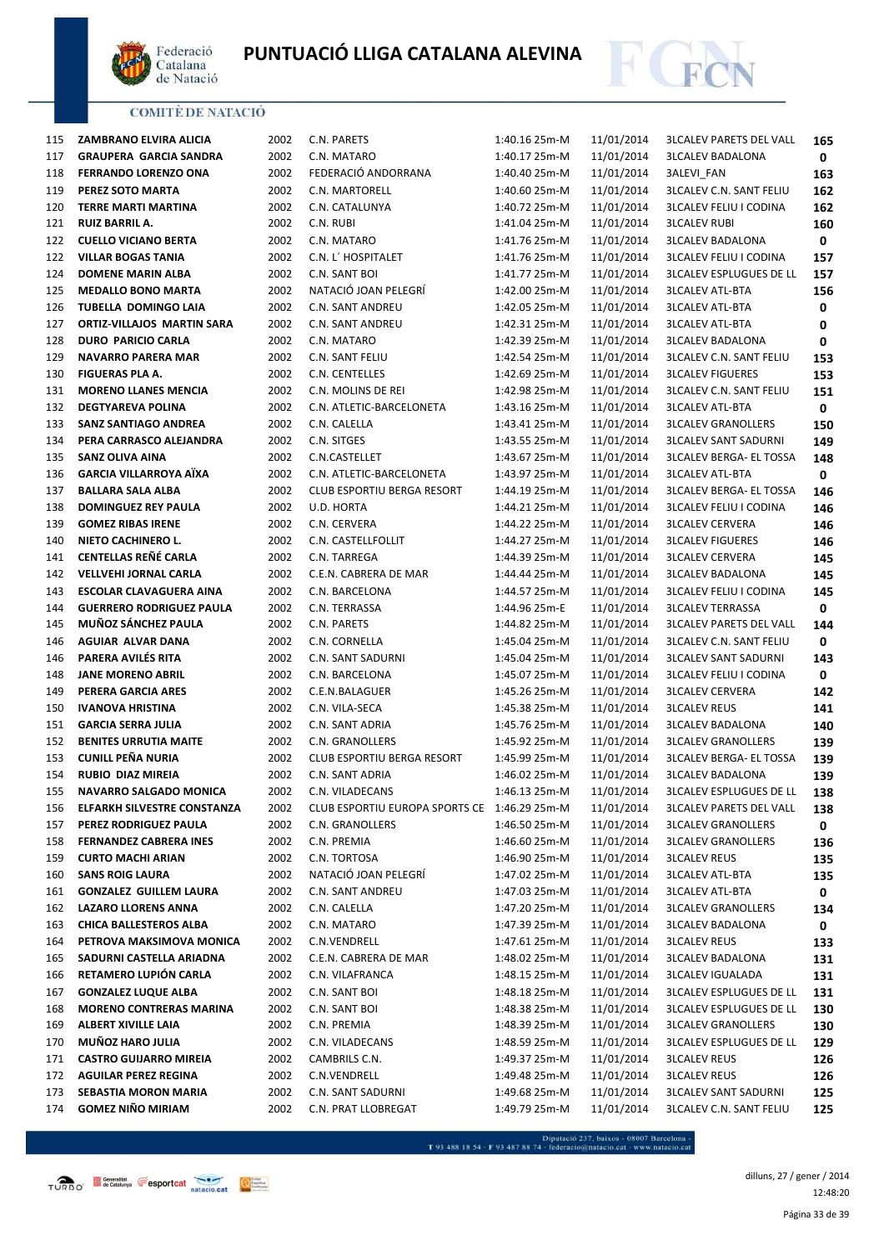



| 115 | ZAMBRANO ELVIRA ALICIA             |
|-----|------------------------------------|
| 117 | <b>GRAUPERA GARCIA SANDRA</b>      |
| 118 | <b>FERRANDO LORENZO ONA</b>        |
| 119 | PEREZ SOTO MARTA                   |
| 120 | TERRE MARTI MARTINA                |
| 121 | RUIZ BARRIL A.                     |
|     | 122 CUELLO VICIANO BERTA           |
| 122 | <b>VILLAR BOGAS TANIA</b>          |
|     | 124 DOMENE MARIN ALBA              |
|     | 125 MEDALLO BONO MARTA             |
| 126 | <b>TUBELLA DOMINGO LAIA</b>        |
| 127 | <b>ORTIZ-VILLAJOS MARTIN SARA</b>  |
| 128 | <b>DURO PARICIO CARLA</b>          |
| 129 | NAVARRO PARERA MAR                 |
| 130 | <b>FIGUERAS PLA A.</b>             |
|     |                                    |
|     | 131 MORENO LLANES MENCIA           |
|     | 132 DEGTYAREVA POLINA              |
| 133 | SANZ SANTIAGO ANDREA               |
| 134 | PERA CARRASCO ALEJANDRA            |
| 135 | SANZ OLIVA AINA                    |
| 136 | <b>GARCIA VILLARROYA AÏXA</b>      |
| 137 | BALLARA SALA ALBA                  |
|     | 138 DOMINGUEZ REY PAULA            |
|     | 139 GOMEZ RIBAS IRENE              |
|     | 140 NIETO CACHINERO L.             |
| 141 | CENTELLAS REÑÉ CARLA               |
| 142 | <b>VELLVEHI JORNAL CARLA</b>       |
| 143 | <b>ESCOLAR CLAVAGUERA AINA</b>     |
| 144 | <b>GUERRERO RODRIGUEZ PAULA</b>    |
| 145 | <b>MUÑOZ SÁNCHEZ PAULA</b>         |
| 146 | AGUIAR ALVAR DANA                  |
| 146 | PARERA AVILÉS RITA                 |
| 148 | <b>JANE MORENO ABRIL</b>           |
| 149 | PERERA GARCIA ARES                 |
| 150 | <b>IVANOVA HRISTINA</b>            |
| 151 | <b>GARCIA SERRA JULIA</b>          |
| 152 | <b>BENITES URRUTIA MAITE</b>       |
| 153 | CUNILL PEÑA NURIA                  |
|     | 154 RUBIO DIAZ MIREIA              |
|     | 155 NAVARRO SALGADO MONICA         |
| 156 | <b>ELFARKH SILVESTRE CONSTANZA</b> |
| 157 | PEREZ RODRIGUEZ PAULA              |
| 158 | <b>FERNANDEZ CABRERA INES</b>      |
| 159 | <b>CURTO MACHI ARIAN</b>           |
| 160 | <b>SANS ROIG LAURA</b>             |
| 161 | <b>GONZALEZ GUILLEM LAURA</b>      |
| 162 | <b>LAZARO LLORENS ANNA</b>         |
| 163 | <b>CHICA BALLESTEROS ALBA</b>      |
| 164 | PETROVA MAKSIMOVA MONICA           |
| 165 | SADURNI CASTELLA ARIADNA           |
| 166 | RETAMERO LUPIÓN CARLA              |
| 167 | <b>GONZALEZ LUQUE ALBA</b>         |
| 168 | <b>MORENO CONTRERAS MARINA</b>     |
| 169 | <b>ALBERT XIVILLE LAIA</b>         |
| 170 | MUÑOZ HARO JULIA                   |
| 171 | <b>CASTRO GUIJARRO MIREIA</b>      |
| 172 | <b>AGUILAR PEREZ REGINA</b>        |
| 173 | <b>SEBASTIA MORON MARIA</b>        |
|     | 174 GOMEZ NIÑO MIRIAM              |

| 2             | C.N. PARETS                            | 1:40.1( |
|---------------|----------------------------------------|---------|
| 2             | C.N. MATARO                            | 1:40.1  |
| 2             | FEDERACIÓ ANDORRANA                    | 1:40.40 |
| 2             | C.N. MARTORELL                         | 1:40.60 |
| 2             | C.N. CATALUNYA                         | 1:40.72 |
| 2             | C.N. RUBI                              | 1:41.0  |
| 2             | C.N. MATARO                            | 1:41.76 |
| 2             | C.N. L' HOSPITALET                     | 1:41.76 |
| 2             | C.N. SANT BOI                          | 1:41.7  |
| 2             | NATACIÓ JOAN PELEGRÍ                   | 1:42.00 |
| 2             | C.N. SANT ANDREU                       | 1:42.0  |
| 2             | <b>C.N. SANT ANDREU</b>                | 1:42.3  |
| 2             | C.N. MATARO                            | 1:42.39 |
| 2             | C.N. SANT FELIU                        | 1:42.54 |
| 2             | C.N. CENTELLES                         | 1:42.69 |
| 2             | C.N. MOLINS DE REI                     | 1:42.98 |
| 2             | C.N. ATLETIC-BARCELONETA               | 1:43.16 |
| 2             | C.N. CALELLA                           | 1:43.4  |
| 2             | C.N. SITGES                            | 1:43.5  |
| 2             | C.N.CASTELLET                          | 1:43.6  |
| 2             | C.N. ATLETIC-BARCELONETA               | 1:43.97 |
| 2             | <b>CLUB ESPORTIU BERGA RESORT</b>      | 1:44.19 |
| 2             | U.D. HORTA                             | 1:44.2  |
| 2             | C.N. CERVERA                           | 1:44.22 |
| 2             | C.N. CASTELLFOLLIT                     | 1:44.2  |
| 2             | C.N. TARREGA                           | 1:44.39 |
| 2             | C.E.N. CABRERA DE MAR                  | 1:44.44 |
| 2             | C.N. BARCELONA                         | 1:44.57 |
| 2             | C.N. TERRASSA                          | 1:44.96 |
| 2             | C.N. PARETS                            | 1:44.82 |
|               |                                        |         |
| 2             | C.N. CORNELLA                          | 1:45.0  |
| 2             | <b>C.N. SANT SADURNI</b>               | 1:45.04 |
| 2             | C.N. BARCELONA                         | 1:45.07 |
| 2             | C.E.N.BALAGUER                         | 1:45.26 |
| 2             | C.N. VILA-SECA                         | 1:45.38 |
| 2             | C.N. SANT ADRIA                        | 1:45.76 |
| 2             | C.N. GRANOLLERS                        | 1:45.92 |
| 2             | <b>CLUB ESPORTIU BERGA RESORT</b>      | 1:45.99 |
| 2             | C.N. SANT ADRIA                        | 1:46.02 |
| 2             | C.N. VILADECANS                        | 1:46.13 |
| 2             | CLUB ESPORTIU EUROPA SPORTS CE 1:46.29 |         |
| 2             | C.N. GRANOLLERS                        | 1:46.50 |
| 2             | C.N. PREMIA                            | 1:46.60 |
| 2             | C.N. TORTOSA                           | 1:46.90 |
| 2             | NATACIÓ JOAN PELEGRÍ                   | 1:47.02 |
| 2             | <b>C.N. SANT ANDREU</b>                | 1:47.03 |
| 2             | C.N. CALELLA                           | 1:47.20 |
| 2             | C.N. MATARO                            | 1:47.39 |
| 2             | C.N.VENDRELL                           | 1:47.6  |
| 2             | C.E.N. CABRERA DE MAR                  | 1:48.02 |
| 2             | C.N. VILAFRANCA                        | 1:48.1  |
| 2             | C.N. SANT BOI                          | 1:48.18 |
| 2             | C.N. SANT BOI                          | 1:48.38 |
| 2             | C.N. PREMIA                            | 1:48.39 |
| 2             | C.N. VILADECANS                        | 1:48.59 |
| 2             | CAMBRILS C.N.                          | 1:49.37 |
| 2             | C.N.VENDRELL                           | 1:49.48 |
| 2             | C.N. SANT SADURNI                      | 1:49.68 |
| $\mathfrak z$ | C.N. PRAT I I OBREGAT                  | 1:49.79 |

| 115 | <b>ZAMBRANO ELVIRA ALICIA</b>   | 2002 | C.N. PARETS                                  | 1:40.16 25m-M | 11/01/2014 | <b>3LCALEV PARETS DEL VALL</b> | 165 |
|-----|---------------------------------|------|----------------------------------------------|---------------|------------|--------------------------------|-----|
| 117 | <b>GRAUPERA GARCIA SANDRA</b>   | 2002 | C.N. MATARO                                  | 1:40.17 25m-M | 11/01/2014 | <b>3LCALEV BADALONA</b>        | 0   |
| 118 | <b>FERRANDO LORENZO ONA</b>     | 2002 | FEDERACIÓ ANDORRANA                          | 1:40.40 25m-M | 11/01/2014 | <b>3ALEVI FAN</b>              | 163 |
| 119 | PEREZ SOTO MARTA                | 2002 | C.N. MARTORELL                               | 1:40.60 25m-M | 11/01/2014 | <b>3LCALEV C.N. SANT FELIU</b> | 162 |
| 120 | TERRE MARTI MARTINA             | 2002 | C.N. CATALUNYA                               | 1:40.72 25m-M | 11/01/2014 | <b>3LCALEV FELIU I CODINA</b>  | 162 |
| 121 | <b>RUIZ BARRIL A.</b>           | 2002 | C.N. RUBI                                    | 1:41.04 25m-M | 11/01/2014 | <b>3LCALEV RUBI</b>            | 160 |
| 122 | <b>CUELLO VICIANO BERTA</b>     | 2002 | C.N. MATARO                                  | 1:41.76 25m-M | 11/01/2014 | <b>3LCALEV BADALONA</b>        | 0   |
| 122 | <b>VILLAR BOGAS TANIA</b>       | 2002 | C.N. L' HOSPITALET                           | 1:41.76 25m-M | 11/01/2014 | <b>3LCALEV FELIU I CODINA</b>  | 157 |
| 124 | <b>DOMENE MARIN ALBA</b>        | 2002 | C.N. SANT BOI                                | 1:41.77 25m-M | 11/01/2014 | <b>3LCALEV ESPLUGUES DE LL</b> | 157 |
| 125 | <b>MEDALLO BONO MARTA</b>       | 2002 | NATACIÓ JOAN PELEGRÍ                         | 1:42.00 25m-M | 11/01/2014 | <b>3LCALEV ATL-BTA</b>         | 156 |
| 126 | <b>TUBELLA DOMINGO LAIA</b>     | 2002 | C.N. SANT ANDREU                             | 1:42.05 25m-M | 11/01/2014 | <b>3LCALEV ATL-BTA</b>         | 0   |
| 127 | ORTIZ-VILLAJOS MARTIN SARA      | 2002 | C.N. SANT ANDREU                             | 1:42.31 25m-M | 11/01/2014 | <b>3LCALEV ATL-BTA</b>         | 0   |
| 128 | <b>DURO PARICIO CARLA</b>       | 2002 | C.N. MATARO                                  | 1:42.39 25m-M | 11/01/2014 | <b>3LCALEV BADALONA</b>        | 0   |
| 129 | <b>NAVARRO PARERA MAR</b>       | 2002 | C.N. SANT FELIU                              | 1:42.54 25m-M | 11/01/2014 | <b>3LCALEV C.N. SANT FELIU</b> | 153 |
| 130 | FIGUERAS PLA A.                 | 2002 | C.N. CENTELLES                               | 1:42.69 25m-M | 11/01/2014 | <b>3LCALEV FIGUERES</b>        | 153 |
| 131 | <b>MORENO LLANES MENCIA</b>     | 2002 | C.N. MOLINS DE REI                           | 1:42.98 25m-M | 11/01/2014 | <b>3LCALEV C.N. SANT FELIU</b> | 151 |
| 132 | <b>DEGTYAREVA POLINA</b>        | 2002 | C.N. ATLETIC-BARCELONETA                     | 1:43.16 25m-M | 11/01/2014 | <b>3LCALEV ATL-BTA</b>         | 0   |
| 133 | <b>SANZ SANTIAGO ANDREA</b>     | 2002 | C.N. CALELLA                                 | 1:43.41 25m-M | 11/01/2014 | <b>3LCALEV GRANOLLERS</b>      | 150 |
| 134 | PERA CARRASCO ALEJANDRA         | 2002 | C.N. SITGES                                  | 1:43.55 25m-M | 11/01/2014 | <b>3LCALEV SANT SADURNI</b>    | 149 |
| 135 | <b>SANZ OLIVA AINA</b>          | 2002 | C.N.CASTELLET                                | 1:43.67 25m-M | 11/01/2014 | <b>3LCALEV BERGA- EL TOSSA</b> | 148 |
| 136 | <b>GARCIA VILLARROYA AÏXA</b>   | 2002 | C.N. ATLETIC-BARCELONETA                     | 1:43.97 25m-M | 11/01/2014 | <b>3LCALEV ATL-BTA</b>         | 0   |
| 137 | <b>BALLARA SALA ALBA</b>        | 2002 | CLUB ESPORTIU BERGA RESORT                   | 1:44.19 25m-M | 11/01/2014 | <b>3LCALEV BERGA- EL TOSSA</b> | 146 |
| 138 | <b>DOMINGUEZ REY PAULA</b>      | 2002 | U.D. HORTA                                   | 1:44.21 25m-M | 11/01/2014 | <b>3LCALEV FELIU I CODINA</b>  | 146 |
| 139 | <b>GOMEZ RIBAS IRENE</b>        | 2002 | C.N. CERVERA                                 | 1:44.22 25m-M | 11/01/2014 | <b>3LCALEV CERVERA</b>         | 146 |
| 140 | NIETO CACHINERO L.              | 2002 | C.N. CASTELLFOLLIT                           | 1:44.27 25m-M | 11/01/2014 | <b>3LCALEV FIGUERES</b>        | 146 |
| 141 | CENTELLAS REÑÉ CARLA            | 2002 | C.N. TARREGA                                 | 1:44.39 25m-M | 11/01/2014 | <b>3LCALEV CERVERA</b>         | 145 |
| 142 | <b>VELLVEHI JORNAL CARLA</b>    | 2002 | C.E.N. CABRERA DE MAR                        | 1:44.44 25m-M | 11/01/2014 | <b>3LCALEV BADALONA</b>        | 145 |
| 143 | <b>ESCOLAR CLAVAGUERA AINA</b>  | 2002 | C.N. BARCELONA                               | 1:44.57 25m-M | 11/01/2014 | <b>3LCALEV FELIU I CODINA</b>  | 145 |
| 144 | <b>GUERRERO RODRIGUEZ PAULA</b> | 2002 | C.N. TERRASSA                                | 1:44.96 25m-E | 11/01/2014 | <b>3LCALEV TERRASSA</b>        | 0   |
| 145 | MUÑOZ SÁNCHEZ PAULA             | 2002 | C.N. PARETS                                  | 1:44.82 25m-M | 11/01/2014 | <b>3LCALEV PARETS DEL VALL</b> | 144 |
| 146 | <b>AGUIAR ALVAR DANA</b>        | 2002 | C.N. CORNELLA                                | 1:45.04 25m-M | 11/01/2014 | <b>3LCALEV C.N. SANT FELIU</b> | 0   |
| 146 | PARERA AVILÉS RITA              | 2002 | C.N. SANT SADURNI                            | 1:45.04 25m-M | 11/01/2014 | <b>3LCALEV SANT SADURNI</b>    | 143 |
| 148 | <b>JANE MORENO ABRIL</b>        | 2002 | C.N. BARCELONA                               | 1:45.07 25m-M | 11/01/2014 | <b>3LCALEV FELIU I CODINA</b>  | 0   |
| 149 | PERERA GARCIA ARES              | 2002 | C.E.N.BALAGUER                               | 1:45.26 25m-M | 11/01/2014 | <b>3LCALEV CERVERA</b>         | 142 |
| 150 | <b>IVANOVA HRISTINA</b>         | 2002 | C.N. VILA-SECA                               | 1:45.38 25m-M | 11/01/2014 | <b>3LCALEV REUS</b>            | 141 |
| 151 | <b>GARCIA SERRA JULIA</b>       | 2002 | C.N. SANT ADRIA                              | 1:45.76 25m-M | 11/01/2014 | <b>3LCALEV BADALONA</b>        | 140 |
| 152 | <b>BENITES URRUTIA MAITE</b>    | 2002 | C.N. GRANOLLERS                              | 1:45.92 25m-M | 11/01/2014 | <b>3LCALEV GRANOLLERS</b>      | 139 |
| 153 | <b>CUNILL PEÑA NURIA</b>        | 2002 | CLUB ESPORTIU BERGA RESORT                   | 1:45.99 25m-M | 11/01/2014 | <b>3LCALEV BERGA- EL TOSSA</b> | 139 |
| 154 | <b>RUBIO DIAZ MIREIA</b>        | 2002 | C.N. SANT ADRIA                              | 1:46.02 25m-M | 11/01/2014 | <b>3LCALEV BADALONA</b>        | 139 |
| 155 | <b>NAVARRO SALGADO MONICA</b>   | 2002 | C.N. VILADECANS                              | 1:46.13 25m-M | 11/01/2014 | <b>3LCALEV ESPLUGUES DE LL</b> | 138 |
| 156 | ELFARKH SILVESTRE CONSTANZA     | 2002 | CLUB ESPORTIU EUROPA SPORTS CE 1:46.29 25m-M |               | 11/01/2014 | <b>3LCALEV PARETS DEL VALL</b> | 138 |
| 157 | PEREZ RODRIGUEZ PAULA           | 2002 | C.N. GRANOLLERS                              | 1:46.50 25m-M | 11/01/2014 | <b>3LCALEV GRANOLLERS</b>      | 0   |
| 158 | <b>FERNANDEZ CABRERA INES</b>   | 2002 | C.N. PREMIA                                  | 1:46.60 25m-M | 11/01/2014 | <b>3LCALEV GRANOLLERS</b>      | 136 |
| 159 | <b>CURTO MACHI ARIAN</b>        | 2002 | C.N. TORTOSA                                 | 1:46.90 25m-M | 11/01/2014 | <b>3LCALEV REUS</b>            | 135 |
| 160 | <b>SANS ROIG LAURA</b>          | 2002 | NATACIÓ JOAN PELEGRÍ                         | 1:47.02 25m-M | 11/01/2014 | <b>3LCALEV ATL-BTA</b>         | 135 |
| 161 | <b>GONZALEZ GUILLEM LAURA</b>   | 2002 | <b>C.N. SANT ANDREU</b>                      | 1:47.03 25m-M | 11/01/2014 | <b>3LCALEV ATL-BTA</b>         | 0   |
| 162 | <b>LAZARO LLORENS ANNA</b>      | 2002 | C.N. CALELLA                                 | 1:47.20 25m-M | 11/01/2014 | <b>3LCALEV GRANOLLERS</b>      | 134 |
| 163 | <b>CHICA BALLESTEROS ALBA</b>   | 2002 | C.N. MATARO                                  | 1:47.39 25m-M | 11/01/2014 | <b>3LCALEV BADALONA</b>        | 0   |
| 164 | PETROVA MAKSIMOVA MONICA        | 2002 | C.N.VENDRELL                                 | 1:47.61 25m-M | 11/01/2014 | <b>3LCALEV REUS</b>            | 133 |
| 165 | SADURNI CASTELLA ARIADNA        | 2002 | C.E.N. CABRERA DE MAR                        | 1:48.02 25m-M | 11/01/2014 | <b>3LCALEV BADALONA</b>        | 131 |
| 166 | RETAMERO LUPIÓN CARLA           | 2002 | C.N. VILAFRANCA                              | 1:48.15 25m-M | 11/01/2014 | <b>3LCALEV IGUALADA</b>        | 131 |
| 167 | <b>GONZALEZ LUQUE ALBA</b>      | 2002 | C.N. SANT BOI                                | 1:48.18 25m-M | 11/01/2014 | <b>3LCALEV ESPLUGUES DE LL</b> | 131 |
| 168 | <b>MORENO CONTRERAS MARINA</b>  | 2002 | C.N. SANT BOI                                | 1:48.38 25m-M | 11/01/2014 | <b>3LCALEV ESPLUGUES DE LL</b> | 130 |
| 169 | <b>ALBERT XIVILLE LAIA</b>      | 2002 | C.N. PREMIA                                  | 1:48.39 25m-M | 11/01/2014 | <b>3LCALEV GRANOLLERS</b>      | 130 |
| 170 | MUÑOZ HARO JULIA                | 2002 | C.N. VILADECANS                              | 1:48.59 25m-M | 11/01/2014 | <b>3LCALEV ESPLUGUES DE LL</b> | 129 |
| 171 | <b>CASTRO GUIJARRO MIREIA</b>   | 2002 | CAMBRILS C.N.                                | 1:49.37 25m-M | 11/01/2014 | <b>3LCALEV REUS</b>            | 126 |
| 172 | <b>AGUILAR PEREZ REGINA</b>     | 2002 | C.N.VENDRELL                                 | 1:49.48 25m-M | 11/01/2014 | <b>3LCALEV REUS</b>            | 126 |
| 173 | SEBASTIA MORON MARIA            | 2002 | C.N. SANT SADURNI                            | 1:49.68 25m-M | 11/01/2014 | <b>3LCALEV SANT SADURNI</b>    | 125 |
| 174 | <b>GOMEZ NIÑO MIRIAM</b>        | 2002 | C.N. PRAT LLOBREGAT                          | 1:49.79 25m-M | 11/01/2014 | <b>3LCALEV C.N. SANT FELIU</b> | 125 |
|     |                                 |      |                                              |               |            |                                |     |

Diputació 237, baixos - 08007 Barcelona - 1934 - 1848 1854 - 1934 - 1935 74 - federacio@natacio.cat - www.natacio.cat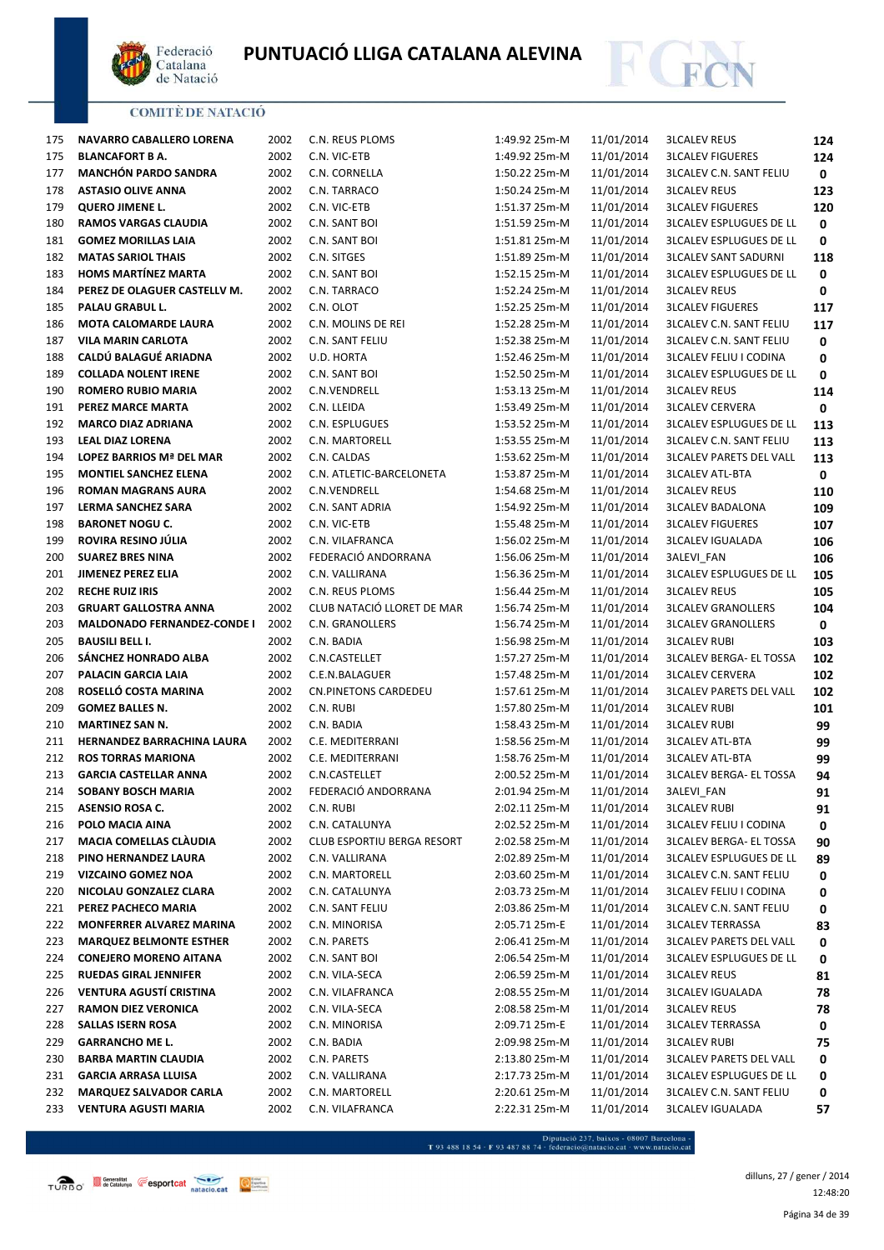



| 175 | NAVARRO CABALLERO LORENA           | 2002 | C.N. REUS PLOMS             | 1:49.92 25m-M | 11/01/2014 | <b>3LCALEV REUS</b>            | 124 |
|-----|------------------------------------|------|-----------------------------|---------------|------------|--------------------------------|-----|
| 175 | <b>BLANCAFORT B A.</b>             | 2002 | C.N. VIC-ETB                | 1:49.92 25m-M | 11/01/2014 | <b>3LCALEV FIGUERES</b>        | 124 |
| 177 | <b>MANCHÓN PARDO SANDRA</b>        | 2002 | C.N. CORNELLA               | 1:50.22 25m-M | 11/01/2014 | <b>3LCALEV C.N. SANT FELIU</b> | 0   |
| 178 | <b>ASTASIO OLIVE ANNA</b>          | 2002 | C.N. TARRACO                | 1:50.24 25m-M | 11/01/2014 | <b>3LCALEV REUS</b>            | 123 |
| 179 | <b>QUERO JIMENE L.</b>             | 2002 | C.N. VIC-ETB                | 1:51.37 25m-M | 11/01/2014 | <b>3LCALEV FIGUERES</b>        | 120 |
| 180 | <b>RAMOS VARGAS CLAUDIA</b>        | 2002 | C.N. SANT BOI               | 1:51.59 25m-M | 11/01/2014 | <b>3LCALEV ESPLUGUES DE LL</b> | 0   |
| 181 | <b>GOMEZ MORILLAS LAIA</b>         | 2002 | C.N. SANT BOI               | 1:51.81 25m-M | 11/01/2014 | <b>3LCALEV ESPLUGUES DE LL</b> | 0   |
| 182 | <b>MATAS SARIOL THAIS</b>          | 2002 | C.N. SITGES                 | 1:51.89 25m-M | 11/01/2014 | <b>3LCALEV SANT SADURNI</b>    | 118 |
| 183 | <b>HOMS MARTÍNEZ MARTA</b>         | 2002 | C.N. SANT BOI               | 1:52.15 25m-M | 11/01/2014 | <b>3LCALEV ESPLUGUES DE LL</b> | 0   |
| 184 | PEREZ DE OLAGUER CASTELLV M.       | 2002 | C.N. TARRACO                | 1:52.24 25m-M | 11/01/2014 | <b>3LCALEV REUS</b>            | 0   |
| 185 | PALAU GRABUL L.                    | 2002 | C.N. OLOT                   | 1:52.25 25m-M | 11/01/2014 | <b>3LCALEV FIGUERES</b>        | 117 |
| 186 | <b>MOTA CALOMARDE LAURA</b>        | 2002 | C.N. MOLINS DE REI          | 1:52.28 25m-M | 11/01/2014 | <b>3LCALEV C.N. SANT FELIU</b> | 117 |
| 187 | <b>VILA MARIN CARLOTA</b>          | 2002 | C.N. SANT FELIU             | 1:52.38 25m-M | 11/01/2014 | <b>3LCALEV C.N. SANT FELIU</b> | 0   |
| 188 | CALDÚ BALAGUÉ ARIADNA              | 2002 | U.D. HORTA                  | 1:52.46 25m-M | 11/01/2014 | <b>3LCALEV FELIU I CODINA</b>  | 0   |
| 189 | <b>COLLADA NOLENT IRENE</b>        | 2002 | C.N. SANT BOI               | 1:52.50 25m-M | 11/01/2014 | <b>3LCALEV ESPLUGUES DE LL</b> | 0   |
| 190 | <b>ROMERO RUBIO MARIA</b>          | 2002 | C.N.VENDRELL                | 1:53.13 25m-M | 11/01/2014 | <b>3LCALEV REUS</b>            | 114 |
| 191 | PEREZ MARCE MARTA                  | 2002 | C.N. LLEIDA                 | 1:53.49 25m-M | 11/01/2014 | <b>3LCALEV CERVERA</b>         | 0   |
| 192 | <b>MARCO DIAZ ADRIANA</b>          | 2002 | C.N. ESPLUGUES              | 1:53.52 25m-M | 11/01/2014 | <b>3LCALEV ESPLUGUES DE LL</b> | 113 |
| 193 | <b>LEAL DIAZ LORENA</b>            | 2002 | C.N. MARTORELL              | 1:53.55 25m-M | 11/01/2014 | <b>3LCALEV C.N. SANT FELIU</b> | 113 |
| 194 | LOPEZ BARRIOS Mª DEL MAR           | 2002 | C.N. CALDAS                 | 1:53.62 25m-M | 11/01/2014 | <b>3LCALEV PARETS DEL VALL</b> | 113 |
| 195 | <b>MONTIEL SANCHEZ ELENA</b>       | 2002 | C.N. ATLETIC-BARCELONETA    | 1:53.87 25m-M | 11/01/2014 | <b>3LCALEV ATL-BTA</b>         | 0   |
| 196 | <b>ROMAN MAGRANS AURA</b>          | 2002 | C.N.VENDRELL                | 1:54.68 25m-M | 11/01/2014 | <b>3LCALEV REUS</b>            | 110 |
| 197 | LERMA SANCHEZ SARA                 | 2002 | C.N. SANT ADRIA             | 1:54.92 25m-M | 11/01/2014 | <b>3LCALEV BADALONA</b>        | 109 |
| 198 | <b>BARONET NOGU C.</b>             | 2002 | C.N. VIC-ETB                | 1:55.48 25m-M | 11/01/2014 | <b>3LCALEV FIGUERES</b>        | 107 |
| 199 | ROVIRA RESINO JÚLIA                | 2002 | C.N. VILAFRANCA             | 1:56.02 25m-M | 11/01/2014 | <b>3LCALEV IGUALADA</b>        | 106 |
| 200 | <b>SUAREZ BRES NINA</b>            | 2002 | FEDERACIÓ ANDORRANA         | 1:56.06 25m-M | 11/01/2014 | 3ALEVI_FAN                     | 106 |
| 201 | <b>JIMENEZ PEREZ ELIA</b>          | 2002 | C.N. VALLIRANA              | 1:56.36 25m-M | 11/01/2014 | <b>3LCALEV ESPLUGUES DE LL</b> | 105 |
| 202 | <b>RECHE RUIZ IRIS</b>             | 2002 | C.N. REUS PLOMS             | 1:56.44 25m-M | 11/01/2014 | <b>3LCALEV REUS</b>            | 105 |
| 203 | <b>GRUART GALLOSTRA ANNA</b>       | 2002 | CLUB NATACIÓ LLORET DE MAR  | 1:56.74 25m-M | 11/01/2014 | <b>3LCALEV GRANOLLERS</b>      | 104 |
| 203 | <b>MALDONADO FERNANDEZ-CONDE I</b> | 2002 | C.N. GRANOLLERS             | 1:56.74 25m-M | 11/01/2014 | <b>3LCALEV GRANOLLERS</b>      | 0   |
| 205 | <b>BAUSILI BELL I.</b>             | 2002 | C.N. BADIA                  | 1:56.98 25m-M | 11/01/2014 | <b>3LCALEV RUBI</b>            | 103 |
| 206 | SÁNCHEZ HONRADO ALBA               | 2002 | C.N.CASTELLET               | 1:57.27 25m-M | 11/01/2014 | <b>3LCALEV BERGA- EL TOSSA</b> | 102 |
| 207 | PALACIN GARCIA LAIA                | 2002 | C.E.N.BALAGUER              | 1:57.48 25m-M | 11/01/2014 | <b>3LCALEV CERVERA</b>         | 102 |
| 208 | ROSELLÓ COSTA MARINA               | 2002 | <b>CN.PINETONS CARDEDEU</b> | 1:57.61 25m-M | 11/01/2014 | <b>3LCALEV PARETS DEL VALL</b> | 102 |
| 209 | <b>GOMEZ BALLES N.</b>             | 2002 | C.N. RUBI                   | 1:57.80 25m-M | 11/01/2014 | <b>3LCALEV RUBI</b>            | 101 |
| 210 | <b>MARTINEZ SAN N.</b>             | 2002 | C.N. BADIA                  | 1:58.43 25m-M | 11/01/2014 | <b>3LCALEV RUBI</b>            | 99  |
| 211 | HERNANDEZ BARRACHINA LAURA         | 2002 | C.E. MEDITERRANI            | 1:58.56 25m-M | 11/01/2014 | <b>3LCALEV ATL-BTA</b>         | 99  |
| 212 | <b>ROS TORRAS MARIONA</b>          | 2002 | C.E. MEDITERRANI            | 1:58.76 25m-M | 11/01/2014 | <b>3LCALEV ATL-BTA</b>         | 99  |
| 213 | <b>GARCIA CASTELLAR ANNA</b>       | 2002 | C.N.CASTELLET               | 2:00.52 25m-M | 11/01/2014 | <b>3LCALEV BERGA- EL TOSSA</b> | 94  |
| 214 | <b>SOBANY BOSCH MARIA</b>          | 2002 | FEDERACIÓ ANDORRANA         | 2:01.94 25m-M | 11/01/2014 | 3ALEVI_FAN                     | 91  |
| 215 | <b>ASENSIO ROSA C.</b>             | 2002 | C.N. RUBI                   | 2:02.11 25m-M | 11/01/2014 | <b>3LCALEV RUBI</b>            | 91  |
| 216 | POLO MACIA AINA                    | 2002 | C.N. CATALUNYA              | 2:02.52 25m-M | 11/01/2014 | <b>3LCALEV FELIU I CODINA</b>  | 0   |
| 217 | <b>MACIA COMELLAS CLAUDIA</b>      | 2002 | CLUB ESPORTIU BERGA RESORT  | 2:02.58 25m-M | 11/01/2014 | <b>3LCALEV BERGA- EL TOSSA</b> | 90  |
| 218 | PINO HERNANDEZ LAURA               | 2002 | C.N. VALLIRANA              | 2:02.89 25m-M | 11/01/2014 | <b>3LCALEV ESPLUGUES DE LL</b> | 89  |
| 219 | <b>VIZCAINO GOMEZ NOA</b>          | 2002 | C.N. MARTORELL              | 2:03.60 25m-M | 11/01/2014 | <b>3LCALEV C.N. SANT FELIU</b> | 0   |
| 220 | NICOLAU GONZALEZ CLARA             | 2002 | C.N. CATALUNYA              | 2:03.73 25m-M | 11/01/2014 | <b>3LCALEV FELIU I CODINA</b>  | 0   |
| 221 | PEREZ PACHECO MARIA                | 2002 | C.N. SANT FELIU             | 2:03.86 25m-M | 11/01/2014 | 3LCALEV C.N. SANT FELIU        | 0   |
| 222 | MONFERRER ALVAREZ MARINA           | 2002 | C.N. MINORISA               | 2:05.71 25m-E | 11/01/2014 | <b>3LCALEV TERRASSA</b>        | 83  |
| 223 | <b>MARQUEZ BELMONTE ESTHER</b>     | 2002 | C.N. PARETS                 | 2:06.41 25m-M | 11/01/2014 | 3LCALEV PARETS DEL VALL        | 0   |
| 224 | <b>CONEJERO MORENO AITANA</b>      | 2002 | C.N. SANT BOI               | 2:06.54 25m-M | 11/01/2014 | 3LCALEV ESPLUGUES DE LL        | 0   |
| 225 | <b>RUEDAS GIRAL JENNIFER</b>       | 2002 | C.N. VILA-SECA              | 2:06.59 25m-M | 11/01/2014 | <b>3LCALEV REUS</b>            | 81  |
| 226 | VENTURA AGUSTÍ CRISTINA            | 2002 | C.N. VILAFRANCA             | 2:08.55 25m-M | 11/01/2014 | <b>3LCALEV IGUALADA</b>        | 78  |
| 227 | <b>RAMON DIEZ VERONICA</b>         | 2002 | C.N. VILA-SECA              | 2:08.58 25m-M | 11/01/2014 | <b>3LCALEV REUS</b>            | 78  |
| 228 | <b>SALLAS ISERN ROSA</b>           | 2002 | C.N. MINORISA               | 2:09.71 25m-E | 11/01/2014 | <b>3LCALEV TERRASSA</b>        | 0   |
| 229 | <b>GARRANCHO ME L.</b>             | 2002 | C.N. BADIA                  | 2:09.98 25m-M | 11/01/2014 | <b>3LCALEV RUBI</b>            | 75  |
| 230 | <b>BARBA MARTIN CLAUDIA</b>        | 2002 | C.N. PARETS                 | 2:13.80 25m-M | 11/01/2014 | <b>3LCALEV PARETS DEL VALL</b> | 0   |
| 231 | <b>GARCIA ARRASA LLUISA</b>        | 2002 | C.N. VALLIRANA              | 2:17.73 25m-M | 11/01/2014 | <b>3LCALEV ESPLUGUES DE LL</b> | 0   |
| 232 | <b>MARQUEZ SALVADOR CARLA</b>      | 2002 | C.N. MARTORELL              | 2:20.61 25m-M | 11/01/2014 | <b>3LCALEV C.N. SANT FELIU</b> | 0   |
| 233 | <b>VENTURA AGUSTI MARIA</b>        | 2002 | C.N. VILAFRANCA             | 2:22.31 25m-M | 11/01/2014 | <b>3LCALEV IGUALADA</b>        | 57  |

 $\begin{minipage}{.45\textwidth} \begin{minipage}{.45\textwidth} \begin{tabular}{l} \bf{7.93.488.18.54\cdot F93.487.88.74\cdot{} \textbf{f} & \textbf{f} & \textbf{f} & \textbf{f} & \textbf{f} & \textbf{f} & \textbf{f} & \textbf{f} & \textbf{f} & \textbf{f} & \textbf{f} & \textbf{f} & \textbf{f} & \textbf{f} & \textbf{f} \\ \end{tabular} \end{minipage} \begin{minipage}{.45\textwidth} \begin{minipage}{.45\textwidth} \begin{$ 

Página 34 de 39 dilluns, 27 / gener / 2014 12:48:20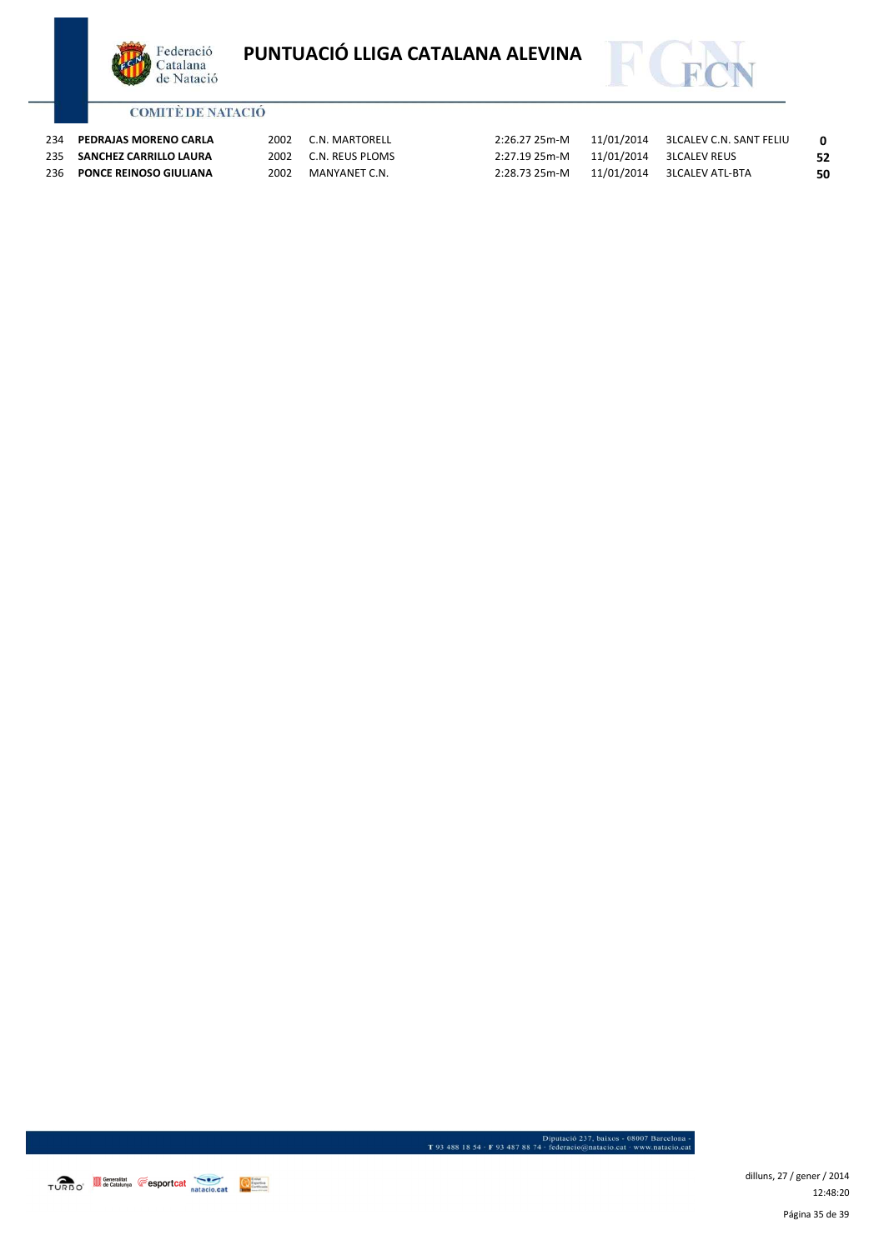



| 234 | PEDRAJAS MORENO CARLA      | 2002 | C.N. MARTORELL       | 2:26.27 25m-M |                              |    |
|-----|----------------------------|------|----------------------|---------------|------------------------------|----|
|     | 235 SANCHEZ CARRILLO LAURA |      | 2002 C.N. REUS PLOMS | 2:27.19 25m-M | 11/01/2014 3LCALEV REUS      | 52 |
|     | 236 PONCE REINOSO GIULIANA | 2002 | MANYANET C.N.        | 2:28.73 25m-M | 11/01/2014   3LCALEV ATL-BTA | 50 |

TURBO<sup>\*</sup> Second de Catalunya **Capacitat de Catalunya** en Esport Catalunya en Esport de Catalunya en Esport de Catalunya en Esport de Catalunya en Esport de Catalunya en Esport de Catalunya en Esport de Catalunya en Esport

Página 35 de 39 dilluns, 27 / gener / 2014 12:48:20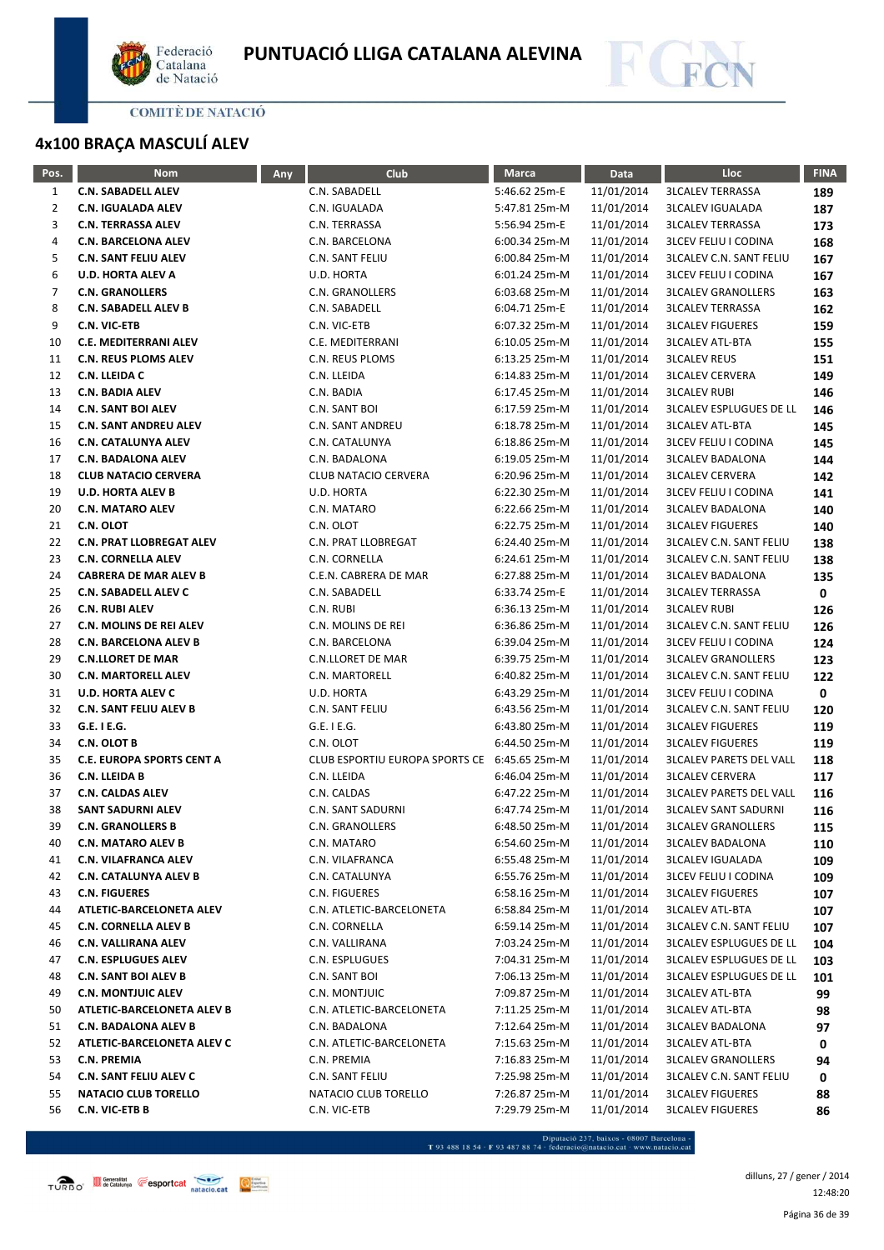



# **4x100 BRAÇA MASCULÍ ALEV**

| Pos. | <b>Nom</b>                       | Any | Club                           | <b>Marca</b>  | Data       | Lloc                           | <b>FINA</b> |
|------|----------------------------------|-----|--------------------------------|---------------|------------|--------------------------------|-------------|
| 1    | <b>C.N. SABADELL ALEV</b>        |     | C.N. SABADELL                  | 5:46.62 25m-E | 11/01/2014 | <b>3LCALEV TERRASSA</b>        | 189         |
| 2    | <b>C.N. IGUALADA ALEV</b>        |     | C.N. IGUALADA                  | 5:47.81 25m-M | 11/01/2014 | <b>3LCALEV IGUALADA</b>        | 187         |
| 3    | <b>C.N. TERRASSA ALEV</b>        |     | C.N. TERRASSA                  | 5:56.94 25m-E | 11/01/2014 | <b>3LCALEV TERRASSA</b>        | 173         |
| 4    | <b>C.N. BARCELONA ALEV</b>       |     | C.N. BARCELONA                 | 6:00.34 25m-M | 11/01/2014 | <b>3LCEV FELIU I CODINA</b>    | 168         |
| 5    | <b>C.N. SANT FELIU ALEV</b>      |     | C.N. SANT FELIU                | 6:00.84 25m-M | 11/01/2014 | <b>3LCALEV C.N. SANT FELIU</b> | 167         |
| 6    | <b>U.D. HORTA ALEV A</b>         |     | U.D. HORTA                     | 6:01.24 25m-M | 11/01/2014 | <b>3LCEV FELIU I CODINA</b>    | 167         |
| 7    | <b>C.N. GRANOLLERS</b>           |     | C.N. GRANOLLERS                | 6:03.68 25m-M | 11/01/2014 | <b>3LCALEV GRANOLLERS</b>      | 163         |
| 8    | <b>C.N. SABADELL ALEV B</b>      |     | C.N. SABADELL                  | 6:04.71 25m-E | 11/01/2014 | <b>3LCALEV TERRASSA</b>        | 162         |
| 9    | C.N. VIC-ETB                     |     | C.N. VIC-ETB                   | 6:07.32 25m-M | 11/01/2014 | <b>3LCALEV FIGUERES</b>        | 159         |
| 10   | <b>C.E. MEDITERRANI ALEV</b>     |     | C.E. MEDITERRANI               | 6:10.05 25m-M | 11/01/2014 | <b>3LCALEV ATL-BTA</b>         | 155         |
| 11   | <b>C.N. REUS PLOMS ALEV</b>      |     | C.N. REUS PLOMS                | 6:13.25 25m-M | 11/01/2014 | <b>3LCALEV REUS</b>            | 151         |
| 12   | C.N. LLEIDA C                    |     | C.N. LLEIDA                    | 6:14.83 25m-M | 11/01/2014 | <b>3LCALEV CERVERA</b>         | 149         |
| 13   | <b>C.N. BADIA ALEV</b>           |     | C.N. BADIA                     | 6:17.45 25m-M | 11/01/2014 | <b>3LCALEV RUBI</b>            | 146         |
| 14   | <b>C.N. SANT BOI ALEV</b>        |     | C.N. SANT BOI                  | 6:17.59 25m-M | 11/01/2014 | <b>3LCALEV ESPLUGUES DE LL</b> | 146         |
| 15   | <b>C.N. SANT ANDREU ALEV</b>     |     | C.N. SANT ANDREU               | 6:18.78 25m-M | 11/01/2014 | <b>3LCALEV ATL-BTA</b>         | 145         |
| 16   | <b>C.N. CATALUNYA ALEV</b>       |     | C.N. CATALUNYA                 | 6:18.86 25m-M | 11/01/2014 | <b>3LCEV FELIU I CODINA</b>    | 145         |
| 17   | <b>C.N. BADALONA ALEV</b>        |     | C.N. BADALONA                  | 6:19.05 25m-M | 11/01/2014 | <b>3LCALEV BADALONA</b>        | 144         |
| 18   | <b>CLUB NATACIO CERVERA</b>      |     | <b>CLUB NATACIO CERVERA</b>    | 6:20.96 25m-M | 11/01/2014 | <b>3LCALEV CERVERA</b>         | 142         |
| 19   | <b>U.D. HORTA ALEV B</b>         |     | U.D. HORTA                     | 6:22.30 25m-M | 11/01/2014 | <b>3LCEV FELIU I CODINA</b>    | 141         |
| 20   | <b>C.N. MATARO ALEV</b>          |     | C.N. MATARO                    | 6:22.66 25m-M | 11/01/2014 | <b>3LCALEV BADALONA</b>        | 140         |
| 21   | C.N. OLOT                        |     | C.N. OLOT                      | 6:22.75 25m-M | 11/01/2014 | <b>3LCALEV FIGUERES</b>        | 140         |
| 22   | <b>C.N. PRAT LLOBREGAT ALEV</b>  |     | C.N. PRAT LLOBREGAT            | 6:24.40 25m-M | 11/01/2014 | <b>3LCALEV C.N. SANT FELIU</b> | 138         |
| 23   | <b>C.N. CORNELLA ALEV</b>        |     | C.N. CORNELLA                  | 6:24.61 25m-M | 11/01/2014 | <b>3LCALEV C.N. SANT FELIU</b> | 138         |
| 24   | <b>CABRERA DE MAR ALEV B</b>     |     | C.E.N. CABRERA DE MAR          | 6:27.88 25m-M | 11/01/2014 | <b>3LCALEV BADALONA</b>        | 135         |
| 25   | <b>C.N. SABADELL ALEV C</b>      |     | C.N. SABADELL                  | 6:33.74 25m-E | 11/01/2014 | <b>3LCALEV TERRASSA</b>        | 0           |
| 26   | <b>C.N. RUBI ALEV</b>            |     | C.N. RUBI                      | 6:36.13 25m-M | 11/01/2014 | <b>3LCALEV RUBI</b>            | 126         |
| 27   | <b>C.N. MOLINS DE REI ALEV</b>   |     | C.N. MOLINS DE REI             | 6:36.86 25m-M | 11/01/2014 | <b>3LCALEV C.N. SANT FELIU</b> | 126         |
| 28   | <b>C.N. BARCELONA ALEV B</b>     |     | C.N. BARCELONA                 | 6:39.04 25m-M | 11/01/2014 | <b>3LCEV FELIU I CODINA</b>    | 124         |
| 29   | <b>C.N.LLORET DE MAR</b>         |     | C.N.LLORET DE MAR              | 6:39.75 25m-M | 11/01/2014 | <b>3LCALEV GRANOLLERS</b>      | 123         |
| 30   | <b>C.N. MARTORELL ALEV</b>       |     | C.N. MARTORELL                 | 6:40.82 25m-M | 11/01/2014 | <b>3LCALEV C.N. SANT FELIU</b> | 122         |
| 31   | <b>U.D. HORTA ALEV C</b>         |     | U.D. HORTA                     | 6:43.29 25m-M | 11/01/2014 | <b>3LCEV FELIU I CODINA</b>    | 0           |
| 32   | <b>C.N. SANT FELIU ALEV B</b>    |     | C.N. SANT FELIU                | 6:43.56 25m-M | 11/01/2014 | <b>3LCALEV C.N. SANT FELIU</b> | 120         |
| 33   | G.E. I E.G.                      |     | G.E. I E.G.                    | 6:43.80 25m-M | 11/01/2014 | <b>3LCALEV FIGUERES</b>        | 119         |
| 34   | C.N. OLOT B                      |     | C.N. OLOT                      | 6:44.50 25m-M | 11/01/2014 | <b>3LCALEV FIGUERES</b>        | 119         |
| 35   | <b>C.E. EUROPA SPORTS CENT A</b> |     | CLUB ESPORTIU EUROPA SPORTS CE | 6:45.65 25m-M | 11/01/2014 | <b>3LCALEV PARETS DEL VALL</b> | 118         |
| 36   | C.N. LLEIDA B                    |     | C.N. LLEIDA                    | 6:46.04 25m-M | 11/01/2014 | <b>3LCALEV CERVERA</b>         | 117         |
| 37   | <b>C.N. CALDAS ALEV</b>          |     | C.N. CALDAS                    | 6:47.22 25m-M | 11/01/2014 | <b>3LCALEV PARETS DEL VALL</b> | 116         |
| 38   | <b>SANT SADURNI ALEV</b>         |     | <b>C.N. SANT SADURNI</b>       | 6:47.74 25m-M | 11/01/2014 | <b>3LCALEV SANT SADURNI</b>    | 116         |
| 39   | <b>C.N. GRANOLLERS B</b>         |     | C.N. GRANOLLERS                | 6:48.50 25m-M | 11/01/2014 | <b>3LCALEV GRANOLLERS</b>      | 115         |
| 40   | <b>C.N. MATARO ALEV B</b>        |     | C.N. MATARO                    | 6:54.60 25m-M | 11/01/2014 | <b>3LCALEV BADALONA</b>        | 110         |
| 41   | C.N. VILAFRANCA ALEV             |     | C.N. VILAFRANCA                | 6:55.48 25m-M | 11/01/2014 | <b>3LCALEV IGUALADA</b>        | 109         |
| 42   | <b>C.N. CATALUNYA ALEV B</b>     |     | C.N. CATALUNYA                 | 6:55.76 25m-M | 11/01/2014 | <b>3LCEV FELIU I CODINA</b>    | 109         |
| 43   | <b>C.N. FIGUERES</b>             |     | C.N. FIGUERES                  | 6:58.16 25m-M | 11/01/2014 | <b>3LCALEV FIGUERES</b>        | 107         |
| 44   | ATLETIC-BARCELONETA ALEV         |     | C.N. ATLETIC-BARCELONETA       | 6:58.84 25m-M | 11/01/2014 | <b>3LCALEV ATL-BTA</b>         | 107         |
| 45   | <b>C.N. CORNELLA ALEV B</b>      |     | C.N. CORNELLA                  | 6:59.14 25m-M | 11/01/2014 | <b>3LCALEV C.N. SANT FELIU</b> | 107         |
| 46   | C.N. VALLIRANA ALEV              |     | C.N. VALLIRANA                 | 7:03.24 25m-M | 11/01/2014 | <b>3LCALEV ESPLUGUES DE LL</b> | 104         |
| 47   | <b>C.N. ESPLUGUES ALEV</b>       |     | C.N. ESPLUGUES                 | 7:04.31 25m-M | 11/01/2014 | <b>3LCALEV ESPLUGUES DE LL</b> | 103         |
| 48   | <b>C.N. SANT BOI ALEV B</b>      |     | C.N. SANT BOI                  | 7:06.13 25m-M | 11/01/2014 | <b>3LCALEV ESPLUGUES DE LL</b> | 101         |
| 49   | <b>C.N. MONTJUIC ALEV</b>        |     | C.N. MONTJUIC                  | 7:09.87 25m-M | 11/01/2014 | <b>3LCALEV ATL-BTA</b>         | 99          |
| 50   | ATLETIC-BARCELONETA ALEV B       |     | C.N. ATLETIC-BARCELONETA       | 7:11.25 25m-M | 11/01/2014 | <b>3LCALEV ATL-BTA</b>         | 98          |
| 51   | C.N. BADALONA ALEV B             |     | C.N. BADALONA                  | 7:12.64 25m-M | 11/01/2014 | <b>3LCALEV BADALONA</b>        | 97          |
| 52   | ATLETIC-BARCELONETA ALEV C       |     | C.N. ATLETIC-BARCELONETA       | 7:15.63 25m-M | 11/01/2014 | <b>3LCALEV ATL-BTA</b>         | 0           |
| 53   | <b>C.N. PREMIA</b>               |     | C.N. PREMIA                    | 7:16.83 25m-M | 11/01/2014 | <b>3LCALEV GRANOLLERS</b>      | 94          |
| 54   | C.N. SANT FELIU ALEV C           |     | C.N. SANT FELIU                | 7:25.98 25m-M | 11/01/2014 | <b>3LCALEV C.N. SANT FELIU</b> | 0           |
| 55   | <b>NATACIO CLUB TORELLO</b>      |     | NATACIO CLUB TORELLO           | 7:26.87 25m-M | 11/01/2014 | <b>3LCALEV FIGUERES</b>        | 88          |
| 56   | C.N. VIC-ETB B                   |     | C.N. VIC-ETB                   | 7:29.79 25m-M | 11/01/2014 | <b>3LCALEV FIGUERES</b>        | 86          |

- Diputació 237, baixos - 08007 Barcelona<br>T 93 488 18 54 · F 93 487 88 74 · federacio@natacio.cat · www.natacio.cat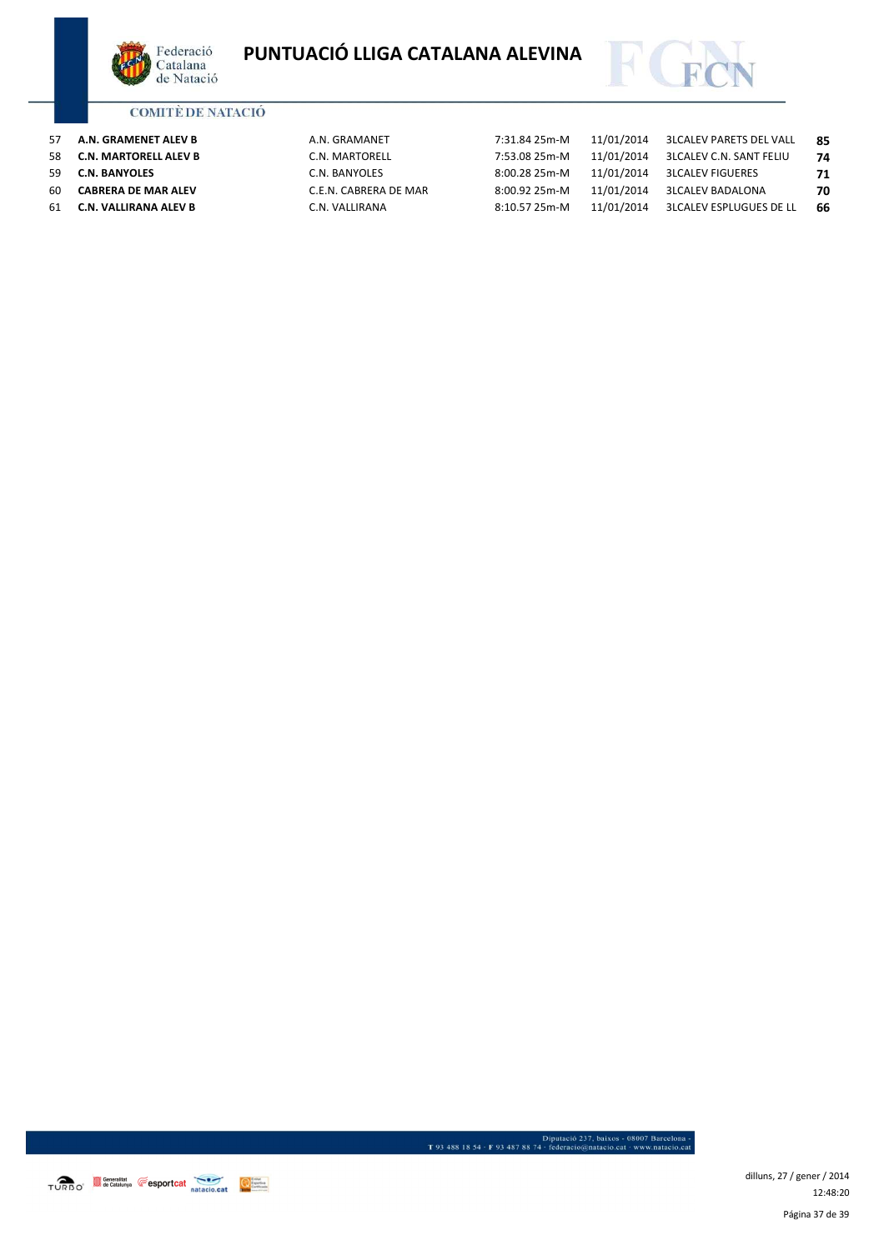



| 57 | A.N. GRAMENET ALEV B       | A.N. GRAMANET         | 7:31.84 25m-M | 11/01/2014 | 3LCALEV PARETS DEL VALL | -85 |
|----|----------------------------|-----------------------|---------------|------------|-------------------------|-----|
| 58 | C.N. MARTORELL ALEV B      | C.N. MARTORELL        | 7:53.08 25m-M | 11/01/2014 | 3LCALEV C.N. SANT FELIU | 74  |
| 59 | <b>C.N. BANYOLES</b>       | C.N. BANYOLES         | 8:00.28 25m-M | 11/01/2014 | 3LCALEV FIGUERES        | 71  |
| 60 | <b>CABRERA DE MAR ALEV</b> | C.E.N. CABRERA DE MAR | 8:00.92 25m-M | 11/01/2014 | 3LCALEV BADALONA        | 70  |
| 61 | C.N. VALLIRANA ALEV B      | C.N. VALLIRANA        | 8:10.57 25m-M | 11/01/2014 | 3LCALEV ESPLUGUES DE LL | 66  |

TURBO<sup>\*</sup> Second de Catalunya **Capacitat de Catalunya** and accident de Catalunya Capacitat de Catalunya and accident de Catalunya and accident de Catalunya and accident de Catalunya and accident de Catalunya and accident de

Página 37 de 39 dilluns, 27 / gener / 2014 12:48:20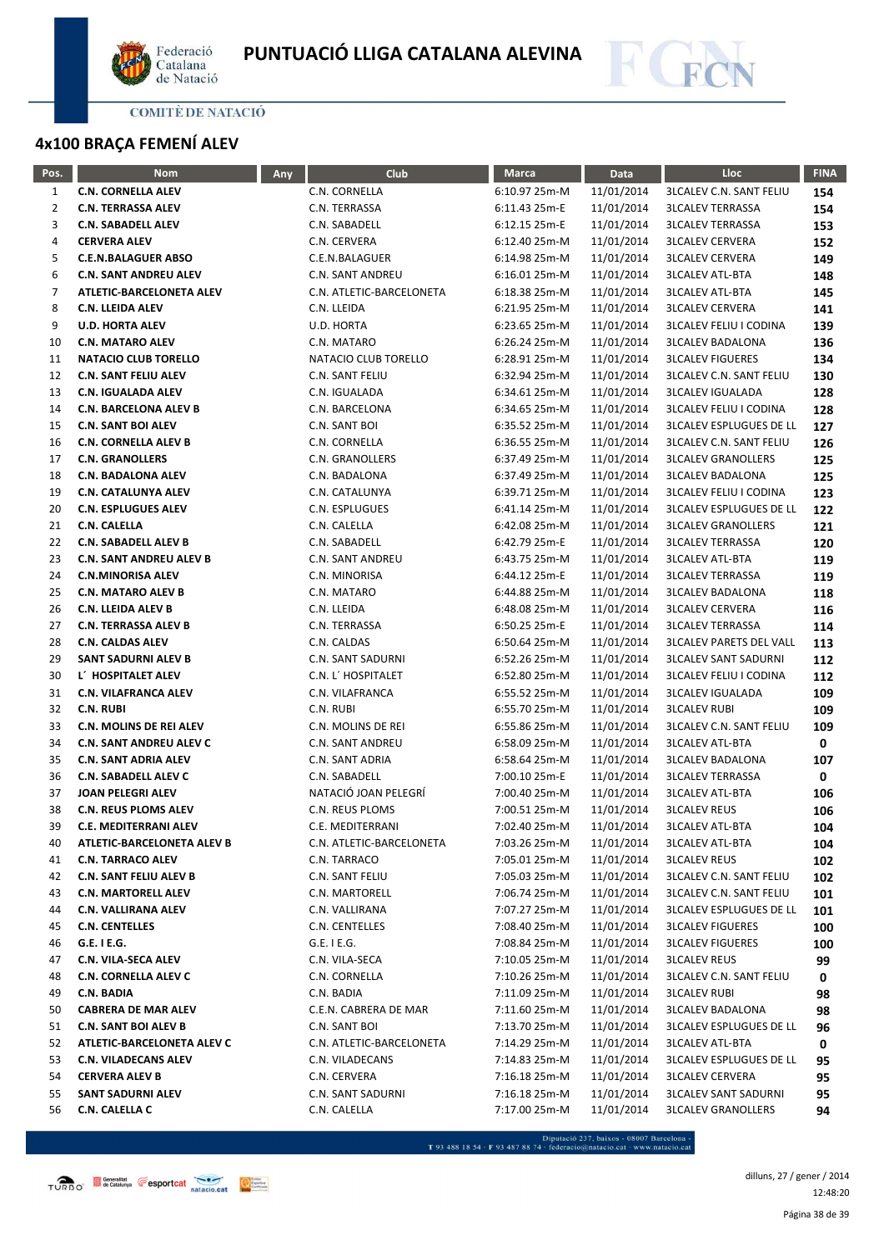



# **4x100 BRAÇA FEMENÍ ALEV**

| Pos. | <b>Nom</b>                     | Any | Club                     | <b>Marca</b>  | Data       | Lloc                           | <b>FINA</b> |
|------|--------------------------------|-----|--------------------------|---------------|------------|--------------------------------|-------------|
| 1    | <b>C.N. CORNELLA ALEV</b>      |     | C.N. CORNELLA            | 6:10.97 25m-M | 11/01/2014 | <b>3LCALEV C.N. SANT FELIU</b> | 154         |
| 2    | <b>C.N. TERRASSA ALEV</b>      |     | C.N. TERRASSA            | 6:11.43 25m-E | 11/01/2014 | <b>3LCALEV TERRASSA</b>        | 154         |
| 3    | <b>C.N. SABADELL ALEV</b>      |     | C.N. SABADELL            | 6:12.15 25m-E | 11/01/2014 | <b>3LCALEV TERRASSA</b>        | 153         |
| 4    | <b>CERVERA ALEV</b>            |     | C.N. CERVERA             | 6:12.40 25m-M | 11/01/2014 | <b>3LCALEV CERVERA</b>         | 152         |
| 5    | <b>C.E.N.BALAGUER ABSO</b>     |     | C.E.N.BALAGUER           | 6:14.98 25m-M | 11/01/2014 | <b>3LCALEV CERVERA</b>         | 149         |
| 6    | <b>C.N. SANT ANDREU ALEV</b>   |     | C.N. SANT ANDREU         | 6:16.01 25m-M | 11/01/2014 | <b>3LCALEV ATL-BTA</b>         | 148         |
| 7    | ATLETIC-BARCELONETA ALEV       |     | C.N. ATLETIC-BARCELONETA | 6:18.38 25m-M | 11/01/2014 | <b>3LCALEV ATL-BTA</b>         | 145         |
| 8    | <b>C.N. LLEIDA ALEV</b>        |     | C.N. LLEIDA              | 6:21.95 25m-M | 11/01/2014 | <b>3LCALEV CERVERA</b>         | 141         |
| 9    | <b>U.D. HORTA ALEV</b>         |     | U.D. HORTA               | 6:23.65 25m-M | 11/01/2014 | <b>3LCALEV FELIU I CODINA</b>  | 139         |
| 10   | <b>C.N. MATARO ALEV</b>        |     | C.N. MATARO              | 6:26.24 25m-M | 11/01/2014 | <b>3LCALEV BADALONA</b>        | 136         |
| 11   | <b>NATACIO CLUB TORELLO</b>    |     | NATACIO CLUB TORELLO     | 6:28.91 25m-M | 11/01/2014 | <b>3LCALEV FIGUERES</b>        | 134         |
| 12   | <b>C.N. SANT FELIU ALEV</b>    |     | C.N. SANT FELIU          | 6:32.94 25m-M | 11/01/2014 | <b>3LCALEV C.N. SANT FELIU</b> | 130         |
| 13   | <b>C.N. IGUALADA ALEV</b>      |     | C.N. IGUALADA            | 6:34.61 25m-M | 11/01/2014 | <b>3LCALEV IGUALADA</b>        | 128         |
| 14   | <b>C.N. BARCELONA ALEV B</b>   |     | C.N. BARCELONA           | 6:34.65 25m-M | 11/01/2014 | <b>3LCALEV FELIU I CODINA</b>  | 128         |
| 15   | <b>C.N. SANT BOI ALEV</b>      |     | C.N. SANT BOI            | 6:35.52 25m-M | 11/01/2014 | <b>3LCALEV ESPLUGUES DE LL</b> | 127         |
| 16   | <b>C.N. CORNELLA ALEV B</b>    |     | C.N. CORNELLA            | 6:36.55 25m-M | 11/01/2014 | <b>3LCALEV C.N. SANT FELIU</b> | 126         |
| 17   | <b>C.N. GRANOLLERS</b>         |     | C.N. GRANOLLERS          | 6:37.49 25m-M | 11/01/2014 | <b>3LCALEV GRANOLLERS</b>      | 125         |
| 18   | <b>C.N. BADALONA ALEV</b>      |     | C.N. BADALONA            | 6:37.49 25m-M | 11/01/2014 | <b>3LCALEV BADALONA</b>        | 125         |
| 19   | <b>C.N. CATALUNYA ALEV</b>     |     | C.N. CATALUNYA           | 6:39.71 25m-M | 11/01/2014 | <b>3LCALEV FELIU I CODINA</b>  | 123         |
| 20   | <b>C.N. ESPLUGUES ALEV</b>     |     | C.N. ESPLUGUES           | 6:41.14 25m-M | 11/01/2014 | <b>3LCALEV ESPLUGUES DE LL</b> | 122         |
| 21   | <b>C.N. CALELLA</b>            |     | C.N. CALELLA             | 6:42.08 25m-M | 11/01/2014 | <b>3LCALEV GRANOLLERS</b>      | 121         |
| 22   | <b>C.N. SABADELL ALEV B</b>    |     | C.N. SABADELL            | 6:42.79 25m-E | 11/01/2014 | <b>3LCALEV TERRASSA</b>        | 120         |
| 23   | <b>C.N. SANT ANDREU ALEV B</b> |     | C.N. SANT ANDREU         | 6:43.75 25m-M | 11/01/2014 | <b>3LCALEV ATL-BTA</b>         | 119         |
| 24   | <b>C.N.MINORISA ALEV</b>       |     | C.N. MINORISA            | 6:44.12 25m-E | 11/01/2014 | <b>3LCALEV TERRASSA</b>        | 119         |
| 25   | <b>C.N. MATARO ALEV B</b>      |     | C.N. MATARO              | 6:44.88 25m-M | 11/01/2014 | <b>3LCALEV BADALONA</b>        | 118         |
| 26   | <b>C.N. LLEIDA ALEV B</b>      |     | C.N. LLEIDA              | 6:48.08 25m-M | 11/01/2014 | <b>3LCALEV CERVERA</b>         | 116         |
| 27   | <b>C.N. TERRASSA ALEV B</b>    |     | C.N. TERRASSA            | 6:50.25 25m-E | 11/01/2014 | <b>3LCALEV TERRASSA</b>        | 114         |
| 28   | <b>C.N. CALDAS ALEV</b>        |     | C.N. CALDAS              | 6:50.64 25m-M | 11/01/2014 | <b>3LCALEV PARETS DEL VALL</b> | 113         |
| 29   | SANT SADURNI ALEV B            |     | C.N. SANT SADURNI        | 6:52.26 25m-M | 11/01/2014 | <b>3LCALEV SANT SADURNI</b>    | 112         |
| 30   | L' HOSPITALET ALEV             |     | C.N. L' HOSPITALET       | 6:52.80 25m-M | 11/01/2014 | <b>3LCALEV FELIU I CODINA</b>  | 112         |
| 31   | <b>C.N. VILAFRANCA ALEV</b>    |     | C.N. VILAFRANCA          | 6:55.52 25m-M | 11/01/2014 | <b>3LCALEV IGUALADA</b>        | 109         |
| 32   | <b>C.N. RUBI</b>               |     | C.N. RUBI                | 6:55.70 25m-M | 11/01/2014 | <b>3LCALEV RUBI</b>            | 109         |
| 33   | C.N. MOLINS DE REI ALEV        |     | C.N. MOLINS DE REI       | 6:55.86 25m-M | 11/01/2014 | <b>3LCALEV C.N. SANT FELIU</b> | 109         |
| 34   | <b>C.N. SANT ANDREU ALEV C</b> |     | C.N. SANT ANDREU         | 6:58.09 25m-M | 11/01/2014 | <b>3LCALEV ATL-BTA</b>         | 0           |
| 35   | <b>C.N. SANT ADRIA ALEV</b>    |     | C.N. SANT ADRIA          | 6:58.64 25m-M | 11/01/2014 | <b>3LCALEV BADALONA</b>        | 107         |
| 36   | <b>C.N. SABADELL ALEV C</b>    |     | C.N. SABADELL            | 7:00.10 25m-E | 11/01/2014 | <b>3LCALEV TERRASSA</b>        | 0           |
| 37   | <b>JOAN PELEGRI ALEV</b>       |     | NATACIÓ JOAN PELEGRÍ     | 7:00.40 25m-M | 11/01/2014 | <b>3LCALEV ATL-BTA</b>         | 106         |
| 38   | <b>C.N. REUS PLOMS ALEV</b>    |     | C.N. REUS PLOMS          | 7:00.51 25m-M | 11/01/2014 | <b>3LCALEV REUS</b>            | 106         |
| 39   | <b>C.E. MEDITERRANI ALEV</b>   |     | C.E. MEDITERRANI         | 7:02.40 25m-M | 11/01/2014 | <b>3LCALEV ATL-BTA</b>         | 104         |
| 40   | ATLETIC-BARCELONETA ALEV B     |     | C.N. ATLETIC-BARCELONETA | 7:03.26 25m-M | 11/01/2014 | <b>3LCALEV ATL-BTA</b>         | 104         |
| 41   | <b>C.N. TARRACO ALEV</b>       |     | C.N. TARRACO             | 7:05.01 25m-M | 11/01/2014 | <b>3LCALEV REUS</b>            | 102         |
| 42   | C.N. SANT FELIU ALEV B         |     | C.N. SANT FELIU          | 7:05.03 25m-M | 11/01/2014 | <b>3LCALEV C.N. SANT FELIU</b> | 102         |
| 43   | <b>C.N. MARTORELL ALEV</b>     |     | C.N. MARTORELL           | 7:06.74 25m-M | 11/01/2014 | <b>3LCALEV C.N. SANT FELIU</b> | 101         |
| 44   | <b>C.N. VALLIRANA ALEV</b>     |     | C.N. VALLIRANA           | 7:07.27 25m-M | 11/01/2014 | <b>3LCALEV ESPLUGUES DE LL</b> | 101         |
| 45   | <b>C.N. CENTELLES</b>          |     | C.N. CENTELLES           | 7:08.40 25m-M | 11/01/2014 | <b>3LCALEV FIGUERES</b>        | 100         |
| 46   | G.E. I E.G.                    |     | $G.E.$ I $E.G.$          | 7:08.84 25m-M | 11/01/2014 | <b>3LCALEV FIGUERES</b>        | 100         |
| 47   | <b>C.N. VILA-SECA ALEV</b>     |     | C.N. VILA-SECA           | 7:10.05 25m-M | 11/01/2014 | <b>3LCALEV REUS</b>            | 99          |
| 48   | <b>C.N. CORNELLA ALEV C</b>    |     | C.N. CORNELLA            | 7:10.26 25m-M | 11/01/2014 | <b>3LCALEV C.N. SANT FELIU</b> | 0           |
| 49   | <b>C.N. BADIA</b>              |     | C.N. BADIA               | 7:11.09 25m-M | 11/01/2014 | <b>3LCALEV RUBI</b>            | 98          |
| 50   | <b>CABRERA DE MAR ALEV</b>     |     | C.E.N. CABRERA DE MAR    | 7:11.60 25m-M | 11/01/2014 | <b>3LCALEV BADALONA</b>        | 98          |
| 51   | <b>C.N. SANT BOI ALEV B</b>    |     | C.N. SANT BOI            | 7:13.70 25m-M | 11/01/2014 | <b>3LCALEV ESPLUGUES DE LL</b> | 96          |
| 52   | ATLETIC-BARCELONETA ALEV C     |     | C.N. ATLETIC-BARCELONETA | 7:14.29 25m-M | 11/01/2014 | <b>3LCALEV ATL-BTA</b>         | 0           |
| 53   | <b>C.N. VILADECANS ALEV</b>    |     | C.N. VILADECANS          | 7:14.83 25m-M | 11/01/2014 | <b>3LCALEV ESPLUGUES DE LL</b> | 95          |
| 54   | <b>CERVERA ALEV B</b>          |     | C.N. CERVERA             | 7:16.18 25m-M | 11/01/2014 | <b>3LCALEV CERVERA</b>         | 95          |
| 55   | <b>SANT SADURNI ALEV</b>       |     | C.N. SANT SADURNI        | 7:16.18 25m-M | 11/01/2014 | <b>3LCALEV SANT SADURNI</b>    | 95          |
| 56   | C.N. CALELLA C                 |     | C.N. CALELLA             | 7:17.00 25m-M | 11/01/2014 | <b>3LCALEV GRANOLLERS</b>      | 94          |

- Diputació 237, baixos - 08007 Barcelona<br>T 93 488 18 54 · F 93 487 88 74 · federacio@natacio.cat · www.natacio.cat

Página 38 de 39 dilluns, 27 / gener / 2014 12:48:20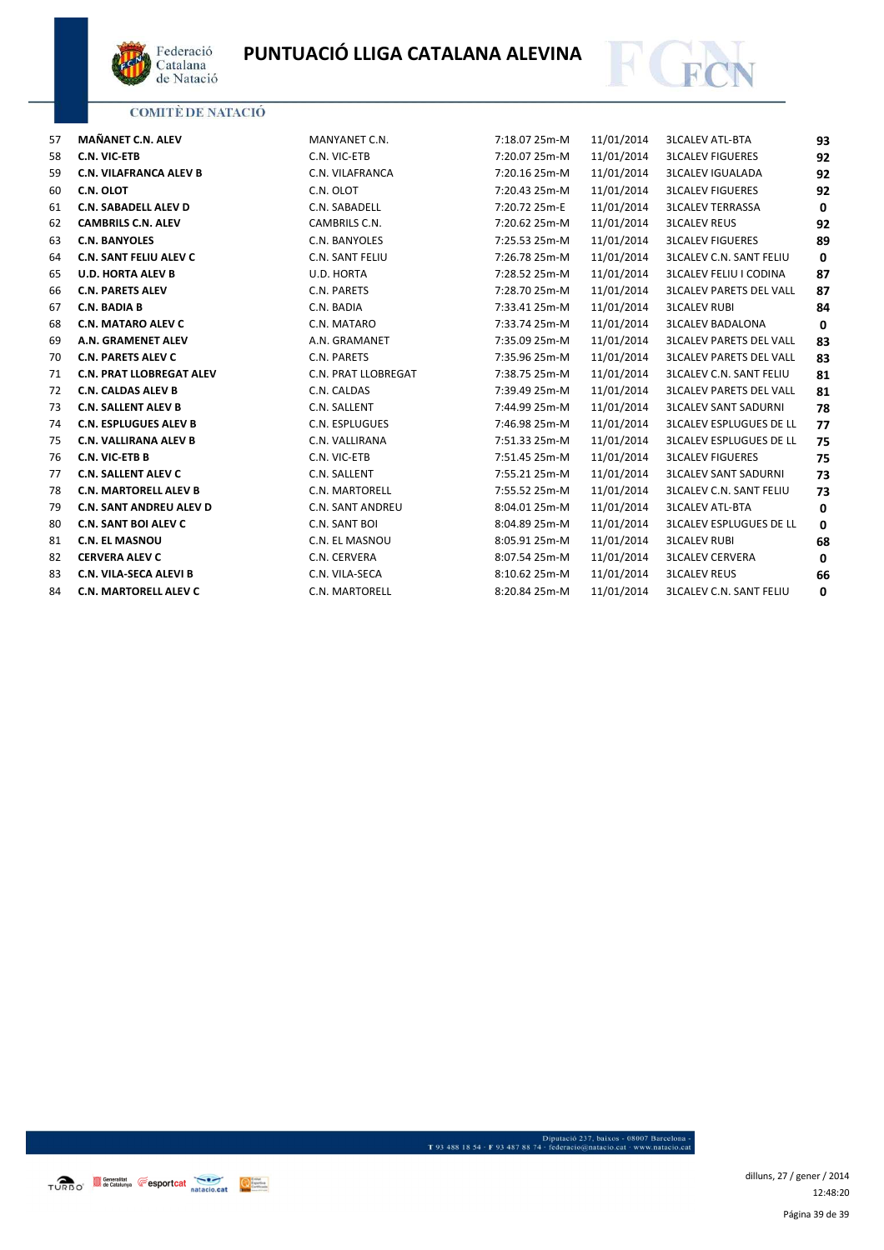



| 57 | MAÑANET C.N. ALEV               | MANYANET C.N.           | 7:18.07 25m-M | 11/01/2014 | <b>3LCALEV ATL-BTA</b>         | 93           |
|----|---------------------------------|-------------------------|---------------|------------|--------------------------------|--------------|
| 58 | <b>C.N. VIC-ETB</b>             | C.N. VIC-ETB            | 7:20.07 25m-M | 11/01/2014 | <b>3LCALEV FIGUERES</b>        | 92           |
| 59 | <b>C.N. VILAFRANCA ALEV B</b>   | C.N. VILAFRANCA         | 7:20.16 25m-M | 11/01/2014 | <b>3LCALEV IGUALADA</b>        | 92           |
| 60 | C.N. OLOT                       | C.N. OLOT               | 7:20.43 25m-M | 11/01/2014 | <b>3LCALEV FIGUERES</b>        | 92           |
| 61 | <b>C.N. SABADELL ALEV D</b>     | C.N. SABADELL           | 7:20.72 25m-E | 11/01/2014 | <b>3LCALEV TERRASSA</b>        | $\mathbf 0$  |
| 62 | <b>CAMBRILS C.N. ALEV</b>       | CAMBRILS C.N.           | 7:20.62 25m-M | 11/01/2014 | <b>3LCALEV REUS</b>            | 92           |
| 63 | <b>C.N. BANYOLES</b>            | C.N. BANYOLES           | 7:25.53 25m-M | 11/01/2014 | <b>3LCALEV FIGUERES</b>        | 89           |
| 64 | <b>C.N. SANT FELIU ALEV C</b>   | C.N. SANT FELIU         | 7:26.78 25m-M | 11/01/2014 | <b>3LCALEV C.N. SANT FELIU</b> | $\mathbf{0}$ |
| 65 | <b>U.D. HORTA ALEV B</b>        | U.D. HORTA              | 7:28.52 25m-M | 11/01/2014 | <b>3LCALEV FELIU I CODINA</b>  | 87           |
| 66 | <b>C.N. PARETS ALEV</b>         | C.N. PARETS             | 7:28.70 25m-M | 11/01/2014 | <b>3LCALEV PARETS DEL VALL</b> | 87           |
| 67 | <b>C.N. BADIA B</b>             | C.N. BADIA              | 7:33.41 25m-M | 11/01/2014 | <b>3LCALEV RUBI</b>            | 84           |
| 68 | <b>C.N. MATARO ALEV C</b>       | C.N. MATARO             | 7:33.74 25m-M | 11/01/2014 | <b>3LCALEV BADALONA</b>        | $\mathbf 0$  |
| 69 | A.N. GRAMENET ALEV              | A.N. GRAMANET           | 7:35.09 25m-M | 11/01/2014 | <b>3LCALEV PARETS DEL VALL</b> | 83           |
| 70 | <b>C.N. PARETS ALEV C</b>       | C.N. PARETS             | 7:35.96 25m-M | 11/01/2014 | <b>3LCALEV PARETS DEL VALL</b> | 83           |
| 71 | <b>C.N. PRAT LLOBREGAT ALEV</b> | C.N. PRAT LLOBREGAT     | 7:38.75 25m-M | 11/01/2014 | <b>3LCALEV C.N. SANT FELIU</b> | 81           |
| 72 | <b>C.N. CALDAS ALEV B</b>       | C.N. CALDAS             | 7:39.49 25m-M | 11/01/2014 | <b>3LCALEV PARETS DEL VALL</b> | 81           |
| 73 | <b>C.N. SALLENT ALEV B</b>      | C.N. SALLENT            | 7:44.99 25m-M | 11/01/2014 | <b>3LCALEV SANT SADURNI</b>    | 78           |
| 74 | <b>C.N. ESPLUGUES ALEV B</b>    | C.N. ESPLUGUES          | 7:46.98 25m-M | 11/01/2014 | <b>3LCALEV ESPLUGUES DE LL</b> | 77           |
| 75 | <b>C.N. VALLIRANA ALEV B</b>    | C.N. VALLIRANA          | 7:51.33 25m-M | 11/01/2014 | <b>3LCALEV ESPLUGUES DE LL</b> | 75           |
| 76 | <b>C.N. VIC-ETB B</b>           | C.N. VIC-ETB            | 7:51.45 25m-M | 11/01/2014 | <b>3LCALEV FIGUERES</b>        | 75           |
| 77 | <b>C.N. SALLENT ALEV C</b>      | C.N. SALLENT            | 7:55.21 25m-M | 11/01/2014 | <b>3LCALEV SANT SADURNI</b>    | 73           |
| 78 | <b>C.N. MARTORELL ALEV B</b>    | C.N. MARTORELL          | 7:55.52 25m-M | 11/01/2014 | <b>3LCALEV C.N. SANT FELIU</b> | 73           |
| 79 | <b>C.N. SANT ANDREU ALEV D</b>  | <b>C.N. SANT ANDREU</b> | 8:04.01 25m-M | 11/01/2014 | <b>3LCALEV ATL-BTA</b>         | 0            |
| 80 | <b>C.N. SANT BOI ALEV C</b>     | C.N. SANT BOI           | 8:04.89 25m-M | 11/01/2014 | <b>3LCALEV ESPLUGUES DE LL</b> | 0            |
| 81 | <b>C.N. EL MASNOU</b>           | C.N. EL MASNOU          | 8:05.91 25m-M | 11/01/2014 | <b>3LCALEV RUBI</b>            | 68           |
| 82 | <b>CERVERA ALEV C</b>           | C.N. CERVERA            | 8:07.54 25m-M | 11/01/2014 | <b>3LCALEV CERVERA</b>         | $\mathbf{0}$ |
| 83 | C.N. VILA-SECA ALEVI B          | C.N. VILA-SECA          | 8:10.62 25m-M | 11/01/2014 | <b>3LCALEV REUS</b>            | 66           |
| 84 | <b>C.N. MARTORELL ALEV C</b>    | <b>C.N. MARTORELL</b>   | 8:20.84 25m-M | 11/01/2014 | <b>3LCALEV C.N. SANT FELIU</b> | 0            |

TURBO<sup>\*</sup> **Il Generalitat Eesportcat Analysis Contract Contract Contract Contract Contract Contract Contract Contract Contract Contract Contract Contract Contract Contract Contract Contract Contract Contract Contract Co** 

- Diputació 237, baixos - 08007 Barcelona<br>1934 - 1934 - 1934 - 1934 - 1937 - 1948 - 1949 - 1949 - 1949 - 1949 - 1949 - 1949 - 1949 - 1949 - 1949 - 1949 - 1949 - 1949 - 1949 - 1949 - 1949 - 1949 - 1949 - 1949 - 1949 - 1949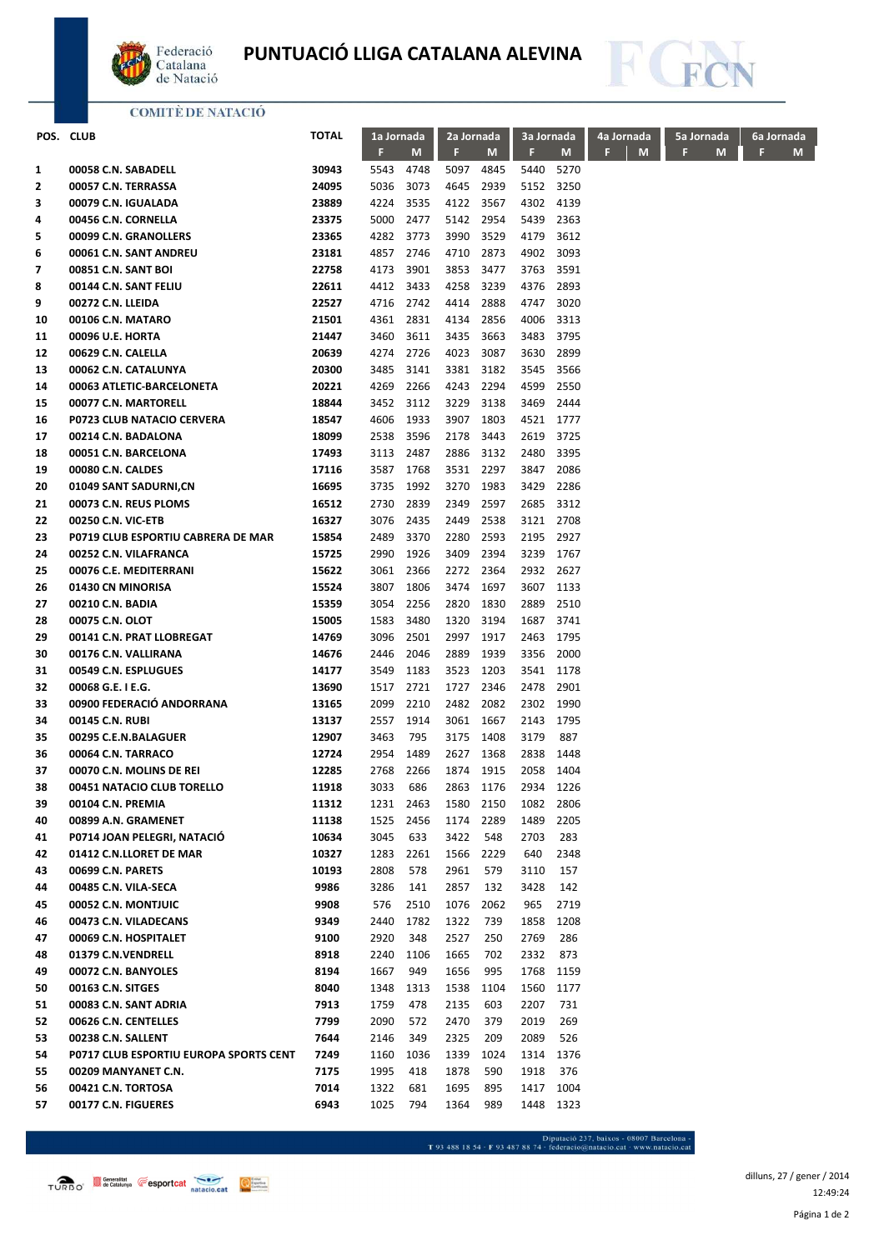

# **PUNTUACIÓ LLIGA CATALANA ALEVINA**



## **COMITÈ DE NATACIÓ**

|    | POS. CLUB                              | <b>TOTAL</b> | 1a Jornada |      | 2a Jornada |      | 3a Jornada |           | 4a Jornada |   | 5a Jornada | 6a Jornada |   |  |
|----|----------------------------------------|--------------|------------|------|------------|------|------------|-----------|------------|---|------------|------------|---|--|
|    |                                        |              | F          | M    | F          | M    | F.         | M         | F          | M | F<br>M     | F          | M |  |
| 1  | 00058 C.N. SABADELL                    | 30943        | 5543       | 4748 | 5097       | 4845 | 5440       | 5270      |            |   |            |            |   |  |
| 2  | 00057 C.N. TERRASSA                    | 24095        | 5036       | 3073 | 4645       | 2939 | 5152       | 3250      |            |   |            |            |   |  |
| з  | 00079 C.N. IGUALADA                    | 23889        | 4224       | 3535 | 4122       | 3567 | 4302       | 4139      |            |   |            |            |   |  |
| 4  | 00456 C.N. CORNELLA                    | 23375        | 5000       | 2477 | 5142       | 2954 | 5439       | 2363      |            |   |            |            |   |  |
| 5  | 00099 C.N. GRANOLLERS                  | 23365        | 4282       | 3773 | 3990       | 3529 | 4179       | 3612      |            |   |            |            |   |  |
| 6  | 00061 C.N. SANT ANDREU                 | 23181        | 4857       | 2746 | 4710       | 2873 | 4902       | 3093      |            |   |            |            |   |  |
| 7  | 00851 C.N. SANT BOI                    | 22758        | 4173       | 3901 | 3853       | 3477 | 3763       | 3591      |            |   |            |            |   |  |
| 8  | 00144 C.N. SANT FELIU                  | 22611        | 4412       | 3433 | 4258       | 3239 | 4376       | 2893      |            |   |            |            |   |  |
| 9  | 00272 C.N. LLEIDA                      | 22527        | 4716       | 2742 | 4414       | 2888 | 4747       | 3020      |            |   |            |            |   |  |
| 10 | 00106 C.N. MATARO                      | 21501        | 4361       | 2831 | 4134       | 2856 | 4006       | 3313      |            |   |            |            |   |  |
| 11 | 00096 U.E. HORTA                       | 21447        | 3460       | 3611 | 3435       | 3663 | 3483       | 3795      |            |   |            |            |   |  |
| 12 | 00629 C.N. CALELLA                     | 20639        | 4274       | 2726 | 4023       | 3087 | 3630       | 2899      |            |   |            |            |   |  |
| 13 | 00062 C.N. CATALUNYA                   | 20300        | 3485       | 3141 | 3381       | 3182 | 3545       | 3566      |            |   |            |            |   |  |
| 14 | 00063 ATLETIC-BARCELONETA              | 20221        | 4269       | 2266 | 4243       | 2294 | 4599       | 2550      |            |   |            |            |   |  |
| 15 | 00077 C.N. MARTORELL                   | 18844        | 3452       | 3112 | 3229       | 3138 | 3469       | 2444      |            |   |            |            |   |  |
| 16 | <b>P0723 CLUB NATACIO CERVERA</b>      | 18547        | 4606       | 1933 | 3907       | 1803 | 4521       | 1777      |            |   |            |            |   |  |
| 17 | 00214 C.N. BADALONA                    | 18099        | 2538       | 3596 | 2178       | 3443 | 2619       | 3725      |            |   |            |            |   |  |
| 18 | 00051 C.N. BARCELONA                   | 17493        | 3113       | 2487 | 2886       | 3132 | 2480       | 3395      |            |   |            |            |   |  |
| 19 | 00080 C.N. CALDES                      | 17116        | 3587       | 1768 | 3531       | 2297 | 3847       | 2086      |            |   |            |            |   |  |
| 20 | 01049 SANT SADURNI,CN                  | 16695        | 3735       | 1992 | 3270       | 1983 | 3429       | 2286      |            |   |            |            |   |  |
| 21 | 00073 C.N. REUS PLOMS                  | 16512        | 2730       | 2839 | 2349       | 2597 | 2685       | 3312      |            |   |            |            |   |  |
| 22 | 00250 C.N. VIC-ETB                     | 16327        | 3076       | 2435 | 2449       | 2538 | 3121       | 2708      |            |   |            |            |   |  |
| 23 | P0719 CLUB ESPORTIU CABRERA DE MAR     | 15854        | 2489       | 3370 | 2280       | 2593 | 2195       | 2927      |            |   |            |            |   |  |
| 24 | 00252 C.N. VILAFRANCA                  | 15725        | 2990       | 1926 | 3409       | 2394 | 3239       | 1767      |            |   |            |            |   |  |
| 25 | 00076 C.E. MEDITERRANI                 | 15622        | 3061       | 2366 | 2272       | 2364 | 2932       | 2627      |            |   |            |            |   |  |
| 26 | 01430 CN MINORISA                      | 15524        | 3807       | 1806 | 3474       | 1697 |            | 3607 1133 |            |   |            |            |   |  |
| 27 | 00210 C.N. BADIA                       | 15359        | 3054       | 2256 | 2820       | 1830 | 2889       | 2510      |            |   |            |            |   |  |
| 28 | 00075 C.N. OLOT                        | 15005        | 1583       | 3480 | 1320       | 3194 | 1687       | 3741      |            |   |            |            |   |  |
| 29 | 00141 C.N. PRAT LLOBREGAT              | 14769        | 3096       | 2501 | 2997       | 1917 | 2463       | 1795      |            |   |            |            |   |  |
| 30 | 00176 C.N. VALLIRANA                   | 14676        | 2446       | 2046 | 2889       | 1939 | 3356       | 2000      |            |   |            |            |   |  |
| 31 | 00549 C.N. ESPLUGUES                   | 14177        | 3549       | 1183 | 3523       | 1203 | 3541       | 1178      |            |   |            |            |   |  |
| 32 | 00068 G.E. I E.G.                      | 13690        | 1517       | 2721 | 1727       | 2346 | 2478       | 2901      |            |   |            |            |   |  |
| 33 | 00900 FEDERACIÓ ANDORRANA              | 13165        | 2099       | 2210 | 2482       | 2082 | 2302       | 1990      |            |   |            |            |   |  |
| 34 | 00145 C.N. RUBI                        | 13137        | 2557       | 1914 | 3061 1667  |      | 2143       | 1795      |            |   |            |            |   |  |
| 35 | 00295 C.E.N.BALAGUER                   | 12907        | 3463       | 795  | 3175       | 1408 | 3179       | 887       |            |   |            |            |   |  |
| 36 | 00064 C.N. TARRACO                     | 12724        | 2954       | 1489 | 2627       | 1368 | 2838       | 1448      |            |   |            |            |   |  |
| 37 | 00070 C.N. MOLINS DE REI               | 12285        | 2768       | 2266 | 1874       | 1915 | 2058       | 1404      |            |   |            |            |   |  |
| 38 | 00451 NATACIO CLUB TORELLO             | 11918        | 3033       | 686  | 2863       | 1176 | 2934       | 1226      |            |   |            |            |   |  |
| 39 | 00104 C.N. PREMIA                      | 11312        | 1231 2463  |      | 1580       | 2150 | 1082       | 2806      |            |   |            |            |   |  |
| 40 | 00899 A.N. GRAMENET                    | 11138        | 1525       | 2456 | 1174       | 2289 | 1489       | 2205      |            |   |            |            |   |  |
| 41 | P0714 JOAN PELEGRI, NATACIÓ            | 10634        | 3045       | 633  | 3422       | 548  | 2703       | 283       |            |   |            |            |   |  |
| 42 | 01412 C.N.LLORET DE MAR                | 10327        | 1283       | 2261 | 1566 2229  |      | 640        | 2348      |            |   |            |            |   |  |
| 43 | 00699 C.N. PARETS                      | 10193        | 2808       | 578  | 2961       | 579  | 3110       | 157       |            |   |            |            |   |  |
| 44 | 00485 C.N. VILA-SECA                   | 9986         | 3286       | 141  | 2857       | 132  | 3428       | 142       |            |   |            |            |   |  |
| 45 | 00052 C.N. MONTJUIC                    | 9908         | 576        | 2510 | 1076       | 2062 | 965        | 2719      |            |   |            |            |   |  |
| 46 | 00473 C.N. VILADECANS                  | 9349         | 2440       | 1782 | 1322       | 739  | 1858       | 1208      |            |   |            |            |   |  |
| 47 | 00069 C.N. HOSPITALET                  | 9100         | 2920       | 348  | 2527       | 250  | 2769       | 286       |            |   |            |            |   |  |
| 48 | 01379 C.N.VENDRELL                     | 8918         | 2240       | 1106 | 1665       | 702  | 2332       | 873       |            |   |            |            |   |  |
| 49 | 00072 C.N. BANYOLES                    | 8194         | 1667       | 949  | 1656       | 995  | 1768       | 1159      |            |   |            |            |   |  |
| 50 | 00163 C.N. SITGES                      | 8040         | 1348       | 1313 | 1538 1104  |      |            | 1560 1177 |            |   |            |            |   |  |
| 51 | 00083 C.N. SANT ADRIA                  | 7913         | 1759       | 478  | 2135       | 603  | 2207       | 731       |            |   |            |            |   |  |
| 52 | 00626 C.N. CENTELLES                   | 7799         | 2090       | 572  | 2470       | 379  | 2019       | 269       |            |   |            |            |   |  |
| 53 | 00238 C.N. SALLENT                     | 7644         | 2146       | 349  | 2325       | 209  | 2089       | 526       |            |   |            |            |   |  |
| 54 | P0717 CLUB ESPORTIU EUROPA SPORTS CENT | 7249         | 1160       | 1036 | 1339       | 1024 |            | 1314 1376 |            |   |            |            |   |  |
| 55 | 00209 MANYANET C.N.                    | 7175         | 1995       | 418  | 1878       | 590  | 1918       | 376       |            |   |            |            |   |  |
| 56 | 00421 C.N. TORTOSA                     | 7014         | 1322       | 681  | 1695       | 895  | 1417       | 1004      |            |   |            |            |   |  |
| 57 | 00177 C.N. FIGUERES                    | 6943         | 1025       | 794  | 1364       | 989  |            | 1448 1323 |            |   |            |            |   |  |
|    |                                        |              |            |      |            |      |            |           |            |   |            |            |   |  |

Página 1 de 2 dilluns, 27 / gener / 2014 12:49:24